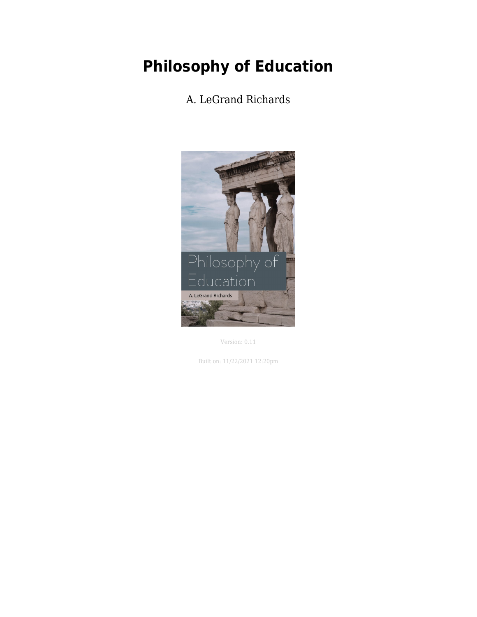# **Philosophy of Education**

A. LeGrand Richards



Version: 0.11

Built on: 11/22/2021 12:20pm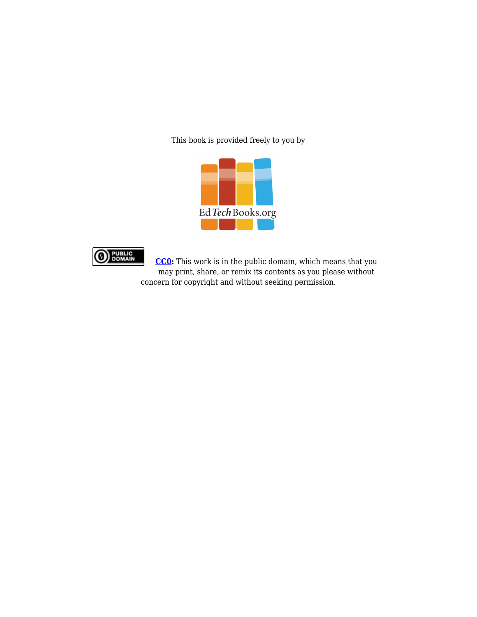This book is provided freely to you by





**[CC0](https://wiki.creativecommons.org/wiki/Public_domain):** This work is in the public domain, which means that you may print, share, or remix its contents as you please without concern for copyright and without seeking permission.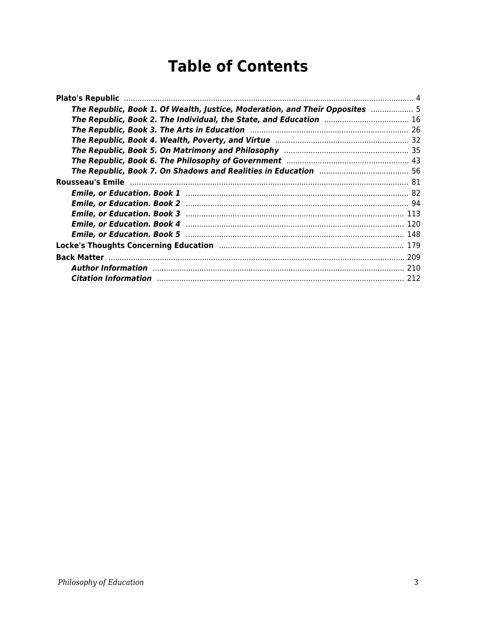### **Table of Contents**

| The Republic, Book 1. Of Wealth, Justice, Moderation, and Their Opposites  5                                                                                                                                                         |  |
|--------------------------------------------------------------------------------------------------------------------------------------------------------------------------------------------------------------------------------------|--|
| The Republic, Book 2. The Individual, the State, and Education manument and 16                                                                                                                                                       |  |
|                                                                                                                                                                                                                                      |  |
| The Republic, Book 4. Wealth, Poverty, and Virtue manumananomanaminanon 32                                                                                                                                                           |  |
|                                                                                                                                                                                                                                      |  |
|                                                                                                                                                                                                                                      |  |
|                                                                                                                                                                                                                                      |  |
|                                                                                                                                                                                                                                      |  |
|                                                                                                                                                                                                                                      |  |
|                                                                                                                                                                                                                                      |  |
|                                                                                                                                                                                                                                      |  |
| <b>Emile, or Education. Book 4 manufacture and all properties and all properties and all properties and all properties and all properties and all properties and all properties and all properties and all properties and all pr</b> |  |
|                                                                                                                                                                                                                                      |  |
|                                                                                                                                                                                                                                      |  |
|                                                                                                                                                                                                                                      |  |
|                                                                                                                                                                                                                                      |  |
|                                                                                                                                                                                                                                      |  |
|                                                                                                                                                                                                                                      |  |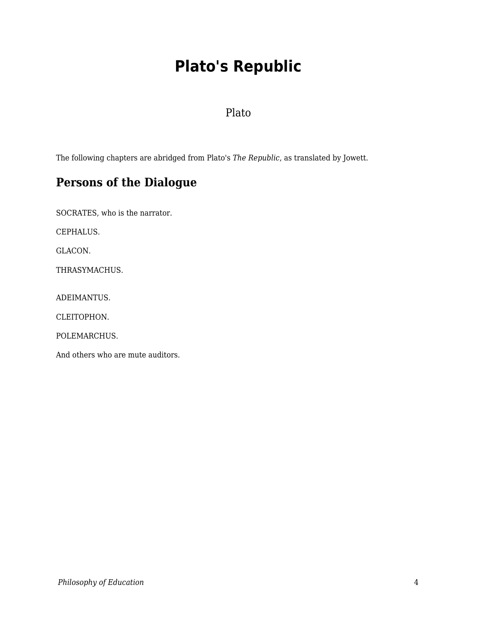# **Plato's Republic**

### Plato

<span id="page-3-0"></span>The following chapters are abridged from Plato's *The Republic*, as translated by Jowett.

### **Persons of the Dialogue**

SOCRATES, who is the narrator.

CEPHALUS.

GLACON.

THRASYMACHUS.

ADEIMANTUS.

CLEITOPHON.

POLEMARCHUS.

And others who are mute auditors.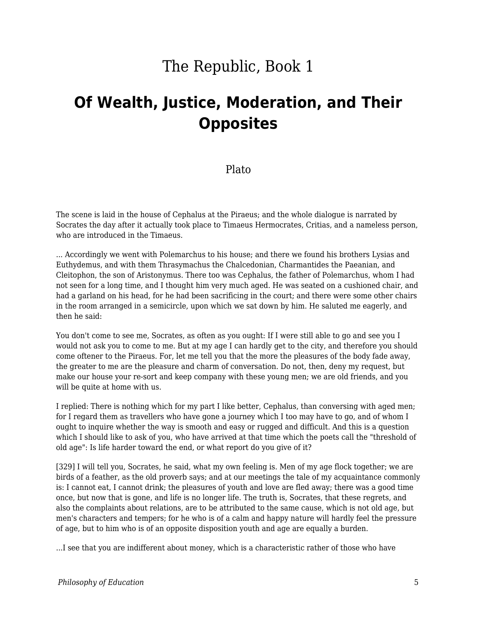### The Republic, Book 1

# <span id="page-4-0"></span>**Of Wealth, Justice, Moderation, and Their Opposites**

### Plato

The scene is laid in the house of Cephalus at the Piraeus; and the whole dialogue is narrated by Socrates the day after it actually took place to Timaeus Hermocrates, Critias, and a nameless person, who are introduced in the Timaeus.

... Accordingly we went with Polemarchus to his house; and there we found his brothers Lysias and Euthydemus, and with them Thrasymachus the Chalcedonian, Charmantides the Paeanian, and Cleitophon, the son of Aristonymus. There too was Cephalus, the father of Polemarchus, whom I had not seen for a long time, and I thought him very much aged. He was seated on a cushioned chair, and had a garland on his head, for he had been sacrificing in the court; and there were some other chairs in the room arranged in a semicircle, upon which we sat down by him. He saluted me eagerly, and then he said:

You don't come to see me, Socrates, as often as you ought: If I were still able to go and see you I would not ask you to come to me. But at my age I can hardly get to the city, and therefore you should come oftener to the Piraeus. For, let me tell you that the more the pleasures of the body fade away, the greater to me are the pleasure and charm of conversation. Do not, then, deny my request, but make our house your re-sort and keep company with these young men; we are old friends, and you will be quite at home with us.

I replied: There is nothing which for my part I like better, Cephalus, than conversing with aged men; for I regard them as travellers who have gone a journey which I too may have to go, and of whom I ought to inquire whether the way is smooth and easy or rugged and difficult. And this is a question which I should like to ask of you, who have arrived at that time which the poets call the "threshold of old age": Is life harder toward the end, or what report do you give of it?

[329] I will tell you, Socrates, he said, what my own feeling is. Men of my age flock together; we are birds of a feather, as the old proverb says; and at our meetings the tale of my acquaintance commonly is: I cannot eat, I cannot drink; the pleasures of youth and love are fled away; there was a good time once, but now that is gone, and life is no longer life. The truth is, Socrates, that these regrets, and also the complaints about relations, are to be attributed to the same cause, which is not old age, but men's characters and tempers; for he who is of a calm and happy nature will hardly feel the pressure of age, but to him who is of an opposite disposition youth and age are equally a burden.

...I see that you are indifferent about money, which is a characteristic rather of those who have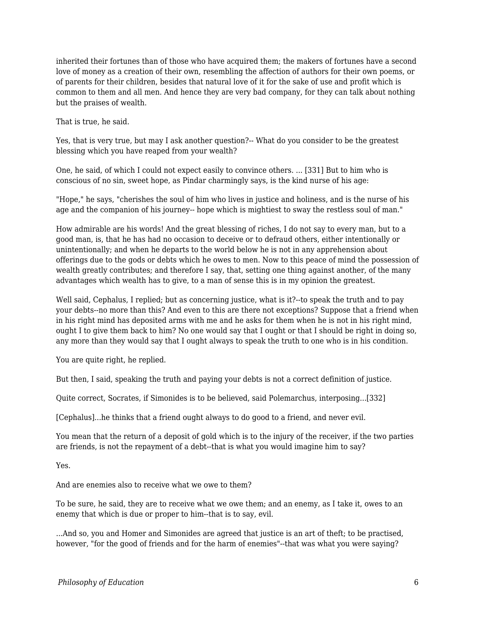inherited their fortunes than of those who have acquired them; the makers of fortunes have a second love of money as a creation of their own, resembling the affection of authors for their own poems, or of parents for their children, besides that natural love of it for the sake of use and profit which is common to them and all men. And hence they are very bad company, for they can talk about nothing but the praises of wealth.

That is true, he said.

Yes, that is very true, but may I ask another question?-- What do you consider to be the greatest blessing which you have reaped from your wealth?

One, he said, of which I could not expect easily to convince others. ... [331] But to him who is conscious of no sin, sweet hope, as Pindar charmingly says, is the kind nurse of his age:

"Hope," he says, "cherishes the soul of him who lives in justice and holiness, and is the nurse of his age and the companion of his journey-- hope which is mightiest to sway the restless soul of man."

How admirable are his words! And the great blessing of riches, I do not say to every man, but to a good man, is, that he has had no occasion to deceive or to defraud others, either intentionally or unintentionally; and when he departs to the world below he is not in any apprehension about offerings due to the gods or debts which he owes to men. Now to this peace of mind the possession of wealth greatly contributes; and therefore I say, that, setting one thing against another, of the many advantages which wealth has to give, to a man of sense this is in my opinion the greatest.

Well said, Cephalus, I replied; but as concerning justice, what is it?--to speak the truth and to pay your debts--no more than this? And even to this are there not exceptions? Suppose that a friend when in his right mind has deposited arms with me and he asks for them when he is not in his right mind, ought I to give them back to him? No one would say that I ought or that I should be right in doing so, any more than they would say that I ought always to speak the truth to one who is in his condition.

You are quite right, he replied.

But then, I said, speaking the truth and paying your debts is not a correct definition of justice.

Quite correct, Socrates, if Simonides is to be believed, said Polemarchus, interposing...[332]

[Cephalus]...he thinks that a friend ought always to do good to a friend, and never evil.

You mean that the return of a deposit of gold which is to the injury of the receiver, if the two parties are friends, is not the repayment of a debt--that is what you would imagine him to say?

Yes.

And are enemies also to receive what we owe to them?

To be sure, he said, they are to receive what we owe them; and an enemy, as I take it, owes to an enemy that which is due or proper to him--that is to say, evil.

...And so, you and Homer and Simonides are agreed that justice is an art of theft; to be practised, however, "for the good of friends and for the harm of enemies"--that was what you were saying?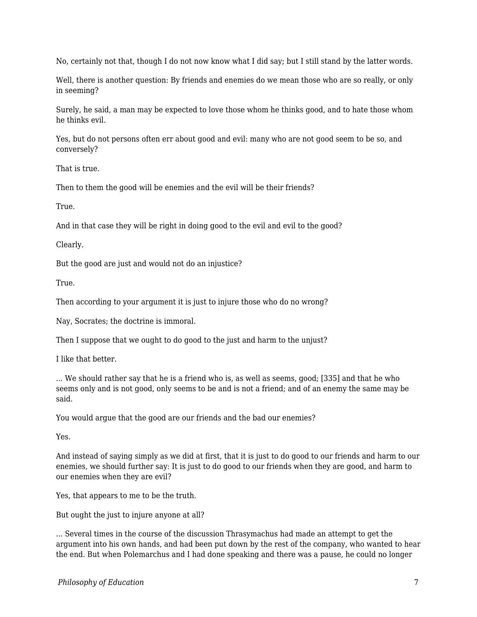No, certainly not that, though I do not now know what I did say; but I still stand by the latter words.

Well, there is another question: By friends and enemies do we mean those who are so really, or only in seeming?

Surely, he said, a man may be expected to love those whom he thinks good, and to hate those whom he thinks evil.

Yes, but do not persons often err about good and evil: many who are not good seem to be so, and conversely?

That is true.

Then to them the good will be enemies and the evil will be their friends?

True.

And in that case they will be right in doing good to the evil and evil to the good?

Clearly.

But the good are just and would not do an injustice?

True.

Then according to your argument it is just to injure those who do no wrong?

Nay, Socrates; the doctrine is immoral.

Then I suppose that we ought to do good to the just and harm to the unjust?

I like that better.

... We should rather say that he is a friend who is, as well as seems, good; [335] and that he who seems only and is not good, only seems to be and is not a friend; and of an enemy the same may be said.

You would argue that the good are our friends and the bad our enemies?

Yes.

And instead of saying simply as we did at first, that it is just to do good to our friends and harm to our enemies, we should further say: It is just to do good to our friends when they are good, and harm to our enemies when they are evil?

Yes, that appears to me to be the truth.

But ought the just to injure anyone at all?

... Several times in the course of the discussion Thrasymachus had made an attempt to get the argument into his own hands, and had been put down by the rest of the company, who wanted to hear the end. But when Polemarchus and I had done speaking and there was a pause, he could no longer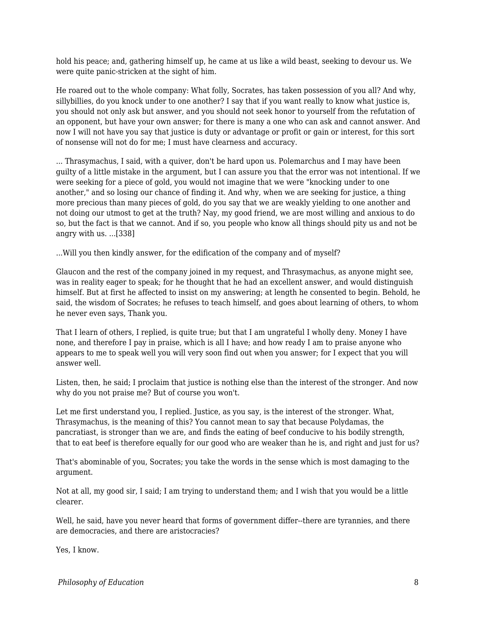hold his peace; and, gathering himself up, he came at us like a wild beast, seeking to devour us. We were quite panic-stricken at the sight of him.

He roared out to the whole company: What folly, Socrates, has taken possession of you all? And why, sillybillies, do you knock under to one another? I say that if you want really to know what justice is, you should not only ask but answer, and you should not seek honor to yourself from the refutation of an opponent, but have your own answer; for there is many a one who can ask and cannot answer. And now I will not have you say that justice is duty or advantage or profit or gain or interest, for this sort of nonsense will not do for me; I must have clearness and accuracy.

... Thrasymachus, I said, with a quiver, don't be hard upon us. Polemarchus and I may have been guilty of a little mistake in the argument, but I can assure you that the error was not intentional. If we were seeking for a piece of gold, you would not imagine that we were "knocking under to one another," and so losing our chance of finding it. And why, when we are seeking for justice, a thing more precious than many pieces of gold, do you say that we are weakly yielding to one another and not doing our utmost to get at the truth? Nay, my good friend, we are most willing and anxious to do so, but the fact is that we cannot. And if so, you people who know all things should pity us and not be angry with us. ...[338]

...Will you then kindly answer, for the edification of the company and of myself?

Glaucon and the rest of the company joined in my request, and Thrasymachus, as anyone might see, was in reality eager to speak; for he thought that he had an excellent answer, and would distinguish himself. But at first he affected to insist on my answering; at length he consented to begin. Behold, he said, the wisdom of Socrates; he refuses to teach himself, and goes about learning of others, to whom he never even says, Thank you.

That I learn of others, I replied, is quite true; but that I am ungrateful I wholly deny. Money I have none, and therefore I pay in praise, which is all I have; and how ready I am to praise anyone who appears to me to speak well you will very soon find out when you answer; for I expect that you will answer well.

Listen, then, he said; I proclaim that justice is nothing else than the interest of the stronger. And now why do you not praise me? But of course you won't.

Let me first understand you, I replied. Justice, as you say, is the interest of the stronger. What, Thrasymachus, is the meaning of this? You cannot mean to say that because Polydamas, the pancratiast, is stronger than we are, and finds the eating of beef conducive to his bodily strength, that to eat beef is therefore equally for our good who are weaker than he is, and right and just for us?

That's abominable of you, Socrates; you take the words in the sense which is most damaging to the argument.

Not at all, my good sir, I said; I am trying to understand them; and I wish that you would be a little clearer.

Well, he said, have you never heard that forms of government differ--there are tyrannies, and there are democracies, and there are aristocracies?

Yes, I know.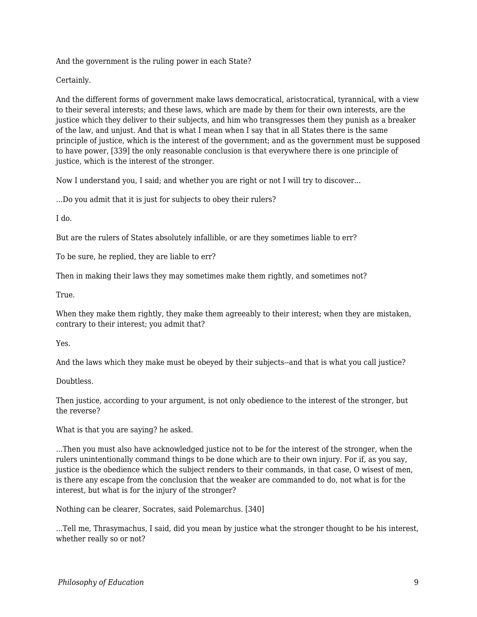And the government is the ruling power in each State?

Certainly.

And the different forms of government make laws democratical, aristocratical, tyrannical, with a view to their several interests; and these laws, which are made by them for their own interests, are the justice which they deliver to their subjects, and him who transgresses them they punish as a breaker of the law, and unjust. And that is what I mean when I say that in all States there is the same principle of justice, which is the interest of the government; and as the government must be supposed to have power, [339] the only reasonable conclusion is that everywhere there is one principle of justice, which is the interest of the stronger.

Now I understand you, I said; and whether you are right or not I will try to discover...

...Do you admit that it is just for subjects to obey their rulers?

I do.

But are the rulers of States absolutely infallible, or are they sometimes liable to err?

To be sure, he replied, they are liable to err?

Then in making their laws they may sometimes make them rightly, and sometimes not?

True.

When they make them rightly, they make them agreeably to their interest; when they are mistaken, contrary to their interest; you admit that?

Yes.

And the laws which they make must be obeyed by their subjects--and that is what you call justice?

Doubtless.

Then justice, according to your argument, is not only obedience to the interest of the stronger, but the reverse?

What is that you are saying? he asked.

...Then you must also have acknowledged justice not to be for the interest of the stronger, when the rulers unintentionally command things to be done which are to their own injury. For if, as you say, justice is the obedience which the subject renders to their commands, in that case, O wisest of men, is there any escape from the conclusion that the weaker are commanded to do, not what is for the interest, but what is for the injury of the stronger?

Nothing can be clearer, Socrates, said Polemarchus. [340]

...Tell me, Thrasymachus, I said, did you mean by justice what the stronger thought to be his interest, whether really so or not?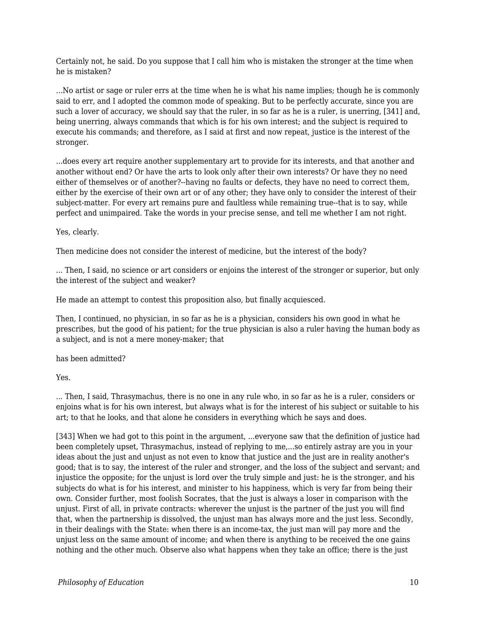Certainly not, he said. Do you suppose that I call him who is mistaken the stronger at the time when he is mistaken?

...No artist or sage or ruler errs at the time when he is what his name implies; though he is commonly said to err, and I adopted the common mode of speaking. But to be perfectly accurate, since you are such a lover of accuracy, we should say that the ruler, in so far as he is a ruler, is unerring, [341] and, being unerring, always commands that which is for his own interest; and the subject is required to execute his commands; and therefore, as I said at first and now repeat, justice is the interest of the stronger.

...does every art require another supplementary art to provide for its interests, and that another and another without end? Or have the arts to look only after their own interests? Or have they no need either of themselves or of another?--having no faults or defects, they have no need to correct them, either by the exercise of their own art or of any other; they have only to consider the interest of their subject-matter. For every art remains pure and faultless while remaining true--that is to say, while perfect and unimpaired. Take the words in your precise sense, and tell me whether I am not right.

Yes, clearly.

Then medicine does not consider the interest of medicine, but the interest of the body?

... Then, I said, no science or art considers or enjoins the interest of the stronger or superior, but only the interest of the subject and weaker?

He made an attempt to contest this proposition also, but finally acquiesced.

Then, I continued, no physician, in so far as he is a physician, considers his own good in what he prescribes, but the good of his patient; for the true physician is also a ruler having the human body as a subject, and is not a mere money-maker; that

has been admitted?

Yes.

... Then, I said, Thrasymachus, there is no one in any rule who, in so far as he is a ruler, considers or enjoins what is for his own interest, but always what is for the interest of his subject or suitable to his art; to that he looks, and that alone he considers in everything which he says and does.

[343] When we had got to this point in the argument, ...everyone saw that the definition of justice had been completely upset, Thrasymachus, instead of replying to me,...so entirely astray are you in your ideas about the just and unjust as not even to know that justice and the just are in reality another's good; that is to say, the interest of the ruler and stronger, and the loss of the subject and servant; and injustice the opposite; for the unjust is lord over the truly simple and just: he is the stronger, and his subjects do what is for his interest, and minister to his happiness, which is very far from being their own. Consider further, most foolish Socrates, that the just is always a loser in comparison with the unjust. First of all, in private contracts: wherever the unjust is the partner of the just you will find that, when the partnership is dissolved, the unjust man has always more and the just less. Secondly, in their dealings with the State: when there is an income-tax, the just man will pay more and the unjust less on the same amount of income; and when there is anything to be received the one gains nothing and the other much. Observe also what happens when they take an office; there is the just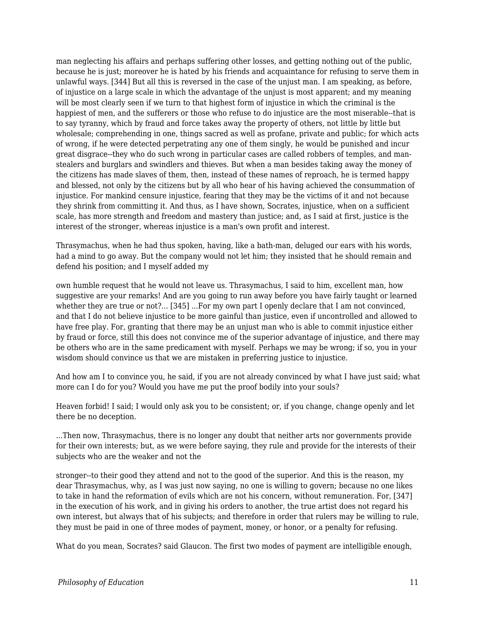man neglecting his affairs and perhaps suffering other losses, and getting nothing out of the public, because he is just; moreover he is hated by his friends and acquaintance for refusing to serve them in unlawful ways. [344] But all this is reversed in the case of the unjust man. I am speaking, as before, of injustice on a large scale in which the advantage of the unjust is most apparent; and my meaning will be most clearly seen if we turn to that highest form of injustice in which the criminal is the happiest of men, and the sufferers or those who refuse to do injustice are the most miserable--that is to say tyranny, which by fraud and force takes away the property of others, not little by little but wholesale; comprehending in one, things sacred as well as profane, private and public; for which acts of wrong, if he were detected perpetrating any one of them singly, he would be punished and incur great disgrace--they who do such wrong in particular cases are called robbers of temples, and manstealers and burglars and swindlers and thieves. But when a man besides taking away the money of the citizens has made slaves of them, then, instead of these names of reproach, he is termed happy and blessed, not only by the citizens but by all who hear of his having achieved the consummation of injustice. For mankind censure injustice, fearing that they may be the victims of it and not because they shrink from committing it. And thus, as I have shown, Socrates, injustice, when on a sufficient scale, has more strength and freedom and mastery than justice; and, as I said at first, justice is the interest of the stronger, whereas injustice is a man's own profit and interest.

Thrasymachus, when he had thus spoken, having, like a bath-man, deluged our ears with his words, had a mind to go away. But the company would not let him; they insisted that he should remain and defend his position; and I myself added my

own humble request that he would not leave us. Thrasymachus, I said to him, excellent man, how suggestive are your remarks! And are you going to run away before you have fairly taught or learned whether they are true or not?... [345] ...For my own part I openly declare that I am not convinced, and that I do not believe injustice to be more gainful than justice, even if uncontrolled and allowed to have free play. For, granting that there may be an unjust man who is able to commit injustice either by fraud or force, still this does not convince me of the superior advantage of injustice, and there may be others who are in the same predicament with myself. Perhaps we may be wrong; if so, you in your wisdom should convince us that we are mistaken in preferring justice to injustice.

And how am I to convince you, he said, if you are not already convinced by what I have just said; what more can I do for you? Would you have me put the proof bodily into your souls?

Heaven forbid! I said; I would only ask you to be consistent; or, if you change, change openly and let there be no deception.

...Then now, Thrasymachus, there is no longer any doubt that neither arts nor governments provide for their own interests; but, as we were before saying, they rule and provide for the interests of their subjects who are the weaker and not the

stronger--to their good they attend and not to the good of the superior. And this is the reason, my dear Thrasymachus, why, as I was just now saying, no one is willing to govern; because no one likes to take in hand the reformation of evils which are not his concern, without remuneration. For, [347] in the execution of his work, and in giving his orders to another, the true artist does not regard his own interest, but always that of his subjects; and therefore in order that rulers may be willing to rule, they must be paid in one of three modes of payment, money, or honor, or a penalty for refusing.

What do you mean, Socrates? said Glaucon. The first two modes of payment are intelligible enough,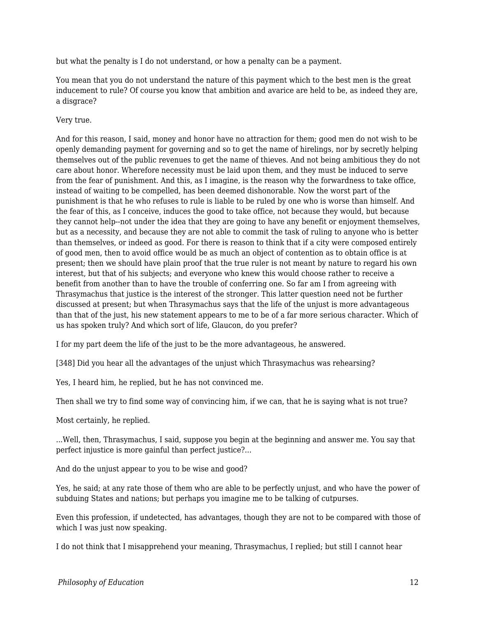but what the penalty is I do not understand, or how a penalty can be a payment.

You mean that you do not understand the nature of this payment which to the best men is the great inducement to rule? Of course you know that ambition and avarice are held to be, as indeed they are, a disgrace?

Very true.

And for this reason, I said, money and honor have no attraction for them; good men do not wish to be openly demanding payment for governing and so to get the name of hirelings, nor by secretly helping themselves out of the public revenues to get the name of thieves. And not being ambitious they do not care about honor. Wherefore necessity must be laid upon them, and they must be induced to serve from the fear of punishment. And this, as I imagine, is the reason why the forwardness to take office, instead of waiting to be compelled, has been deemed dishonorable. Now the worst part of the punishment is that he who refuses to rule is liable to be ruled by one who is worse than himself. And the fear of this, as I conceive, induces the good to take office, not because they would, but because they cannot help--not under the idea that they are going to have any benefit or enjoyment themselves, but as a necessity, and because they are not able to commit the task of ruling to anyone who is better than themselves, or indeed as good. For there is reason to think that if a city were composed entirely of good men, then to avoid office would be as much an object of contention as to obtain office is at present; then we should have plain proof that the true ruler is not meant by nature to regard his own interest, but that of his subjects; and everyone who knew this would choose rather to receive a benefit from another than to have the trouble of conferring one. So far am I from agreeing with Thrasymachus that justice is the interest of the stronger. This latter question need not be further discussed at present; but when Thrasymachus says that the life of the unjust is more advantageous than that of the just, his new statement appears to me to be of a far more serious character. Which of us has spoken truly? And which sort of life, Glaucon, do you prefer?

I for my part deem the life of the just to be the more advantageous, he answered.

[348] Did you hear all the advantages of the unjust which Thrasymachus was rehearsing?

Yes, I heard him, he replied, but he has not convinced me.

Then shall we try to find some way of convincing him, if we can, that he is saying what is not true?

Most certainly, he replied.

...Well, then, Thrasymachus, I said, suppose you begin at the beginning and answer me. You say that perfect injustice is more gainful than perfect justice?...

And do the unjust appear to you to be wise and good?

Yes, he said; at any rate those of them who are able to be perfectly unjust, and who have the power of subduing States and nations; but perhaps you imagine me to be talking of cutpurses.

Even this profession, if undetected, has advantages, though they are not to be compared with those of which I was just now speaking.

I do not think that I misapprehend your meaning, Thrasymachus, I replied; but still I cannot hear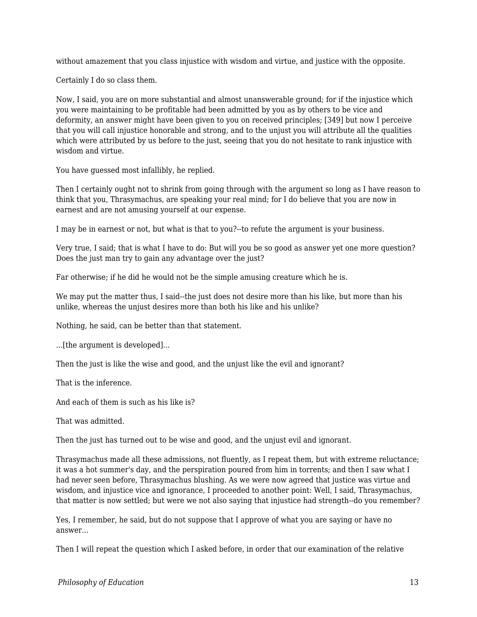without amazement that you class injustice with wisdom and virtue, and justice with the opposite.

Certainly I do so class them.

Now, I said, you are on more substantial and almost unanswerable ground; for if the injustice which you were maintaining to be profitable had been admitted by you as by others to be vice and deformity, an answer might have been given to you on received principles; [349] but now I perceive that you will call injustice honorable and strong, and to the unjust you will attribute all the qualities which were attributed by us before to the just, seeing that you do not hesitate to rank injustice with wisdom and virtue.

You have guessed most infallibly, he replied.

Then I certainly ought not to shrink from going through with the argument so long as I have reason to think that you, Thrasymachus, are speaking your real mind; for I do believe that you are now in earnest and are not amusing yourself at our expense.

I may be in earnest or not, but what is that to you?--to refute the argument is your business.

Very true, I said; that is what I have to do: But will you be so good as answer yet one more question? Does the just man try to gain any advantage over the just?

Far otherwise; if he did he would not be the simple amusing creature which he is.

We may put the matter thus, I said--the just does not desire more than his like, but more than his unlike, whereas the unjust desires more than both his like and his unlike?

Nothing, he said, can be better than that statement.

...[the argument is developed]...

Then the just is like the wise and good, and the unjust like the evil and ignorant?

That is the inference.

And each of them is such as his like is?

That was admitted.

Then the just has turned out to be wise and good, and the unjust evil and ignorant.

Thrasymachus made all these admissions, not fluently, as I repeat them, but with extreme reluctance; it was a hot summer's day, and the perspiration poured from him in torrents; and then I saw what I had never seen before, Thrasymachus blushing. As we were now agreed that justice was virtue and wisdom, and injustice vice and ignorance, I proceeded to another point: Well, I said, Thrasymachus, that matter is now settled; but were we not also saying that injustice had strength--do you remember?

Yes, I remember, he said, but do not suppose that I approve of what you are saying or have no answer...

Then I will repeat the question which I asked before, in order that our examination of the relative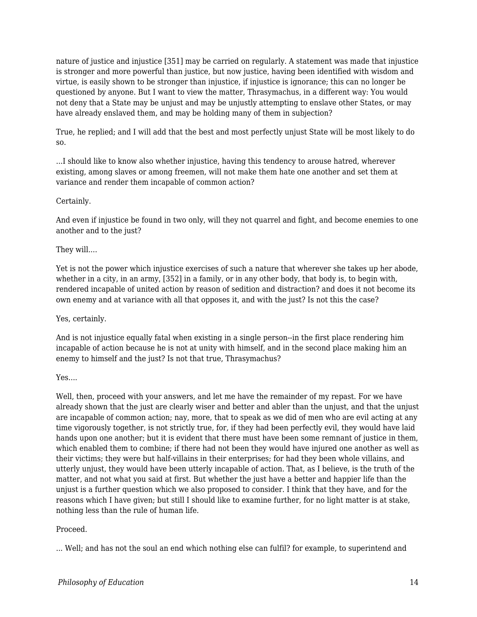nature of justice and injustice [351] may be carried on regularly. A statement was made that injustice is stronger and more powerful than justice, but now justice, having been identified with wisdom and virtue, is easily shown to be stronger than injustice, if injustice is ignorance; this can no longer be questioned by anyone. But I want to view the matter, Thrasymachus, in a different way: You would not deny that a State may be unjust and may be unjustly attempting to enslave other States, or may have already enslaved them, and may be holding many of them in subjection?

True, he replied; and I will add that the best and most perfectly unjust State will be most likely to do so.

...I should like to know also whether injustice, having this tendency to arouse hatred, wherever existing, among slaves or among freemen, will not make them hate one another and set them at variance and render them incapable of common action?

#### Certainly.

And even if injustice be found in two only, will they not quarrel and fight, and become enemies to one another and to the just?

#### They will....

Yet is not the power which injustice exercises of such a nature that wherever she takes up her abode, whether in a city, in an army, [352] in a family, or in any other body, that body is, to begin with, rendered incapable of united action by reason of sedition and distraction? and does it not become its own enemy and at variance with all that opposes it, and with the just? Is not this the case?

#### Yes, certainly.

And is not injustice equally fatal when existing in a single person--in the first place rendering him incapable of action because he is not at unity with himself, and in the second place making him an enemy to himself and the just? Is not that true, Thrasymachus?

#### Yes....

Well, then, proceed with your answers, and let me have the remainder of my repast. For we have already shown that the just are clearly wiser and better and abler than the unjust, and that the unjust are incapable of common action; nay, more, that to speak as we did of men who are evil acting at any time vigorously together, is not strictly true, for, if they had been perfectly evil, they would have laid hands upon one another; but it is evident that there must have been some remnant of justice in them, which enabled them to combine; if there had not been they would have injured one another as well as their victims; they were but half-villains in their enterprises; for had they been whole villains, and utterly unjust, they would have been utterly incapable of action. That, as I believe, is the truth of the matter, and not what you said at first. But whether the just have a better and happier life than the unjust is a further question which we also proposed to consider. I think that they have, and for the reasons which I have given; but still I should like to examine further, for no light matter is at stake, nothing less than the rule of human life.

#### Proceed.

... Well; and has not the soul an end which nothing else can fulfil? for example, to superintend and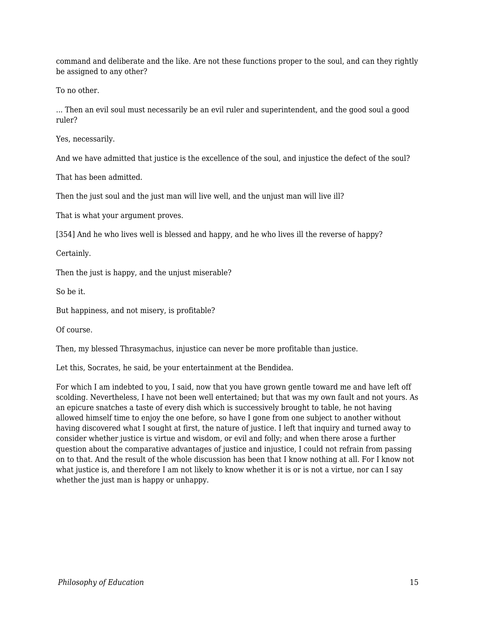command and deliberate and the like. Are not these functions proper to the soul, and can they rightly be assigned to any other?

To no other.

... Then an evil soul must necessarily be an evil ruler and superintendent, and the good soul a good ruler?

Yes, necessarily.

And we have admitted that justice is the excellence of the soul, and injustice the defect of the soul?

That has been admitted.

Then the just soul and the just man will live well, and the unjust man will live ill?

That is what your argument proves.

[354] And he who lives well is blessed and happy, and he who lives ill the reverse of happy?

Certainly.

Then the just is happy, and the unjust miserable?

So be it.

But happiness, and not misery, is profitable?

Of course.

Then, my blessed Thrasymachus, injustice can never be more profitable than justice.

Let this, Socrates, he said, be your entertainment at the Bendidea.

For which I am indebted to you, I said, now that you have grown gentle toward me and have left off scolding. Nevertheless, I have not been well entertained; but that was my own fault and not yours. As an epicure snatches a taste of every dish which is successively brought to table, he not having allowed himself time to enjoy the one before, so have I gone from one subject to another without having discovered what I sought at first, the nature of justice. I left that inquiry and turned away to consider whether justice is virtue and wisdom, or evil and folly; and when there arose a further question about the comparative advantages of justice and injustice, I could not refrain from passing on to that. And the result of the whole discussion has been that I know nothing at all. For I know not what justice is, and therefore I am not likely to know whether it is or is not a virtue, nor can I say whether the just man is happy or unhappy.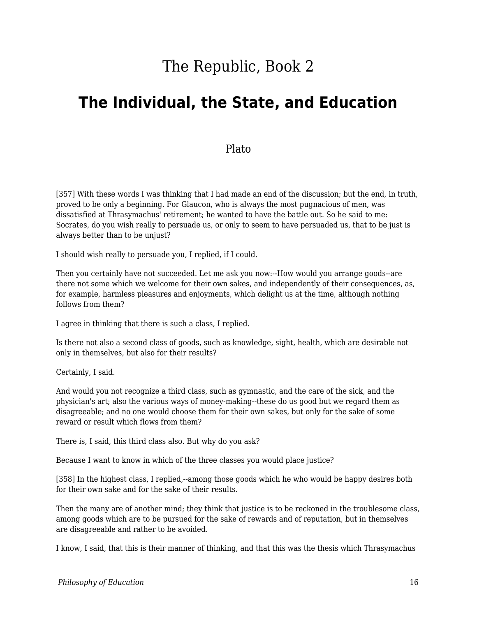## The Republic, Book 2

### <span id="page-15-0"></span>**The Individual, the State, and Education**

### Plato

[357] With these words I was thinking that I had made an end of the discussion; but the end, in truth, proved to be only a beginning. For Glaucon, who is always the most pugnacious of men, was dissatisfied at Thrasymachus' retirement; he wanted to have the battle out. So he said to me: Socrates, do you wish really to persuade us, or only to seem to have persuaded us, that to be just is always better than to be unjust?

I should wish really to persuade you, I replied, if I could.

Then you certainly have not succeeded. Let me ask you now:--How would you arrange goods--are there not some which we welcome for their own sakes, and independently of their consequences, as, for example, harmless pleasures and enjoyments, which delight us at the time, although nothing follows from them?

I agree in thinking that there is such a class, I replied.

Is there not also a second class of goods, such as knowledge, sight, health, which are desirable not only in themselves, but also for their results?

Certainly, I said.

And would you not recognize a third class, such as gymnastic, and the care of the sick, and the physician's art; also the various ways of money-making--these do us good but we regard them as disagreeable; and no one would choose them for their own sakes, but only for the sake of some reward or result which flows from them?

There is, I said, this third class also. But why do you ask?

Because I want to know in which of the three classes you would place justice?

[358] In the highest class, I replied,--among those goods which he who would be happy desires both for their own sake and for the sake of their results.

Then the many are of another mind; they think that justice is to be reckoned in the troublesome class, among goods which are to be pursued for the sake of rewards and of reputation, but in themselves are disagreeable and rather to be avoided.

I know, I said, that this is their manner of thinking, and that this was the thesis which Thrasymachus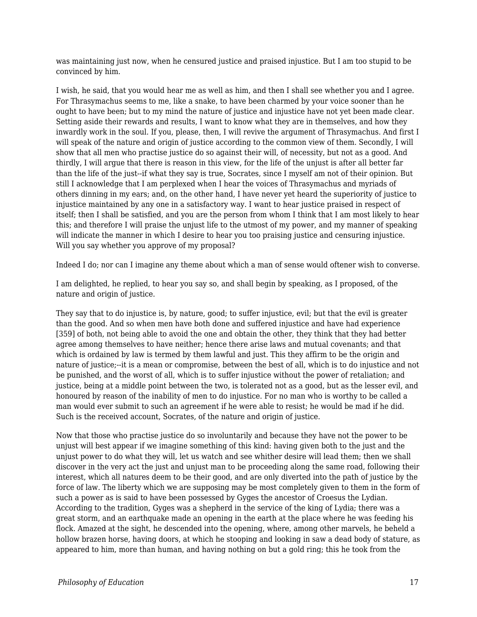was maintaining just now, when he censured justice and praised injustice. But I am too stupid to be convinced by him.

I wish, he said, that you would hear me as well as him, and then I shall see whether you and I agree. For Thrasymachus seems to me, like a snake, to have been charmed by your voice sooner than he ought to have been; but to my mind the nature of justice and injustice have not yet been made clear. Setting aside their rewards and results, I want to know what they are in themselves, and how they inwardly work in the soul. If you, please, then, I will revive the argument of Thrasymachus. And first I will speak of the nature and origin of justice according to the common view of them. Secondly, I will show that all men who practise justice do so against their will, of necessity, but not as a good. And thirdly, I will argue that there is reason in this view, for the life of the unjust is after all better far than the life of the just--if what they say is true, Socrates, since I myself am not of their opinion. But still I acknowledge that I am perplexed when I hear the voices of Thrasymachus and myriads of others dinning in my ears; and, on the other hand, I have never yet heard the superiority of justice to injustice maintained by any one in a satisfactory way. I want to hear justice praised in respect of itself; then I shall be satisfied, and you are the person from whom I think that I am most likely to hear this; and therefore I will praise the unjust life to the utmost of my power, and my manner of speaking will indicate the manner in which I desire to hear you too praising justice and censuring injustice. Will you say whether you approve of my proposal?

Indeed I do; nor can I imagine any theme about which a man of sense would oftener wish to converse.

I am delighted, he replied, to hear you say so, and shall begin by speaking, as I proposed, of the nature and origin of justice.

They say that to do injustice is, by nature, good; to suffer injustice, evil; but that the evil is greater than the good. And so when men have both done and suffered injustice and have had experience [359] of both, not being able to avoid the one and obtain the other, they think that they had better agree among themselves to have neither; hence there arise laws and mutual covenants; and that which is ordained by law is termed by them lawful and just. This they affirm to be the origin and nature of justice;--it is a mean or compromise, between the best of all, which is to do injustice and not be punished, and the worst of all, which is to suffer injustice without the power of retaliation; and justice, being at a middle point between the two, is tolerated not as a good, but as the lesser evil, and honoured by reason of the inability of men to do injustice. For no man who is worthy to be called a man would ever submit to such an agreement if he were able to resist; he would be mad if he did. Such is the received account, Socrates, of the nature and origin of justice.

Now that those who practise justice do so involuntarily and because they have not the power to be unjust will best appear if we imagine something of this kind: having given both to the just and the unjust power to do what they will, let us watch and see whither desire will lead them; then we shall discover in the very act the just and unjust man to be proceeding along the same road, following their interest, which all natures deem to be their good, and are only diverted into the path of justice by the force of law. The liberty which we are supposing may be most completely given to them in the form of such a power as is said to have been possessed by Gyges the ancestor of Croesus the Lydian. According to the tradition, Gyges was a shepherd in the service of the king of Lydia; there was a great storm, and an earthquake made an opening in the earth at the place where he was feeding his flock. Amazed at the sight, he descended into the opening, where, among other marvels, he beheld a hollow brazen horse, having doors, at which he stooping and looking in saw a dead body of stature, as appeared to him, more than human, and having nothing on but a gold ring; this he took from the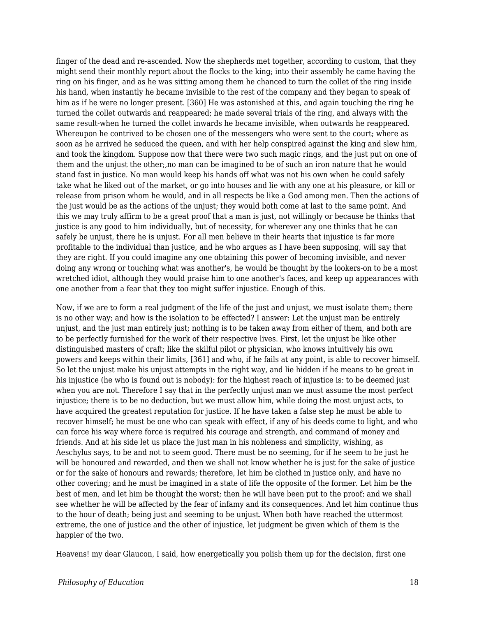finger of the dead and re-ascended. Now the shepherds met together, according to custom, that they might send their monthly report about the flocks to the king; into their assembly he came having the ring on his finger, and as he was sitting among them he chanced to turn the collet of the ring inside his hand, when instantly he became invisible to the rest of the company and they began to speak of him as if he were no longer present. [360] He was astonished at this, and again touching the ring he turned the collet outwards and reappeared; he made several trials of the ring, and always with the same result-when he turned the collet inwards he became invisible, when outwards he reappeared. Whereupon he contrived to be chosen one of the messengers who were sent to the court; where as soon as he arrived he seduced the queen, and with her help conspired against the king and slew him, and took the kingdom. Suppose now that there were two such magic rings, and the just put on one of them and the unjust the other;,no man can be imagined to be of such an iron nature that he would stand fast in justice. No man would keep his hands off what was not his own when he could safely take what he liked out of the market, or go into houses and lie with any one at his pleasure, or kill or release from prison whom he would, and in all respects be like a God among men. Then the actions of the just would be as the actions of the unjust; they would both come at last to the same point. And this we may truly affirm to be a great proof that a man is just, not willingly or because he thinks that justice is any good to him individually, but of necessity, for wherever any one thinks that he can safely be unjust, there he is unjust. For all men believe in their hearts that injustice is far more profitable to the individual than justice, and he who argues as I have been supposing, will say that they are right. If you could imagine any one obtaining this power of becoming invisible, and never doing any wrong or touching what was another's, he would be thought by the lookers-on to be a most wretched idiot, although they would praise him to one another's faces, and keep up appearances with one another from a fear that they too might suffer injustice. Enough of this.

Now, if we are to form a real judgment of the life of the just and unjust, we must isolate them; there is no other way; and how is the isolation to be effected? I answer: Let the unjust man be entirely unjust, and the just man entirely just; nothing is to be taken away from either of them, and both are to be perfectly furnished for the work of their respective lives. First, let the unjust be like other distinguished masters of craft; like the skilful pilot or physician, who knows intuitively his own powers and keeps within their limits, [361] and who, if he fails at any point, is able to recover himself. So let the unjust make his unjust attempts in the right way, and lie hidden if he means to be great in his injustice (he who is found out is nobody): for the highest reach of injustice is: to be deemed just when you are not. Therefore I say that in the perfectly unjust man we must assume the most perfect injustice; there is to be no deduction, but we must allow him, while doing the most unjust acts, to have acquired the greatest reputation for justice. If he have taken a false step he must be able to recover himself; he must be one who can speak with effect, if any of his deeds come to light, and who can force his way where force is required his courage and strength, and command of money and friends. And at his side let us place the just man in his nobleness and simplicity, wishing, as Aeschylus says, to be and not to seem good. There must be no seeming, for if he seem to be just he will be honoured and rewarded, and then we shall not know whether he is just for the sake of justice or for the sake of honours and rewards; therefore, let him be clothed in justice only, and have no other covering; and he must be imagined in a state of life the opposite of the former. Let him be the best of men, and let him be thought the worst; then he will have been put to the proof; and we shall see whether he will be affected by the fear of infamy and its consequences. And let him continue thus to the hour of death; being just and seeming to be unjust. When both have reached the uttermost extreme, the one of justice and the other of injustice, let judgment be given which of them is the happier of the two.

Heavens! my dear Glaucon, I said, how energetically you polish them up for the decision, first one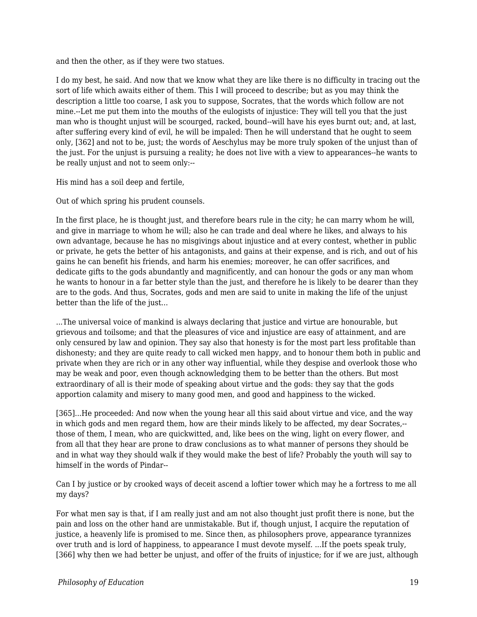and then the other, as if they were two statues.

I do my best, he said. And now that we know what they are like there is no difficulty in tracing out the sort of life which awaits either of them. This I will proceed to describe; but as you may think the description a little too coarse, I ask you to suppose, Socrates, that the words which follow are not mine.--Let me put them into the mouths of the eulogists of injustice: They will tell you that the just man who is thought unjust will be scourged, racked, bound--will have his eyes burnt out; and, at last, after suffering every kind of evil, he will be impaled: Then he will understand that he ought to seem only, [362] and not to be, just; the words of Aeschylus may be more truly spoken of the unjust than of the just. For the unjust is pursuing a reality; he does not live with a view to appearances--he wants to be really unjust and not to seem only:--

His mind has a soil deep and fertile,

Out of which spring his prudent counsels.

In the first place, he is thought just, and therefore bears rule in the city; he can marry whom he will, and give in marriage to whom he will; also he can trade and deal where he likes, and always to his own advantage, because he has no misgivings about injustice and at every contest, whether in public or private, he gets the better of his antagonists, and gains at their expense, and is rich, and out of his gains he can benefit his friends, and harm his enemies; moreover, he can offer sacrifices, and dedicate gifts to the gods abundantly and magnificently, and can honour the gods or any man whom he wants to honour in a far better style than the just, and therefore he is likely to be dearer than they are to the gods. And thus, Socrates, gods and men are said to unite in making the life of the unjust better than the life of the just...

...The universal voice of mankind is always declaring that justice and virtue are honourable, but grievous and toilsome; and that the pleasures of vice and injustice are easy of attainment, and are only censured by law and opinion. They say also that honesty is for the most part less profitable than dishonesty; and they are quite ready to call wicked men happy, and to honour them both in public and private when they are rich or in any other way influential, while they despise and overlook those who may be weak and poor, even though acknowledging them to be better than the others. But most extraordinary of all is their mode of speaking about virtue and the gods: they say that the gods apportion calamity and misery to many good men, and good and happiness to the wicked.

[365]...He proceeded: And now when the young hear all this said about virtue and vice, and the way in which gods and men regard them, how are their minds likely to be affected, my dear Socrates,- those of them, I mean, who are quickwitted, and, like bees on the wing, light on every flower, and from all that they hear are prone to draw conclusions as to what manner of persons they should be and in what way they should walk if they would make the best of life? Probably the youth will say to himself in the words of Pindar--

Can I by justice or by crooked ways of deceit ascend a loftier tower which may he a fortress to me all my days?

For what men say is that, if I am really just and am not also thought just profit there is none, but the pain and loss on the other hand are unmistakable. But if, though unjust, I acquire the reputation of justice, a heavenly life is promised to me. Since then, as philosophers prove, appearance tyrannizes over truth and is lord of happiness, to appearance I must devote myself. ...If the poets speak truly, [366] why then we had better be unjust, and offer of the fruits of injustice; for if we are just, although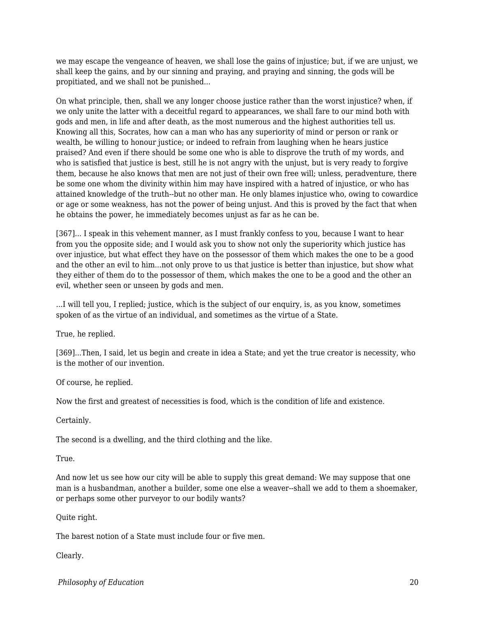we may escape the vengeance of heaven, we shall lose the gains of injustice; but, if we are unjust, we shall keep the gains, and by our sinning and praying, and praying and sinning, the gods will be propitiated, and we shall not be punished...

On what principle, then, shall we any longer choose justice rather than the worst injustice? when, if we only unite the latter with a deceitful regard to appearances, we shall fare to our mind both with gods and men, in life and after death, as the most numerous and the highest authorities tell us. Knowing all this, Socrates, how can a man who has any superiority of mind or person or rank or wealth, be willing to honour justice; or indeed to refrain from laughing when he hears justice praised? And even if there should be some one who is able to disprove the truth of my words, and who is satisfied that justice is best, still he is not angry with the unjust, but is very ready to forgive them, because he also knows that men are not just of their own free will; unless, peradventure, there be some one whom the divinity within him may have inspired with a hatred of injustice, or who has attained knowledge of the truth--but no other man. He only blames injustice who, owing to cowardice or age or some weakness, has not the power of being unjust. And this is proved by the fact that when he obtains the power, he immediately becomes unjust as far as he can be.

[367]... I speak in this vehement manner, as I must frankly confess to you, because I want to hear from you the opposite side; and I would ask you to show not only the superiority which justice has over injustice, but what effect they have on the possessor of them which makes the one to be a good and the other an evil to him...not only prove to us that justice is better than injustice, but show what they either of them do to the possessor of them, which makes the one to be a good and the other an evil, whether seen or unseen by gods and men.

...I will tell you, I replied; justice, which is the subject of our enquiry, is, as you know, sometimes spoken of as the virtue of an individual, and sometimes as the virtue of a State.

True, he replied.

[369]...Then, I said, let us begin and create in idea a State; and yet the true creator is necessity, who is the mother of our invention.

Of course, he replied.

Now the first and greatest of necessities is food, which is the condition of life and existence.

Certainly.

The second is a dwelling, and the third clothing and the like.

True.

And now let us see how our city will be able to supply this great demand: We may suppose that one man is a husbandman, another a builder, some one else a weaver--shall we add to them a shoemaker, or perhaps some other purveyor to our bodily wants?

Quite right.

The barest notion of a State must include four or five men.

Clearly.

*Philosophy of Education* 20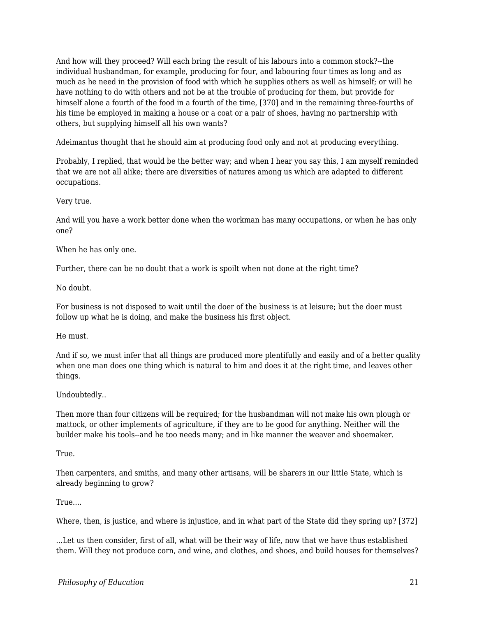And how will they proceed? Will each bring the result of his labours into a common stock?--the individual husbandman, for example, producing for four, and labouring four times as long and as much as he need in the provision of food with which he supplies others as well as himself; or will he have nothing to do with others and not be at the trouble of producing for them, but provide for himself alone a fourth of the food in a fourth of the time, [370] and in the remaining three-fourths of his time be employed in making a house or a coat or a pair of shoes, having no partnership with others, but supplying himself all his own wants?

Adeimantus thought that he should aim at producing food only and not at producing everything.

Probably, I replied, that would be the better way; and when I hear you say this, I am myself reminded that we are not all alike; there are diversities of natures among us which are adapted to different occupations.

Very true.

And will you have a work better done when the workman has many occupations, or when he has only one?

When he has only one.

Further, there can be no doubt that a work is spoilt when not done at the right time?

No doubt.

For business is not disposed to wait until the doer of the business is at leisure; but the doer must follow up what he is doing, and make the business his first object.

He must.

And if so, we must infer that all things are produced more plentifully and easily and of a better quality when one man does one thing which is natural to him and does it at the right time, and leaves other things.

Undoubtedly..

Then more than four citizens will be required; for the husbandman will not make his own plough or mattock, or other implements of agriculture, if they are to be good for anything. Neither will the builder make his tools--and he too needs many; and in like manner the weaver and shoemaker.

True.

Then carpenters, and smiths, and many other artisans, will be sharers in our little State, which is already beginning to grow?

True....

Where, then, is justice, and where is injustice, and in what part of the State did they spring up? [372]

...Let us then consider, first of all, what will be their way of life, now that we have thus established them. Will they not produce corn, and wine, and clothes, and shoes, and build houses for themselves?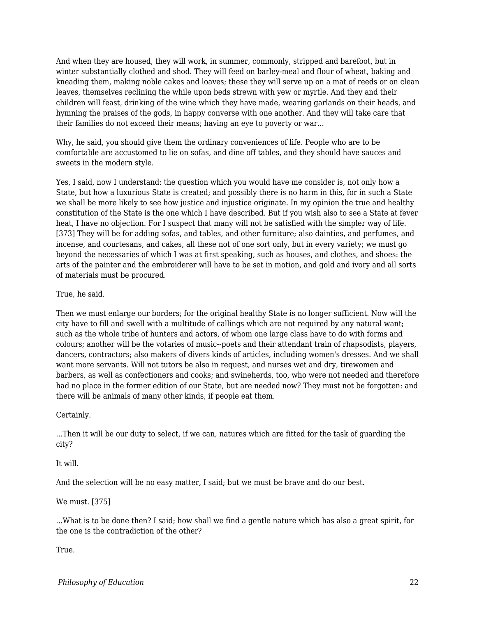And when they are housed, they will work, in summer, commonly, stripped and barefoot, but in winter substantially clothed and shod. They will feed on barley-meal and flour of wheat, baking and kneading them, making noble cakes and loaves; these they will serve up on a mat of reeds or on clean leaves, themselves reclining the while upon beds strewn with yew or myrtle. And they and their children will feast, drinking of the wine which they have made, wearing garlands on their heads, and hymning the praises of the gods, in happy converse with one another. And they will take care that their families do not exceed their means; having an eye to poverty or war...

Why, he said, you should give them the ordinary conveniences of life. People who are to be comfortable are accustomed to lie on sofas, and dine off tables, and they should have sauces and sweets in the modern style.

Yes, I said, now I understand: the question which you would have me consider is, not only how a State, but how a luxurious State is created; and possibly there is no harm in this, for in such a State we shall be more likely to see how justice and injustice originate. In my opinion the true and healthy constitution of the State is the one which I have described. But if you wish also to see a State at fever heat, I have no objection. For I suspect that many will not be satisfied with the simpler way of life. [373] They will be for adding sofas, and tables, and other furniture; also dainties, and perfumes, and incense, and courtesans, and cakes, all these not of one sort only, but in every variety; we must go beyond the necessaries of which I was at first speaking, such as houses, and clothes, and shoes: the arts of the painter and the embroiderer will have to be set in motion, and gold and ivory and all sorts of materials must be procured.

#### True, he said.

Then we must enlarge our borders; for the original healthy State is no longer sufficient. Now will the city have to fill and swell with a multitude of callings which are not required by any natural want; such as the whole tribe of hunters and actors, of whom one large class have to do with forms and colours; another will be the votaries of music--poets and their attendant train of rhapsodists, players, dancers, contractors; also makers of divers kinds of articles, including women's dresses. And we shall want more servants. Will not tutors be also in request, and nurses wet and dry, tirewomen and barbers, as well as confectioners and cooks; and swineherds, too, who were not needed and therefore had no place in the former edition of our State, but are needed now? They must not be forgotten: and there will be animals of many other kinds, if people eat them.

#### Certainly.

...Then it will be our duty to select, if we can, natures which are fitted for the task of guarding the city?

#### It will.

And the selection will be no easy matter, I said; but we must be brave and do our best.

#### We must. [375]

...What is to be done then? I said; how shall we find a gentle nature which has also a great spirit, for the one is the contradiction of the other?

True.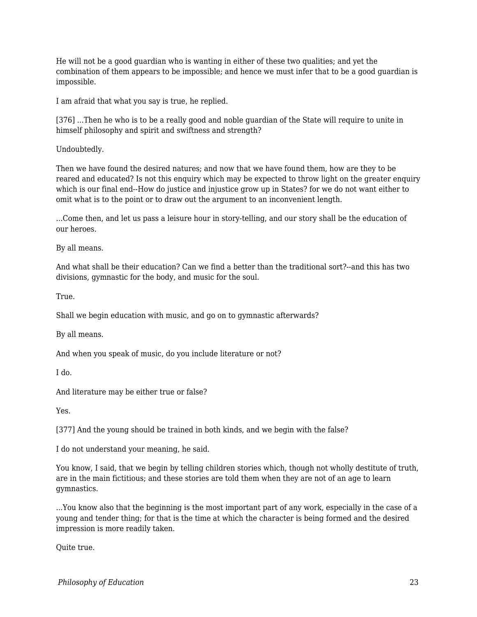He will not be a good guardian who is wanting in either of these two qualities; and yet the combination of them appears to be impossible; and hence we must infer that to be a good guardian is impossible.

I am afraid that what you say is true, he replied.

[376] ...Then he who is to be a really good and noble guardian of the State will require to unite in himself philosophy and spirit and swiftness and strength?

Undoubtedly.

Then we have found the desired natures; and now that we have found them, how are they to be reared and educated? Is not this enquiry which may be expected to throw light on the greater enquiry which is our final end--How do justice and injustice grow up in States? for we do not want either to omit what is to the point or to draw out the argument to an inconvenient length.

...Come then, and let us pass a leisure hour in story-telling, and our story shall be the education of our heroes.

By all means.

And what shall be their education? Can we find a better than the traditional sort?--and this has two divisions, gymnastic for the body, and music for the soul.

True.

Shall we begin education with music, and go on to gymnastic afterwards?

By all means.

And when you speak of music, do you include literature or not?

I do.

And literature may be either true or false?

Yes.

[377] And the young should be trained in both kinds, and we begin with the false?

I do not understand your meaning, he said.

You know, I said, that we begin by telling children stories which, though not wholly destitute of truth, are in the main fictitious; and these stories are told them when they are not of an age to learn gymnastics.

...You know also that the beginning is the most important part of any work, especially in the case of a young and tender thing; for that is the time at which the character is being formed and the desired impression is more readily taken.

Quite true.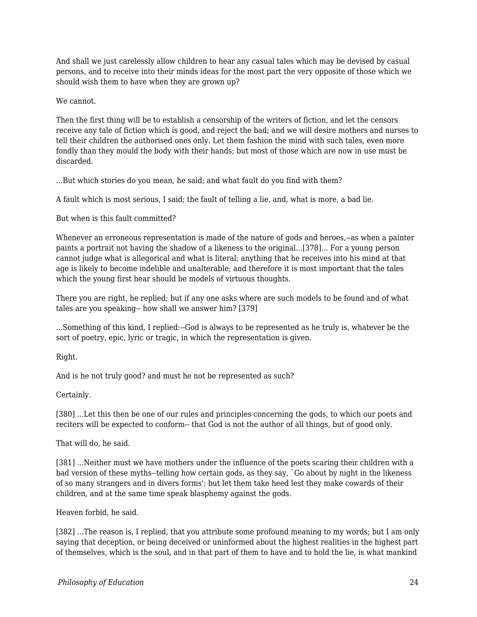And shall we just carelessly allow children to hear any casual tales which may be devised by casual persons, and to receive into their minds ideas for the most part the very opposite of those which we should wish them to have when they are grown up?

#### We cannot.

Then the first thing will be to establish a censorship of the writers of fiction, and let the censors receive any tale of fiction which is good, and reject the bad; and we will desire mothers and nurses to tell their children the authorised ones only. Let them fashion the mind with such tales, even more fondly than they mould the body with their hands; but most of those which are now in use must be discarded.

...But which stories do you mean, he said; and what fault do you find with them?

A fault which is most serious, I said; the fault of telling a lie, and, what is more, a bad lie.

But when is this fault committed?

Whenever an erroneous representation is made of the nature of gods and heroes,--as when a painter paints a portrait not having the shadow of a likeness to the original...[378]... For a young person cannot judge what is allegorical and what is literal; anything that he receives into his mind at that age is likely to become indelible and unalterable; and therefore it is most important that the tales which the young first hear should be models of virtuous thoughts.

There you are right, he replied; but if any one asks where are such models to be found and of what tales are you speaking-- how shall we answer him? [379]

...Something of this kind, I replied:--God is always to be represented as he truly is, whatever be the sort of poetry, epic, lyric or tragic, in which the representation is given.

Right.

And is he not truly good? and must he not be represented as such?

Certainly.

[380] ...Let this then be one of our rules and principles concerning the gods, to which our poets and reciters will be expected to conform-- that God is not the author of all things, but of good only.

That will do, he said.

[381] ...Neither must we have mothers under the influence of the poets scaring their children with a bad version of these myths--telling how certain gods, as they say, `Go about by night in the likeness of so many strangers and in divers forms'; but let them take heed lest they make cowards of their children, and at the same time speak blasphemy against the gods.

Heaven forbid, he said.

[382] ...The reason is, I replied, that you attribute some profound meaning to my words; but I am only saying that deception, or being deceived or uninformed about the highest realities in the highest part of themselves, which is the soul, and in that part of them to have and to hold the lie, is what mankind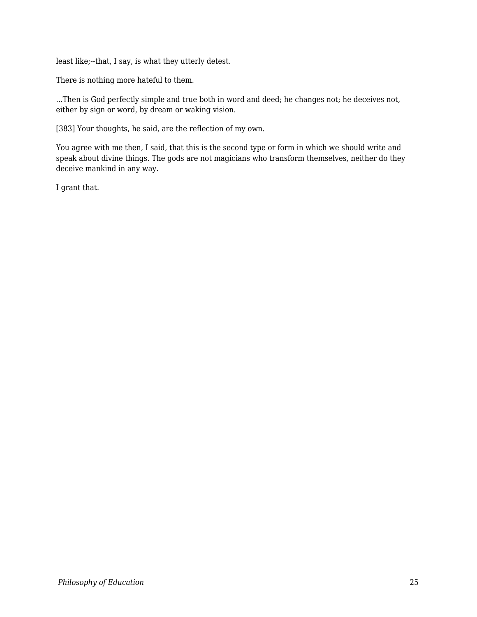least like;--that, I say, is what they utterly detest.

There is nothing more hateful to them.

...Then is God perfectly simple and true both in word and deed; he changes not; he deceives not, either by sign or word, by dream or waking vision.

[383] Your thoughts, he said, are the reflection of my own.

You agree with me then, I said, that this is the second type or form in which we should write and speak about divine things. The gods are not magicians who transform themselves, neither do they deceive mankind in any way.

I grant that.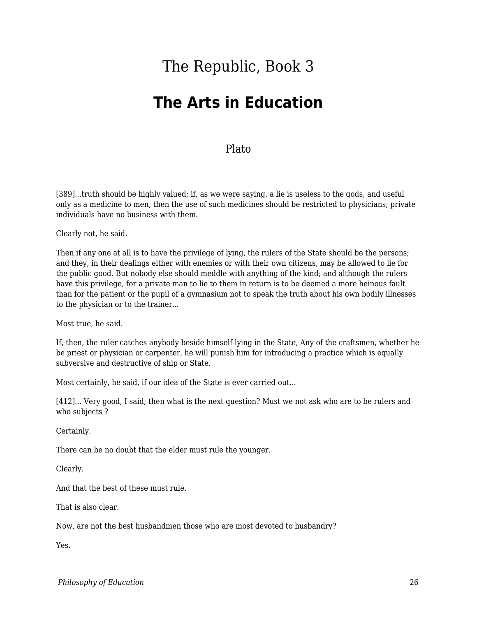# The Republic, Book 3

### **The Arts in Education**

### Plato

<span id="page-25-0"></span>[389]...truth should be highly valued; if, as we were saying, a lie is useless to the gods, and useful only as a medicine to men, then the use of such medicines should be restricted to physicians; private individuals have no business with them.

Clearly not, he said.

Then if any one at all is to have the privilege of lying, the rulers of the State should be the persons; and they, in their dealings either with enemies or with their own citizens, may be allowed to lie for the public good. But nobody else should meddle with anything of the kind; and although the rulers have this privilege, for a private man to lie to them in return is to be deemed a more heinous fault than for the patient or the pupil of a gymnasium not to speak the truth about his own bodily illnesses to the physician or to the trainer...

Most true, he said.

If, then, the ruler catches anybody beside himself lying in the State, Any of the craftsmen, whether he be priest or physician or carpenter, he will punish him for introducing a practice which is equally subversive and destructive of ship or State.

Most certainly, he said, if our idea of the State is ever carried out...

[412]... Very good, I said; then what is the next question? Must we not ask who are to be rulers and who subjects ?

Certainly.

There can be no doubt that the elder must rule the younger.

Clearly.

And that the best of these must rule.

That is also clear.

Now, are not the best husbandmen those who are most devoted to husbandry?

Yes.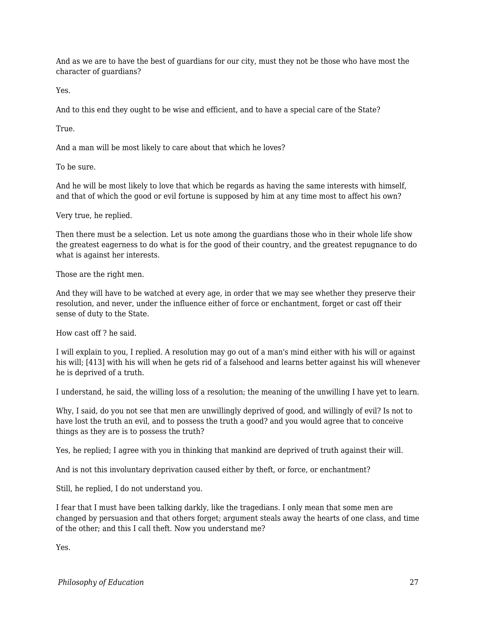And as we are to have the best of guardians for our city, must they not be those who have most the character of guardians?

Yes.

And to this end they ought to be wise and efficient, and to have a special care of the State?

True.

And a man will be most likely to care about that which he loves?

To be sure.

And he will be most likely to love that which be regards as having the same interests with himself, and that of which the good or evil fortune is supposed by him at any time most to affect his own?

Very true, he replied.

Then there must be a selection. Let us note among the guardians those who in their whole life show the greatest eagerness to do what is for the good of their country, and the greatest repugnance to do what is against her interests.

Those are the right men.

And they will have to be watched at every age, in order that we may see whether they preserve their resolution, and never, under the influence either of force or enchantment, forget or cast off their sense of duty to the State.

How cast off ? he said.

I will explain to you, I replied. A resolution may go out of a man's mind either with his will or against his will; [413] with his will when he gets rid of a falsehood and learns better against his will whenever he is deprived of a truth.

I understand, he said, the willing loss of a resolution; the meaning of the unwilling I have yet to learn.

Why, I said, do you not see that men are unwillingly deprived of good, and willingly of evil? Is not to have lost the truth an evil, and to possess the truth a good? and you would agree that to conceive things as they are is to possess the truth?

Yes, he replied; I agree with you in thinking that mankind are deprived of truth against their will.

And is not this involuntary deprivation caused either by theft, or force, or enchantment?

Still, he replied, I do not understand you.

I fear that I must have been talking darkly, like the tragedians. I only mean that some men are changed by persuasion and that others forget; argument steals away the hearts of one class, and time of the other; and this I call theft. Now you understand me?

Yes.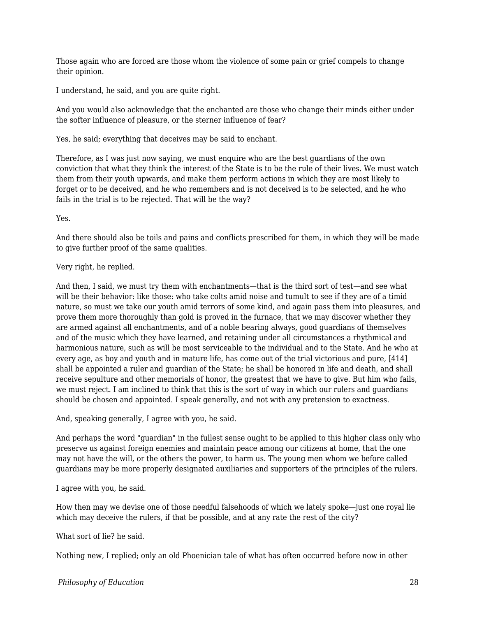Those again who are forced are those whom the violence of some pain or grief compels to change their opinion.

I understand, he said, and you are quite right.

And you would also acknowledge that the enchanted are those who change their minds either under the softer influence of pleasure, or the sterner influence of fear?

Yes, he said; everything that deceives may be said to enchant.

Therefore, as I was just now saying, we must enquire who are the best guardians of the own conviction that what they think the interest of the State is to be the rule of their lives. We must watch them from their youth upwards, and make them perform actions in which they are most likely to forget or to be deceived, and he who remembers and is not deceived is to be selected, and he who fails in the trial is to be rejected. That will be the way?

Yes.

And there should also be toils and pains and conflicts prescribed for them, in which they will be made to give further proof of the same qualities.

#### Very right, he replied.

And then, I said, we must try them with enchantments—that is the third sort of test—and see what will be their behavior: like those: who take colts amid noise and tumult to see if they are of a timid nature, so must we take our youth amid terrors of some kind, and again pass them into pleasures, and prove them more thoroughly than gold is proved in the furnace, that we may discover whether they are armed against all enchantments, and of a noble bearing always, good guardians of themselves and of the music which they have learned, and retaining under all circumstances a rhythmical and harmonious nature, such as will be most serviceable to the individual and to the State. And he who at every age, as boy and youth and in mature life, has come out of the trial victorious and pure, [414] shall be appointed a ruler and guardian of the State; he shall be honored in life and death, and shall receive sepulture and other memorials of honor, the greatest that we have to give. But him who fails, we must reject. I am inclined to think that this is the sort of way in which our rulers and guardians should be chosen and appointed. I speak generally, and not with any pretension to exactness.

And, speaking generally, I agree with you, he said.

And perhaps the word "guardian" in the fullest sense ought to be applied to this higher class only who preserve us against foreign enemies and maintain peace among our citizens at home, that the one may not have the will, or the others the power, to harm us. The young men whom we before called guardians may be more properly designated auxiliaries and supporters of the principles of the rulers.

I agree with you, he said.

How then may we devise one of those needful falsehoods of which we lately spoke—just one royal lie which may deceive the rulers, if that be possible, and at any rate the rest of the city?

What sort of lie? he said.

Nothing new, I replied; only an old Phoenician tale of what has often occurred before now in other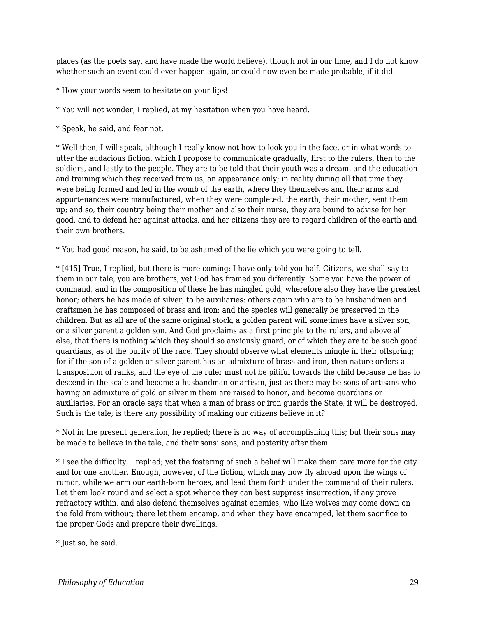places (as the poets say, and have made the world believe), though not in our time, and I do not know whether such an event could ever happen again, or could now even be made probable, if it did.

- \* How your words seem to hesitate on your lips!
- \* You will not wonder, I replied, at my hesitation when you have heard.
- \* Speak, he said, and fear not.

\* Well then, I will speak, although I really know not how to look you in the face, or in what words to utter the audacious fiction, which I propose to communicate gradually, first to the rulers, then to the soldiers, and lastly to the people. They are to be told that their youth was a dream, and the education and training which they received from us, an appearance only; in reality during all that time they were being formed and fed in the womb of the earth, where they themselves and their arms and appurtenances were manufactured; when they were completed, the earth, their mother, sent them up; and so, their country being their mother and also their nurse, they are bound to advise for her good, and to defend her against attacks, and her citizens they are to regard children of the earth and their own brothers.

\* You had good reason, he said, to be ashamed of the lie which you were going to tell.

\* [415] True, I replied, but there is more coming; I have only told you half. Citizens, we shall say to them in our tale, you are brothers, yet God has framed you differently. Some you have the power of command, and in the composition of these he has mingled gold, wherefore also they have the greatest honor; others he has made of silver, to be auxiliaries: others again who are to be husbandmen and craftsmen he has composed of brass and iron; and the species will generally be preserved in the children. But as all are of the same original stock, a golden parent will sometimes have a silver son, or a silver parent a golden son. And God proclaims as a first principle to the rulers, and above all else, that there is nothing which they should so anxiously guard, or of which they are to be such good guardians, as of the purity of the race. They should observe what elements mingle in their offspring; for if the son of a golden or silver parent has an admixture of brass and iron, then nature orders a transposition of ranks, and the eye of the ruler must not be pitiful towards the child because he has to descend in the scale and become a husbandman or artisan, just as there may be sons of artisans who having an admixture of gold or silver in them are raised to honor, and become guardians or auxiliaries. For an oracle says that when a man of brass or iron guards the State, it will be destroyed. Such is the tale; is there any possibility of making our citizens believe in it?

\* Not in the present generation, he replied; there is no way of accomplishing this; but their sons may be made to believe in the tale, and their sons' sons, and posterity after them.

\* I see the difficulty, I replied; yet the fostering of such a belief will make them care more for the city and for one another. Enough, however, of the fiction, which may now fly abroad upon the wings of rumor, while we arm our earth-born heroes, and lead them forth under the command of their rulers. Let them look round and select a spot whence they can best suppress insurrection, if any prove refractory within, and also defend themselves against enemies, who like wolves may come down on the fold from without; there let them encamp, and when they have encamped, let them sacrifice to the proper Gods and prepare their dwellings.

\* Just so, he said.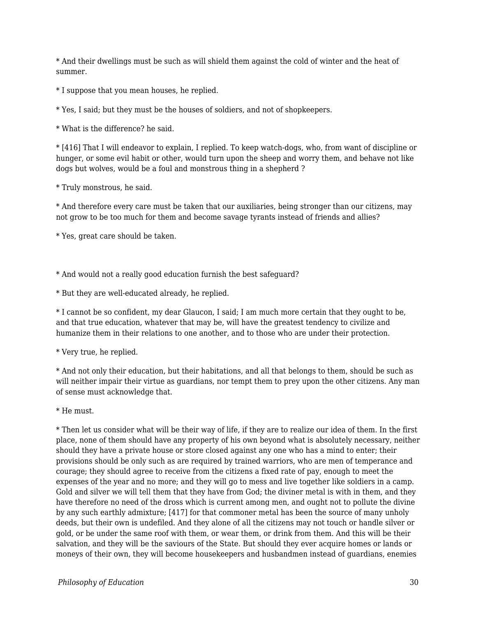\* And their dwellings must be such as will shield them against the cold of winter and the heat of summer.

\* I suppose that you mean houses, he replied.

\* Yes, I said; but they must be the houses of soldiers, and not of shopkeepers.

\* What is the difference? he said.

\* [416] That I will endeavor to explain, I replied. To keep watch-dogs, who, from want of discipline or hunger, or some evil habit or other, would turn upon the sheep and worry them, and behave not like dogs but wolves, would be a foul and monstrous thing in a shepherd ?

\* Truly monstrous, he said.

\* And therefore every care must be taken that our auxiliaries, being stronger than our citizens, may not grow to be too much for them and become savage tyrants instead of friends and allies?

\* Yes, great care should be taken.

\* And would not a really good education furnish the best safeguard?

\* But they are well-educated already, he replied.

\* I cannot be so confident, my dear Glaucon, I said; I am much more certain that they ought to be, and that true education, whatever that may be, will have the greatest tendency to civilize and humanize them in their relations to one another, and to those who are under their protection.

\* Very true, he replied.

\* And not only their education, but their habitations, and all that belongs to them, should be such as will neither impair their virtue as guardians, nor tempt them to prey upon the other citizens. Any man of sense must acknowledge that.

\* He must.

\* Then let us consider what will be their way of life, if they are to realize our idea of them. In the first place, none of them should have any property of his own beyond what is absolutely necessary, neither should they have a private house or store closed against any one who has a mind to enter; their provisions should be only such as are required by trained warriors, who are men of temperance and courage; they should agree to receive from the citizens a fixed rate of pay, enough to meet the expenses of the year and no more; and they will go to mess and live together like soldiers in a camp. Gold and silver we will tell them that they have from God; the diviner metal is with in them, and they have therefore no need of the dross which is current among men, and ought not to pollute the divine by any such earthly admixture; [417] for that commoner metal has been the source of many unholy deeds, but their own is undefiled. And they alone of all the citizens may not touch or handle silver or gold, or be under the same roof with them, or wear them, or drink from them. And this will be their salvation, and they will be the saviours of the State. But should they ever acquire homes or lands or moneys of their own, they will become housekeepers and husbandmen instead of guardians, enemies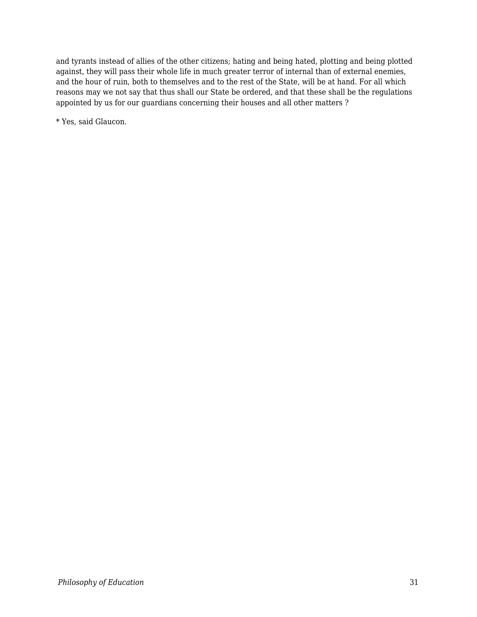and tyrants instead of allies of the other citizens; hating and being hated, plotting and being plotted against, they will pass their whole life in much greater terror of internal than of external enemies, and the hour of ruin, both to themselves and to the rest of the State, will be at hand. For all which reasons may we not say that thus shall our State be ordered, and that these shall be the regulations appointed by us for our guardians concerning their houses and all other matters ?

\* Yes, said Glaucon.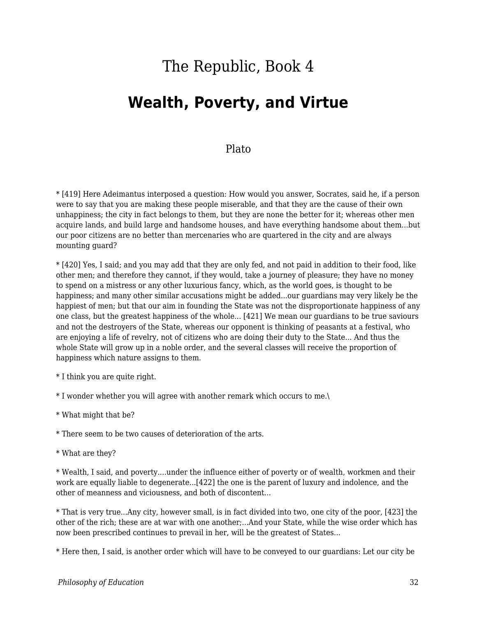## The Republic, Book 4

### <span id="page-31-0"></span>**Wealth, Poverty, and Virtue**

### Plato

\* [419] Here Adeimantus interposed a question: How would you answer, Socrates, said he, if a person were to say that you are making these people miserable, and that they are the cause of their own unhappiness; the city in fact belongs to them, but they are none the better for it; whereas other men acquire lands, and build large and handsome houses, and have everything handsome about them...but our poor citizens are no better than mercenaries who are quartered in the city and are always mounting guard?

\* [420] Yes, I said; and you may add that they are only fed, and not paid in addition to their food, like other men; and therefore they cannot, if they would, take a journey of pleasure; they have no money to spend on a mistress or any other luxurious fancy, which, as the world goes, is thought to be happiness; and many other similar accusations might be added...our guardians may very likely be the happiest of men; but that our aim in founding the State was not the disproportionate happiness of any one class, but the greatest happiness of the whole... [421] We mean our guardians to be true saviours and not the destroyers of the State, whereas our opponent is thinking of peasants at a festival, who are enjoying a life of revelry, not of citizens who are doing their duty to the State... And thus the whole State will grow up in a noble order, and the several classes will receive the proportion of happiness which nature assigns to them.

- \* I think you are quite right.
- \* I wonder whether you will agree with another remark which occurs to me.\
- \* What might that be?
- \* There seem to be two causes of deterioration of the arts.
- \* What are they?

\* Wealth, I said, and poverty....under the influence either of poverty or of wealth, workmen and their work are equally liable to degenerate...[422] the one is the parent of luxury and indolence, and the other of meanness and viciousness, and both of discontent...

\* That is very true...Any city, however small, is in fact divided into two, one city of the poor, [423] the other of the rich; these are at war with one another;...And your State, while the wise order which has now been prescribed continues to prevail in her, will be the greatest of States...

\* Here then, I said, is another order which will have to be conveyed to our guardians: Let our city be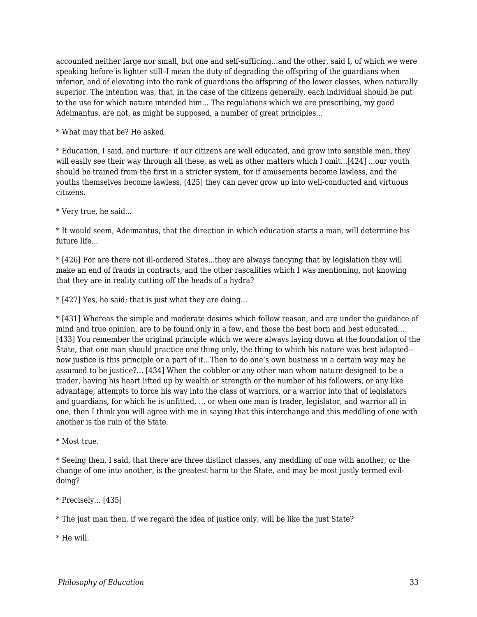accounted neither large nor small, but one and self-sufficing...and the other, said I, of which we were speaking before is lighter still–I mean the duty of degrading the offspring of the guardians when inferior, and of elevating into the rank of guardians the offspring of the lower classes, when naturally superior. The intention was, that, in the case of the citizens generally, each individual should be put to the use for which nature intended him... The regulations which we are prescribing, my good Adeimantus, are not, as might be supposed, a number of great principles...

\* What may that be? He asked.

\* Education, I said, and nurture: if our citizens are well educated, and grow into sensible men, they will easily see their way through all these, as well as other matters which I omit...[424] ...our youth should be trained from the first in a stricter system, for if amusements become lawless, and the youths themselves become lawless, [425] they can never grow up into well-conducted and virtuous citizens.

\* Very true, he said...

\* It would seem, Adeimantus, that the direction in which education starts a man, will determine his future life...

\* [426] For are there not ill-ordered States...they are always fancying that by legislation they will make an end of frauds in contracts, and the other rascalities which I was mentioning, not knowing that they are in reality cutting off the heads of a hydra?

\* [427] Yes, he said; that is just what they are doing...

\* [431] Whereas the simple and moderate desires which follow reason, and are under the guidance of mind and true opinion, are to be found only in a few, and those the best born and best educated... [433] You remember the original principle which we were always laying down at the foundation of the State, that one man should practice one thing only, the thing to which his nature was best adapted- now justice is this principle or a part of it...Then to do one's own business in a certain way may be assumed to be justice?... [434] When the cobbler or any other man whom nature designed to be a trader, having his heart lifted up by wealth or strength or the number of his followers, or any like advantage, attempts to force his way into the class of warriors, or a warrior into that of legislators and guardians, for which he is unfitted, ... or when one man is trader, legislator, and warrior all in one, then I think you will agree with me in saying that this interchange and this meddling of one with another is the ruin of the State.

\* Most true.

\* Seeing then, I said, that there are three distinct classes, any meddling of one with another, or the change of one into another, is the greatest harm to the State, and may be most justly termed evildoing?

\* Precisely... [435]

\* The just man then, if we regard the idea of justice only, will be like the just State?

\* He will.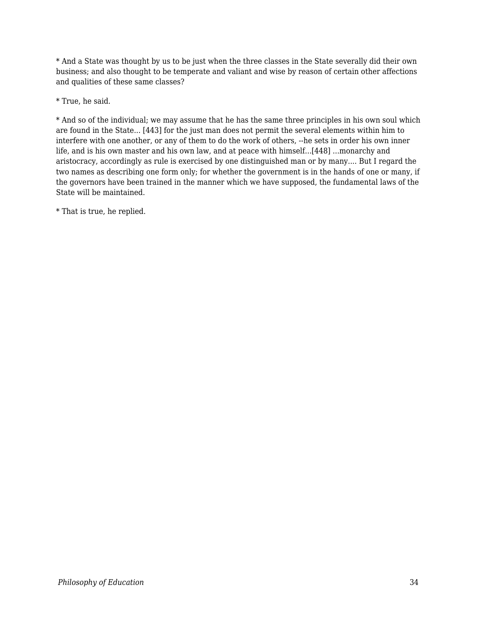\* And a State was thought by us to be just when the three classes in the State severally did their own business; and also thought to be temperate and valiant and wise by reason of certain other affections and qualities of these same classes?

\* True, he said.

\* And so of the individual; we may assume that he has the same three principles in his own soul which are found in the State... [443] for the just man does not permit the several elements within him to interfere with one another, or any of them to do the work of others, --he sets in order his own inner life, and is his own master and his own law, and at peace with himself...[448] ...monarchy and aristocracy, accordingly as rule is exercised by one distinguished man or by many.... But I regard the two names as describing one form only; for whether the government is in the hands of one or many, if the governors have been trained in the manner which we have supposed, the fundamental laws of the State will be maintained.

\* That is true, he replied.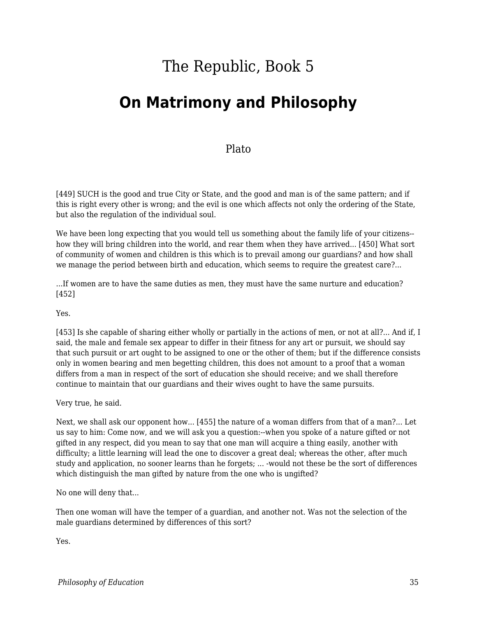# The Republic, Book 5

### <span id="page-34-0"></span>**On Matrimony and Philosophy**

### Plato

[449] SUCH is the good and true City or State, and the good and man is of the same pattern; and if this is right every other is wrong; and the evil is one which affects not only the ordering of the State, but also the regulation of the individual soul.

We have been long expecting that you would tell us something about the family life of your citizens- how they will bring children into the world, and rear them when they have arrived... [450] What sort of community of women and children is this which is to prevail among our guardians? and how shall we manage the period between birth and education, which seems to require the greatest care?...

...If women are to have the same duties as men, they must have the same nurture and education? [452]

Yes.

[453] Is she capable of sharing either wholly or partially in the actions of men, or not at all?... And if, I said, the male and female sex appear to differ in their fitness for any art or pursuit, we should say that such pursuit or art ought to be assigned to one or the other of them; but if the difference consists only in women bearing and men begetting children, this does not amount to a proof that a woman differs from a man in respect of the sort of education she should receive; and we shall therefore continue to maintain that our guardians and their wives ought to have the same pursuits.

Very true, he said.

Next, we shall ask our opponent how... [455] the nature of a woman differs from that of a man?... Let us say to him: Come now, and we will ask you a question:--when you spoke of a nature gifted or not gifted in any respect, did you mean to say that one man will acquire a thing easily, another with difficulty; a little learning will lead the one to discover a great deal; whereas the other, after much study and application, no sooner learns than he forgets; ... -would not these be the sort of differences which distinguish the man gifted by nature from the one who is ungifted?

No one will deny that...

Then one woman will have the temper of a guardian, and another not. Was not the selection of the male guardians determined by differences of this sort?

Yes.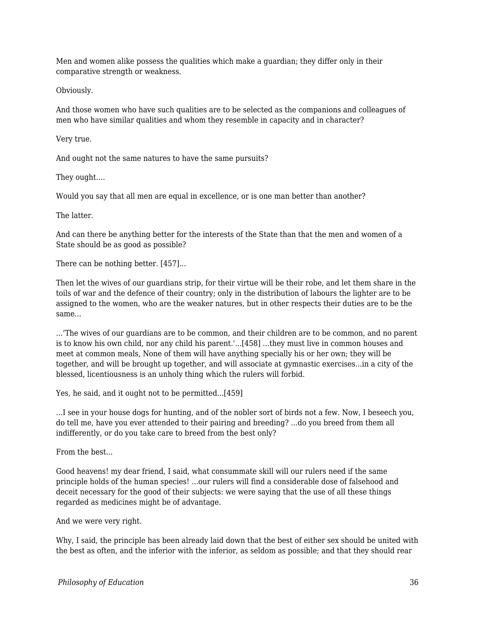Men and women alike possess the qualities which make a guardian; they differ only in their comparative strength or weakness.

Obviously.

And those women who have such qualities are to be selected as the companions and colleagues of men who have similar qualities and whom they resemble in capacity and in character?

Very true.

And ought not the same natures to have the same pursuits?

They ought....

Would you say that all men are equal in excellence, or is one man better than another?

The latter.

And can there be anything better for the interests of the State than that the men and women of a State should be as good as possible?

There can be nothing better. [457]...

Then let the wives of our guardians strip, for their virtue will be their robe, and let them share in the toils of war and the defence of their country; only in the distribution of labours the lighter are to be assigned to the women, who are the weaker natures, but in other respects their duties are to be the same...

...'The wives of our guardians are to be common, and their children are to be common, and no parent is to know his own child, nor any child his parent.'...[458] ...they must live in common houses and meet at common meals, None of them will have anything specially his or her own; they will be together, and will be brought up together, and will associate at gymnastic exercises...in a city of the blessed, licentiousness is an unholy thing which the rulers will forbid.

Yes, he said, and it ought not to be permitted...[459]

...I see in your house dogs for hunting, and of the nobler sort of birds not a few. Now, I beseech you, do tell me, have you ever attended to their pairing and breeding? ...do you breed from them all indifferently, or do you take care to breed from the best only?

From the best...

Good heavens! my dear friend, I said, what consummate skill will our rulers need if the same principle holds of the human species! ...our rulers will find a considerable dose of falsehood and deceit necessary for the good of their subjects: we were saying that the use of all these things regarded as medicines might be of advantage.

And we were very right.

Why, I said, the principle has been already laid down that the best of either sex should be united with the best as often, and the inferior with the inferior, as seldom as possible; and that they should rear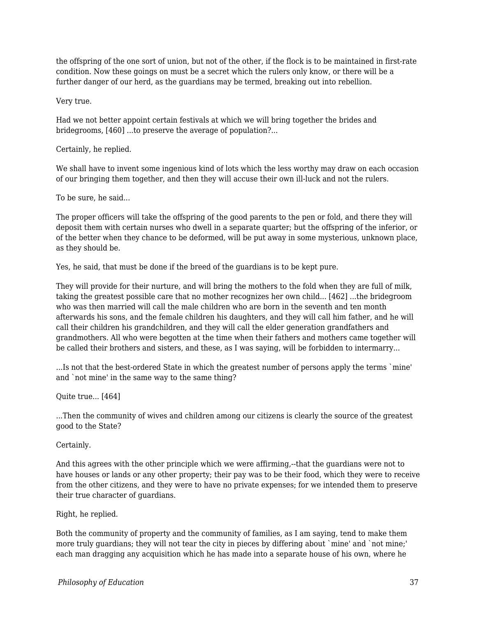the offspring of the one sort of union, but not of the other, if the flock is to be maintained in first-rate condition. Now these goings on must be a secret which the rulers only know, or there will be a further danger of our herd, as the guardians may be termed, breaking out into rebellion.

Very true.

Had we not better appoint certain festivals at which we will bring together the brides and bridegrooms, [460] ...to preserve the average of population?...

Certainly, he replied.

We shall have to invent some ingenious kind of lots which the less worthy may draw on each occasion of our bringing them together, and then they will accuse their own ill-luck and not the rulers.

To be sure, he said...

The proper officers will take the offspring of the good parents to the pen or fold, and there they will deposit them with certain nurses who dwell in a separate quarter; but the offspring of the inferior, or of the better when they chance to be deformed, will be put away in some mysterious, unknown place, as they should be.

Yes, he said, that must be done if the breed of the guardians is to be kept pure.

They will provide for their nurture, and will bring the mothers to the fold when they are full of milk, taking the greatest possible care that no mother recognizes her own child... [462] ...the bridegroom who was then married will call the male children who are born in the seventh and ten month afterwards his sons, and the female children his daughters, and they will call him father, and he will call their children his grandchildren, and they will call the elder generation grandfathers and grandmothers. All who were begotten at the time when their fathers and mothers came together will be called their brothers and sisters, and these, as I was saying, will be forbidden to intermarry...

...Is not that the best-ordered State in which the greatest number of persons apply the terms `mine' and `not mine' in the same way to the same thing?

Quite true... [464]

...Then the community of wives and children among our citizens is clearly the source of the greatest good to the State?

Certainly.

And this agrees with the other principle which we were affirming,--that the guardians were not to have houses or lands or any other property; their pay was to be their food, which they were to receive from the other citizens, and they were to have no private expenses; for we intended them to preserve their true character of guardians.

# Right, he replied.

Both the community of property and the community of families, as I am saying, tend to make them more truly guardians; they will not tear the city in pieces by differing about `mine' and `not mine;' each man dragging any acquisition which he has made into a separate house of his own, where he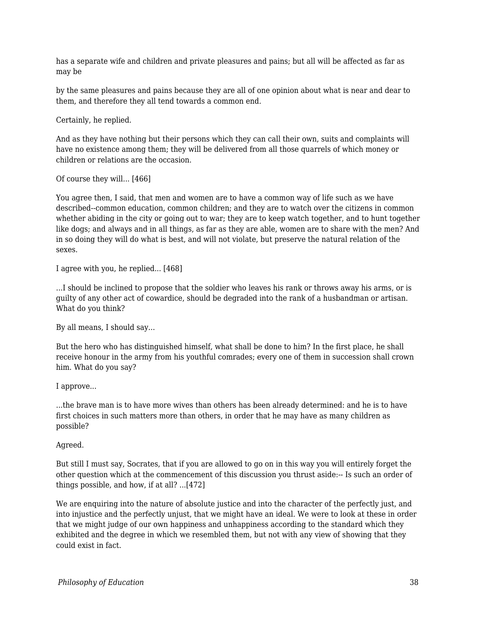has a separate wife and children and private pleasures and pains; but all will be affected as far as may be

by the same pleasures and pains because they are all of one opinion about what is near and dear to them, and therefore they all tend towards a common end.

Certainly, he replied.

And as they have nothing but their persons which they can call their own, suits and complaints will have no existence among them; they will be delivered from all those quarrels of which money or children or relations are the occasion.

Of course they will... [466]

You agree then, I said, that men and women are to have a common way of life such as we have described--common education, common children; and they are to watch over the citizens in common whether abiding in the city or going out to war; they are to keep watch together, and to hunt together like dogs; and always and in all things, as far as they are able, women are to share with the men? And in so doing they will do what is best, and will not violate, but preserve the natural relation of the sexes.

I agree with you, he replied... [468]

...I should be inclined to propose that the soldier who leaves his rank or throws away his arms, or is guilty of any other act of cowardice, should be degraded into the rank of a husbandman or artisan. What do you think?

By all means, I should say...

But the hero who has distinguished himself, what shall be done to him? In the first place, he shall receive honour in the army from his youthful comrades; every one of them in succession shall crown him. What do you say?

I approve...

...the brave man is to have more wives than others has been already determined: and he is to have first choices in such matters more than others, in order that he may have as many children as possible?

#### Agreed.

But still I must say, Socrates, that if you are allowed to go on in this way you will entirely forget the other question which at the commencement of this discussion you thrust aside:-- Is such an order of things possible, and how, if at all? ...[472]

We are enquiring into the nature of absolute justice and into the character of the perfectly just, and into injustice and the perfectly unjust, that we might have an ideal. We were to look at these in order that we might judge of our own happiness and unhappiness according to the standard which they exhibited and the degree in which we resembled them, but not with any view of showing that they could exist in fact.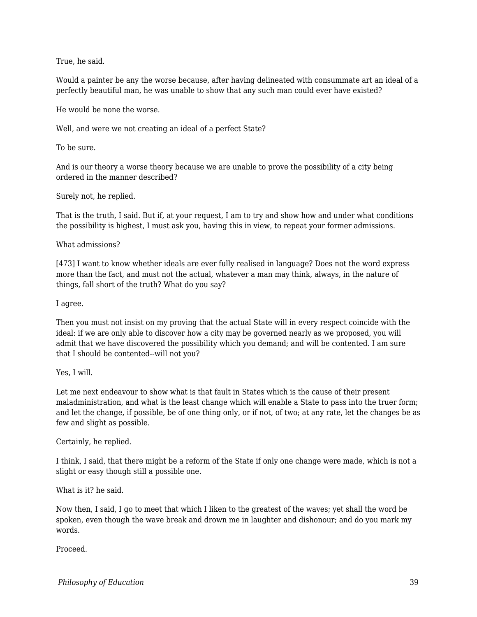True, he said.

Would a painter be any the worse because, after having delineated with consummate art an ideal of a perfectly beautiful man, he was unable to show that any such man could ever have existed?

He would be none the worse.

Well, and were we not creating an ideal of a perfect State?

To be sure.

And is our theory a worse theory because we are unable to prove the possibility of a city being ordered in the manner described?

Surely not, he replied.

That is the truth, I said. But if, at your request, I am to try and show how and under what conditions the possibility is highest, I must ask you, having this in view, to repeat your former admissions.

# What admissions?

[473] I want to know whether ideals are ever fully realised in language? Does not the word express more than the fact, and must not the actual, whatever a man may think, always, in the nature of things, fall short of the truth? What do you say?

I agree.

Then you must not insist on my proving that the actual State will in every respect coincide with the ideal: if we are only able to discover how a city may be governed nearly as we proposed, you will admit that we have discovered the possibility which you demand; and will be contented. I am sure that I should be contented--will not you?

Yes, I will.

Let me next endeavour to show what is that fault in States which is the cause of their present maladministration, and what is the least change which will enable a State to pass into the truer form; and let the change, if possible, be of one thing only, or if not, of two; at any rate, let the changes be as few and slight as possible.

Certainly, he replied.

I think, I said, that there might be a reform of the State if only one change were made, which is not a slight or easy though still a possible one.

What is it? he said.

Now then, I said, I go to meet that which I liken to the greatest of the waves; yet shall the word be spoken, even though the wave break and drown me in laughter and dishonour; and do you mark my words.

Proceed.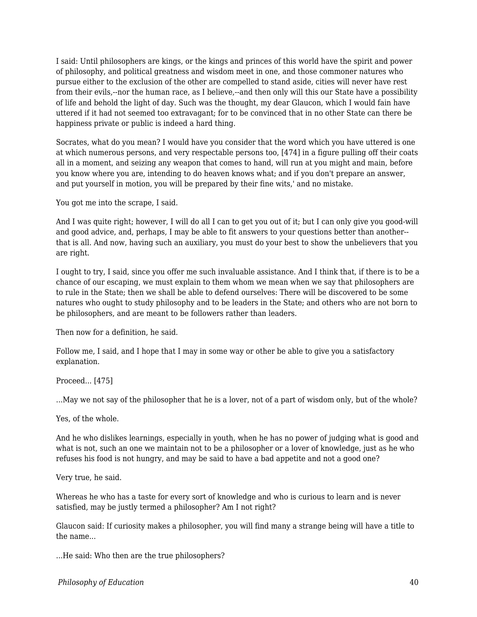I said: Until philosophers are kings, or the kings and princes of this world have the spirit and power of philosophy, and political greatness and wisdom meet in one, and those commoner natures who pursue either to the exclusion of the other are compelled to stand aside, cities will never have rest from their evils,--nor the human race, as I believe,--and then only will this our State have a possibility of life and behold the light of day. Such was the thought, my dear Glaucon, which I would fain have uttered if it had not seemed too extravagant; for to be convinced that in no other State can there be happiness private or public is indeed a hard thing.

Socrates, what do you mean? I would have you consider that the word which you have uttered is one at which numerous persons, and very respectable persons too, [474] in a figure pulling off their coats all in a moment, and seizing any weapon that comes to hand, will run at you might and main, before you know where you are, intending to do heaven knows what; and if you don't prepare an answer, and put yourself in motion, you will be prepared by their fine wits,' and no mistake.

You got me into the scrape, I said.

And I was quite right; however, I will do all I can to get you out of it; but I can only give you good-will and good advice, and, perhaps, I may be able to fit answers to your questions better than another- that is all. And now, having such an auxiliary, you must do your best to show the unbelievers that you are right.

I ought to try, I said, since you offer me such invaluable assistance. And I think that, if there is to be a chance of our escaping, we must explain to them whom we mean when we say that philosophers are to rule in the State; then we shall be able to defend ourselves: There will be discovered to be some natures who ought to study philosophy and to be leaders in the State; and others who are not born to be philosophers, and are meant to be followers rather than leaders.

Then now for a definition, he said.

Follow me, I said, and I hope that I may in some way or other be able to give you a satisfactory explanation.

Proceed... [475]

...May we not say of the philosopher that he is a lover, not of a part of wisdom only, but of the whole?

Yes, of the whole.

And he who dislikes learnings, especially in youth, when he has no power of judging what is good and what is not, such an one we maintain not to be a philosopher or a lover of knowledge, just as he who refuses his food is not hungry, and may be said to have a bad appetite and not a good one?

Very true, he said.

Whereas he who has a taste for every sort of knowledge and who is curious to learn and is never satisfied, may be justly termed a philosopher? Am I not right?

Glaucon said: If curiosity makes a philosopher, you will find many a strange being will have a title to the name...

...He said: Who then are the true philosophers?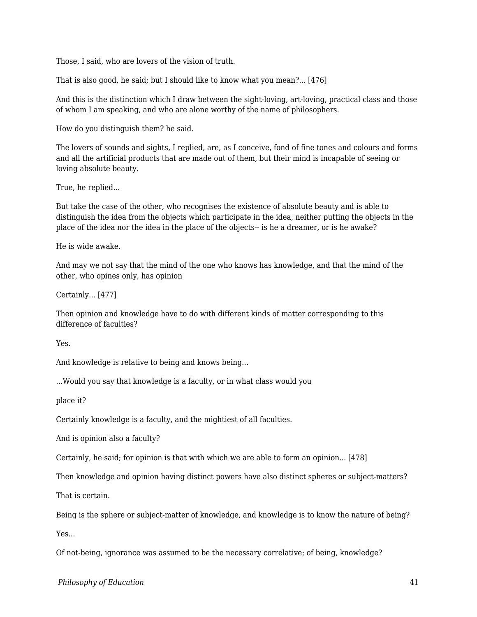Those, I said, who are lovers of the vision of truth.

That is also good, he said; but I should like to know what you mean?... [476]

And this is the distinction which I draw between the sight-loving, art-loving, practical class and those of whom I am speaking, and who are alone worthy of the name of philosophers.

How do you distinguish them? he said.

The lovers of sounds and sights, I replied, are, as I conceive, fond of fine tones and colours and forms and all the artificial products that are made out of them, but their mind is incapable of seeing or loving absolute beauty.

True, he replied...

But take the case of the other, who recognises the existence of absolute beauty and is able to distinguish the idea from the objects which participate in the idea, neither putting the objects in the place of the idea nor the idea in the place of the objects-- is he a dreamer, or is he awake?

He is wide awake.

And may we not say that the mind of the one who knows has knowledge, and that the mind of the other, who opines only, has opinion

Certainly... [477]

Then opinion and knowledge have to do with different kinds of matter corresponding to this difference of faculties?

Yes.

And knowledge is relative to being and knows being...

...Would you say that knowledge is a faculty, or in what class would you

place it?

Certainly knowledge is a faculty, and the mightiest of all faculties.

And is opinion also a faculty?

Certainly, he said; for opinion is that with which we are able to form an opinion... [478]

Then knowledge and opinion having distinct powers have also distinct spheres or subject-matters?

That is certain.

Being is the sphere or subject-matter of knowledge, and knowledge is to know the nature of being?

Yes...

Of not-being, ignorance was assumed to be the necessary correlative; of being, knowledge?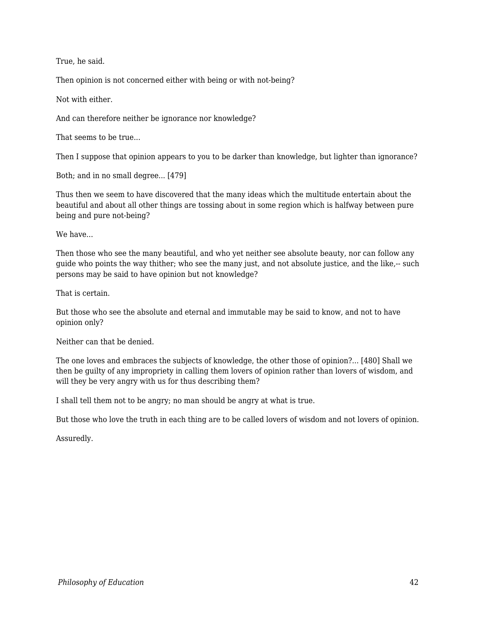True, he said.

Then opinion is not concerned either with being or with not-being?

Not with either.

And can therefore neither be ignorance nor knowledge?

That seems to be true...

Then I suppose that opinion appears to you to be darker than knowledge, but lighter than ignorance?

Both; and in no small degree... [479]

Thus then we seem to have discovered that the many ideas which the multitude entertain about the beautiful and about all other things are tossing about in some region which is halfway between pure being and pure not-being?

We have...

Then those who see the many beautiful, and who yet neither see absolute beauty, nor can follow any guide who points the way thither; who see the many just, and not absolute justice, and the like,-- such persons may be said to have opinion but not knowledge?

That is certain.

But those who see the absolute and eternal and immutable may be said to know, and not to have opinion only?

Neither can that be denied.

The one loves and embraces the subjects of knowledge, the other those of opinion?... [480] Shall we then be guilty of any impropriety in calling them lovers of opinion rather than lovers of wisdom, and will they be very angry with us for thus describing them?

I shall tell them not to be angry; no man should be angry at what is true.

But those who love the truth in each thing are to be called lovers of wisdom and not lovers of opinion.

Assuredly.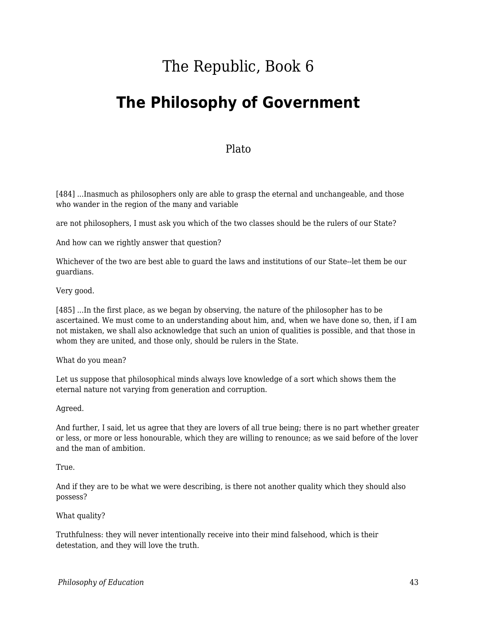# The Republic, Book 6

# **The Philosophy of Government**

# Plato

[484] ...Inasmuch as philosophers only are able to grasp the eternal and unchangeable, and those who wander in the region of the many and variable

are not philosophers, I must ask you which of the two classes should be the rulers of our State?

And how can we rightly answer that question?

Whichever of the two are best able to guard the laws and institutions of our State--let them be our guardians.

Very good.

[485] ...In the first place, as we began by observing, the nature of the philosopher has to be ascertained. We must come to an understanding about him, and, when we have done so, then, if I am not mistaken, we shall also acknowledge that such an union of qualities is possible, and that those in whom they are united, and those only, should be rulers in the State.

#### What do you mean?

Let us suppose that philosophical minds always love knowledge of a sort which shows them the eternal nature not varying from generation and corruption.

#### Agreed.

And further, I said, let us agree that they are lovers of all true being; there is no part whether greater or less, or more or less honourable, which they are willing to renounce; as we said before of the lover and the man of ambition.

#### True.

And if they are to be what we were describing, is there not another quality which they should also possess?

#### What quality?

Truthfulness: they will never intentionally receive into their mind falsehood, which is their detestation, and they will love the truth.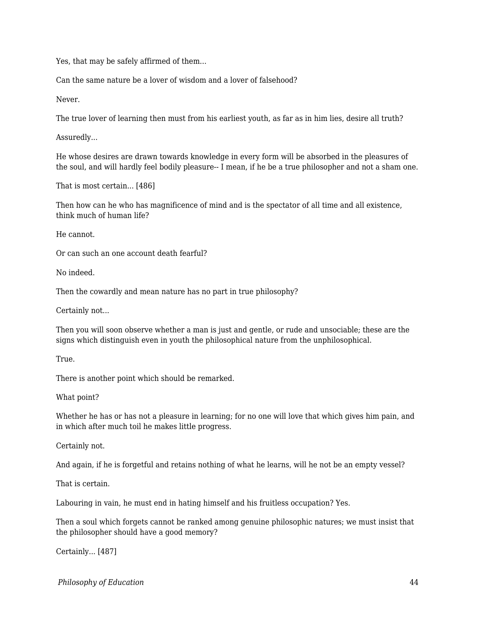Yes, that may be safely affirmed of them...

Can the same nature be a lover of wisdom and a lover of falsehood?

Never.

The true lover of learning then must from his earliest youth, as far as in him lies, desire all truth?

Assuredly...

He whose desires are drawn towards knowledge in every form will be absorbed in the pleasures of the soul, and will hardly feel bodily pleasure-- I mean, if he be a true philosopher and not a sham one.

That is most certain... [486]

Then how can he who has magnificence of mind and is the spectator of all time and all existence, think much of human life?

He cannot.

Or can such an one account death fearful?

No indeed.

Then the cowardly and mean nature has no part in true philosophy?

Certainly not...

Then you will soon observe whether a man is just and gentle, or rude and unsociable; these are the signs which distinguish even in youth the philosophical nature from the unphilosophical.

True.

There is another point which should be remarked.

What point?

Whether he has or has not a pleasure in learning; for no one will love that which gives him pain, and in which after much toil he makes little progress.

Certainly not.

And again, if he is forgetful and retains nothing of what he learns, will he not be an empty vessel?

That is certain.

Labouring in vain, he must end in hating himself and his fruitless occupation? Yes.

Then a soul which forgets cannot be ranked among genuine philosophic natures; we must insist that the philosopher should have a good memory?

Certainly... [487]

*Philosophy of Education* 44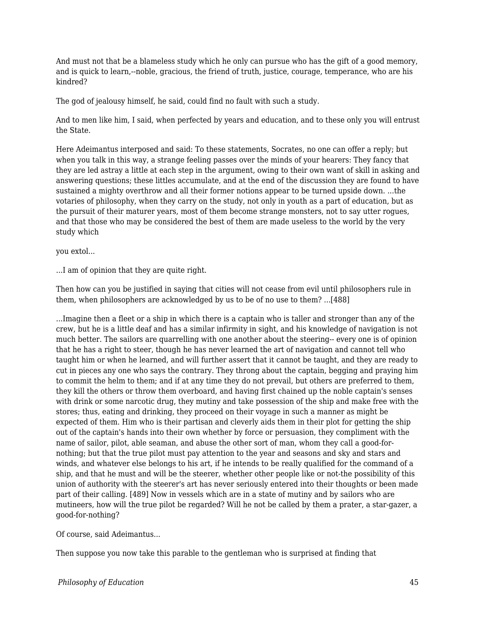And must not that be a blameless study which he only can pursue who has the gift of a good memory, and is quick to learn,--noble, gracious, the friend of truth, justice, courage, temperance, who are his kindred?

The god of jealousy himself, he said, could find no fault with such a study.

And to men like him, I said, when perfected by years and education, and to these only you will entrust the State.

Here Adeimantus interposed and said: To these statements, Socrates, no one can offer a reply; but when you talk in this way, a strange feeling passes over the minds of your hearers: They fancy that they are led astray a little at each step in the argument, owing to their own want of skill in asking and answering questions; these littles accumulate, and at the end of the discussion they are found to have sustained a mighty overthrow and all their former notions appear to be turned upside down. ...the votaries of philosophy, when they carry on the study, not only in youth as a part of education, but as the pursuit of their maturer years, most of them become strange monsters, not to say utter rogues, and that those who may be considered the best of them are made useless to the world by the very study which

you extol...

...I am of opinion that they are quite right.

Then how can you be justified in saying that cities will not cease from evil until philosophers rule in them, when philosophers are acknowledged by us to be of no use to them? ...[488]

...Imagine then a fleet or a ship in which there is a captain who is taller and stronger than any of the crew, but he is a little deaf and has a similar infirmity in sight, and his knowledge of navigation is not much better. The sailors are quarrelling with one another about the steering-- every one is of opinion that he has a right to steer, though he has never learned the art of navigation and cannot tell who taught him or when he learned, and will further assert that it cannot be taught, and they are ready to cut in pieces any one who says the contrary. They throng about the captain, begging and praying him to commit the helm to them; and if at any time they do not prevail, but others are preferred to them, they kill the others or throw them overboard, and having first chained up the noble captain's senses with drink or some narcotic drug, they mutiny and take possession of the ship and make free with the stores; thus, eating and drinking, they proceed on their voyage in such a manner as might be expected of them. Him who is their partisan and cleverly aids them in their plot for getting the ship out of the captain's hands into their own whether by force or persuasion, they compliment with the name of sailor, pilot, able seaman, and abuse the other sort of man, whom they call a good-fornothing; but that the true pilot must pay attention to the year and seasons and sky and stars and winds, and whatever else belongs to his art, if he intends to be really qualified for the command of a ship, and that he must and will be the steerer, whether other people like or not-the possibility of this union of authority with the steerer's art has never seriously entered into their thoughts or been made part of their calling. [489] Now in vessels which are in a state of mutiny and by sailors who are mutineers, how will the true pilot be regarded? Will he not be called by them a prater, a star-gazer, a good-for-nothing?

Of course, said Adeimantus...

Then suppose you now take this parable to the gentleman who is surprised at finding that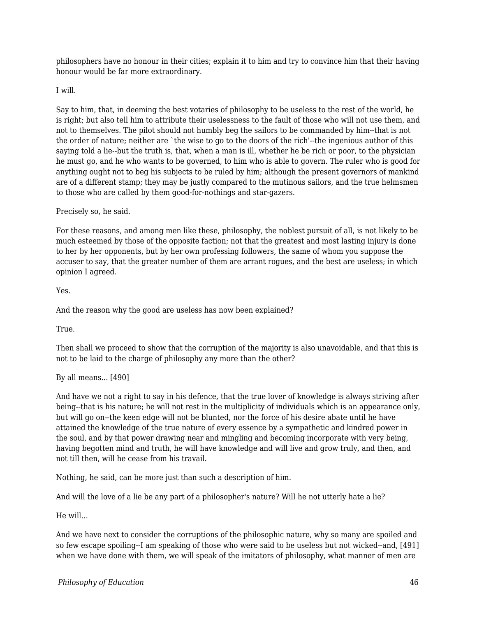philosophers have no honour in their cities; explain it to him and try to convince him that their having honour would be far more extraordinary.

I will.

Say to him, that, in deeming the best votaries of philosophy to be useless to the rest of the world, he is right; but also tell him to attribute their uselessness to the fault of those who will not use them, and not to themselves. The pilot should not humbly beg the sailors to be commanded by him--that is not the order of nature; neither are `the wise to go to the doors of the rich'--the ingenious author of this saying told a lie--but the truth is, that, when a man is ill, whether he be rich or poor, to the physician he must go, and he who wants to be governed, to him who is able to govern. The ruler who is good for anything ought not to beg his subjects to be ruled by him; although the present governors of mankind are of a different stamp; they may be justly compared to the mutinous sailors, and the true helmsmen to those who are called by them good-for-nothings and star-gazers.

Precisely so, he said.

For these reasons, and among men like these, philosophy, the noblest pursuit of all, is not likely to be much esteemed by those of the opposite faction; not that the greatest and most lasting injury is done to her by her opponents, but by her own professing followers, the same of whom you suppose the accuser to say, that the greater number of them are arrant rogues, and the best are useless; in which opinion I agreed.

Yes.

And the reason why the good are useless has now been explained?

True.

Then shall we proceed to show that the corruption of the majority is also unavoidable, and that this is not to be laid to the charge of philosophy any more than the other?

By all means... [490]

And have we not a right to say in his defence, that the true lover of knowledge is always striving after being--that is his nature; he will not rest in the multiplicity of individuals which is an appearance only, but will go on--the keen edge will not be blunted, nor the force of his desire abate until he have attained the knowledge of the true nature of every essence by a sympathetic and kindred power in the soul, and by that power drawing near and mingling and becoming incorporate with very being, having begotten mind and truth, he will have knowledge and will live and grow truly, and then, and not till then, will he cease from his travail.

Nothing, he said, can be more just than such a description of him.

And will the love of a lie be any part of a philosopher's nature? Will he not utterly hate a lie?

He will...

And we have next to consider the corruptions of the philosophic nature, why so many are spoiled and so few escape spoiling--I am speaking of those who were said to be useless but not wicked--and, [491] when we have done with them, we will speak of the imitators of philosophy, what manner of men are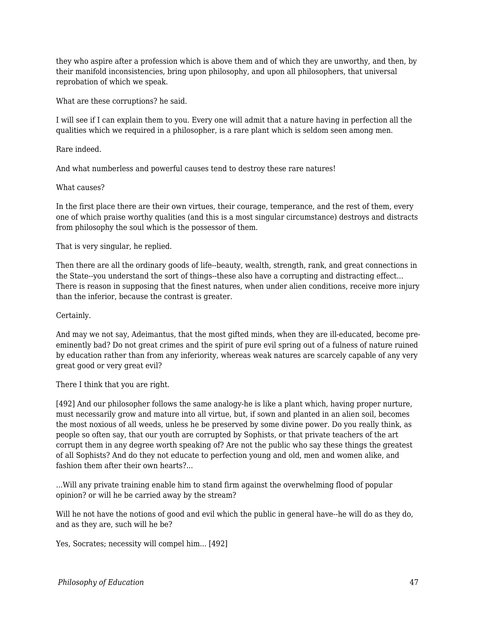they who aspire after a profession which is above them and of which they are unworthy, and then, by their manifold inconsistencies, bring upon philosophy, and upon all philosophers, that universal reprobation of which we speak.

What are these corruptions? he said.

I will see if I can explain them to you. Every one will admit that a nature having in perfection all the qualities which we required in a philosopher, is a rare plant which is seldom seen among men.

Rare indeed.

And what numberless and powerful causes tend to destroy these rare natures!

What causes?

In the first place there are their own virtues, their courage, temperance, and the rest of them, every one of which praise worthy qualities (and this is a most singular circumstance) destroys and distracts from philosophy the soul which is the possessor of them.

That is very singular, he replied.

Then there are all the ordinary goods of life--beauty, wealth, strength, rank, and great connections in the State--you understand the sort of things--these also have a corrupting and distracting effect... There is reason in supposing that the finest natures, when under alien conditions, receive more injury than the inferior, because the contrast is greater.

Certainly.

And may we not say, Adeimantus, that the most gifted minds, when they are ill-educated, become preeminently bad? Do not great crimes and the spirit of pure evil spring out of a fulness of nature ruined by education rather than from any inferiority, whereas weak natures are scarcely capable of any very great good or very great evil?

There I think that you are right.

[492] And our philosopher follows the same analogy-he is like a plant which, having proper nurture, must necessarily grow and mature into all virtue, but, if sown and planted in an alien soil, becomes the most noxious of all weeds, unless he be preserved by some divine power. Do you really think, as people so often say, that our youth are corrupted by Sophists, or that private teachers of the art corrupt them in any degree worth speaking of? Are not the public who say these things the greatest of all Sophists? And do they not educate to perfection young and old, men and women alike, and fashion them after their own hearts?...

...Will any private training enable him to stand firm against the overwhelming flood of popular opinion? or will he be carried away by the stream?

Will he not have the notions of good and evil which the public in general have--he will do as they do, and as they are, such will he be?

Yes, Socrates; necessity will compel him... [492]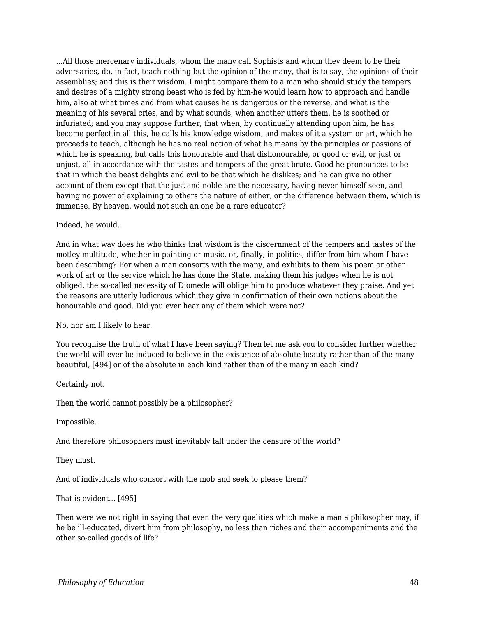...All those mercenary individuals, whom the many call Sophists and whom they deem to be their adversaries, do, in fact, teach nothing but the opinion of the many, that is to say, the opinions of their assemblies; and this is their wisdom. I might compare them to a man who should study the tempers and desires of a mighty strong beast who is fed by him-he would learn how to approach and handle him, also at what times and from what causes he is dangerous or the reverse, and what is the meaning of his several cries, and by what sounds, when another utters them, he is soothed or infuriated; and you may suppose further, that when, by continually attending upon him, he has become perfect in all this, he calls his knowledge wisdom, and makes of it a system or art, which he proceeds to teach, although he has no real notion of what he means by the principles or passions of which he is speaking, but calls this honourable and that dishonourable, or good or evil, or just or unjust, all in accordance with the tastes and tempers of the great brute. Good he pronounces to be that in which the beast delights and evil to be that which he dislikes; and he can give no other account of them except that the just and noble are the necessary, having never himself seen, and having no power of explaining to others the nature of either, or the difference between them, which is immense. By heaven, would not such an one be a rare educator?

# Indeed, he would.

And in what way does he who thinks that wisdom is the discernment of the tempers and tastes of the motley multitude, whether in painting or music, or, finally, in politics, differ from him whom I have been describing? For when a man consorts with the many, and exhibits to them his poem or other work of art or the service which he has done the State, making them his judges when he is not obliged, the so-called necessity of Diomede will oblige him to produce whatever they praise. And yet the reasons are utterly ludicrous which they give in confirmation of their own notions about the honourable and good. Did you ever hear any of them which were not?

No, nor am I likely to hear.

You recognise the truth of what I have been saying? Then let me ask you to consider further whether the world will ever be induced to believe in the existence of absolute beauty rather than of the many beautiful, [494] or of the absolute in each kind rather than of the many in each kind?

Certainly not.

Then the world cannot possibly be a philosopher?

Impossible.

And therefore philosophers must inevitably fall under the censure of the world?

They must.

And of individuals who consort with the mob and seek to please them?

That is evident... [495]

Then were we not right in saying that even the very qualities which make a man a philosopher may, if he be ill-educated, divert him from philosophy, no less than riches and their accompaniments and the other so-called goods of life?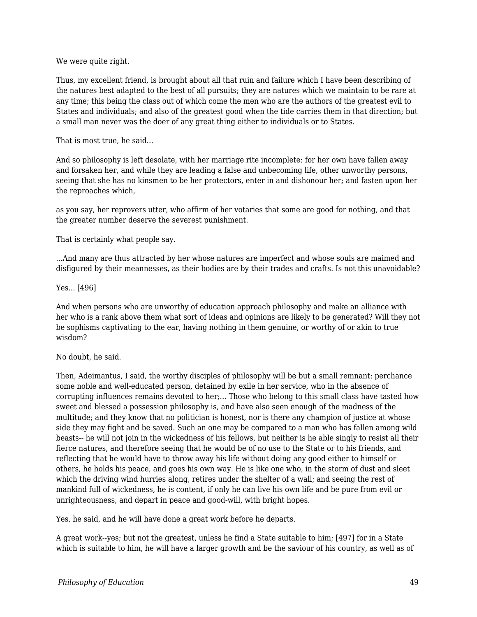We were quite right.

Thus, my excellent friend, is brought about all that ruin and failure which I have been describing of the natures best adapted to the best of all pursuits; they are natures which we maintain to be rare at any time; this being the class out of which come the men who are the authors of the greatest evil to States and individuals; and also of the greatest good when the tide carries them in that direction; but a small man never was the doer of any great thing either to individuals or to States.

That is most true, he said...

And so philosophy is left desolate, with her marriage rite incomplete: for her own have fallen away and forsaken her, and while they are leading a false and unbecoming life, other unworthy persons, seeing that she has no kinsmen to be her protectors, enter in and dishonour her; and fasten upon her the reproaches which,

as you say, her reprovers utter, who affirm of her votaries that some are good for nothing, and that the greater number deserve the severest punishment.

That is certainly what people say.

...And many are thus attracted by her whose natures are imperfect and whose souls are maimed and disfigured by their meannesses, as their bodies are by their trades and crafts. Is not this unavoidable?

Yes... [496]

And when persons who are unworthy of education approach philosophy and make an alliance with her who is a rank above them what sort of ideas and opinions are likely to be generated? Will they not be sophisms captivating to the ear, having nothing in them genuine, or worthy of or akin to true wisdom?

No doubt, he said.

Then, Adeimantus, I said, the worthy disciples of philosophy will be but a small remnant: perchance some noble and well-educated person, detained by exile in her service, who in the absence of corrupting influences remains devoted to her;... Those who belong to this small class have tasted how sweet and blessed a possession philosophy is, and have also seen enough of the madness of the multitude; and they know that no politician is honest, nor is there any champion of justice at whose side they may fight and be saved. Such an one may be compared to a man who has fallen among wild beasts-- he will not join in the wickedness of his fellows, but neither is he able singly to resist all their fierce natures, and therefore seeing that he would be of no use to the State or to his friends, and reflecting that he would have to throw away his life without doing any good either to himself or others, he holds his peace, and goes his own way. He is like one who, in the storm of dust and sleet which the driving wind hurries along, retires under the shelter of a wall; and seeing the rest of mankind full of wickedness, he is content, if only he can live his own life and be pure from evil or unrighteousness, and depart in peace and good-will, with bright hopes.

Yes, he said, and he will have done a great work before he departs.

A great work--yes; but not the greatest, unless he find a State suitable to him; [497] for in a State which is suitable to him, he will have a larger growth and be the saviour of his country, as well as of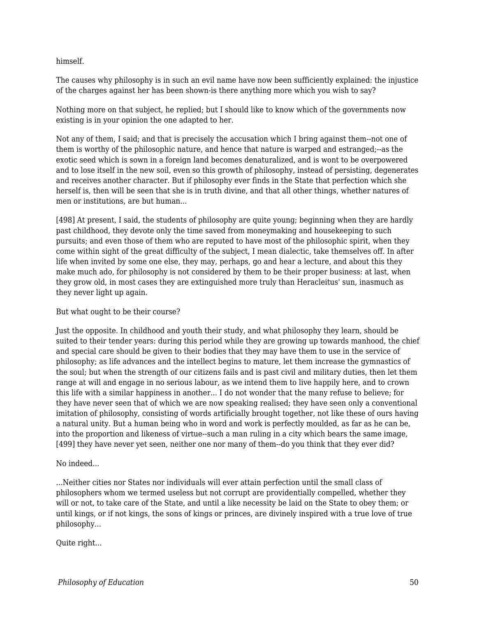# himself.

The causes why philosophy is in such an evil name have now been sufficiently explained: the injustice of the charges against her has been shown-is there anything more which you wish to say?

Nothing more on that subject, he replied; but I should like to know which of the governments now existing is in your opinion the one adapted to her.

Not any of them, I said; and that is precisely the accusation which I bring against them--not one of them is worthy of the philosophic nature, and hence that nature is warped and estranged;--as the exotic seed which is sown in a foreign land becomes denaturalized, and is wont to be overpowered and to lose itself in the new soil, even so this growth of philosophy, instead of persisting, degenerates and receives another character. But if philosophy ever finds in the State that perfection which she herself is, then will be seen that she is in truth divine, and that all other things, whether natures of men or institutions, are but human...

[498] At present, I said, the students of philosophy are quite young; beginning when they are hardly past childhood, they devote only the time saved from moneymaking and housekeeping to such pursuits; and even those of them who are reputed to have most of the philosophic spirit, when they come within sight of the great difficulty of the subject, I mean dialectic, take themselves off. In after life when invited by some one else, they may, perhaps, go and hear a lecture, and about this they make much ado, for philosophy is not considered by them to be their proper business: at last, when they grow old, in most cases they are extinguished more truly than Heracleitus' sun, inasmuch as they never light up again.

# But what ought to be their course?

Just the opposite. In childhood and youth their study, and what philosophy they learn, should be suited to their tender years: during this period while they are growing up towards manhood, the chief and special care should be given to their bodies that they may have them to use in the service of philosophy; as life advances and the intellect begins to mature, let them increase the gymnastics of the soul; but when the strength of our citizens fails and is past civil and military duties, then let them range at will and engage in no serious labour, as we intend them to live happily here, and to crown this life with a similar happiness in another... I do not wonder that the many refuse to believe; for they have never seen that of which we are now speaking realised; they have seen only a conventional imitation of philosophy, consisting of words artificially brought together, not like these of ours having a natural unity. But a human being who in word and work is perfectly moulded, as far as he can be, into the proportion and likeness of virtue--such a man ruling in a city which bears the same image, [499] they have never yet seen, neither one nor many of them--do you think that they ever did?

# No indeed...

...Neither cities nor States nor individuals will ever attain perfection until the small class of philosophers whom we termed useless but not corrupt are providentially compelled, whether they will or not, to take care of the State, and until a like necessity be laid on the State to obey them; or until kings, or if not kings, the sons of kings or princes, are divinely inspired with a true love of true philosophy...

Quite right...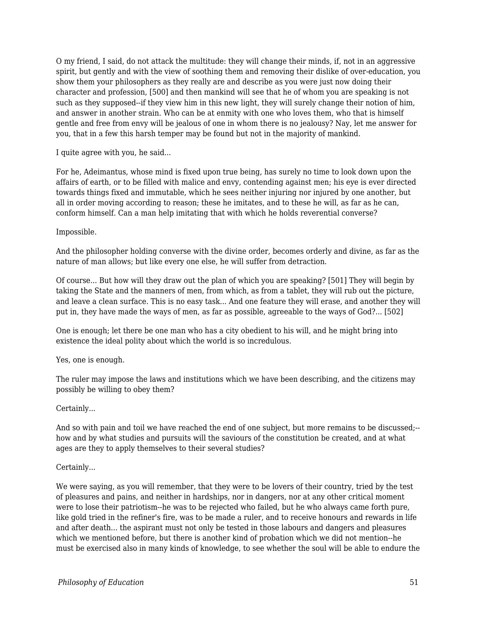O my friend, I said, do not attack the multitude: they will change their minds, if, not in an aggressive spirit, but gently and with the view of soothing them and removing their dislike of over-education, you show them your philosophers as they really are and describe as you were just now doing their character and profession, [500] and then mankind will see that he of whom you are speaking is not such as they supposed--if they view him in this new light, they will surely change their notion of him, and answer in another strain. Who can be at enmity with one who loves them, who that is himself gentle and free from envy will be jealous of one in whom there is no jealousy? Nay, let me answer for you, that in a few this harsh temper may be found but not in the majority of mankind.

I quite agree with you, he said...

For he, Adeimantus, whose mind is fixed upon true being, has surely no time to look down upon the affairs of earth, or to be filled with malice and envy, contending against men; his eye is ever directed towards things fixed and immutable, which he sees neither injuring nor injured by one another, but all in order moving according to reason; these he imitates, and to these he will, as far as he can, conform himself. Can a man help imitating that with which he holds reverential converse?

# Impossible.

And the philosopher holding converse with the divine order, becomes orderly and divine, as far as the nature of man allows; but like every one else, he will suffer from detraction.

Of course... But how will they draw out the plan of which you are speaking? [501] They will begin by taking the State and the manners of men, from which, as from a tablet, they will rub out the picture, and leave a clean surface. This is no easy task... And one feature they will erase, and another they will put in, they have made the ways of men, as far as possible, agreeable to the ways of God?... [502]

One is enough; let there be one man who has a city obedient to his will, and he might bring into existence the ideal polity about which the world is so incredulous.

# Yes, one is enough.

The ruler may impose the laws and institutions which we have been describing, and the citizens may possibly be willing to obey them?

# Certainly...

And so with pain and toil we have reached the end of one subject, but more remains to be discussed;- how and by what studies and pursuits will the saviours of the constitution be created, and at what ages are they to apply themselves to their several studies?

# Certainly...

We were saying, as you will remember, that they were to be lovers of their country, tried by the test of pleasures and pains, and neither in hardships, nor in dangers, nor at any other critical moment were to lose their patriotism--he was to be rejected who failed, but he who always came forth pure, like gold tried in the refiner's fire, was to be made a ruler, and to receive honours and rewards in life and after death... the aspirant must not only be tested in those labours and dangers and pleasures which we mentioned before, but there is another kind of probation which we did not mention--he must be exercised also in many kinds of knowledge, to see whether the soul will be able to endure the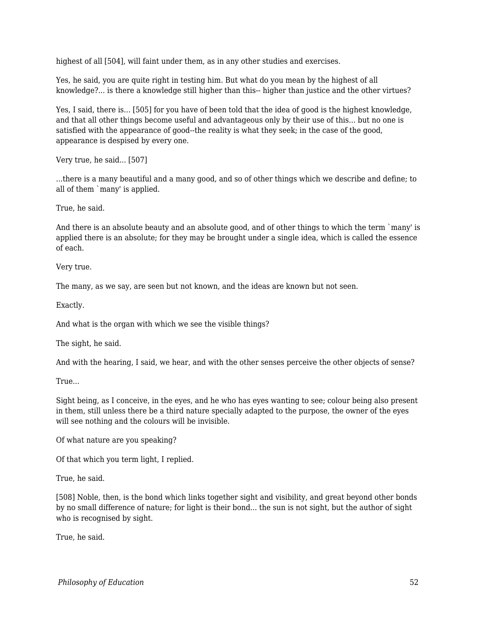highest of all  $[504]$ , will faint under them, as in any other studies and exercises.

Yes, he said, you are quite right in testing him. But what do you mean by the highest of all knowledge?... is there a knowledge still higher than this-- higher than justice and the other virtues?

Yes, I said, there is... [505] for you have of been told that the idea of good is the highest knowledge, and that all other things become useful and advantageous only by their use of this... but no one is satisfied with the appearance of good--the reality is what they seek; in the case of the good, appearance is despised by every one.

Very true, he said... [507]

...there is a many beautiful and a many good, and so of other things which we describe and define; to all of them `many' is applied.

True, he said.

And there is an absolute beauty and an absolute good, and of other things to which the term `many' is applied there is an absolute; for they may be brought under a single idea, which is called the essence of each.

Very true.

The many, as we say, are seen but not known, and the ideas are known but not seen.

Exactly.

And what is the organ with which we see the visible things?

The sight, he said.

And with the hearing, I said, we hear, and with the other senses perceive the other objects of sense?

True...

Sight being, as I conceive, in the eyes, and he who has eyes wanting to see; colour being also present in them, still unless there be a third nature specially adapted to the purpose, the owner of the eyes will see nothing and the colours will be invisible.

Of what nature are you speaking?

Of that which you term light, I replied.

True, he said.

[508] Noble, then, is the bond which links together sight and visibility, and great beyond other bonds by no small difference of nature; for light is their bond... the sun is not sight, but the author of sight who is recognised by sight.

True, he said.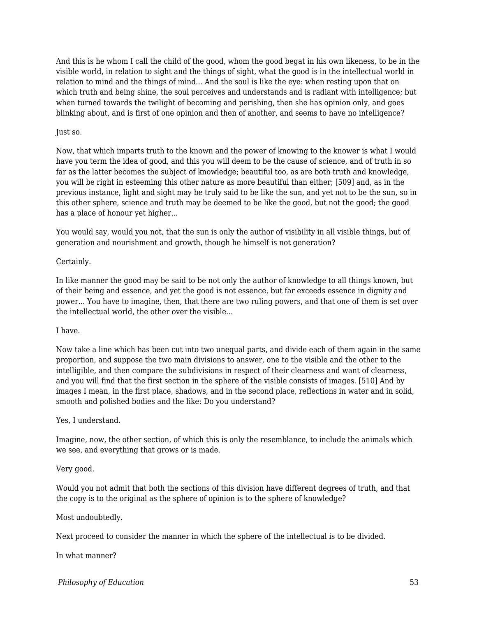And this is he whom I call the child of the good, whom the good begat in his own likeness, to be in the visible world, in relation to sight and the things of sight, what the good is in the intellectual world in relation to mind and the things of mind... And the soul is like the eye: when resting upon that on which truth and being shine, the soul perceives and understands and is radiant with intelligence; but when turned towards the twilight of becoming and perishing, then she has opinion only, and goes blinking about, and is first of one opinion and then of another, and seems to have no intelligence?

### Just so.

Now, that which imparts truth to the known and the power of knowing to the knower is what I would have you term the idea of good, and this you will deem to be the cause of science, and of truth in so far as the latter becomes the subject of knowledge; beautiful too, as are both truth and knowledge, you will be right in esteeming this other nature as more beautiful than either; [509] and, as in the previous instance, light and sight may be truly said to be like the sun, and yet not to be the sun, so in this other sphere, science and truth may be deemed to be like the good, but not the good; the good has a place of honour yet higher...

You would say, would you not, that the sun is only the author of visibility in all visible things, but of generation and nourishment and growth, though he himself is not generation?

#### Certainly.

In like manner the good may be said to be not only the author of knowledge to all things known, but of their being and essence, and yet the good is not essence, but far exceeds essence in dignity and power... You have to imagine, then, that there are two ruling powers, and that one of them is set over the intellectual world, the other over the visible...

#### I have.

Now take a line which has been cut into two unequal parts, and divide each of them again in the same proportion, and suppose the two main divisions to answer, one to the visible and the other to the intelligible, and then compare the subdivisions in respect of their clearness and want of clearness, and you will find that the first section in the sphere of the visible consists of images. [510] And by images I mean, in the first place, shadows, and in the second place, reflections in water and in solid, smooth and polished bodies and the like: Do you understand?

# Yes, I understand.

Imagine, now, the other section, of which this is only the resemblance, to include the animals which we see, and everything that grows or is made.

# Very good.

Would you not admit that both the sections of this division have different degrees of truth, and that the copy is to the original as the sphere of opinion is to the sphere of knowledge?

#### Most undoubtedly.

Next proceed to consider the manner in which the sphere of the intellectual is to be divided.

# In what manner?

*Philosophy of Education* 53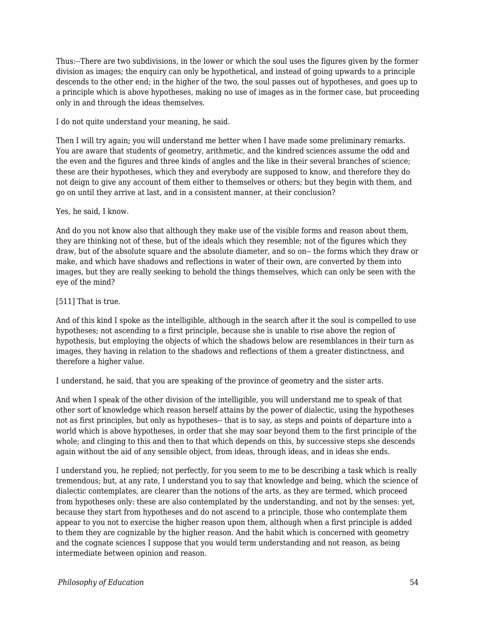Thus:--There are two subdivisions, in the lower or which the soul uses the figures given by the former division as images; the enquiry can only be hypothetical, and instead of going upwards to a principle descends to the other end; in the higher of the two, the soul passes out of hypotheses, and goes up to a principle which is above hypotheses, making no use of images as in the former case, but proceeding only in and through the ideas themselves.

I do not quite understand your meaning, he said.

Then I will try again; you will understand me better when I have made some preliminary remarks. You are aware that students of geometry, arithmetic, and the kindred sciences assume the odd and the even and the figures and three kinds of angles and the like in their several branches of science; these are their hypotheses, which they and everybody are supposed to know, and therefore they do not deign to give any account of them either to themselves or others; but they begin with them, and go on until they arrive at last, and in a consistent manner, at their conclusion?

Yes, he said, I know.

And do you not know also that although they make use of the visible forms and reason about them, they are thinking not of these, but of the ideals which they resemble; not of the figures which they draw, but of the absolute square and the absolute diameter, and so on-- the forms which they draw or make, and which have shadows and reflections in water of their own, are converted by them into images, but they are really seeking to behold the things themselves, which can only be seen with the eye of the mind?

[511] That is true.

And of this kind I spoke as the intelligible, although in the search after it the soul is compelled to use hypotheses; not ascending to a first principle, because she is unable to rise above the region of hypothesis, but employing the objects of which the shadows below are resemblances in their turn as images, they having in relation to the shadows and reflections of them a greater distinctness, and therefore a higher value.

I understand, he said, that you are speaking of the province of geometry and the sister arts.

And when I speak of the other division of the intelligible, you will understand me to speak of that other sort of knowledge which reason herself attains by the power of dialectic, using the hypotheses not as first principles, but only as hypotheses-- that is to say, as steps and points of departure into a world which is above hypotheses, in order that she may soar beyond them to the first principle of the whole; and clinging to this and then to that which depends on this, by successive steps she descends again without the aid of any sensible object, from ideas, through ideas, and in ideas she ends.

I understand you, he replied; not perfectly, for you seem to me to be describing a task which is really tremendous; but, at any rate, I understand you to say that knowledge and being, which the science of dialectic contemplates, are clearer than the notions of the arts, as they are termed, which proceed from hypotheses only: these are also contemplated by the understanding, and not by the senses: yet, because they start from hypotheses and do not ascend to a principle, those who contemplate them appear to you not to exercise the higher reason upon them, although when a first principle is added to them they are cognizable by the higher reason. And the habit which is concerned with geometry and the cognate sciences I suppose that you would term understanding and not reason, as being intermediate between opinion and reason.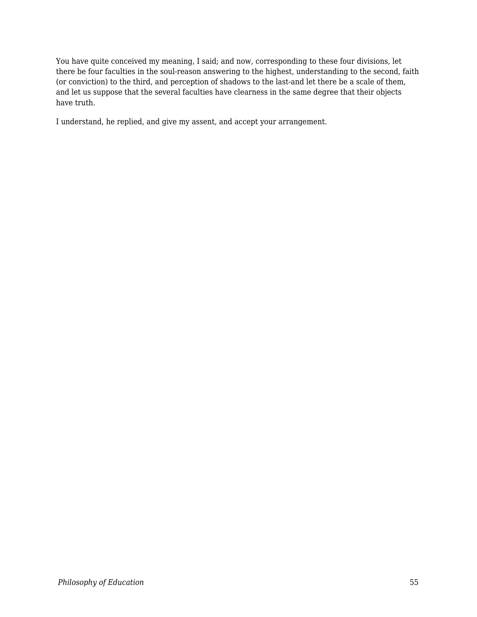You have quite conceived my meaning, I said; and now, corresponding to these four divisions, let there be four faculties in the soul-reason answering to the highest, understanding to the second, faith (or conviction) to the third, and perception of shadows to the last-and let there be a scale of them, and let us suppose that the several faculties have clearness in the same degree that their objects have truth.

I understand, he replied, and give my assent, and accept your arrangement.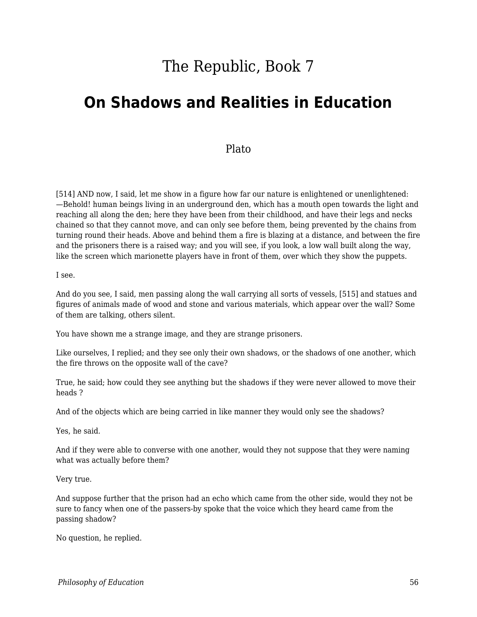# The Republic, Book 7

# **On Shadows and Realities in Education**

# Plato

[514] AND now, I said, let me show in a figure how far our nature is enlightened or unenlightened: —Behold! human beings living in an underground den, which has a mouth open towards the light and reaching all along the den; here they have been from their childhood, and have their legs and necks chained so that they cannot move, and can only see before them, being prevented by the chains from turning round their heads. Above and behind them a fire is blazing at a distance, and between the fire and the prisoners there is a raised way; and you will see, if you look, a low wall built along the way, like the screen which marionette players have in front of them, over which they show the puppets.

I see.

And do you see, I said, men passing along the wall carrying all sorts of vessels, [515] and statues and figures of animals made of wood and stone and various materials, which appear over the wall? Some of them are talking, others silent.

You have shown me a strange image, and they are strange prisoners.

Like ourselves, I replied; and they see only their own shadows, or the shadows of one another, which the fire throws on the opposite wall of the cave?

True, he said; how could they see anything but the shadows if they were never allowed to move their heads ?

And of the objects which are being carried in like manner they would only see the shadows?

Yes, he said.

And if they were able to converse with one another, would they not suppose that they were naming what was actually before them?

Very true.

And suppose further that the prison had an echo which came from the other side, would they not be sure to fancy when one of the passers-by spoke that the voice which they heard came from the passing shadow?

No question, he replied.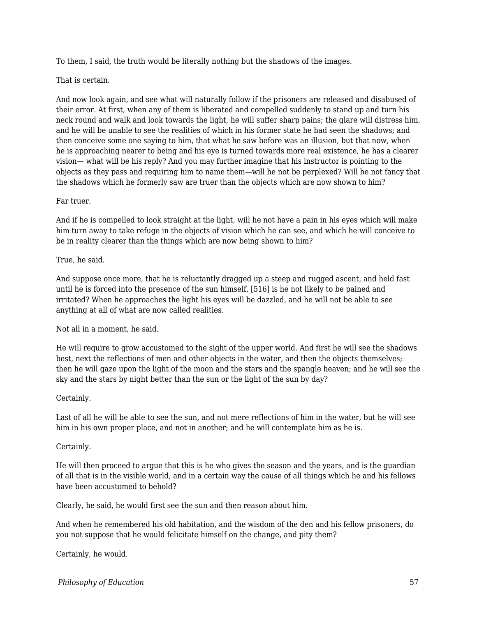To them, I said, the truth would be literally nothing but the shadows of the images.

That is certain.

And now look again, and see what will naturally follow if the prisoners are released and disabused of their error. At first, when any of them is liberated and compelled suddenly to stand up and turn his neck round and walk and look towards the light, he will suffer sharp pains; the glare will distress him, and he will be unable to see the realities of which in his former state he had seen the shadows; and then conceive some one saying to him, that what he saw before was an illusion, but that now, when he is approaching nearer to being and his eye is turned towards more real existence, he has a clearer vision— what will be his reply? And you may further imagine that his instructor is pointing to the objects as they pass and requiring him to name them—will he not be perplexed? Will he not fancy that the shadows which he formerly saw are truer than the objects which are now shown to him?

# Far truer.

And if he is compelled to look straight at the light, will he not have a pain in his eyes which will make him turn away to take refuge in the objects of vision which he can see, and which he will conceive to be in reality clearer than the things which are now being shown to him?

# True, he said.

And suppose once more, that he is reluctantly dragged up a steep and rugged ascent, and held fast until he is forced into the presence of the sun himself, [516] is he not likely to be pained and irritated? When he approaches the light his eyes will be dazzled, and he will not be able to see anything at all of what are now called realities.

Not all in a moment, he said.

He will require to grow accustomed to the sight of the upper world. And first he will see the shadows best, next the reflections of men and other objects in the water, and then the objects themselves; then he will gaze upon the light of the moon and the stars and the spangle heaven; and he will see the sky and the stars by night better than the sun or the light of the sun by day?

# Certainly.

Last of all he will be able to see the sun, and not mere reflections of him in the water, but he will see him in his own proper place, and not in another; and he will contemplate him as he is.

# Certainly.

He will then proceed to argue that this is he who gives the season and the years, and is the guardian of all that is in the visible world, and in a certain way the cause of all things which he and his fellows have been accustomed to behold?

Clearly, he said, he would first see the sun and then reason about him.

And when he remembered his old habitation, and the wisdom of the den and his fellow prisoners, do you not suppose that he would felicitate himself on the change, and pity them?

Certainly, he would.

*Philosophy of Education* 57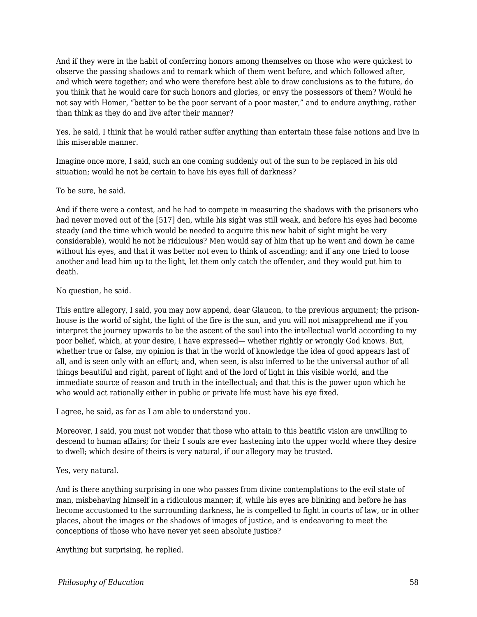And if they were in the habit of conferring honors among themselves on those who were quickest to observe the passing shadows and to remark which of them went before, and which followed after, and which were together; and who were therefore best able to draw conclusions as to the future, do you think that he would care for such honors and glories, or envy the possessors of them? Would he not say with Homer, "better to be the poor servant of a poor master," and to endure anything, rather than think as they do and live after their manner?

Yes, he said, I think that he would rather suffer anything than entertain these false notions and live in this miserable manner.

Imagine once more, I said, such an one coming suddenly out of the sun to be replaced in his old situation; would he not be certain to have his eyes full of darkness?

To be sure, he said.

And if there were a contest, and he had to compete in measuring the shadows with the prisoners who had never moved out of the [517] den, while his sight was still weak, and before his eyes had become steady (and the time which would be needed to acquire this new habit of sight might be very considerable), would he not be ridiculous? Men would say of him that up he went and down he came without his eyes, and that it was better not even to think of ascending; and if any one tried to loose another and lead him up to the light, let them only catch the offender, and they would put him to death.

No question, he said.

This entire allegory, I said, you may now append, dear Glaucon, to the previous argument; the prisonhouse is the world of sight, the light of the fire is the sun, and you will not misapprehend me if you interpret the journey upwards to be the ascent of the soul into the intellectual world according to my poor belief, which, at your desire, I have expressed— whether rightly or wrongly God knows. But, whether true or false, my opinion is that in the world of knowledge the idea of good appears last of all, and is seen only with an effort; and, when seen, is also inferred to be the universal author of all things beautiful and right, parent of light and of the lord of light in this visible world, and the immediate source of reason and truth in the intellectual; and that this is the power upon which he who would act rationally either in public or private life must have his eye fixed.

I agree, he said, as far as I am able to understand you.

Moreover, I said, you must not wonder that those who attain to this beatific vision are unwilling to descend to human affairs; for their I souls are ever hastening into the upper world where they desire to dwell; which desire of theirs is very natural, if our allegory may be trusted.

Yes, very natural.

And is there anything surprising in one who passes from divine contemplations to the evil state of man, misbehaving himself in a ridiculous manner; if, while his eyes are blinking and before he has become accustomed to the surrounding darkness, he is compelled to fight in courts of law, or in other places, about the images or the shadows of images of justice, and is endeavoring to meet the conceptions of those who have never yet seen absolute justice?

Anything but surprising, he replied.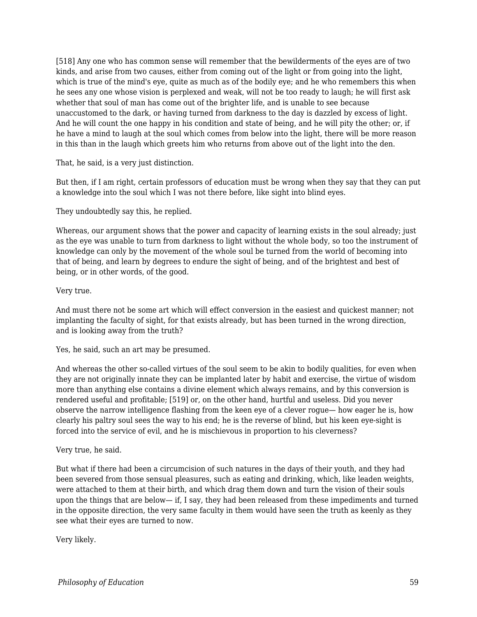[518] Any one who has common sense will remember that the bewilderments of the eyes are of two kinds, and arise from two causes, either from coming out of the light or from going into the light, which is true of the mind's eye, quite as much as of the bodily eye; and he who remembers this when he sees any one whose vision is perplexed and weak, will not be too ready to laugh; he will first ask whether that soul of man has come out of the brighter life, and is unable to see because unaccustomed to the dark, or having turned from darkness to the day is dazzled by excess of light. And he will count the one happy in his condition and state of being, and he will pity the other; or, if he have a mind to laugh at the soul which comes from below into the light, there will be more reason in this than in the laugh which greets him who returns from above out of the light into the den.

That, he said, is a very just distinction.

But then, if I am right, certain professors of education must be wrong when they say that they can put a knowledge into the soul which I was not there before, like sight into blind eyes.

They undoubtedly say this, he replied.

Whereas, our argument shows that the power and capacity of learning exists in the soul already; just as the eye was unable to turn from darkness to light without the whole body, so too the instrument of knowledge can only by the movement of the whole soul be turned from the world of becoming into that of being, and learn by degrees to endure the sight of being, and of the brightest and best of being, or in other words, of the good.

Very true.

And must there not be some art which will effect conversion in the easiest and quickest manner; not implanting the faculty of sight, for that exists already, but has been turned in the wrong direction, and is looking away from the truth?

Yes, he said, such an art may be presumed.

And whereas the other so-called virtues of the soul seem to be akin to bodily qualities, for even when they are not originally innate they can be implanted later by habit and exercise, the virtue of wisdom more than anything else contains a divine element which always remains, and by this conversion is rendered useful and profitable; [519] or, on the other hand, hurtful and useless. Did you never observe the narrow intelligence flashing from the keen eye of a clever rogue— how eager he is, how clearly his paltry soul sees the way to his end; he is the reverse of blind, but his keen eye-sight is forced into the service of evil, and he is mischievous in proportion to his cleverness?

Very true, he said.

But what if there had been a circumcision of such natures in the days of their youth, and they had been severed from those sensual pleasures, such as eating and drinking, which, like leaden weights, were attached to them at their birth, and which drag them down and turn the vision of their souls upon the things that are below— if, I say, they had been released from these impediments and turned in the opposite direction, the very same faculty in them would have seen the truth as keenly as they see what their eyes are turned to now.

Very likely.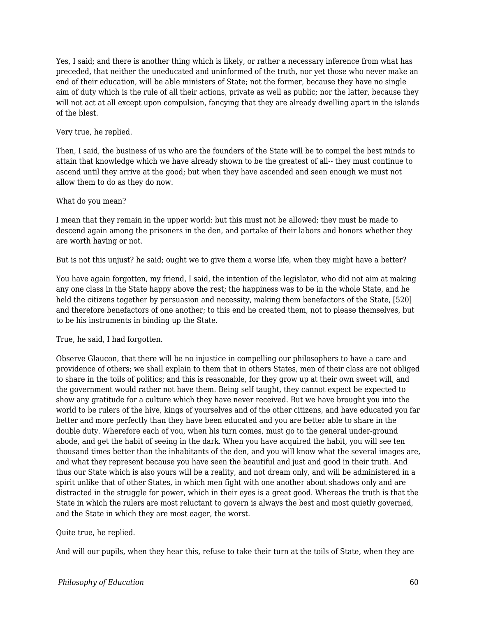Yes, I said; and there is another thing which is likely, or rather a necessary inference from what has preceded, that neither the uneducated and uninformed of the truth, nor yet those who never make an end of their education, will be able ministers of State; not the former, because they have no single aim of duty which is the rule of all their actions, private as well as public; nor the latter, because they will not act at all except upon compulsion, fancying that they are already dwelling apart in the islands of the blest.

# Very true, he replied.

Then, I said, the business of us who are the founders of the State will be to compel the best minds to attain that knowledge which we have already shown to be the greatest of all-- they must continue to ascend until they arrive at the good; but when they have ascended and seen enough we must not allow them to do as they do now.

# What do you mean?

I mean that they remain in the upper world: but this must not be allowed; they must be made to descend again among the prisoners in the den, and partake of their labors and honors whether they are worth having or not.

But is not this unjust? he said; ought we to give them a worse life, when they might have a better?

You have again forgotten, my friend, I said, the intention of the legislator, who did not aim at making any one class in the State happy above the rest; the happiness was to be in the whole State, and he held the citizens together by persuasion and necessity, making them benefactors of the State, [520] and therefore benefactors of one another; to this end he created them, not to please themselves, but to be his instruments in binding up the State.

True, he said, I had forgotten.

Observe Glaucon, that there will be no injustice in compelling our philosophers to have a care and providence of others; we shall explain to them that in others States, men of their class are not obliged to share in the toils of politics; and this is reasonable, for they grow up at their own sweet will, and the government would rather not have them. Being self taught, they cannot expect be expected to show any gratitude for a culture which they have never received. But we have brought you into the world to be rulers of the hive, kings of yourselves and of the other citizens, and have educated you far better and more perfectly than they have been educated and you are better able to share in the double duty. Wherefore each of you, when his turn comes, must go to the general under-ground abode, and get the habit of seeing in the dark. When you have acquired the habit, you will see ten thousand times better than the inhabitants of the den, and you will know what the several images are, and what they represent because you have seen the beautiful and just and good in their truth. And thus our State which is also yours will be a reality, and not dream only, and will be administered in a spirit unlike that of other States, in which men fight with one another about shadows only and are distracted in the struggle for power, which in their eyes is a great good. Whereas the truth is that the State in which the rulers are most reluctant to govern is always the best and most quietly governed, and the State in which they are most eager, the worst.

# Quite true, he replied.

And will our pupils, when they hear this, refuse to take their turn at the toils of State, when they are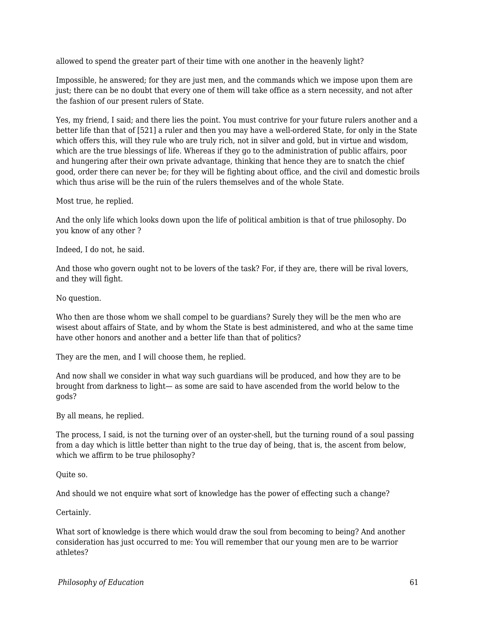allowed to spend the greater part of their time with one another in the heavenly light?

Impossible, he answered; for they are just men, and the commands which we impose upon them are just; there can be no doubt that every one of them will take office as a stern necessity, and not after the fashion of our present rulers of State.

Yes, my friend, I said; and there lies the point. You must contrive for your future rulers another and a better life than that of [521] a ruler and then you may have a well-ordered State, for only in the State which offers this, will they rule who are truly rich, not in silver and gold, but in virtue and wisdom, which are the true blessings of life. Whereas if they go to the administration of public affairs, poor and hungering after their own private advantage, thinking that hence they are to snatch the chief good, order there can never be; for they will be fighting about office, and the civil and domestic broils which thus arise will be the ruin of the rulers themselves and of the whole State.

Most true, he replied.

And the only life which looks down upon the life of political ambition is that of true philosophy. Do you know of any other ?

Indeed, I do not, he said.

And those who govern ought not to be lovers of the task? For, if they are, there will be rival lovers, and they will fight.

No question.

Who then are those whom we shall compel to be guardians? Surely they will be the men who are wisest about affairs of State, and by whom the State is best administered, and who at the same time have other honors and another and a better life than that of politics?

They are the men, and I will choose them, he replied.

And now shall we consider in what way such guardians will be produced, and how they are to be brought from darkness to light— as some are said to have ascended from the world below to the gods?

By all means, he replied.

The process, I said, is not the turning over of an oyster-shell, but the turning round of a soul passing from a day which is little better than night to the true day of being, that is, the ascent from below, which we affirm to be true philosophy?

Quite so.

And should we not enquire what sort of knowledge has the power of effecting such a change?

Certainly.

What sort of knowledge is there which would draw the soul from becoming to being? And another consideration has just occurred to me: You will remember that our young men are to be warrior athletes?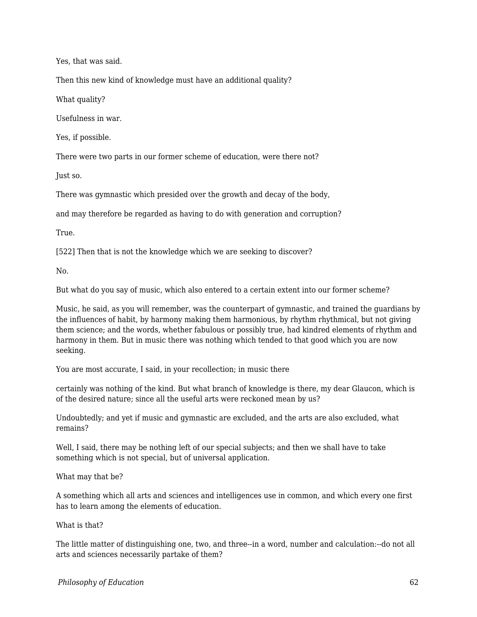Yes, that was said.

Then this new kind of knowledge must have an additional quality?

What quality?

Usefulness in war.

Yes, if possible.

There were two parts in our former scheme of education, were there not?

Just so.

There was gymnastic which presided over the growth and decay of the body,

and may therefore be regarded as having to do with generation and corruption?

True.

[522] Then that is not the knowledge which we are seeking to discover?

No.

But what do you say of music, which also entered to a certain extent into our former scheme?

Music, he said, as you will remember, was the counterpart of gymnastic, and trained the guardians by the influences of habit, by harmony making them harmonious, by rhythm rhythmical, but not giving them science; and the words, whether fabulous or possibly true, had kindred elements of rhythm and harmony in them. But in music there was nothing which tended to that good which you are now seeking.

You are most accurate, I said, in your recollection; in music there

certainly was nothing of the kind. But what branch of knowledge is there, my dear Glaucon, which is of the desired nature; since all the useful arts were reckoned mean by us?

Undoubtedly; and yet if music and gymnastic are excluded, and the arts are also excluded, what remains?

Well, I said, there may be nothing left of our special subjects; and then we shall have to take something which is not special, but of universal application.

What may that be?

A something which all arts and sciences and intelligences use in common, and which every one first has to learn among the elements of education.

What is that?

The little matter of distinguishing one, two, and three--in a word, number and calculation:--do not all arts and sciences necessarily partake of them?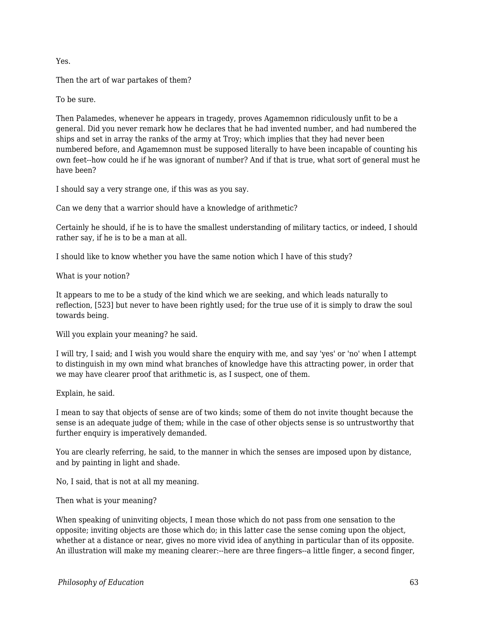Yes.

Then the art of war partakes of them?

To be sure.

Then Palamedes, whenever he appears in tragedy, proves Agamemnon ridiculously unfit to be a general. Did you never remark how he declares that he had invented number, and had numbered the ships and set in array the ranks of the army at Troy; which implies that they had never been numbered before, and Agamemnon must be supposed literally to have been incapable of counting his own feet--how could he if he was ignorant of number? And if that is true, what sort of general must he have been?

I should say a very strange one, if this was as you say.

Can we deny that a warrior should have a knowledge of arithmetic?

Certainly he should, if he is to have the smallest understanding of military tactics, or indeed, I should rather say, if he is to be a man at all.

I should like to know whether you have the same notion which I have of this study?

What is your notion?

It appears to me to be a study of the kind which we are seeking, and which leads naturally to reflection, [523] but never to have been rightly used; for the true use of it is simply to draw the soul towards being.

Will you explain your meaning? he said.

I will try, I said; and I wish you would share the enquiry with me, and say 'yes' or 'no' when I attempt to distinguish in my own mind what branches of knowledge have this attracting power, in order that we may have clearer proof that arithmetic is, as I suspect, one of them.

Explain, he said.

I mean to say that objects of sense are of two kinds; some of them do not invite thought because the sense is an adequate judge of them; while in the case of other objects sense is so untrustworthy that further enquiry is imperatively demanded.

You are clearly referring, he said, to the manner in which the senses are imposed upon by distance, and by painting in light and shade.

No, I said, that is not at all my meaning.

Then what is your meaning?

When speaking of uninviting objects, I mean those which do not pass from one sensation to the opposite; inviting objects are those which do; in this latter case the sense coming upon the object, whether at a distance or near, gives no more vivid idea of anything in particular than of its opposite. An illustration will make my meaning clearer:--here are three fingers--a little finger, a second finger,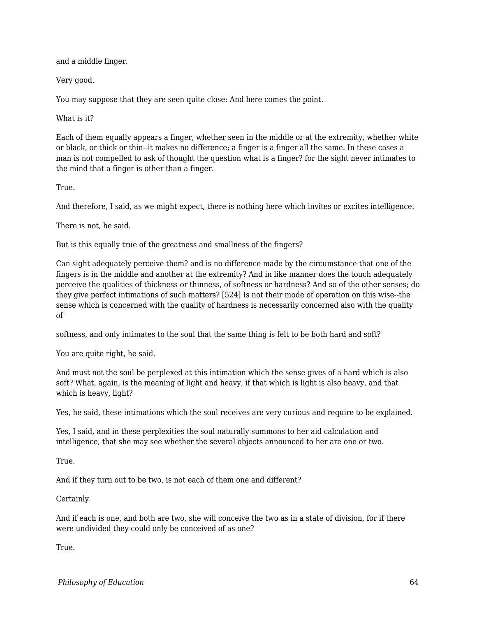and a middle finger.

Very good.

You may suppose that they are seen quite close: And here comes the point.

What is it?

Each of them equally appears a finger, whether seen in the middle or at the extremity, whether white or black, or thick or thin--it makes no difference; a finger is a finger all the same. In these cases a man is not compelled to ask of thought the question what is a finger? for the sight never intimates to the mind that a finger is other than a finger.

True.

And therefore, I said, as we might expect, there is nothing here which invites or excites intelligence.

There is not, he said.

But is this equally true of the greatness and smallness of the fingers?

Can sight adequately perceive them? and is no difference made by the circumstance that one of the fingers is in the middle and another at the extremity? And in like manner does the touch adequately perceive the qualities of thickness or thinness, of softness or hardness? And so of the other senses; do they give perfect intimations of such matters? [524] Is not their mode of operation on this wise--the sense which is concerned with the quality of hardness is necessarily concerned also with the quality of

softness, and only intimates to the soul that the same thing is felt to be both hard and soft?

You are quite right, he said.

And must not the soul be perplexed at this intimation which the sense gives of a hard which is also soft? What, again, is the meaning of light and heavy, if that which is light is also heavy, and that which is heavy, light?

Yes, he said, these intimations which the soul receives are very curious and require to be explained.

Yes, I said, and in these perplexities the soul naturally summons to her aid calculation and intelligence, that she may see whether the several objects announced to her are one or two.

True.

And if they turn out to be two, is not each of them one and different?

Certainly.

And if each is one, and both are two, she will conceive the two as in a state of division, for if there were undivided they could only be conceived of as one?

True.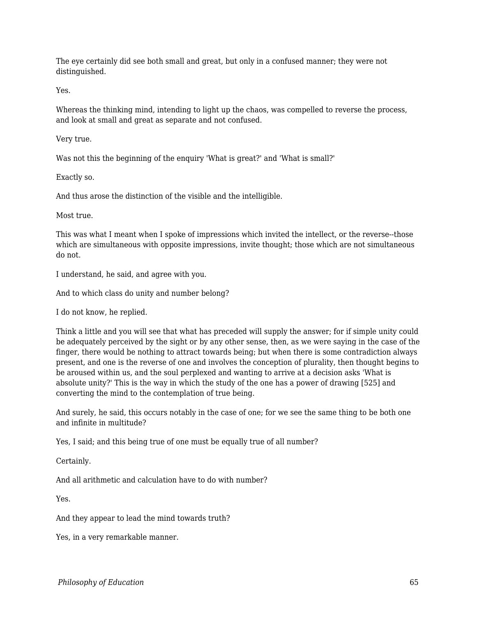The eye certainly did see both small and great, but only in a confused manner; they were not distinguished.

Yes.

Whereas the thinking mind, intending to light up the chaos, was compelled to reverse the process, and look at small and great as separate and not confused.

Very true.

Was not this the beginning of the enquiry 'What is great?' and 'What is small?'

Exactly so.

And thus arose the distinction of the visible and the intelligible.

Most true.

This was what I meant when I spoke of impressions which invited the intellect, or the reverse--those which are simultaneous with opposite impressions, invite thought; those which are not simultaneous do not.

I understand, he said, and agree with you.

And to which class do unity and number belong?

I do not know, he replied.

Think a little and you will see that what has preceded will supply the answer; for if simple unity could be adequately perceived by the sight or by any other sense, then, as we were saying in the case of the finger, there would be nothing to attract towards being; but when there is some contradiction always present, and one is the reverse of one and involves the conception of plurality, then thought begins to be aroused within us, and the soul perplexed and wanting to arrive at a decision asks 'What is absolute unity?' This is the way in which the study of the one has a power of drawing [525] and converting the mind to the contemplation of true being.

And surely, he said, this occurs notably in the case of one; for we see the same thing to be both one and infinite in multitude?

Yes, I said; and this being true of one must be equally true of all number?

Certainly.

And all arithmetic and calculation have to do with number?

Yes.

And they appear to lead the mind towards truth?

Yes, in a very remarkable manner.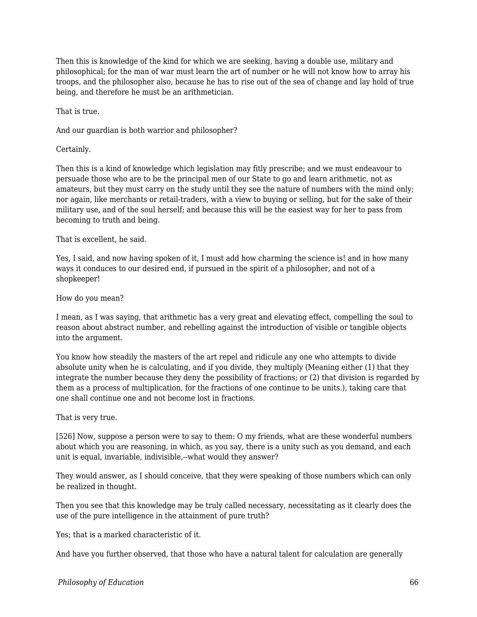Then this is knowledge of the kind for which we are seeking, having a double use, military and philosophical; for the man of war must learn the art of number or he will not know how to array his troops, and the philosopher also, because he has to rise out of the sea of change and lay hold of true being, and therefore he must be an arithmetician.

That is true.

And our guardian is both warrior and philosopher?

Certainly.

Then this is a kind of knowledge which legislation may fitly prescribe; and we must endeavour to persuade those who are to be the principal men of our State to go and learn arithmetic, not as amateurs, but they must carry on the study until they see the nature of numbers with the mind only; nor again, like merchants or retail-traders, with a view to buying or selling, but for the sake of their military use, and of the soul herself; and because this will be the easiest way for her to pass from becoming to truth and being.

That is excellent, he said.

Yes, I said, and now having spoken of it, I must add how charming the science is! and in how many ways it conduces to our desired end, if pursued in the spirit of a philosopher, and not of a shopkeeper!

How do you mean?

I mean, as I was saying, that arithmetic has a very great and elevating effect, compelling the soul to reason about abstract number, and rebelling against the introduction of visible or tangible objects into the argument.

You know how steadily the masters of the art repel and ridicule any one who attempts to divide absolute unity when he is calculating, and if you divide, they multiply (Meaning either (1) that they integrate the number because they deny the possibility of fractions; or (2) that division is regarded by them as a process of multiplication, for the fractions of one continue to be units.), taking care that one shall continue one and not become lost in fractions.

That is very true.

[526] Now, suppose a person were to say to them: O my friends, what are these wonderful numbers about which you are reasoning, in which, as you say, there is a unity such as you demand, and each unit is equal, invariable, indivisible,--what would they answer?

They would answer, as I should conceive, that they were speaking of those numbers which can only be realized in thought.

Then you see that this knowledge may be truly called necessary, necessitating as it clearly does the use of the pure intelligence in the attainment of pure truth?

Yes; that is a marked characteristic of it.

And have you further observed, that those who have a natural talent for calculation are generally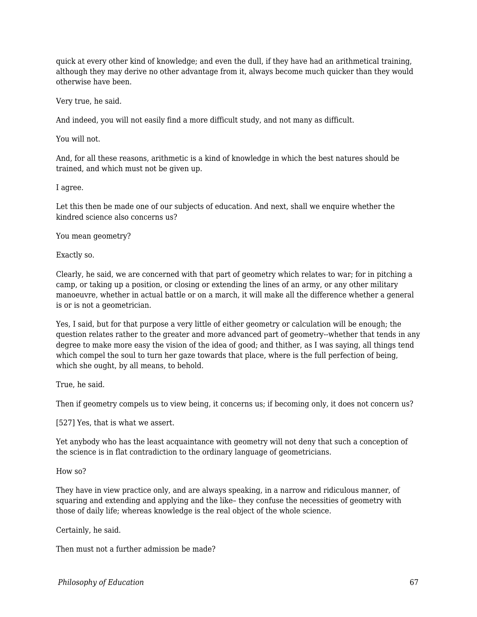quick at every other kind of knowledge; and even the dull, if they have had an arithmetical training, although they may derive no other advantage from it, always become much quicker than they would otherwise have been.

Very true, he said.

And indeed, you will not easily find a more difficult study, and not many as difficult.

You will not.

And, for all these reasons, arithmetic is a kind of knowledge in which the best natures should be trained, and which must not be given up.

I agree.

Let this then be made one of our subjects of education. And next, shall we enquire whether the kindred science also concerns us?

You mean geometry?

Exactly so.

Clearly, he said, we are concerned with that part of geometry which relates to war; for in pitching a camp, or taking up a position, or closing or extending the lines of an army, or any other military manoeuvre, whether in actual battle or on a march, it will make all the difference whether a general is or is not a geometrician.

Yes, I said, but for that purpose a very little of either geometry or calculation will be enough; the question relates rather to the greater and more advanced part of geometry--whether that tends in any degree to make more easy the vision of the idea of good; and thither, as I was saying, all things tend which compel the soul to turn her gaze towards that place, where is the full perfection of being, which she ought, by all means, to behold.

True, he said.

Then if geometry compels us to view being, it concerns us; if becoming only, it does not concern us?

[527] Yes, that is what we assert.

Yet anybody who has the least acquaintance with geometry will not deny that such a conception of the science is in flat contradiction to the ordinary language of geometricians.

How so?

They have in view practice only, and are always speaking, in a narrow and ridiculous manner, of squaring and extending and applying and the like– they confuse the necessities of geometry with those of daily life; whereas knowledge is the real object of the whole science.

Certainly, he said.

Then must not a further admission be made?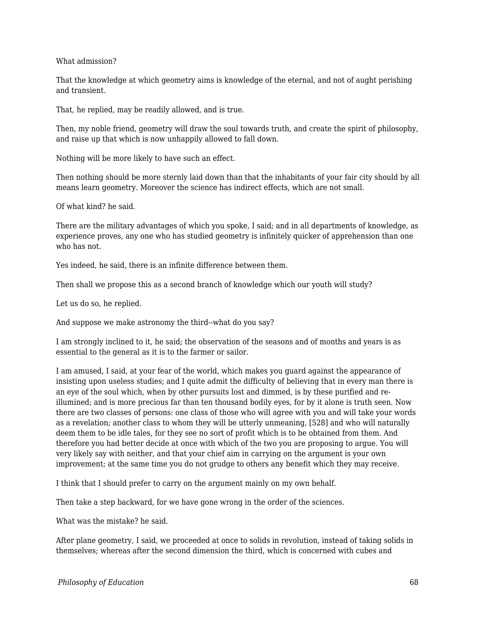What admission?

That the knowledge at which geometry aims is knowledge of the eternal, and not of aught perishing and transient.

That, he replied, may be readily allowed, and is true.

Then, my noble friend, geometry will draw the soul towards truth, and create the spirit of philosophy, and raise up that which is now unhappily allowed to fall down.

Nothing will be more likely to have such an effect.

Then nothing should be more sternly laid down than that the inhabitants of your fair city should by all means learn geometry. Moreover the science has indirect effects, which are not small.

Of what kind? he said.

There are the military advantages of which you spoke, I said; and in all departments of knowledge, as experience proves, any one who has studied geometry is infinitely quicker of apprehension than one who has not.

Yes indeed, he said, there is an infinite difference between them.

Then shall we propose this as a second branch of knowledge which our youth will study?

Let us do so, he replied.

And suppose we make astronomy the third--what do you say?

I am strongly inclined to it, he said; the observation of the seasons and of months and years is as essential to the general as it is to the farmer or sailor.

I am amused, I said, at your fear of the world, which makes you guard against the appearance of insisting upon useless studies; and I quite admit the difficulty of believing that in every man there is an eye of the soul which, when by other pursuits lost and dimmed, is by these purified and reillumined; and is more precious far than ten thousand bodily eyes, for by it alone is truth seen. Now there are two classes of persons: one class of those who will agree with you and will take your words as a revelation; another class to whom they will be utterly unmeaning, [528] and who will naturally deem them to be idle tales, for they see no sort of profit which is to be obtained from them. And therefore you had better decide at once with which of the two you are proposing to argue. You will very likely say with neither, and that your chief aim in carrying on the argument is your own improvement; at the same time you do not grudge to others any benefit which they may receive.

I think that I should prefer to carry on the argument mainly on my own behalf.

Then take a step backward, for we have gone wrong in the order of the sciences.

What was the mistake? he said.

After plane geometry, I said, we proceeded at once to solids in revolution, instead of taking solids in themselves; whereas after the second dimension the third, which is concerned with cubes and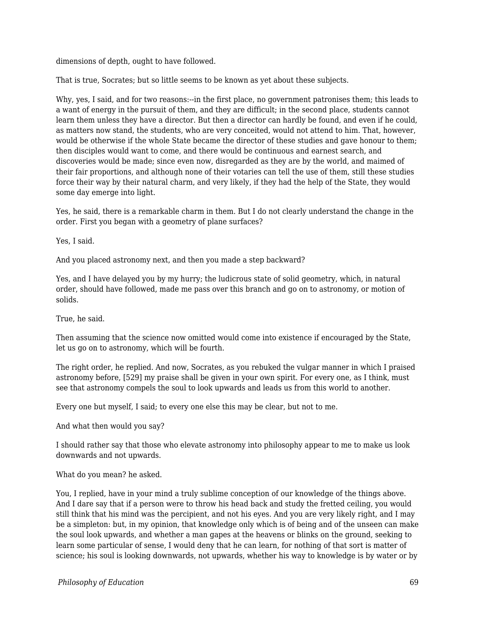dimensions of depth, ought to have followed.

That is true, Socrates; but so little seems to be known as yet about these subjects.

Why, yes, I said, and for two reasons:--in the first place, no government patronises them; this leads to a want of energy in the pursuit of them, and they are difficult; in the second place, students cannot learn them unless they have a director. But then a director can hardly be found, and even if he could, as matters now stand, the students, who are very conceited, would not attend to him. That, however, would be otherwise if the whole State became the director of these studies and gave honour to them; then disciples would want to come, and there would be continuous and earnest search, and discoveries would be made; since even now, disregarded as they are by the world, and maimed of their fair proportions, and although none of their votaries can tell the use of them, still these studies force their way by their natural charm, and very likely, if they had the help of the State, they would some day emerge into light.

Yes, he said, there is a remarkable charm in them. But I do not clearly understand the change in the order. First you began with a geometry of plane surfaces?

Yes, I said.

And you placed astronomy next, and then you made a step backward?

Yes, and I have delayed you by my hurry; the ludicrous state of solid geometry, which, in natural order, should have followed, made me pass over this branch and go on to astronomy, or motion of solids.

True, he said.

Then assuming that the science now omitted would come into existence if encouraged by the State, let us go on to astronomy, which will be fourth.

The right order, he replied. And now, Socrates, as you rebuked the vulgar manner in which I praised astronomy before, [529] my praise shall be given in your own spirit. For every one, as I think, must see that astronomy compels the soul to look upwards and leads us from this world to another.

Every one but myself, I said; to every one else this may be clear, but not to me.

And what then would you say?

I should rather say that those who elevate astronomy into philosophy appear to me to make us look downwards and not upwards.

What do you mean? he asked.

You, I replied, have in your mind a truly sublime conception of our knowledge of the things above. And I dare say that if a person were to throw his head back and study the fretted ceiling, you would still think that his mind was the percipient, and not his eyes. And you are very likely right, and I may be a simpleton: but, in my opinion, that knowledge only which is of being and of the unseen can make the soul look upwards, and whether a man gapes at the heavens or blinks on the ground, seeking to learn some particular of sense, I would deny that he can learn, for nothing of that sort is matter of science; his soul is looking downwards, not upwards, whether his way to knowledge is by water or by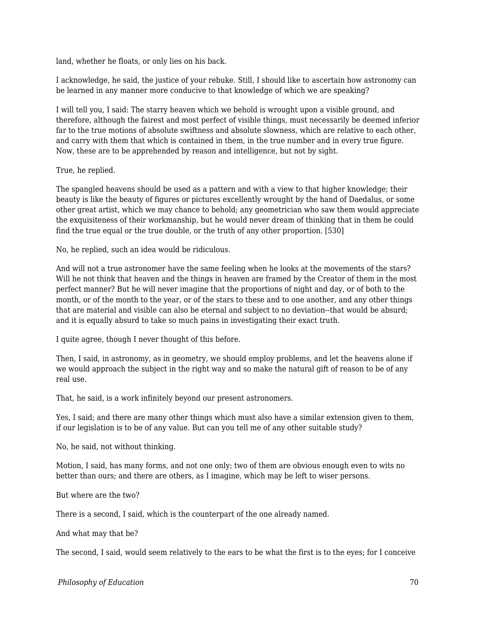land, whether he floats, or only lies on his back.

I acknowledge, he said, the justice of your rebuke. Still, I should like to ascertain how astronomy can be learned in any manner more conducive to that knowledge of which we are speaking?

I will tell you, I said: The starry heaven which we behold is wrought upon a visible ground, and therefore, although the fairest and most perfect of visible things, must necessarily be deemed inferior far to the true motions of absolute swiftness and absolute slowness, which are relative to each other, and carry with them that which is contained in them, in the true number and in every true figure. Now, these are to be apprehended by reason and intelligence, but not by sight.

True, he replied.

The spangled heavens should be used as a pattern and with a view to that higher knowledge; their beauty is like the beauty of figures or pictures excellently wrought by the hand of Daedalus, or some other great artist, which we may chance to behold; any geometrician who saw them would appreciate the exquisiteness of their workmanship, but he would never dream of thinking that in them he could find the true equal or the true double, or the truth of any other proportion. [530]

No, he replied, such an idea would be ridiculous.

And will not a true astronomer have the same feeling when he looks at the movements of the stars? Will he not think that heaven and the things in heaven are framed by the Creator of them in the most perfect manner? But he will never imagine that the proportions of night and day, or of both to the month, or of the month to the year, or of the stars to these and to one another, and any other things that are material and visible can also be eternal and subject to no deviation--that would be absurd; and it is equally absurd to take so much pains in investigating their exact truth.

I quite agree, though I never thought of this before.

Then, I said, in astronomy, as in geometry, we should employ problems, and let the heavens alone if we would approach the subject in the right way and so make the natural gift of reason to be of any real use.

That, he said, is a work infinitely beyond our present astronomers.

Yes, I said; and there are many other things which must also have a similar extension given to them, if our legislation is to be of any value. But can you tell me of any other suitable study?

No, he said, not without thinking.

Motion, I said, has many forms, and not one only; two of them are obvious enough even to wits no better than ours; and there are others, as I imagine, which may be left to wiser persons.

But where are the two?

There is a second, I said, which is the counterpart of the one already named.

And what may that be?

The second, I said, would seem relatively to the ears to be what the first is to the eyes; for I conceive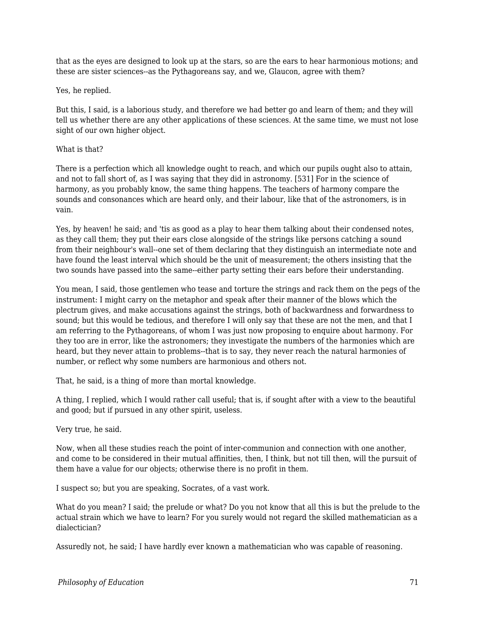that as the eyes are designed to look up at the stars, so are the ears to hear harmonious motions; and these are sister sciences--as the Pythagoreans say, and we, Glaucon, agree with them?

# Yes, he replied.

But this, I said, is a laborious study, and therefore we had better go and learn of them; and they will tell us whether there are any other applications of these sciences. At the same time, we must not lose sight of our own higher object.

# What is that?

There is a perfection which all knowledge ought to reach, and which our pupils ought also to attain, and not to fall short of, as I was saying that they did in astronomy. [531] For in the science of harmony, as you probably know, the same thing happens. The teachers of harmony compare the sounds and consonances which are heard only, and their labour, like that of the astronomers, is in vain.

Yes, by heaven! he said; and 'tis as good as a play to hear them talking about their condensed notes, as they call them; they put their ears close alongside of the strings like persons catching a sound from their neighbour's wall--one set of them declaring that they distinguish an intermediate note and have found the least interval which should be the unit of measurement; the others insisting that the two sounds have passed into the same--either party setting their ears before their understanding.

You mean, I said, those gentlemen who tease and torture the strings and rack them on the pegs of the instrument: I might carry on the metaphor and speak after their manner of the blows which the plectrum gives, and make accusations against the strings, both of backwardness and forwardness to sound; but this would be tedious, and therefore I will only say that these are not the men, and that I am referring to the Pythagoreans, of whom I was just now proposing to enquire about harmony. For they too are in error, like the astronomers; they investigate the numbers of the harmonies which are heard, but they never attain to problems--that is to say, they never reach the natural harmonies of number, or reflect why some numbers are harmonious and others not.

That, he said, is a thing of more than mortal knowledge.

A thing, I replied, which I would rather call useful; that is, if sought after with a view to the beautiful and good; but if pursued in any other spirit, useless.

Very true, he said.

Now, when all these studies reach the point of inter-communion and connection with one another, and come to be considered in their mutual affinities, then, I think, but not till then, will the pursuit of them have a value for our objects; otherwise there is no profit in them.

I suspect so; but you are speaking, Socrates, of a vast work.

What do you mean? I said; the prelude or what? Do you not know that all this is but the prelude to the actual strain which we have to learn? For you surely would not regard the skilled mathematician as a dialectician?

Assuredly not, he said; I have hardly ever known a mathematician who was capable of reasoning.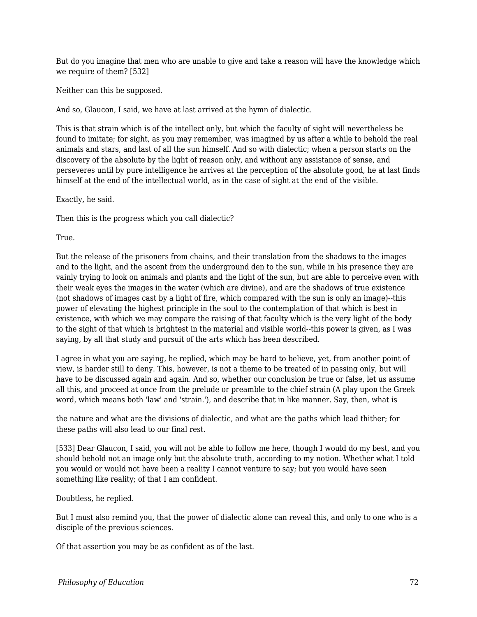But do you imagine that men who are unable to give and take a reason will have the knowledge which we require of them? [532]

Neither can this be supposed.

And so, Glaucon, I said, we have at last arrived at the hymn of dialectic.

This is that strain which is of the intellect only, but which the faculty of sight will nevertheless be found to imitate; for sight, as you may remember, was imagined by us after a while to behold the real animals and stars, and last of all the sun himself. And so with dialectic; when a person starts on the discovery of the absolute by the light of reason only, and without any assistance of sense, and perseveres until by pure intelligence he arrives at the perception of the absolute good, he at last finds himself at the end of the intellectual world, as in the case of sight at the end of the visible.

Exactly, he said.

Then this is the progress which you call dialectic?

True.

But the release of the prisoners from chains, and their translation from the shadows to the images and to the light, and the ascent from the underground den to the sun, while in his presence they are vainly trying to look on animals and plants and the light of the sun, but are able to perceive even with their weak eyes the images in the water (which are divine), and are the shadows of true existence (not shadows of images cast by a light of fire, which compared with the sun is only an image)--this power of elevating the highest principle in the soul to the contemplation of that which is best in existence, with which we may compare the raising of that faculty which is the very light of the body to the sight of that which is brightest in the material and visible world--this power is given, as I was saying, by all that study and pursuit of the arts which has been described.

I agree in what you are saying, he replied, which may be hard to believe, yet, from another point of view, is harder still to deny. This, however, is not a theme to be treated of in passing only, but will have to be discussed again and again. And so, whether our conclusion be true or false, let us assume all this, and proceed at once from the prelude or preamble to the chief strain (A play upon the Greek word, which means both 'law' and 'strain.'), and describe that in like manner. Say, then, what is

the nature and what are the divisions of dialectic, and what are the paths which lead thither; for these paths will also lead to our final rest.

[533] Dear Glaucon, I said, you will not be able to follow me here, though I would do my best, and you should behold not an image only but the absolute truth, according to my notion. Whether what I told you would or would not have been a reality I cannot venture to say; but you would have seen something like reality; of that I am confident.

Doubtless, he replied.

But I must also remind you, that the power of dialectic alone can reveal this, and only to one who is a disciple of the previous sciences.

Of that assertion you may be as confident as of the last.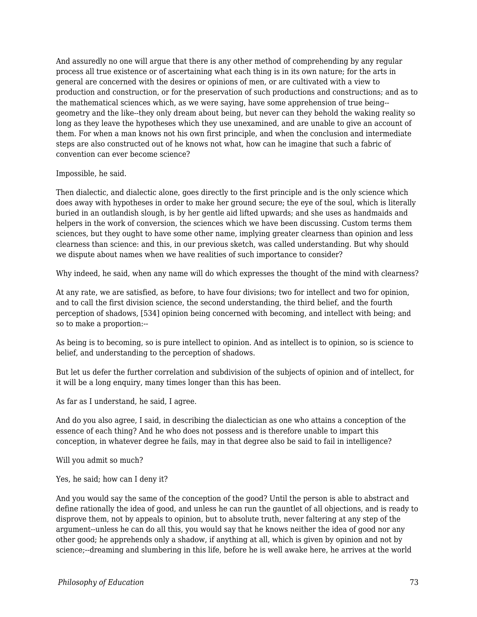And assuredly no one will argue that there is any other method of comprehending by any regular process all true existence or of ascertaining what each thing is in its own nature; for the arts in general are concerned with the desires or opinions of men, or are cultivated with a view to production and construction, or for the preservation of such productions and constructions; and as to the mathematical sciences which, as we were saying, have some apprehension of true being- geometry and the like--they only dream about being, but never can they behold the waking reality so long as they leave the hypotheses which they use unexamined, and are unable to give an account of them. For when a man knows not his own first principle, and when the conclusion and intermediate steps are also constructed out of he knows not what, how can he imagine that such a fabric of convention can ever become science?

Impossible, he said.

Then dialectic, and dialectic alone, goes directly to the first principle and is the only science which does away with hypotheses in order to make her ground secure; the eye of the soul, which is literally buried in an outlandish slough, is by her gentle aid lifted upwards; and she uses as handmaids and helpers in the work of conversion, the sciences which we have been discussing. Custom terms them sciences, but they ought to have some other name, implying greater clearness than opinion and less clearness than science: and this, in our previous sketch, was called understanding. But why should we dispute about names when we have realities of such importance to consider?

Why indeed, he said, when any name will do which expresses the thought of the mind with clearness?

At any rate, we are satisfied, as before, to have four divisions; two for intellect and two for opinion, and to call the first division science, the second understanding, the third belief, and the fourth perception of shadows, [534] opinion being concerned with becoming, and intellect with being; and so to make a proportion:--

As being is to becoming, so is pure intellect to opinion. And as intellect is to opinion, so is science to belief, and understanding to the perception of shadows.

But let us defer the further correlation and subdivision of the subjects of opinion and of intellect, for it will be a long enquiry, many times longer than this has been.

As far as I understand, he said, I agree.

And do you also agree, I said, in describing the dialectician as one who attains a conception of the essence of each thing? And he who does not possess and is therefore unable to impart this conception, in whatever degree he fails, may in that degree also be said to fail in intelligence?

Will you admit so much?

Yes, he said; how can I deny it?

And you would say the same of the conception of the good? Until the person is able to abstract and define rationally the idea of good, and unless he can run the gauntlet of all objections, and is ready to disprove them, not by appeals to opinion, but to absolute truth, never faltering at any step of the argument--unless he can do all this, you would say that he knows neither the idea of good nor any other good; he apprehends only a shadow, if anything at all, which is given by opinion and not by science;--dreaming and slumbering in this life, before he is well awake here, he arrives at the world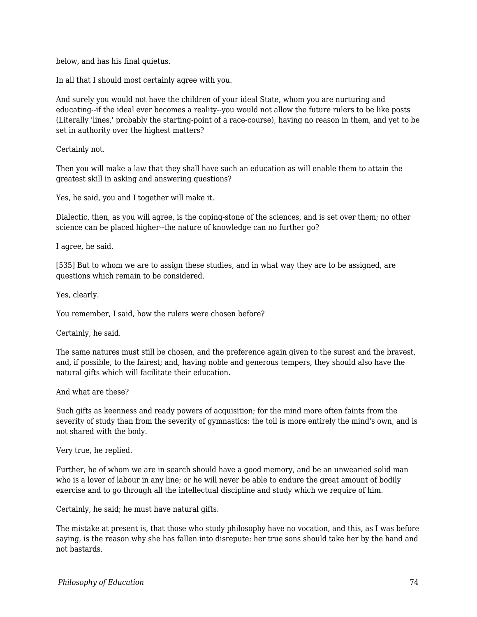below, and has his final quietus.

In all that I should most certainly agree with you.

And surely you would not have the children of your ideal State, whom you are nurturing and educating--if the ideal ever becomes a reality--you would not allow the future rulers to be like posts (Literally 'lines,' probably the starting-point of a race-course), having no reason in them, and yet to be set in authority over the highest matters?

Certainly not.

Then you will make a law that they shall have such an education as will enable them to attain the greatest skill in asking and answering questions?

Yes, he said, you and I together will make it.

Dialectic, then, as you will agree, is the coping-stone of the sciences, and is set over them; no other science can be placed higher--the nature of knowledge can no further go?

I agree, he said.

[535] But to whom we are to assign these studies, and in what way they are to be assigned, are questions which remain to be considered.

Yes, clearly.

You remember, I said, how the rulers were chosen before?

Certainly, he said.

The same natures must still be chosen, and the preference again given to the surest and the bravest, and, if possible, to the fairest; and, having noble and generous tempers, they should also have the natural gifts which will facilitate their education.

And what are these?

Such gifts as keenness and ready powers of acquisition; for the mind more often faints from the severity of study than from the severity of gymnastics: the toil is more entirely the mind's own, and is not shared with the body.

Very true, he replied.

Further, he of whom we are in search should have a good memory, and be an unwearied solid man who is a lover of labour in any line; or he will never be able to endure the great amount of bodily exercise and to go through all the intellectual discipline and study which we require of him.

Certainly, he said; he must have natural gifts.

The mistake at present is, that those who study philosophy have no vocation, and this, as I was before saying, is the reason why she has fallen into disrepute: her true sons should take her by the hand and not bastards.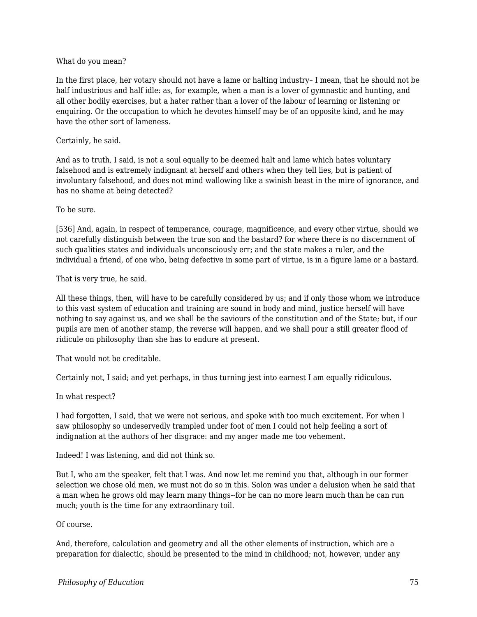#### What do you mean?

In the first place, her votary should not have a lame or halting industry– I mean, that he should not be half industrious and half idle: as, for example, when a man is a lover of gymnastic and hunting, and all other bodily exercises, but a hater rather than a lover of the labour of learning or listening or enquiring. Or the occupation to which he devotes himself may be of an opposite kind, and he may have the other sort of lameness.

#### Certainly, he said.

And as to truth, I said, is not a soul equally to be deemed halt and lame which hates voluntary falsehood and is extremely indignant at herself and others when they tell lies, but is patient of involuntary falsehood, and does not mind wallowing like a swinish beast in the mire of ignorance, and has no shame at being detected?

#### To be sure.

[536] And, again, in respect of temperance, courage, magnificence, and every other virtue, should we not carefully distinguish between the true son and the bastard? for where there is no discernment of such qualities states and individuals unconsciously err; and the state makes a ruler, and the individual a friend, of one who, being defective in some part of virtue, is in a figure lame or a bastard.

#### That is very true, he said.

All these things, then, will have to be carefully considered by us; and if only those whom we introduce to this vast system of education and training are sound in body and mind, justice herself will have nothing to say against us, and we shall be the saviours of the constitution and of the State; but, if our pupils are men of another stamp, the reverse will happen, and we shall pour a still greater flood of ridicule on philosophy than she has to endure at present.

That would not be creditable.

Certainly not, I said; and yet perhaps, in thus turning jest into earnest I am equally ridiculous.

In what respect?

I had forgotten, I said, that we were not serious, and spoke with too much excitement. For when I saw philosophy so undeservedly trampled under foot of men I could not help feeling a sort of indignation at the authors of her disgrace: and my anger made me too vehement.

Indeed! I was listening, and did not think so.

But I, who am the speaker, felt that I was. And now let me remind you that, although in our former selection we chose old men, we must not do so in this. Solon was under a delusion when he said that a man when he grows old may learn many things--for he can no more learn much than he can run much; youth is the time for any extraordinary toil.

Of course.

And, therefore, calculation and geometry and all the other elements of instruction, which are a preparation for dialectic, should be presented to the mind in childhood; not, however, under any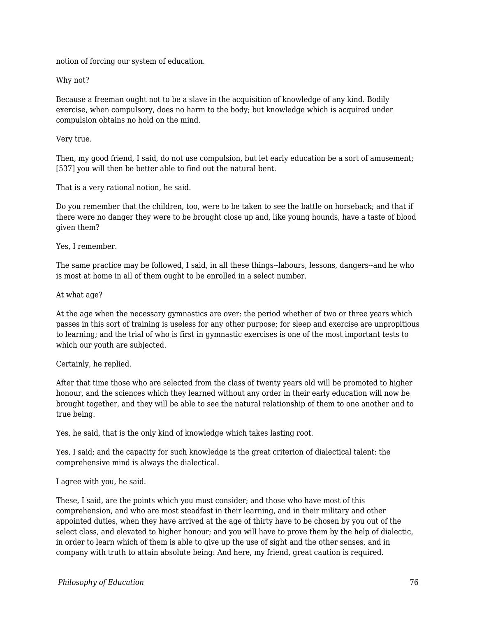notion of forcing our system of education.

Why not?

Because a freeman ought not to be a slave in the acquisition of knowledge of any kind. Bodily exercise, when compulsory, does no harm to the body; but knowledge which is acquired under compulsion obtains no hold on the mind.

Very true.

Then, my good friend, I said, do not use compulsion, but let early education be a sort of amusement; [537] you will then be better able to find out the natural bent.

That is a very rational notion, he said.

Do you remember that the children, too, were to be taken to see the battle on horseback; and that if there were no danger they were to be brought close up and, like young hounds, have a taste of blood given them?

#### Yes, I remember.

The same practice may be followed, I said, in all these things--labours, lessons, dangers--and he who is most at home in all of them ought to be enrolled in a select number.

#### At what age?

At the age when the necessary gymnastics are over: the period whether of two or three years which passes in this sort of training is useless for any other purpose; for sleep and exercise are unpropitious to learning; and the trial of who is first in gymnastic exercises is one of the most important tests to which our youth are subjected.

#### Certainly, he replied.

After that time those who are selected from the class of twenty years old will be promoted to higher honour, and the sciences which they learned without any order in their early education will now be brought together, and they will be able to see the natural relationship of them to one another and to true being.

Yes, he said, that is the only kind of knowledge which takes lasting root.

Yes, I said; and the capacity for such knowledge is the great criterion of dialectical talent: the comprehensive mind is always the dialectical.

I agree with you, he said.

These, I said, are the points which you must consider; and those who have most of this comprehension, and who are most steadfast in their learning, and in their military and other appointed duties, when they have arrived at the age of thirty have to be chosen by you out of the select class, and elevated to higher honour; and you will have to prove them by the help of dialectic, in order to learn which of them is able to give up the use of sight and the other senses, and in company with truth to attain absolute being: And here, my friend, great caution is required.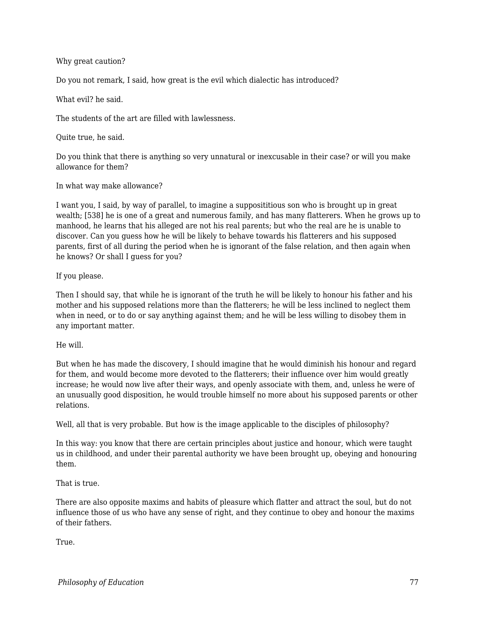#### Why great caution?

Do you not remark, I said, how great is the evil which dialectic has introduced?

What evil? he said.

The students of the art are filled with lawlessness.

Quite true, he said.

Do you think that there is anything so very unnatural or inexcusable in their case? or will you make allowance for them?

In what way make allowance?

I want you, I said, by way of parallel, to imagine a supposititious son who is brought up in great wealth; [538] he is one of a great and numerous family, and has many flatterers. When he grows up to manhood, he learns that his alleged are not his real parents; but who the real are he is unable to discover. Can you guess how he will be likely to behave towards his flatterers and his supposed parents, first of all during the period when he is ignorant of the false relation, and then again when he knows? Or shall I guess for you?

If you please.

Then I should say, that while he is ignorant of the truth he will be likely to honour his father and his mother and his supposed relations more than the flatterers; he will be less inclined to neglect them when in need, or to do or say anything against them; and he will be less willing to disobey them in any important matter.

He will.

But when he has made the discovery, I should imagine that he would diminish his honour and regard for them, and would become more devoted to the flatterers; their influence over him would greatly increase; he would now live after their ways, and openly associate with them, and, unless he were of an unusually good disposition, he would trouble himself no more about his supposed parents or other relations.

Well, all that is very probable. But how is the image applicable to the disciples of philosophy?

In this way: you know that there are certain principles about justice and honour, which were taught us in childhood, and under their parental authority we have been brought up, obeying and honouring them.

That is true.

There are also opposite maxims and habits of pleasure which flatter and attract the soul, but do not influence those of us who have any sense of right, and they continue to obey and honour the maxims of their fathers.

True.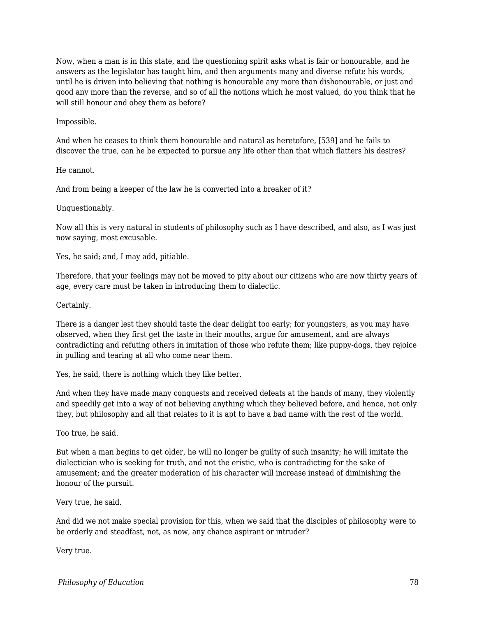Now, when a man is in this state, and the questioning spirit asks what is fair or honourable, and he answers as the legislator has taught him, and then arguments many and diverse refute his words, until he is driven into believing that nothing is honourable any more than dishonourable, or just and good any more than the reverse, and so of all the notions which he most valued, do you think that he will still honour and obey them as before?

#### Impossible.

And when he ceases to think them honourable and natural as heretofore, [539] and he fails to discover the true, can he be expected to pursue any life other than that which flatters his desires?

#### He cannot.

And from being a keeper of the law he is converted into a breaker of it?

#### Unquestionably.

Now all this is very natural in students of philosophy such as I have described, and also, as I was just now saying, most excusable.

Yes, he said; and, I may add, pitiable.

Therefore, that your feelings may not be moved to pity about our citizens who are now thirty years of age, every care must be taken in introducing them to dialectic.

#### Certainly.

There is a danger lest they should taste the dear delight too early; for youngsters, as you may have observed, when they first get the taste in their mouths, argue for amusement, and are always contradicting and refuting others in imitation of those who refute them; like puppy-dogs, they rejoice in pulling and tearing at all who come near them.

Yes, he said, there is nothing which they like better.

And when they have made many conquests and received defeats at the hands of many, they violently and speedily get into a way of not believing anything which they believed before, and hence, not only they, but philosophy and all that relates to it is apt to have a bad name with the rest of the world.

Too true, he said.

But when a man begins to get older, he will no longer be guilty of such insanity; he will imitate the dialectician who is seeking for truth, and not the eristic, who is contradicting for the sake of amusement; and the greater moderation of his character will increase instead of diminishing the honour of the pursuit.

Very true, he said.

And did we not make special provision for this, when we said that the disciples of philosophy were to be orderly and steadfast, not, as now, any chance aspirant or intruder?

Very true.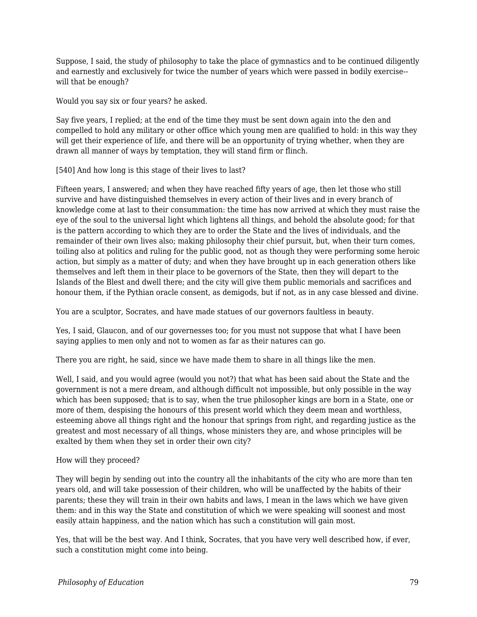Suppose, I said, the study of philosophy to take the place of gymnastics and to be continued diligently and earnestly and exclusively for twice the number of years which were passed in bodily exercise- will that be enough?

Would you say six or four years? he asked.

Say five years, I replied; at the end of the time they must be sent down again into the den and compelled to hold any military or other office which young men are qualified to hold: in this way they will get their experience of life, and there will be an opportunity of trying whether, when they are drawn all manner of ways by temptation, they will stand firm or flinch.

[540] And how long is this stage of their lives to last?

Fifteen years, I answered; and when they have reached fifty years of age, then let those who still survive and have distinguished themselves in every action of their lives and in every branch of knowledge come at last to their consummation: the time has now arrived at which they must raise the eye of the soul to the universal light which lightens all things, and behold the absolute good; for that is the pattern according to which they are to order the State and the lives of individuals, and the remainder of their own lives also; making philosophy their chief pursuit, but, when their turn comes, toiling also at politics and ruling for the public good, not as though they were performing some heroic action, but simply as a matter of duty; and when they have brought up in each generation others like themselves and left them in their place to be governors of the State, then they will depart to the Islands of the Blest and dwell there; and the city will give them public memorials and sacrifices and honour them, if the Pythian oracle consent, as demigods, but if not, as in any case blessed and divine.

You are a sculptor, Socrates, and have made statues of our governors faultless in beauty.

Yes, I said, Glaucon, and of our governesses too; for you must not suppose that what I have been saying applies to men only and not to women as far as their natures can go.

There you are right, he said, since we have made them to share in all things like the men.

Well, I said, and you would agree (would you not?) that what has been said about the State and the government is not a mere dream, and although difficult not impossible, but only possible in the way which has been supposed; that is to say, when the true philosopher kings are born in a State, one or more of them, despising the honours of this present world which they deem mean and worthless, esteeming above all things right and the honour that springs from right, and regarding justice as the greatest and most necessary of all things, whose ministers they are, and whose principles will be exalted by them when they set in order their own city?

How will they proceed?

They will begin by sending out into the country all the inhabitants of the city who are more than ten years old, and will take possession of their children, who will be unaffected by the habits of their parents; these they will train in their own habits and laws, I mean in the laws which we have given them: and in this way the State and constitution of which we were speaking will soonest and most easily attain happiness, and the nation which has such a constitution will gain most.

Yes, that will be the best way. And I think, Socrates, that you have very well described how, if ever, such a constitution might come into being.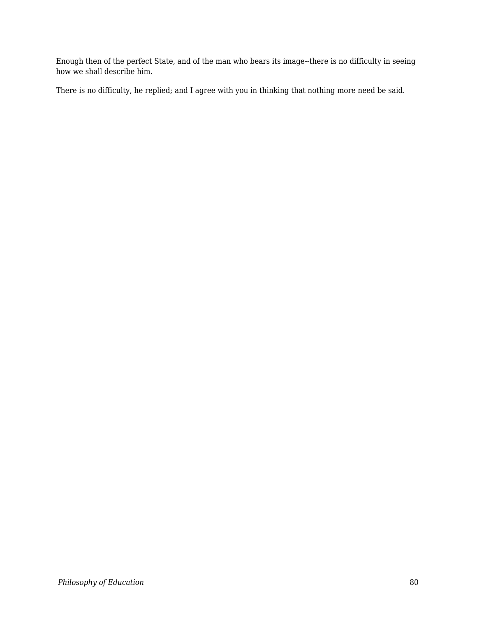Enough then of the perfect State, and of the man who bears its image--there is no difficulty in seeing how we shall describe him.

There is no difficulty, he replied; and I agree with you in thinking that nothing more need be said.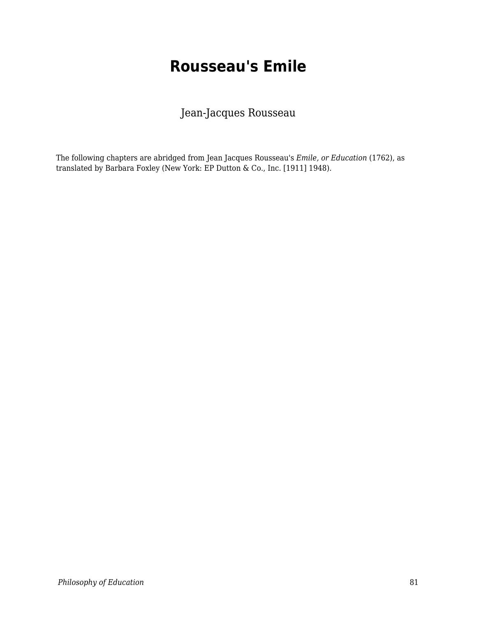## **Rousseau's Emile**

Jean-Jacques Rousseau

The following chapters are abridged from Jean Jacques Rousseau's *Emile, or Education* (1762), as translated by Barbara Foxley (New York: EP Dutton & Co., Inc. [1911] 1948).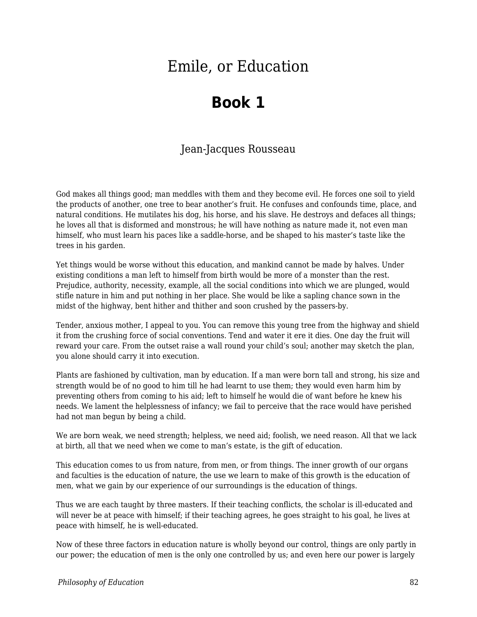## Emile, or Education

# **Book 1**

### Jean-Jacques Rousseau

God makes all things good; man meddles with them and they become evil. He forces one soil to yield the products of another, one tree to bear another's fruit. He confuses and confounds time, place, and natural conditions. He mutilates his dog, his horse, and his slave. He destroys and defaces all things; he loves all that is disformed and monstrous; he will have nothing as nature made it, not even man himself, who must learn his paces like a saddle-horse, and be shaped to his master's taste like the trees in his garden.

Yet things would be worse without this education, and mankind cannot be made by halves. Under existing conditions a man left to himself from birth would be more of a monster than the rest. Prejudice, authority, necessity, example, all the social conditions into which we are plunged, would stifle nature in him and put nothing in her place. She would be like a sapling chance sown in the midst of the highway, bent hither and thither and soon crushed by the passers-by.

Tender, anxious mother, I appeal to you. You can remove this young tree from the highway and shield it from the crushing force of social conventions. Tend and water it ere it dies. One day the fruit will reward your care. From the outset raise a wall round your child's soul; another may sketch the plan, you alone should carry it into execution.

Plants are fashioned by cultivation, man by education. If a man were born tall and strong, his size and strength would be of no good to him till he had learnt to use them; they would even harm him by preventing others from coming to his aid; left to himself he would die of want before he knew his needs. We lament the helplessness of infancy; we fail to perceive that the race would have perished had not man begun by being a child.

We are born weak, we need strength; helpless, we need aid; foolish, we need reason. All that we lack at birth, all that we need when we come to man's estate, is the gift of education.

This education comes to us from nature, from men, or from things. The inner growth of our organs and faculties is the education of nature, the use we learn to make of this growth is the education of men, what we gain by our experience of our surroundings is the education of things.

Thus we are each taught by three masters. If their teaching conflicts, the scholar is ill-educated and will never be at peace with himself; if their teaching agrees, he goes straight to his goal, he lives at peace with himself, he is well-educated.

Now of these three factors in education nature is wholly beyond our control, things are only partly in our power; the education of men is the only one controlled by us; and even here our power is largely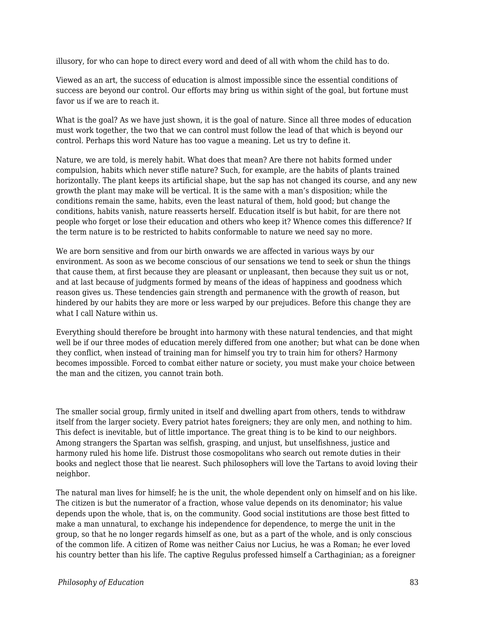illusory, for who can hope to direct every word and deed of all with whom the child has to do.

Viewed as an art, the success of education is almost impossible since the essential conditions of success are beyond our control. Our efforts may bring us within sight of the goal, but fortune must favor us if we are to reach it.

What is the goal? As we have just shown, it is the goal of nature. Since all three modes of education must work together, the two that we can control must follow the lead of that which is beyond our control. Perhaps this word Nature has too vague a meaning. Let us try to define it.

Nature, we are told, is merely habit. What does that mean? Are there not habits formed under compulsion, habits which never stifle nature? Such, for example, are the habits of plants trained horizontally. The plant keeps its artificial shape, but the sap has not changed its course, and any new growth the plant may make will be vertical. It is the same with a man's disposition; while the conditions remain the same, habits, even the least natural of them, hold good; but change the conditions, habits vanish, nature reasserts herself. Education itself is but habit, for are there not people who forget or lose their education and others who keep it? Whence comes this difference? If the term nature is to be restricted to habits conformable to nature we need say no more.

We are born sensitive and from our birth onwards we are affected in various ways by our environment. As soon as we become conscious of our sensations we tend to seek or shun the things that cause them, at first because they are pleasant or unpleasant, then because they suit us or not, and at last because of judgments formed by means of the ideas of happiness and goodness which reason gives us. These tendencies gain strength and permanence with the growth of reason, but hindered by our habits they are more or less warped by our prejudices. Before this change they are what I call Nature within us.

Everything should therefore be brought into harmony with these natural tendencies, and that might well be if our three modes of education merely differed from one another; but what can be done when they conflict, when instead of training man for himself you try to train him for others? Harmony becomes impossible. Forced to combat either nature or society, you must make your choice between the man and the citizen, you cannot train both.

The smaller social group, firmly united in itself and dwelling apart from others, tends to withdraw itself from the larger society. Every patriot hates foreigners; they are only men, and nothing to him. This defect is inevitable, but of little importance. The great thing is to be kind to our neighbors. Among strangers the Spartan was selfish, grasping, and unjust, but unselfishness, justice and harmony ruled his home life. Distrust those cosmopolitans who search out remote duties in their books and neglect those that lie nearest. Such philosophers will love the Tartans to avoid loving their neighbor.

The natural man lives for himself; he is the unit, the whole dependent only on himself and on his like. The citizen is but the numerator of a fraction, whose value depends on its denominator; his value depends upon the whole, that is, on the community. Good social institutions are those best fitted to make a man unnatural, to exchange his independence for dependence, to merge the unit in the group, so that he no longer regards himself as one, but as a part of the whole, and is only conscious of the common life. A citizen of Rome was neither Caius nor Lucius, he was a Roman; he ever loved his country better than his life. The captive Regulus professed himself a Carthaginian; as a foreigner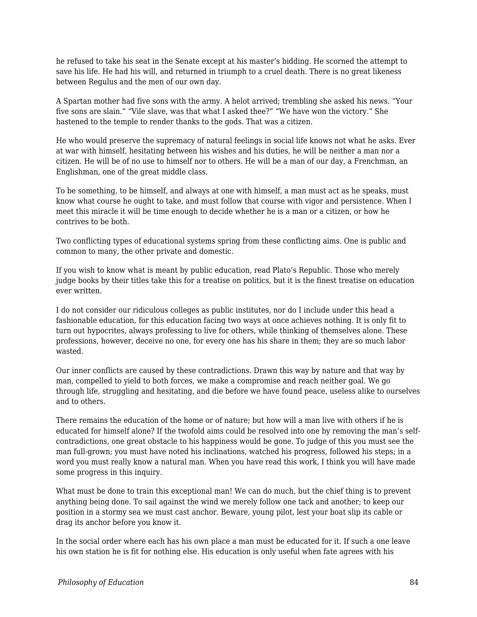he refused to take his seat in the Senate except at his master's bidding. He scorned the attempt to save his life. He had his will, and returned in triumph to a cruel death. There is no great likeness between Regulus and the men of our own day.

A Spartan mother had five sons with the army. A helot arrived; trembling she asked his news. "Your five sons are slain." "Vile slave, was that what I asked thee?" "We have won the victory." She hastened to the temple to render thanks to the gods. That was a citizen.

He who would preserve the supremacy of natural feelings in social life knows not what he asks. Ever at war with himself, hesitating between his wishes and his duties, he will be neither a man nor a citizen. He will be of no use to himself nor to others. He will be a man of our day, a Frenchman, an Englishman, one of the great middle class.

To be something, to be himself, and always at one with himself, a man must act as he speaks, must know what course he ought to take, and must follow that course with vigor and persistence. When I meet this miracle it will be time enough to decide whether he is a man or a citizen, or how he contrives to be both.

Two conflicting types of educational systems spring from these conflicting aims. One is public and common to many, the other private and domestic.

If you wish to know what is meant by public education, read Plato's Republic. Those who merely judge books by their titles take this for a treatise on politics, but it is the finest treatise on education ever written.

I do not consider our ridiculous colleges as public institutes, nor do I include under this head a fashionable education, for this education facing two ways at once achieves nothing. It is only fit to turn out hypocrites, always professing to live for others, while thinking of themselves alone. These professions, however, deceive no one, for every one has his share in them; they are so much labor wasted.

Our inner conflicts are caused by these contradictions. Drawn this way by nature and that way by man, compelled to yield to both forces, we make a compromise and reach neither goal. We go through life, struggling and hesitating, and die before we have found peace, useless alike to ourselves and to others.

There remains the education of the home or of nature; but how will a man live with others if he is educated for himself alone? If the twofold aims could be resolved into one by removing the man's selfcontradictions, one great obstacle to his happiness would be gone. To judge of this you must see the man full-grown; you must have noted his inclinations, watched his progress, followed his steps; in a word you must really know a natural man. When you have read this work, I think you will have made some progress in this inquiry.

What must be done to train this exceptional man! We can do much, but the chief thing is to prevent anything being done. To sail against the wind we merely follow one tack and another; to keep our position in a stormy sea we must cast anchor. Beware, young pilot, lest your boat slip its cable or drag its anchor before you know it.

In the social order where each has his own place a man must be educated for it. If such a one leave his own station he is fit for nothing else. His education is only useful when fate agrees with his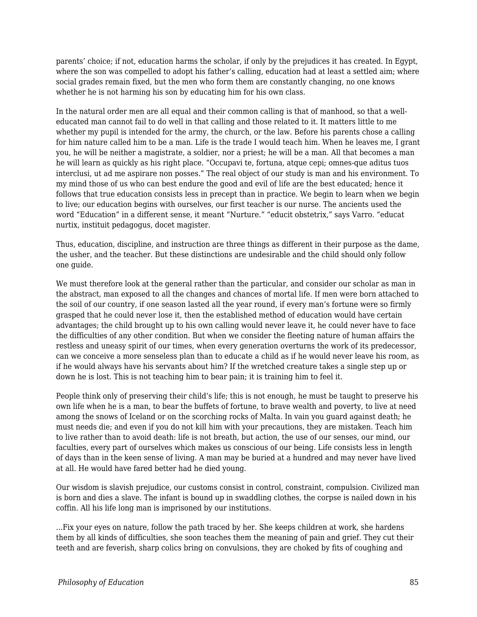parents' choice; if not, education harms the scholar, if only by the prejudices it has created. In Egypt, where the son was compelled to adopt his father's calling, education had at least a settled aim; where social grades remain fixed, but the men who form them are constantly changing, no one knows whether he is not harming his son by educating him for his own class.

In the natural order men are all equal and their common calling is that of manhood, so that a welleducated man cannot fail to do well in that calling and those related to it. It matters little to me whether my pupil is intended for the army, the church, or the law. Before his parents chose a calling for him nature called him to be a man. Life is the trade I would teach him. When he leaves me, I grant you, he will be neither a magistrate, a soldier, nor a priest; he will be a man. All that becomes a man he will learn as quickly as his right place. "Occupavi te, fortuna, atque cepi; omnes-que aditus tuos interclusi, ut ad me aspirare non posses." The real object of our study is man and his environment. To my mind those of us who can best endure the good and evil of life are the best educated; hence it follows that true education consists less in precept than in practice. We begin to learn when we begin to live; our education begins with ourselves, our first teacher is our nurse. The ancients used the word "Education" in a different sense, it meant "Nurture." "educit obstetrix," says Varro. "educat nurtix, instituit pedagogus, docet magister.

Thus, education, discipline, and instruction are three things as different in their purpose as the dame, the usher, and the teacher. But these distinctions are undesirable and the child should only follow one guide.

We must therefore look at the general rather than the particular, and consider our scholar as man in the abstract, man exposed to all the changes and chances of mortal life. If men were born attached to the soil of our country, if one season lasted all the year round, if every man's fortune were so firmly grasped that he could never lose it, then the established method of education would have certain advantages; the child brought up to his own calling would never leave it, he could never have to face the difficulties of any other condition. But when we consider the fleeting nature of human affairs the restless and uneasy spirit of our times, when every generation overturns the work of its predecessor, can we conceive a more senseless plan than to educate a child as if he would never leave his room, as if he would always have his servants about him? If the wretched creature takes a single step up or down he is lost. This is not teaching him to bear pain; it is training him to feel it.

People think only of preserving their child's life; this is not enough, he must be taught to preserve his own life when he is a man, to bear the buffets of fortune, to brave wealth and poverty, to live at need among the snows of Iceland or on the scorching rocks of Malta. In vain you guard against death; he must needs die; and even if you do not kill him with your precautions, they are mistaken. Teach him to live rather than to avoid death: life is not breath, but action, the use of our senses, our mind, our faculties, every part of ourselves which makes us conscious of our being. Life consists less in length of days than in the keen sense of living. A man may be buried at a hundred and may never have lived at all. He would have fared better had he died young.

Our wisdom is slavish prejudice, our customs consist in control, constraint, compulsion. Civilized man is born and dies a slave. The infant is bound up in swaddling clothes, the corpse is nailed down in his coffin. All his life long man is imprisoned by our institutions.

...Fix your eyes on nature, follow the path traced by her. She keeps children at work, she hardens them by all kinds of difficulties, she soon teaches them the meaning of pain and grief. They cut their teeth and are feverish, sharp colics bring on convulsions, they are choked by fits of coughing and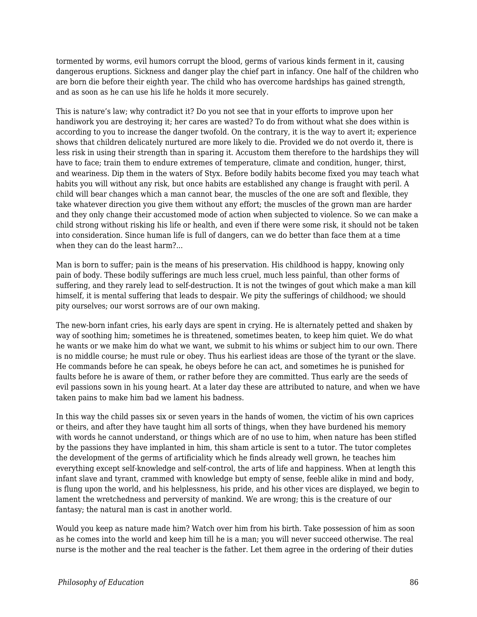tormented by worms, evil humors corrupt the blood, germs of various kinds ferment in it, causing dangerous eruptions. Sickness and danger play the chief part in infancy. One half of the children who are born die before their eighth year. The child who has overcome hardships has gained strength, and as soon as he can use his life he holds it more securely.

This is nature's law; why contradict it? Do you not see that in your efforts to improve upon her handiwork you are destroying it; her cares are wasted? To do from without what she does within is according to you to increase the danger twofold. On the contrary, it is the way to avert it; experience shows that children delicately nurtured are more likely to die. Provided we do not overdo it, there is less risk in using their strength than in sparing it. Accustom them therefore to the hardships they will have to face; train them to endure extremes of temperature, climate and condition, hunger, thirst, and weariness. Dip them in the waters of Styx. Before bodily habits become fixed you may teach what habits you will without any risk, but once habits are established any change is fraught with peril. A child will bear changes which a man cannot bear, the muscles of the one are soft and flexible, they take whatever direction you give them without any effort; the muscles of the grown man are harder and they only change their accustomed mode of action when subjected to violence. So we can make a child strong without risking his life or health, and even if there were some risk, it should not be taken into consideration. Since human life is full of dangers, can we do better than face them at a time when they can do the least harm?...

Man is born to suffer; pain is the means of his preservation. His childhood is happy, knowing only pain of body. These bodily sufferings are much less cruel, much less painful, than other forms of suffering, and they rarely lead to self-destruction. It is not the twinges of gout which make a man kill himself, it is mental suffering that leads to despair. We pity the sufferings of childhood; we should pity ourselves; our worst sorrows are of our own making.

The new-born infant cries, his early days are spent in crying. He is alternately petted and shaken by way of soothing him; sometimes he is threatened, sometimes beaten, to keep him quiet. We do what he wants or we make him do what we want, we submit to his whims or subject him to our own. There is no middle course; he must rule or obey. Thus his earliest ideas are those of the tyrant or the slave. He commands before he can speak, he obeys before he can act, and sometimes he is punished for faults before he is aware of them, or rather before they are committed. Thus early are the seeds of evil passions sown in his young heart. At a later day these are attributed to nature, and when we have taken pains to make him bad we lament his badness.

In this way the child passes six or seven years in the hands of women, the victim of his own caprices or theirs, and after they have taught him all sorts of things, when they have burdened his memory with words he cannot understand, or things which are of no use to him, when nature has been stifled by the passions they have implanted in him, this sham article is sent to a tutor. The tutor completes the development of the germs of artificiality which he finds already well grown, he teaches him everything except self-knowledge and self-control, the arts of life and happiness. When at length this infant slave and tyrant, crammed with knowledge but empty of sense, feeble alike in mind and body, is flung upon the world, and his helplessness, his pride, and his other vices are displayed, we begin to lament the wretchedness and perversity of mankind. We are wrong; this is the creature of our fantasy; the natural man is cast in another world.

Would you keep as nature made him? Watch over him from his birth. Take possession of him as soon as he comes into the world and keep him till he is a man; you will never succeed otherwise. The real nurse is the mother and the real teacher is the father. Let them agree in the ordering of their duties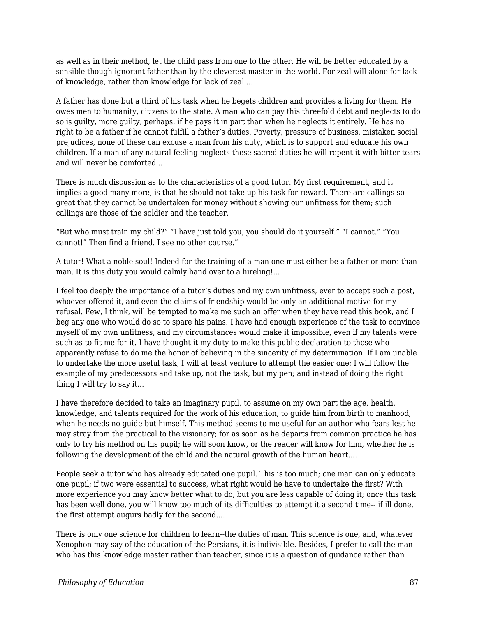as well as in their method, let the child pass from one to the other. He will be better educated by a sensible though ignorant father than by the cleverest master in the world. For zeal will alone for lack of knowledge, rather than knowledge for lack of zeal....

A father has done but a third of his task when he begets children and provides a living for them. He owes men to humanity, citizens to the state. A man who can pay this threefold debt and neglects to do so is guilty, more guilty, perhaps, if he pays it in part than when he neglects it entirely. He has no right to be a father if he cannot fulfill a father's duties. Poverty, pressure of business, mistaken social prejudices, none of these can excuse a man from his duty, which is to support and educate his own children. If a man of any natural feeling neglects these sacred duties he will repent it with bitter tears and will never be comforted...

There is much discussion as to the characteristics of a good tutor. My first requirement, and it implies a good many more, is that he should not take up his task for reward. There are callings so great that they cannot be undertaken for money without showing our unfitness for them; such callings are those of the soldier and the teacher.

"But who must train my child?" "I have just told you, you should do it yourself." "I cannot." "You cannot!" Then find a friend. I see no other course."

A tutor! What a noble soul! Indeed for the training of a man one must either be a father or more than man. It is this duty you would calmly hand over to a hireling!...

I feel too deeply the importance of a tutor's duties and my own unfitness, ever to accept such a post, whoever offered it, and even the claims of friendship would be only an additional motive for my refusal. Few, I think, will be tempted to make me such an offer when they have read this book, and I beg any one who would do so to spare his pains. I have had enough experience of the task to convince myself of my own unfitness, and my circumstances would make it impossible, even if my talents were such as to fit me for it. I have thought it my duty to make this public declaration to those who apparently refuse to do me the honor of believing in the sincerity of my determination. If I am unable to undertake the more useful task, I will at least venture to attempt the easier one; I will follow the example of my predecessors and take up, not the task, but my pen; and instead of doing the right thing I will try to say it...

I have therefore decided to take an imaginary pupil, to assume on my own part the age, health, knowledge, and talents required for the work of his education, to guide him from birth to manhood, when he needs no guide but himself. This method seems to me useful for an author who fears lest he may stray from the practical to the visionary; for as soon as he departs from common practice he has only to try his method on his pupil; he will soon know, or the reader will know for him, whether he is following the development of the child and the natural growth of the human heart....

People seek a tutor who has already educated one pupil. This is too much; one man can only educate one pupil; if two were essential to success, what right would he have to undertake the first? With more experience you may know better what to do, but you are less capable of doing it; once this task has been well done, you will know too much of its difficulties to attempt it a second time-- if ill done, the first attempt augurs badly for the second....

There is only one science for children to learn--the duties of man. This science is one, and, whatever Xenophon may say of the education of the Persians, it is indivisible. Besides, I prefer to call the man who has this knowledge master rather than teacher, since it is a question of guidance rather than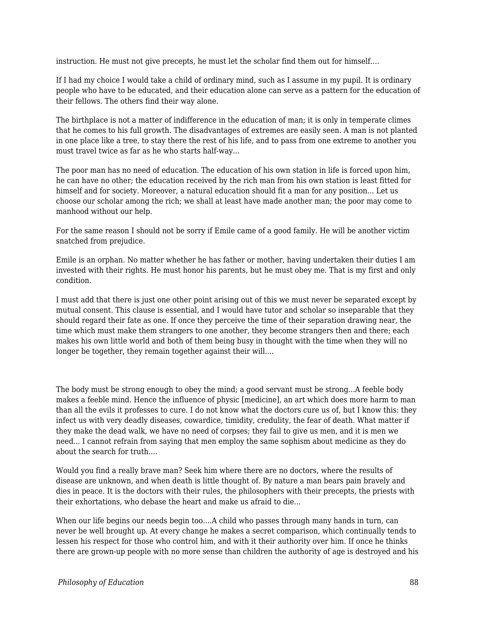instruction. He must not give precepts, he must let the scholar find them out for himself....

If I had my choice I would take a child of ordinary mind, such as I assume in my pupil. It is ordinary people who have to be educated, and their education alone can serve as a pattern for the education of their fellows. The others find their way alone.

The birthplace is not a matter of indifference in the education of man; it is only in temperate climes that he comes to his full growth. The disadvantages of extremes are easily seen. A man is not planted in one place like a tree, to stay there the rest of his life, and to pass from one extreme to another you must travel twice as far as he who starts half-way...

The poor man has no need of education. The education of his own station in life is forced upon him, he can have no other; the education received by the rich man from his own station is least fitted for himself and for society. Moreover, a natural education should fit a man for any position... Let us choose our scholar among the rich; we shall at least have made another man; the poor may come to manhood without our help.

For the same reason I should not be sorry if Emile came of a good family. He will be another victim snatched from prejudice.

Emile is an orphan. No matter whether he has father or mother, having undertaken their duties I am invested with their rights. He must honor his parents, but he must obey me. That is my first and only condition.

I must add that there is just one other point arising out of this we must never be separated except by mutual consent. This clause is essential, and I would have tutor and scholar so inseparable that they should regard their fate as one. If once they perceive the time of their separation drawing near, the time which must make them strangers to one another, they become strangers then and there; each makes his own little world and both of them being busy in thought with the time when they will no longer be together, they remain together against their will....

The body must be strong enough to obey the mind; a good servant must be strong...A feeble body makes a feeble mind. Hence the influence of physic [medicine], an art which does more harm to man than all the evils it professes to cure. I do not know what the doctors cure us of, but I know this: they infect us with very deadly diseases, cowardice, timidity, credulity, the fear of death. What matter if they make the dead walk, we have no need of corpses; they fail to give us men, and it is men we need... I cannot refrain from saying that men employ the same sophism about medicine as they do about the search for truth....

Would you find a really brave man? Seek him where there are no doctors, where the results of disease are unknown, and when death is little thought of. By nature a man bears pain bravely and dies in peace. It is the doctors with their rules, the philosophers with their precepts, the priests with their exhortations, who debase the heart and make us afraid to die...

When our life begins our needs begin too....A child who passes through many hands in turn, can never be well brought up. At every change he makes a secret comparison, which continually tends to lessen his respect for those who control him, and with it their authority over him. If once he thinks there are grown-up people with no more sense than children the authority of age is destroyed and his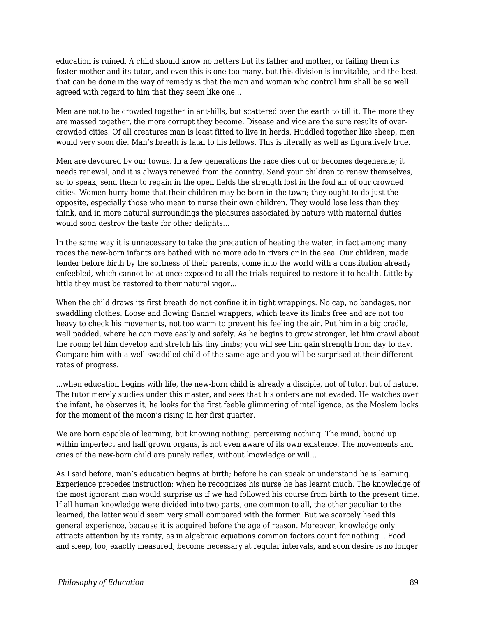education is ruined. A child should know no betters but its father and mother, or failing them its foster-mother and its tutor, and even this is one too many, but this division is inevitable, and the best that can be done in the way of remedy is that the man and woman who control him shall be so well agreed with regard to him that they seem like one...

Men are not to be crowded together in ant-hills, but scattered over the earth to till it. The more they are massed together, the more corrupt they become. Disease and vice are the sure results of overcrowded cities. Of all creatures man is least fitted to live in herds. Huddled together like sheep, men would very soon die. Man's breath is fatal to his fellows. This is literally as well as figuratively true.

Men are devoured by our towns. In a few generations the race dies out or becomes degenerate; it needs renewal, and it is always renewed from the country. Send your children to renew themselves, so to speak, send them to regain in the open fields the strength lost in the foul air of our crowded cities. Women hurry home that their children may be born in the town; they ought to do just the opposite, especially those who mean to nurse their own children. They would lose less than they think, and in more natural surroundings the pleasures associated by nature with maternal duties would soon destroy the taste for other delights...

In the same way it is unnecessary to take the precaution of heating the water; in fact among many races the new-born infants are bathed with no more ado in rivers or in the sea. Our children, made tender before birth by the softness of their parents, come into the world with a constitution already enfeebled, which cannot be at once exposed to all the trials required to restore it to health. Little by little they must be restored to their natural vigor...

When the child draws its first breath do not confine it in tight wrappings. No cap, no bandages, nor swaddling clothes. Loose and flowing flannel wrappers, which leave its limbs free and are not too heavy to check his movements, not too warm to prevent his feeling the air. Put him in a big cradle, well padded, where he can move easily and safely. As he begins to grow stronger, let him crawl about the room; let him develop and stretch his tiny limbs; you will see him gain strength from day to day. Compare him with a well swaddled child of the same age and you will be surprised at their different rates of progress.

...when education begins with life, the new-born child is already a disciple, not of tutor, but of nature. The tutor merely studies under this master, and sees that his orders are not evaded. He watches over the infant, he observes it, he looks for the first feeble glimmering of intelligence, as the Moslem looks for the moment of the moon's rising in her first quarter.

We are born capable of learning, but knowing nothing, perceiving nothing. The mind, bound up within imperfect and half grown organs, is not even aware of its own existence. The movements and cries of the new-born child are purely reflex, without knowledge or will...

As I said before, man's education begins at birth; before he can speak or understand he is learning. Experience precedes instruction; when he recognizes his nurse he has learnt much. The knowledge of the most ignorant man would surprise us if we had followed his course from birth to the present time. If all human knowledge were divided into two parts, one common to all, the other peculiar to the learned, the latter would seem very small compared with the former. But we scarcely heed this general experience, because it is acquired before the age of reason. Moreover, knowledge only attracts attention by its rarity, as in algebraic equations common factors count for nothing... Food and sleep, too, exactly measured, become necessary at regular intervals, and soon desire is no longer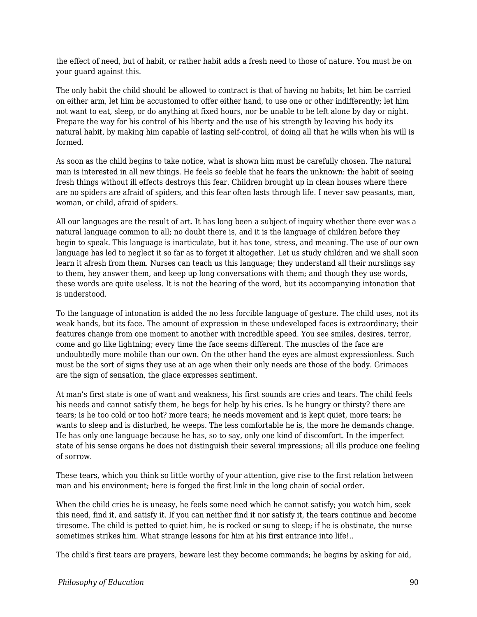the effect of need, but of habit, or rather habit adds a fresh need to those of nature. You must be on your guard against this.

The only habit the child should be allowed to contract is that of having no habits; let him be carried on either arm, let him be accustomed to offer either hand, to use one or other indifferently; let him not want to eat, sleep, or do anything at fixed hours, nor be unable to be left alone by day or night. Prepare the way for his control of his liberty and the use of his strength by leaving his body its natural habit, by making him capable of lasting self-control, of doing all that he wills when his will is formed.

As soon as the child begins to take notice, what is shown him must be carefully chosen. The natural man is interested in all new things. He feels so feeble that he fears the unknown: the habit of seeing fresh things without ill effects destroys this fear. Children brought up in clean houses where there are no spiders are afraid of spiders, and this fear often lasts through life. I never saw peasants, man, woman, or child, afraid of spiders.

All our languages are the result of art. It has long been a subject of inquiry whether there ever was a natural language common to all; no doubt there is, and it is the language of children before they begin to speak. This language is inarticulate, but it has tone, stress, and meaning. The use of our own language has led to neglect it so far as to forget it altogether. Let us study children and we shall soon learn it afresh from them. Nurses can teach us this language; they understand all their nurslings say to them, hey answer them, and keep up long conversations with them; and though they use words, these words are quite useless. It is not the hearing of the word, but its accompanying intonation that is understood.

To the language of intonation is added the no less forcible language of gesture. The child uses, not its weak hands, but its face. The amount of expression in these undeveloped faces is extraordinary; their features change from one moment to another with incredible speed. You see smiles, desires, terror, come and go like lightning; every time the face seems different. The muscles of the face are undoubtedly more mobile than our own. On the other hand the eyes are almost expressionless. Such must be the sort of signs they use at an age when their only needs are those of the body. Grimaces are the sign of sensation, the glace expresses sentiment.

At man's first state is one of want and weakness, his first sounds are cries and tears. The child feels his needs and cannot satisfy them, he begs for help by his cries. Is he hungry or thirsty? there are tears; is he too cold or too hot? more tears; he needs movement and is kept quiet, more tears; he wants to sleep and is disturbed, he weeps. The less comfortable he is, the more he demands change. He has only one language because he has, so to say, only one kind of discomfort. In the imperfect state of his sense organs he does not distinguish their several impressions; all ills produce one feeling of sorrow.

These tears, which you think so little worthy of your attention, give rise to the first relation between man and his environment; here is forged the first link in the long chain of social order.

When the child cries he is uneasy, he feels some need which he cannot satisfy; you watch him, seek this need, find it, and satisfy it. If you can neither find it nor satisfy it, the tears continue and become tiresome. The child is petted to quiet him, he is rocked or sung to sleep; if he is obstinate, the nurse sometimes strikes him. What strange lessons for him at his first entrance into life!..

The child's first tears are prayers, beware lest they become commands; he begins by asking for aid,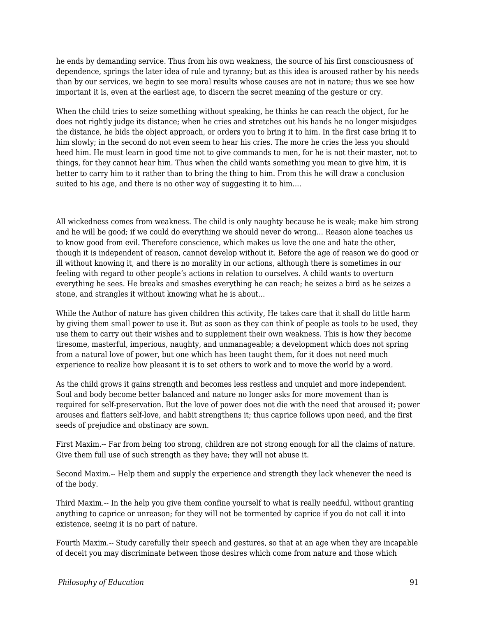he ends by demanding service. Thus from his own weakness, the source of his first consciousness of dependence, springs the later idea of rule and tyranny; but as this idea is aroused rather by his needs than by our services, we begin to see moral results whose causes are not in nature; thus we see how important it is, even at the earliest age, to discern the secret meaning of the gesture or cry.

When the child tries to seize something without speaking, he thinks he can reach the object, for he does not rightly judge its distance; when he cries and stretches out his hands he no longer misjudges the distance, he bids the object approach, or orders you to bring it to him. In the first case bring it to him slowly; in the second do not even seem to hear his cries. The more he cries the less you should heed him. He must learn in good time not to give commands to men, for he is not their master, not to things, for they cannot hear him. Thus when the child wants something you mean to give him, it is better to carry him to it rather than to bring the thing to him. From this he will draw a conclusion suited to his age, and there is no other way of suggesting it to him....

All wickedness comes from weakness. The child is only naughty because he is weak; make him strong and he will be good; if we could do everything we should never do wrong... Reason alone teaches us to know good from evil. Therefore conscience, which makes us love the one and hate the other, though it is independent of reason, cannot develop without it. Before the age of reason we do good or ill without knowing it, and there is no morality in our actions, although there is sometimes in our feeling with regard to other people's actions in relation to ourselves. A child wants to overturn everything he sees. He breaks and smashes everything he can reach; he seizes a bird as he seizes a stone, and strangles it without knowing what he is about...

While the Author of nature has given children this activity, He takes care that it shall do little harm by giving them small power to use it. But as soon as they can think of people as tools to be used, they use them to carry out their wishes and to supplement their own weakness. This is how they become tiresome, masterful, imperious, naughty, and unmanageable; a development which does not spring from a natural love of power, but one which has been taught them, for it does not need much experience to realize how pleasant it is to set others to work and to move the world by a word.

As the child grows it gains strength and becomes less restless and unquiet and more independent. Soul and body become better balanced and nature no longer asks for more movement than is required for self-preservation. But the love of power does not die with the need that aroused it; power arouses and flatters self-love, and habit strengthens it; thus caprice follows upon need, and the first seeds of prejudice and obstinacy are sown.

First Maxim.-- Far from being too strong, children are not strong enough for all the claims of nature. Give them full use of such strength as they have; they will not abuse it.

Second Maxim.-- Help them and supply the experience and strength they lack whenever the need is of the body.

Third Maxim.-- In the help you give them confine yourself to what is really needful, without granting anything to caprice or unreason; for they will not be tormented by caprice if you do not call it into existence, seeing it is no part of nature.

Fourth Maxim.-- Study carefully their speech and gestures, so that at an age when they are incapable of deceit you may discriminate between those desires which come from nature and those which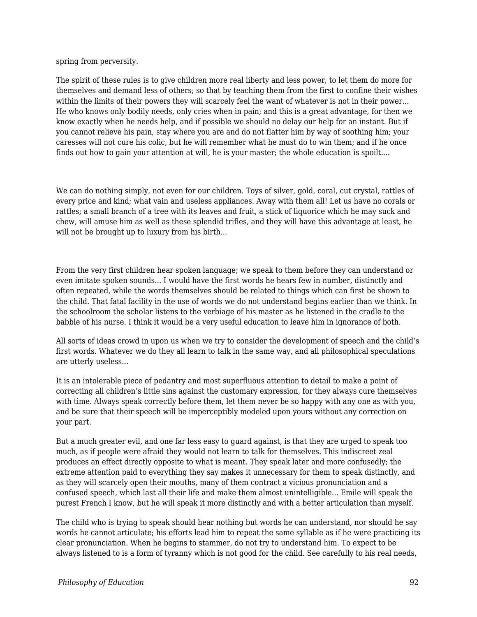spring from perversity.

The spirit of these rules is to give children more real liberty and less power, to let them do more for themselves and demand less of others; so that by teaching them from the first to confine their wishes within the limits of their powers they will scarcely feel the want of whatever is not in their power... He who knows only bodily needs, only cries when in pain; and this is a great advantage, for then we know exactly when he needs help, and if possible we should no delay our help for an instant. But if you cannot relieve his pain, stay where you are and do not flatter him by way of soothing him; your caresses will not cure his colic, but he will remember what he must do to win them; and if he once finds out how to gain your attention at will, he is your master; the whole education is spoilt....

We can do nothing simply, not even for our children. Toys of silver, gold, coral, cut crystal, rattles of every price and kind; what vain and useless appliances. Away with them all! Let us have no corals or rattles; a small branch of a tree with its leaves and fruit, a stick of liquorice which he may suck and chew, will amuse him as well as these splendid trifles, and they will have this advantage at least, he will not be brought up to luxury from his birth...

From the very first children hear spoken language; we speak to them before they can understand or even imitate spoken sounds... I would have the first words he hears few in number, distinctly and often repeated, while the words themselves should be related to things which can first be shown to the child. That fatal facility in the use of words we do not understand begins earlier than we think. In the schoolroom the scholar listens to the verbiage of his master as he listened in the cradle to the babble of his nurse. I think it would be a very useful education to leave him in ignorance of both.

All sorts of ideas crowd in upon us when we try to consider the development of speech and the child's first words. Whatever we do they all learn to talk in the same way, and all philosophical speculations are utterly useless...

It is an intolerable piece of pedantry and most superfluous attention to detail to make a point of correcting all children's little sins against the customary expression, for they always cure themselves with time. Always speak correctly before them, let them never be so happy with any one as with you, and be sure that their speech will be imperceptibly modeled upon yours without any correction on your part.

But a much greater evil, and one far less easy to guard against, is that they are urged to speak too much, as if people were afraid they would not learn to talk for themselves. This indiscreet zeal produces an effect directly opposite to what is meant. They speak later and more confusedly; the extreme attention paid to everything they say makes it unnecessary for them to speak distinctly, and as they will scarcely open their mouths, many of them contract a vicious pronunciation and a confused speech, which last all their life and make them almost unintelligible... Emile will speak the purest French I know, but he will speak it more distinctly and with a better articulation than myself.

The child who is trying to speak should hear nothing but words he can understand, nor should he say words he cannot articulate; his efforts lead him to repeat the same syllable as if he were practicing its clear pronunciation. When he begins to stammer, do not try to understand him. To expect to be always listened to is a form of tyranny which is not good for the child. See carefully to his real needs,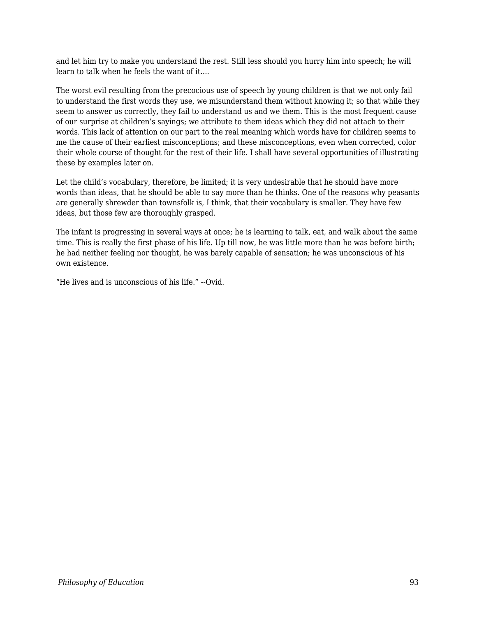and let him try to make you understand the rest. Still less should you hurry him into speech; he will learn to talk when he feels the want of it....

The worst evil resulting from the precocious use of speech by young children is that we not only fail to understand the first words they use, we misunderstand them without knowing it; so that while they seem to answer us correctly, they fail to understand us and we them. This is the most frequent cause of our surprise at children's sayings; we attribute to them ideas which they did not attach to their words. This lack of attention on our part to the real meaning which words have for children seems to me the cause of their earliest misconceptions; and these misconceptions, even when corrected, color their whole course of thought for the rest of their life. I shall have several opportunities of illustrating these by examples later on.

Let the child's vocabulary, therefore, be limited; it is very undesirable that he should have more words than ideas, that he should be able to say more than he thinks. One of the reasons why peasants are generally shrewder than townsfolk is, I think, that their vocabulary is smaller. They have few ideas, but those few are thoroughly grasped.

The infant is progressing in several ways at once; he is learning to talk, eat, and walk about the same time. This is really the first phase of his life. Up till now, he was little more than he was before birth; he had neither feeling nor thought, he was barely capable of sensation; he was unconscious of his own existence.

"He lives and is unconscious of his life." --Ovid.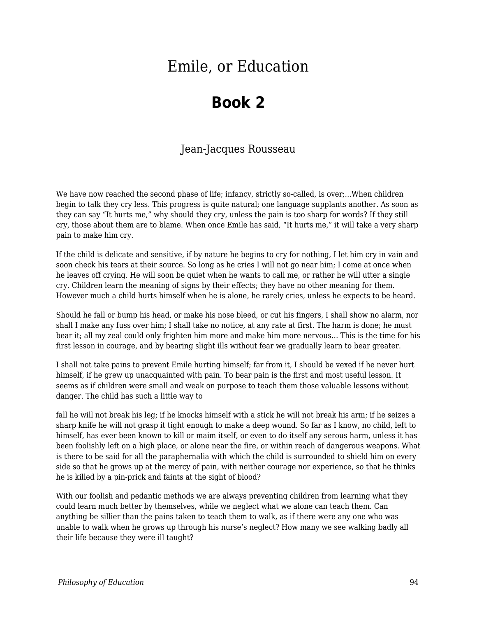## Emile, or Education

# **Book 2**

### Jean-Jacques Rousseau

We have now reached the second phase of life; infancy, strictly so-called, is over;...When children begin to talk they cry less. This progress is quite natural; one language supplants another. As soon as they can say "It hurts me," why should they cry, unless the pain is too sharp for words? If they still cry, those about them are to blame. When once Emile has said, "It hurts me," it will take a very sharp pain to make him cry.

If the child is delicate and sensitive, if by nature he begins to cry for nothing, I let him cry in vain and soon check his tears at their source. So long as he cries I will not go near him; I come at once when he leaves off crying. He will soon be quiet when he wants to call me, or rather he will utter a single cry. Children learn the meaning of signs by their effects; they have no other meaning for them. However much a child hurts himself when he is alone, he rarely cries, unless he expects to be heard.

Should he fall or bump his head, or make his nose bleed, or cut his fingers, I shall show no alarm, nor shall I make any fuss over him; I shall take no notice, at any rate at first. The harm is done; he must bear it; all my zeal could only frighten him more and make him more nervous... This is the time for his first lesson in courage, and by bearing slight ills without fear we gradually learn to bear greater.

I shall not take pains to prevent Emile hurting himself; far from it, I should be vexed if he never hurt himself, if he grew up unacquainted with pain. To bear pain is the first and most useful lesson. It seems as if children were small and weak on purpose to teach them those valuable lessons without danger. The child has such a little way to

fall he will not break his leg; if he knocks himself with a stick he will not break his arm; if he seizes a sharp knife he will not grasp it tight enough to make a deep wound. So far as I know, no child, left to himself, has ever been known to kill or maim itself, or even to do itself any serous harm, unless it has been foolishly left on a high place, or alone near the fire, or within reach of dangerous weapons. What is there to be said for all the paraphernalia with which the child is surrounded to shield him on every side so that he grows up at the mercy of pain, with neither courage nor experience, so that he thinks he is killed by a pin-prick and faints at the sight of blood?

With our foolish and pedantic methods we are always preventing children from learning what they could learn much better by themselves, while we neglect what we alone can teach them. Can anything be sillier than the pains taken to teach them to walk, as if there were any one who was unable to walk when he grows up through his nurse's neglect? How many we see walking badly all their life because they were ill taught?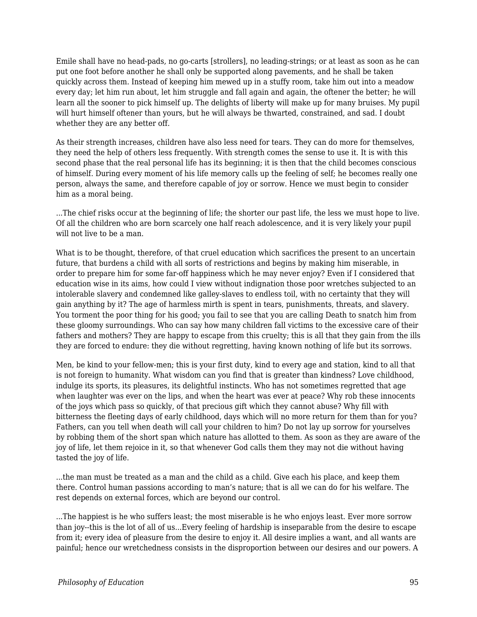Emile shall have no head-pads, no go-carts [strollers], no leading-strings; or at least as soon as he can put one foot before another he shall only be supported along pavements, and he shall be taken quickly across them. Instead of keeping him mewed up in a stuffy room, take him out into a meadow every day; let him run about, let him struggle and fall again and again, the oftener the better; he will learn all the sooner to pick himself up. The delights of liberty will make up for many bruises. My pupil will hurt himself oftener than yours, but he will always be thwarted, constrained, and sad. I doubt whether they are any better off.

As their strength increases, children have also less need for tears. They can do more for themselves, they need the help of others less frequently. With strength comes the sense to use it. It is with this second phase that the real personal life has its beginning; it is then that the child becomes conscious of himself. During every moment of his life memory calls up the feeling of self; he becomes really one person, always the same, and therefore capable of joy or sorrow. Hence we must begin to consider him as a moral being.

...The chief risks occur at the beginning of life; the shorter our past life, the less we must hope to live. Of all the children who are born scarcely one half reach adolescence, and it is very likely your pupil will not live to be a man.

What is to be thought, therefore, of that cruel education which sacrifices the present to an uncertain future, that burdens a child with all sorts of restrictions and begins by making him miserable, in order to prepare him for some far-off happiness which he may never enjoy? Even if I considered that education wise in its aims, how could I view without indignation those poor wretches subjected to an intolerable slavery and condemned like galley-slaves to endless toil, with no certainty that they will gain anything by it? The age of harmless mirth is spent in tears, punishments, threats, and slavery. You torment the poor thing for his good; you fail to see that you are calling Death to snatch him from these gloomy surroundings. Who can say how many children fall victims to the excessive care of their fathers and mothers? They are happy to escape from this cruelty; this is all that they gain from the ills they are forced to endure: they die without regretting, having known nothing of life but its sorrows.

Men, be kind to your fellow-men; this is your first duty, kind to every age and station, kind to all that is not foreign to humanity. What wisdom can you find that is greater than kindness? Love childhood, indulge its sports, its pleasures, its delightful instincts. Who has not sometimes regretted that age when laughter was ever on the lips, and when the heart was ever at peace? Why rob these innocents of the joys which pass so quickly, of that precious gift which they cannot abuse? Why fill with bitterness the fleeting days of early childhood, days which will no more return for them than for you? Fathers, can you tell when death will call your children to him? Do not lay up sorrow for yourselves by robbing them of the short span which nature has allotted to them. As soon as they are aware of the joy of life, let them rejoice in it, so that whenever God calls them they may not die without having tasted the joy of life.

...the man must be treated as a man and the child as a child. Give each his place, and keep them there. Control human passions according to man's nature; that is all we can do for his welfare. The rest depends on external forces, which are beyond our control.

...The happiest is he who suffers least; the most miserable is he who enjoys least. Ever more sorrow than joy--this is the lot of all of us...Every feeling of hardship is inseparable from the desire to escape from it; every idea of pleasure from the desire to enjoy it. All desire implies a want, and all wants are painful; hence our wretchedness consists in the disproportion between our desires and our powers. A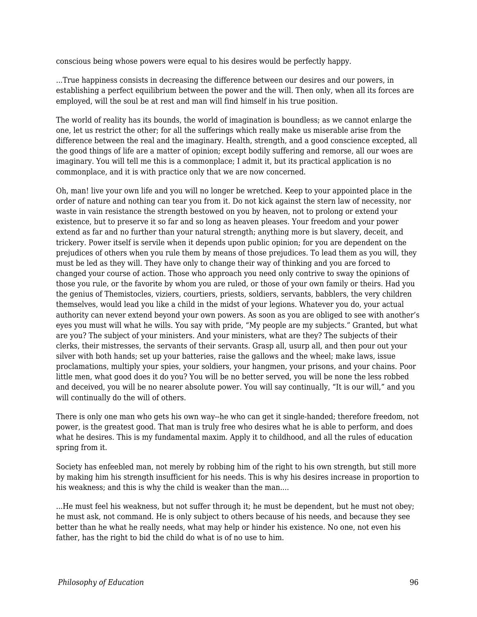conscious being whose powers were equal to his desires would be perfectly happy.

...True happiness consists in decreasing the difference between our desires and our powers, in establishing a perfect equilibrium between the power and the will. Then only, when all its forces are employed, will the soul be at rest and man will find himself in his true position.

The world of reality has its bounds, the world of imagination is boundless; as we cannot enlarge the one, let us restrict the other; for all the sufferings which really make us miserable arise from the difference between the real and the imaginary. Health, strength, and a good conscience excepted, all the good things of life are a matter of opinion; except bodily suffering and remorse, all our woes are imaginary. You will tell me this is a commonplace; I admit it, but its practical application is no commonplace, and it is with practice only that we are now concerned.

Oh, man! live your own life and you will no longer be wretched. Keep to your appointed place in the order of nature and nothing can tear you from it. Do not kick against the stern law of necessity, nor waste in vain resistance the strength bestowed on you by heaven, not to prolong or extend your existence, but to preserve it so far and so long as heaven pleases. Your freedom and your power extend as far and no further than your natural strength; anything more is but slavery, deceit, and trickery. Power itself is servile when it depends upon public opinion; for you are dependent on the prejudices of others when you rule them by means of those prejudices. To lead them as you will, they must be led as they will. They have only to change their way of thinking and you are forced to changed your course of action. Those who approach you need only contrive to sway the opinions of those you rule, or the favorite by whom you are ruled, or those of your own family or theirs. Had you the genius of Themistocles, viziers, courtiers, priests, soldiers, servants, babblers, the very children themselves, would lead you like a child in the midst of your legions. Whatever you do, your actual authority can never extend beyond your own powers. As soon as you are obliged to see with another's eyes you must will what he wills. You say with pride, "My people are my subjects." Granted, but what are you? The subject of your ministers. And your ministers, what are they? The subjects of their clerks, their mistresses, the servants of their servants. Grasp all, usurp all, and then pour out your silver with both hands; set up your batteries, raise the gallows and the wheel; make laws, issue proclamations, multiply your spies, your soldiers, your hangmen, your prisons, and your chains. Poor little men, what good does it do you? You will be no better served, you will be none the less robbed and deceived, you will be no nearer absolute power. You will say continually, "It is our will," and you will continually do the will of others.

There is only one man who gets his own way--he who can get it single-handed; therefore freedom, not power, is the greatest good. That man is truly free who desires what he is able to perform, and does what he desires. This is my fundamental maxim. Apply it to childhood, and all the rules of education spring from it.

Society has enfeebled man, not merely by robbing him of the right to his own strength, but still more by making him his strength insufficient for his needs. This is why his desires increase in proportion to his weakness; and this is why the child is weaker than the man....

...He must feel his weakness, but not suffer through it; he must be dependent, but he must not obey; he must ask, not command. He is only subject to others because of his needs, and because they see better than he what he really needs, what may help or hinder his existence. No one, not even his father, has the right to bid the child do what is of no use to him.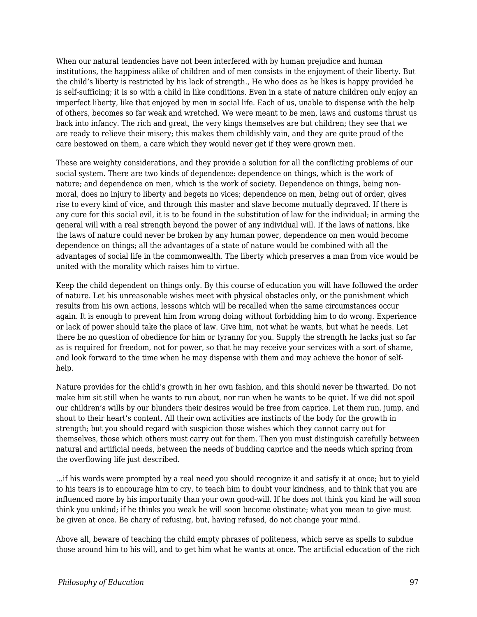When our natural tendencies have not been interfered with by human prejudice and human institutions, the happiness alike of children and of men consists in the enjoyment of their liberty. But the child's liberty is restricted by his lack of strength., He who does as he likes is happy provided he is self-sufficing; it is so with a child in like conditions. Even in a state of nature children only enjoy an imperfect liberty, like that enjoyed by men in social life. Each of us, unable to dispense with the help of others, becomes so far weak and wretched. We were meant to be men, laws and customs thrust us back into infancy. The rich and great, the very kings themselves are but children; they see that we are ready to relieve their misery; this makes them childishly vain, and they are quite proud of the care bestowed on them, a care which they would never get if they were grown men.

These are weighty considerations, and they provide a solution for all the conflicting problems of our social system. There are two kinds of dependence: dependence on things, which is the work of nature; and dependence on men, which is the work of society. Dependence on things, being nonmoral, does no injury to liberty and begets no vices; dependence on men, being out of order, gives rise to every kind of vice, and through this master and slave become mutually depraved. If there is any cure for this social evil, it is to be found in the substitution of law for the individual; in arming the general will with a real strength beyond the power of any individual will. If the laws of nations, like the laws of nature could never be broken by any human power, dependence on men would become dependence on things; all the advantages of a state of nature would be combined with all the advantages of social life in the commonwealth. The liberty which preserves a man from vice would be united with the morality which raises him to virtue.

Keep the child dependent on things only. By this course of education you will have followed the order of nature. Let his unreasonable wishes meet with physical obstacles only, or the punishment which results from his own actions, lessons which will be recalled when the same circumstances occur again. It is enough to prevent him from wrong doing without forbidding him to do wrong. Experience or lack of power should take the place of law. Give him, not what he wants, but what he needs. Let there be no question of obedience for him or tyranny for you. Supply the strength he lacks just so far as is required for freedom, not for power, so that he may receive your services with a sort of shame, and look forward to the time when he may dispense with them and may achieve the honor of selfhelp.

Nature provides for the child's growth in her own fashion, and this should never be thwarted. Do not make him sit still when he wants to run about, nor run when he wants to be quiet. If we did not spoil our children's wills by our blunders their desires would be free from caprice. Let them run, jump, and shout to their heart's content. All their own activities are instincts of the body for the growth in strength; but you should regard with suspicion those wishes which they cannot carry out for themselves, those which others must carry out for them. Then you must distinguish carefully between natural and artificial needs, between the needs of budding caprice and the needs which spring from the overflowing life just described.

...if his words were prompted by a real need you should recognize it and satisfy it at once; but to yield to his tears is to encourage him to cry, to teach him to doubt your kindness, and to think that you are influenced more by his importunity than your own good-will. If he does not think you kind he will soon think you unkind; if he thinks you weak he will soon become obstinate; what you mean to give must be given at once. Be chary of refusing, but, having refused, do not change your mind.

Above all, beware of teaching the child empty phrases of politeness, which serve as spells to subdue those around him to his will, and to get him what he wants at once. The artificial education of the rich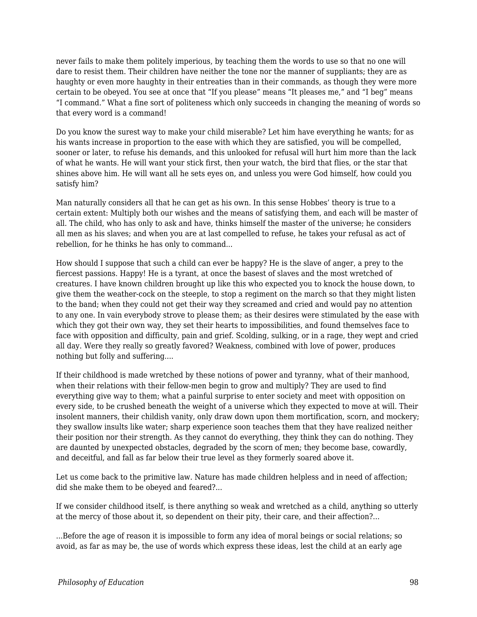never fails to make them politely imperious, by teaching them the words to use so that no one will dare to resist them. Their children have neither the tone nor the manner of suppliants; they are as haughty or even more haughty in their entreaties than in their commands, as though they were more certain to be obeyed. You see at once that "If you please" means "It pleases me," and "I beg" means "I command." What a fine sort of politeness which only succeeds in changing the meaning of words so that every word is a command!

Do you know the surest way to make your child miserable? Let him have everything he wants; for as his wants increase in proportion to the ease with which they are satisfied, you will be compelled, sooner or later, to refuse his demands, and this unlooked for refusal will hurt him more than the lack of what he wants. He will want your stick first, then your watch, the bird that flies, or the star that shines above him. He will want all he sets eyes on, and unless you were God himself, how could you satisfy him?

Man naturally considers all that he can get as his own. In this sense Hobbes' theory is true to a certain extent: Multiply both our wishes and the means of satisfying them, and each will be master of all. The child, who has only to ask and have, thinks himself the master of the universe; he considers all men as his slaves; and when you are at last compelled to refuse, he takes your refusal as act of rebellion, for he thinks he has only to command...

How should I suppose that such a child can ever be happy? He is the slave of anger, a prey to the fiercest passions. Happy! He is a tyrant, at once the basest of slaves and the most wretched of creatures. I have known children brought up like this who expected you to knock the house down, to give them the weather-cock on the steeple, to stop a regiment on the march so that they might listen to the band; when they could not get their way they screamed and cried and would pay no attention to any one. In vain everybody strove to please them; as their desires were stimulated by the ease with which they got their own way, they set their hearts to impossibilities, and found themselves face to face with opposition and difficulty, pain and grief. Scolding, sulking, or in a rage, they wept and cried all day. Were they really so greatly favored? Weakness, combined with love of power, produces nothing but folly and suffering....

If their childhood is made wretched by these notions of power and tyranny, what of their manhood, when their relations with their fellow-men begin to grow and multiply? They are used to find everything give way to them; what a painful surprise to enter society and meet with opposition on every side, to be crushed beneath the weight of a universe which they expected to move at will. Their insolent manners, their childish vanity, only draw down upon them mortification, scorn, and mockery; they swallow insults like water; sharp experience soon teaches them that they have realized neither their position nor their strength. As they cannot do everything, they think they can do nothing. They are daunted by unexpected obstacles, degraded by the scorn of men; they become base, cowardly, and deceitful, and fall as far below their true level as they formerly soared above it.

Let us come back to the primitive law. Nature has made children helpless and in need of affection; did she make them to be obeyed and feared?...

If we consider childhood itself, is there anything so weak and wretched as a child, anything so utterly at the mercy of those about it, so dependent on their pity, their care, and their affection?...

...Before the age of reason it is impossible to form any idea of moral beings or social relations; so avoid, as far as may be, the use of words which express these ideas, lest the child at an early age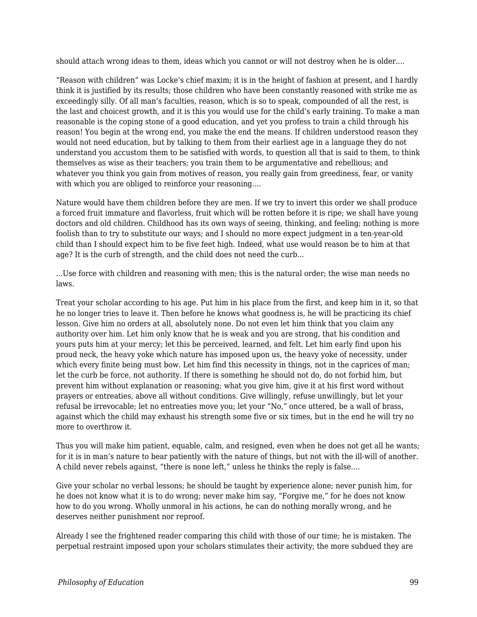should attach wrong ideas to them, ideas which you cannot or will not destroy when he is older....

"Reason with children" was Locke's chief maxim; it is in the height of fashion at present, and I hardly think it is justified by its results; those children who have been constantly reasoned with strike me as exceedingly silly. Of all man's faculties, reason, which is so to speak, compounded of all the rest, is the last and choicest growth, and it is this you would use for the child's early training. To make a man reasonable is the coping stone of a good education, and yet you profess to train a child through his reason! You begin at the wrong end, you make the end the means. If children understood reason they would not need education, but by talking to them from their earliest age in a language they do not understand you accustom them to be satisfied with words, to question all that is said to them, to think themselves as wise as their teachers; you train them to be argumentative and rebellious; and whatever you think you gain from motives of reason, you really gain from greediness, fear, or vanity with which you are obliged to reinforce your reasoning....

Nature would have them children before they are men. If we try to invert this order we shall produce a forced fruit immature and flavorless, fruit which will be rotten before it is ripe; we shall have young doctors and old children. Childhood has its own ways of seeing, thinking, and feeling; nothing is more foolish than to try to substitute our ways; and I should no more expect judgment in a ten-year-old child than I should expect him to be five feet high. Indeed, what use would reason be to him at that age? It is the curb of strength, and the child does not need the curb...

...Use force with children and reasoning with men; this is the natural order; the wise man needs no laws.

Treat your scholar according to his age. Put him in his place from the first, and keep him in it, so that he no longer tries to leave it. Then before he knows what goodness is, he will be practicing its chief lesson. Give him no orders at all, absolutely none. Do not even let him think that you claim any authority over him. Let him only know that he is weak and you are strong, that his condition and yours puts him at your mercy; let this be perceived, learned, and felt. Let him early find upon his proud neck, the heavy yoke which nature has imposed upon us, the heavy yoke of necessity, under which every finite being must bow. Let him find this necessity in things, not in the caprices of man; let the curb be force, not authority. If there is something he should not do, do not forbid him, but prevent him without explanation or reasoning; what you give him, give it at his first word without prayers or entreaties, above all without conditions. Give willingly, refuse unwillingly, but let your refusal be irrevocable; let no entreaties move you; let your "No," once uttered, be a wall of brass, against which the child may exhaust his strength some five or six times, but in the end he will try no more to overthrow it.

Thus you will make him patient, equable, calm, and resigned, even when he does not get all he wants; for it is in man's nature to bear patiently with the nature of things, but not with the ill-will of another. A child never rebels against, "there is none left," unless he thinks the reply is false....

Give your scholar no verbal lessons; he should be taught by experience alone; never punish him, for he does not know what it is to do wrong; never make him say, "Forgive me," for he does not know how to do you wrong. Wholly unmoral in his actions, he can do nothing morally wrong, and he deserves neither punishment nor reproof.

Already I see the frightened reader comparing this child with those of our time; he is mistaken. The perpetual restraint imposed upon your scholars stimulates their activity; the more subdued they are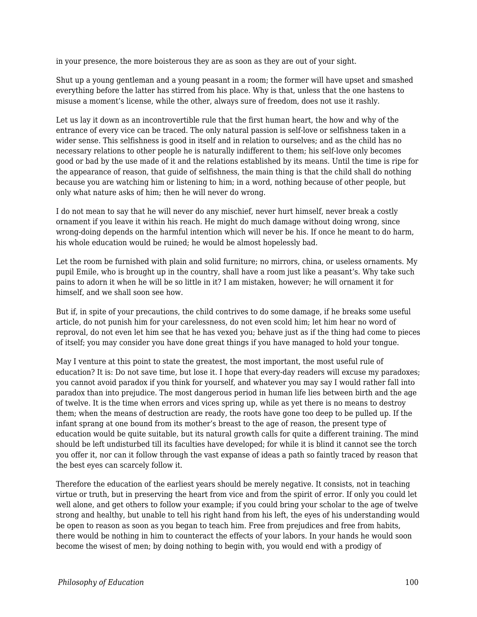in your presence, the more boisterous they are as soon as they are out of your sight.

Shut up a young gentleman and a young peasant in a room; the former will have upset and smashed everything before the latter has stirred from his place. Why is that, unless that the one hastens to misuse a moment's license, while the other, always sure of freedom, does not use it rashly.

Let us lay it down as an incontrovertible rule that the first human heart, the how and why of the entrance of every vice can be traced. The only natural passion is self-love or selfishness taken in a wider sense. This selfishness is good in itself and in relation to ourselves; and as the child has no necessary relations to other people he is naturally indifferent to them; his self-love only becomes good or bad by the use made of it and the relations established by its means. Until the time is ripe for the appearance of reason, that guide of selfishness, the main thing is that the child shall do nothing because you are watching him or listening to him; in a word, nothing because of other people, but only what nature asks of him; then he will never do wrong.

I do not mean to say that he will never do any mischief, never hurt himself, never break a costly ornament if you leave it within his reach. He might do much damage without doing wrong, since wrong-doing depends on the harmful intention which will never be his. If once he meant to do harm, his whole education would be ruined; he would be almost hopelessly bad.

Let the room be furnished with plain and solid furniture; no mirrors, china, or useless ornaments. My pupil Emile, who is brought up in the country, shall have a room just like a peasant's. Why take such pains to adorn it when he will be so little in it? I am mistaken, however; he will ornament it for himself, and we shall soon see how.

But if, in spite of your precautions, the child contrives to do some damage, if he breaks some useful article, do not punish him for your carelessness, do not even scold him; let him hear no word of reproval, do not even let him see that he has vexed you; behave just as if the thing had come to pieces of itself; you may consider you have done great things if you have managed to hold your tongue.

May I venture at this point to state the greatest, the most important, the most useful rule of education? It is: Do not save time, but lose it. I hope that every-day readers will excuse my paradoxes; you cannot avoid paradox if you think for yourself, and whatever you may say I would rather fall into paradox than into prejudice. The most dangerous period in human life lies between birth and the age of twelve. It is the time when errors and vices spring up, while as yet there is no means to destroy them; when the means of destruction are ready, the roots have gone too deep to be pulled up. If the infant sprang at one bound from its mother's breast to the age of reason, the present type of education would be quite suitable, but its natural growth calls for quite a different training. The mind should be left undisturbed till its faculties have developed; for while it is blind it cannot see the torch you offer it, nor can it follow through the vast expanse of ideas a path so faintly traced by reason that the best eyes can scarcely follow it.

Therefore the education of the earliest years should be merely negative. It consists, not in teaching virtue or truth, but in preserving the heart from vice and from the spirit of error. If only you could let well alone, and get others to follow your example; if you could bring your scholar to the age of twelve strong and healthy, but unable to tell his right hand from his left, the eyes of his understanding would be open to reason as soon as you began to teach him. Free from prejudices and free from habits, there would be nothing in him to counteract the effects of your labors. In your hands he would soon become the wisest of men; by doing nothing to begin with, you would end with a prodigy of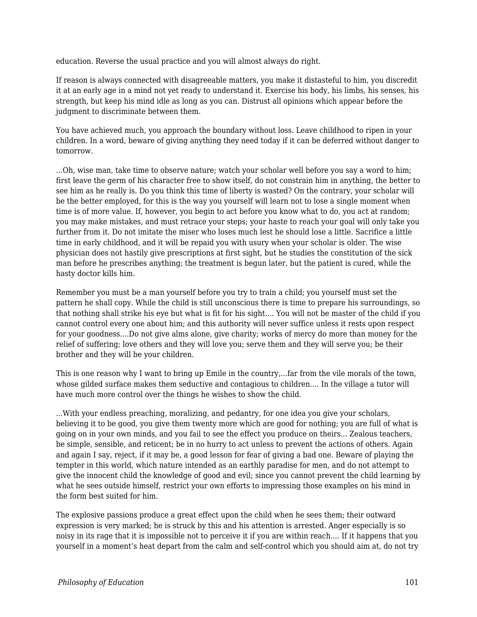education. Reverse the usual practice and you will almost always do right.

If reason is always connected with disagreeable matters, you make it distasteful to him, you discredit it at an early age in a mind not yet ready to understand it. Exercise his body, his limbs, his senses, his strength, but keep his mind idle as long as you can. Distrust all opinions which appear before the judgment to discriminate between them.

You have achieved much, you approach the boundary without loss. Leave childhood to ripen in your children. In a word, beware of giving anything they need today if it can be deferred without danger to tomorrow.

...Oh, wise man, take time to observe nature; watch your scholar well before you say a word to him; first leave the germ of his character free to show itself, do not constrain him in anything, the better to see him as he really is. Do you think this time of liberty is wasted? On the contrary, your scholar will be the better employed, for this is the way you yourself will learn not to lose a single moment when time is of more value. If, however, you begin to act before you know what to do, you act at random; you may make mistakes, and must retrace your steps; your haste to reach your goal will only take you further from it. Do not imitate the miser who loses much lest he should lose a little. Sacrifice a little time in early childhood, and it will be repaid you with usury when your scholar is older. The wise physician does not hastily give prescriptions at first sight, but he studies the constitution of the sick man before he prescribes anything; the treatment is begun later, but the patient is cured, while the hasty doctor kills him.

Remember you must be a man yourself before you try to train a child; you yourself must set the pattern he shall copy. While the child is still unconscious there is time to prepare his surroundings, so that nothing shall strike his eye but what is fit for his sight.... You will not be master of the child if you cannot control every one about him; and this authority will never suffice unless it rests upon respect for your goodness....Do not give alms alone, give charity; works of mercy do more than money for the relief of suffering; love others and they will love you; serve them and they will serve you; be their brother and they will be your children.

This is one reason why I want to bring up Emile in the country,...far from the vile morals of the town, whose gilded surface makes them seductive and contagious to children.... In the village a tutor will have much more control over the things he wishes to show the child.

...With your endless preaching, moralizing, and pedantry, for one idea you give your scholars, believing it to be good, you give them twenty more which are good for nothing; you are full of what is going on in your own minds, and you fail to see the effect you produce on theirs... Zealous teachers, be simple, sensible, and reticent; be in no hurry to act unless to prevent the actions of others. Again and again I say, reject, if it may be, a good lesson for fear of giving a bad one. Beware of playing the tempter in this world, which nature intended as an earthly paradise for men, and do not attempt to give the innocent child the knowledge of good and evil; since you cannot prevent the child learning by what he sees outside himself, restrict your own efforts to impressing those examples on his mind in the form best suited for him.

The explosive passions produce a great effect upon the child when he sees them; their outward expression is very marked; he is struck by this and his attention is arrested. Anger especially is so noisy in its rage that it is impossible not to perceive it if you are within reach.... If it happens that you yourself in a moment's heat depart from the calm and self-control which you should aim at, do not try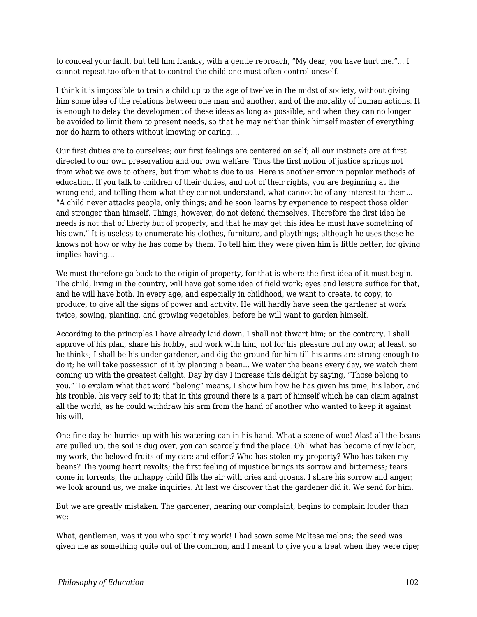to conceal your fault, but tell him frankly, with a gentle reproach, "My dear, you have hurt me."... I cannot repeat too often that to control the child one must often control oneself.

I think it is impossible to train a child up to the age of twelve in the midst of society, without giving him some idea of the relations between one man and another, and of the morality of human actions. It is enough to delay the development of these ideas as long as possible, and when they can no longer be avoided to limit them to present needs, so that he may neither think himself master of everything nor do harm to others without knowing or caring....

Our first duties are to ourselves; our first feelings are centered on self; all our instincts are at first directed to our own preservation and our own welfare. Thus the first notion of justice springs not from what we owe to others, but from what is due to us. Here is another error in popular methods of education. If you talk to children of their duties, and not of their rights, you are beginning at the wrong end, and telling them what they cannot understand, what cannot be of any interest to them... "A child never attacks people, only things; and he soon learns by experience to respect those older and stronger than himself. Things, however, do not defend themselves. Therefore the first idea he needs is not that of liberty but of property, and that he may get this idea he must have something of his own." It is useless to enumerate his clothes, furniture, and playthings; although he uses these he knows not how or why he has come by them. To tell him they were given him is little better, for giving implies having...

We must therefore go back to the origin of property, for that is where the first idea of it must begin. The child, living in the country, will have got some idea of field work; eyes and leisure suffice for that, and he will have both. In every age, and especially in childhood, we want to create, to copy, to produce, to give all the signs of power and activity. He will hardly have seen the gardener at work twice, sowing, planting, and growing vegetables, before he will want to garden himself.

According to the principles I have already laid down, I shall not thwart him; on the contrary, I shall approve of his plan, share his hobby, and work with him, not for his pleasure but my own; at least, so he thinks; I shall be his under-gardener, and dig the ground for him till his arms are strong enough to do it; he will take possession of it by planting a bean... We water the beans every day, we watch them coming up with the greatest delight. Day by day I increase this delight by saying, "Those belong to you." To explain what that word "belong" means, I show him how he has given his time, his labor, and his trouble, his very self to it; that in this ground there is a part of himself which he can claim against all the world, as he could withdraw his arm from the hand of another who wanted to keep it against his will.

One fine day he hurries up with his watering-can in his hand. What a scene of woe! Alas! all the beans are pulled up, the soil is dug over, you can scarcely find the place. Oh! what has become of my labor, my work, the beloved fruits of my care and effort? Who has stolen my property? Who has taken my beans? The young heart revolts; the first feeling of injustice brings its sorrow and bitterness; tears come in torrents, the unhappy child fills the air with cries and groans. I share his sorrow and anger; we look around us, we make inquiries. At last we discover that the gardener did it. We send for him.

But we are greatly mistaken. The gardener, hearing our complaint, begins to complain louder than we:--

What, gentlemen, was it you who spoilt my work! I had sown some Maltese melons; the seed was given me as something quite out of the common, and I meant to give you a treat when they were ripe;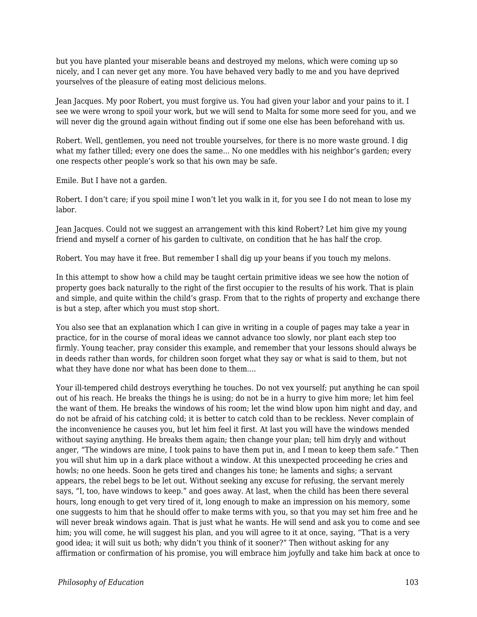but you have planted your miserable beans and destroyed my melons, which were coming up so nicely, and I can never get any more. You have behaved very badly to me and you have deprived yourselves of the pleasure of eating most delicious melons.

Jean Jacques. My poor Robert, you must forgive us. You had given your labor and your pains to it. I see we were wrong to spoil your work, but we will send to Malta for some more seed for you, and we will never dig the ground again without finding out if some one else has been beforehand with us.

Robert. Well, gentlemen, you need not trouble yourselves, for there is no more waste ground. I dig what my father tilled; every one does the same... No one meddles with his neighbor's garden; every one respects other people's work so that his own may be safe.

Emile. But I have not a garden.

Robert. I don't care; if you spoil mine I won't let you walk in it, for you see I do not mean to lose my labor.

Jean Jacques. Could not we suggest an arrangement with this kind Robert? Let him give my young friend and myself a corner of his garden to cultivate, on condition that he has half the crop.

Robert. You may have it free. But remember I shall dig up your beans if you touch my melons.

In this attempt to show how a child may be taught certain primitive ideas we see how the notion of property goes back naturally to the right of the first occupier to the results of his work. That is plain and simple, and quite within the child's grasp. From that to the rights of property and exchange there is but a step, after which you must stop short.

You also see that an explanation which I can give in writing in a couple of pages may take a year in practice, for in the course of moral ideas we cannot advance too slowly, nor plant each step too firmly. Young teacher, pray consider this example, and remember that your lessons should always be in deeds rather than words, for children soon forget what they say or what is said to them, but not what they have done nor what has been done to them....

Your ill-tempered child destroys everything he touches. Do not vex yourself; put anything he can spoil out of his reach. He breaks the things he is using; do not be in a hurry to give him more; let him feel the want of them. He breaks the windows of his room; let the wind blow upon him night and day, and do not be afraid of his catching cold; it is better to catch cold than to be reckless. Never complain of the inconvenience he causes you, but let him feel it first. At last you will have the windows mended without saying anything. He breaks them again; then change your plan; tell him dryly and without anger, "The windows are mine, I took pains to have them put in, and I mean to keep them safe." Then you will shut him up in a dark place without a window. At this unexpected proceeding he cries and howls; no one heeds. Soon he gets tired and changes his tone; he laments and sighs; a servant appears, the rebel begs to be let out. Without seeking any excuse for refusing, the servant merely says, "I, too, have windows to keep." and goes away. At last, when the child has been there several hours, long enough to get very tired of it, long enough to make an impression on his memory, some one suggests to him that he should offer to make terms with you, so that you may set him free and he will never break windows again. That is just what he wants. He will send and ask you to come and see him; you will come, he will suggest his plan, and you will agree to it at once, saying, "That is a very good idea; it will suit us both; why didn't you think of it sooner?" Then without asking for any affirmation or confirmation of his promise, you will embrace him joyfully and take him back at once to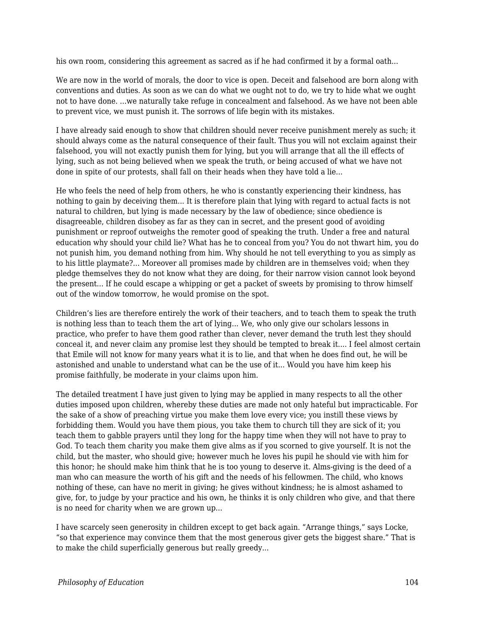his own room, considering this agreement as sacred as if he had confirmed it by a formal oath...

We are now in the world of morals, the door to vice is open. Deceit and falsehood are born along with conventions and duties. As soon as we can do what we ought not to do, we try to hide what we ought not to have done. ...we naturally take refuge in concealment and falsehood. As we have not been able to prevent vice, we must punish it. The sorrows of life begin with its mistakes.

I have already said enough to show that children should never receive punishment merely as such; it should always come as the natural consequence of their fault. Thus you will not exclaim against their falsehood, you will not exactly punish them for lying, but you will arrange that all the ill effects of lying, such as not being believed when we speak the truth, or being accused of what we have not done in spite of our protests, shall fall on their heads when they have told a lie...

He who feels the need of help from others, he who is constantly experiencing their kindness, has nothing to gain by deceiving them... It is therefore plain that lying with regard to actual facts is not natural to children, but lying is made necessary by the law of obedience; since obedience is disagreeable, children disobey as far as they can in secret, and the present good of avoiding punishment or reproof outweighs the remoter good of speaking the truth. Under a free and natural education why should your child lie? What has he to conceal from you? You do not thwart him, you do not punish him, you demand nothing from him. Why should he not tell everything to you as simply as to his little playmate?... Moreover all promises made by children are in themselves void; when they pledge themselves they do not know what they are doing, for their narrow vision cannot look beyond the present... If he could escape a whipping or get a packet of sweets by promising to throw himself out of the window tomorrow, he would promise on the spot.

Children's lies are therefore entirely the work of their teachers, and to teach them to speak the truth is nothing less than to teach them the art of lying... We, who only give our scholars lessons in practice, who prefer to have them good rather than clever, never demand the truth lest they should conceal it, and never claim any promise lest they should be tempted to break it.... I feel almost certain that Emile will not know for many years what it is to lie, and that when he does find out, he will be astonished and unable to understand what can be the use of it... Would you have him keep his promise faithfully, be moderate in your claims upon him.

The detailed treatment I have just given to lying may be applied in many respects to all the other duties imposed upon children, whereby these duties are made not only hateful but impracticable. For the sake of a show of preaching virtue you make them love every vice; you instill these views by forbidding them. Would you have them pious, you take them to church till they are sick of it; you teach them to gabble prayers until they long for the happy time when they will not have to pray to God. To teach them charity you make them give alms as if you scorned to give yourself. It is not the child, but the master, who should give; however much he loves his pupil he should vie with him for this honor; he should make him think that he is too young to deserve it. Alms-giving is the deed of a man who can measure the worth of his gift and the needs of his fellowmen. The child, who knows nothing of these, can have no merit in giving; he gives without kindness; he is almost ashamed to give, for, to judge by your practice and his own, he thinks it is only children who give, and that there is no need for charity when we are grown up...

I have scarcely seen generosity in children except to get back again. "Arrange things," says Locke, "so that experience may convince them that the most generous giver gets the biggest share." That is to make the child superficially generous but really greedy...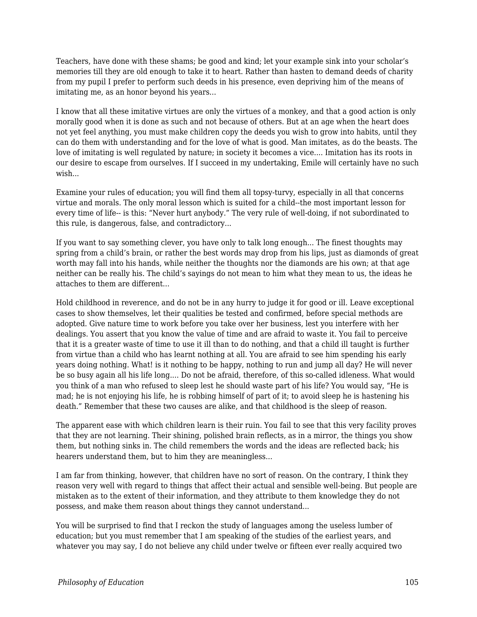Teachers, have done with these shams; be good and kind; let your example sink into your scholar's memories till they are old enough to take it to heart. Rather than hasten to demand deeds of charity from my pupil I prefer to perform such deeds in his presence, even depriving him of the means of imitating me, as an honor beyond his years...

I know that all these imitative virtues are only the virtues of a monkey, and that a good action is only morally good when it is done as such and not because of others. But at an age when the heart does not yet feel anything, you must make children copy the deeds you wish to grow into habits, until they can do them with understanding and for the love of what is good. Man imitates, as do the beasts. The love of imitating is well regulated by nature; in society it becomes a vice.... Imitation has its roots in our desire to escape from ourselves. If I succeed in my undertaking, Emile will certainly have no such wish...

Examine your rules of education; you will find them all topsy-turvy, especially in all that concerns virtue and morals. The only moral lesson which is suited for a child--the most important lesson for every time of life-- is this: "Never hurt anybody." The very rule of well-doing, if not subordinated to this rule, is dangerous, false, and contradictory...

If you want to say something clever, you have only to talk long enough... The finest thoughts may spring from a child's brain, or rather the best words may drop from his lips, just as diamonds of great worth may fall into his hands, while neither the thoughts nor the diamonds are his own; at that age neither can be really his. The child's sayings do not mean to him what they mean to us, the ideas he attaches to them are different...

Hold childhood in reverence, and do not be in any hurry to judge it for good or ill. Leave exceptional cases to show themselves, let their qualities be tested and confirmed, before special methods are adopted. Give nature time to work before you take over her business, lest you interfere with her dealings. You assert that you know the value of time and are afraid to waste it. You fail to perceive that it is a greater waste of time to use it ill than to do nothing, and that a child ill taught is further from virtue than a child who has learnt nothing at all. You are afraid to see him spending his early years doing nothing. What! is it nothing to be happy, nothing to run and jump all day? He will never be so busy again all his life long.... Do not be afraid, therefore, of this so-called idleness. What would you think of a man who refused to sleep lest he should waste part of his life? You would say, "He is mad; he is not enjoying his life, he is robbing himself of part of it; to avoid sleep he is hastening his death." Remember that these two causes are alike, and that childhood is the sleep of reason.

The apparent ease with which children learn is their ruin. You fail to see that this very facility proves that they are not learning. Their shining, polished brain reflects, as in a mirror, the things you show them, but nothing sinks in. The child remembers the words and the ideas are reflected back; his hearers understand them, but to him they are meaningless...

I am far from thinking, however, that children have no sort of reason. On the contrary, I think they reason very well with regard to things that affect their actual and sensible well-being. But people are mistaken as to the extent of their information, and they attribute to them knowledge they do not possess, and make them reason about things they cannot understand...

You will be surprised to find that I reckon the study of languages among the useless lumber of education; but you must remember that I am speaking of the studies of the earliest years, and whatever you may say, I do not believe any child under twelve or fifteen ever really acquired two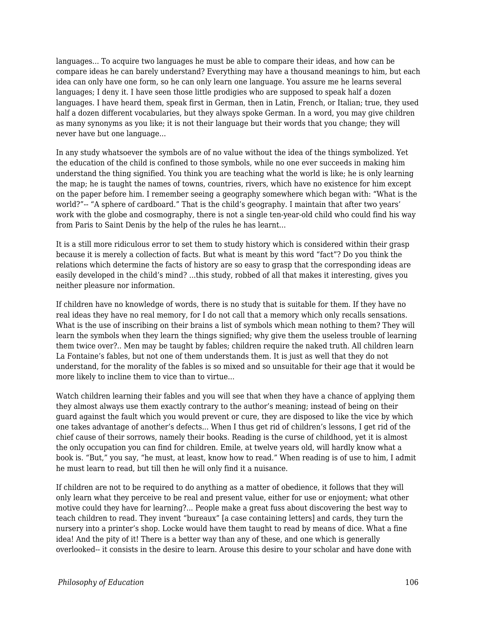languages... To acquire two languages he must be able to compare their ideas, and how can be compare ideas he can barely understand? Everything may have a thousand meanings to him, but each idea can only have one form, so he can only learn one language. You assure me he learns several languages; I deny it. I have seen those little prodigies who are supposed to speak half a dozen languages. I have heard them, speak first in German, then in Latin, French, or Italian; true, they used half a dozen different vocabularies, but they always spoke German. In a word, you may give children as many synonyms as you like; it is not their language but their words that you change; they will never have but one language...

In any study whatsoever the symbols are of no value without the idea of the things symbolized. Yet the education of the child is confined to those symbols, while no one ever succeeds in making him understand the thing signified. You think you are teaching what the world is like; he is only learning the map; he is taught the names of towns, countries, rivers, which have no existence for him except on the paper before him. I remember seeing a geography somewhere which began with: "What is the world?"-- "A sphere of cardboard." That is the child's geography. I maintain that after two years' work with the globe and cosmography, there is not a single ten-year-old child who could find his way from Paris to Saint Denis by the help of the rules he has learnt...

It is a still more ridiculous error to set them to study history which is considered within their grasp because it is merely a collection of facts. But what is meant by this word "fact"? Do you think the relations which determine the facts of history are so easy to grasp that the corresponding ideas are easily developed in the child's mind? ...this study, robbed of all that makes it interesting, gives you neither pleasure nor information.

If children have no knowledge of words, there is no study that is suitable for them. If they have no real ideas they have no real memory, for I do not call that a memory which only recalls sensations. What is the use of inscribing on their brains a list of symbols which mean nothing to them? They will learn the symbols when they learn the things signified; why give them the useless trouble of learning them twice over?.. Men may be taught by fables; children require the naked truth. All children learn La Fontaine's fables, but not one of them understands them. It is just as well that they do not understand, for the morality of the fables is so mixed and so unsuitable for their age that it would be more likely to incline them to vice than to virtue...

Watch children learning their fables and you will see that when they have a chance of applying them they almost always use them exactly contrary to the author's meaning; instead of being on their guard against the fault which you would prevent or cure, they are disposed to like the vice by which one takes advantage of another's defects... When I thus get rid of children's lessons, I get rid of the chief cause of their sorrows, namely their books. Reading is the curse of childhood, yet it is almost the only occupation you can find for children. Emile, at twelve years old, will hardly know what a book is. "But," you say, "he must, at least, know how to read." When reading is of use to him, I admit he must learn to read, but till then he will only find it a nuisance.

If children are not to be required to do anything as a matter of obedience, it follows that they will only learn what they perceive to be real and present value, either for use or enjoyment; what other motive could they have for learning?... People make a great fuss about discovering the best way to teach children to read. They invent "bureaux" [a case containing letters] and cards, they turn the nursery into a printer's shop. Locke would have them taught to read by means of dice. What a fine idea! And the pity of it! There is a better way than any of these, and one which is generally overlooked-- it consists in the desire to learn. Arouse this desire to your scholar and have done with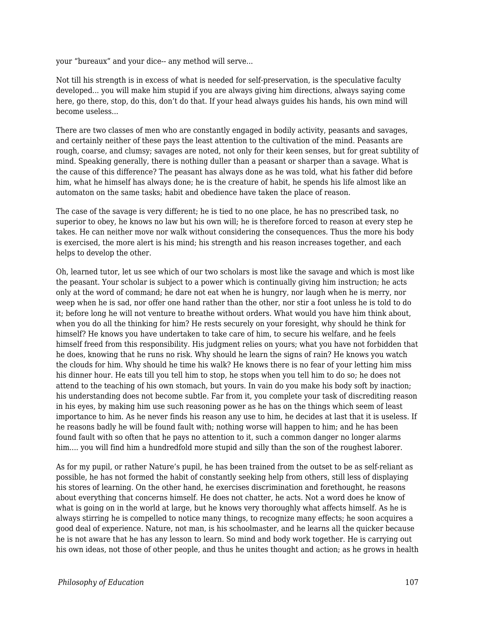your "bureaux" and your dice-- any method will serve...

Not till his strength is in excess of what is needed for self-preservation, is the speculative faculty developed... you will make him stupid if you are always giving him directions, always saying come here, go there, stop, do this, don't do that. If your head always guides his hands, his own mind will become useless...

There are two classes of men who are constantly engaged in bodily activity, peasants and savages, and certainly neither of these pays the least attention to the cultivation of the mind. Peasants are rough, coarse, and clumsy; savages are noted, not only for their keen senses, but for great subtility of mind. Speaking generally, there is nothing duller than a peasant or sharper than a savage. What is the cause of this difference? The peasant has always done as he was told, what his father did before him, what he himself has always done; he is the creature of habit, he spends his life almost like an automaton on the same tasks; habit and obedience have taken the place of reason.

The case of the savage is very different; he is tied to no one place, he has no prescribed task, no superior to obey, he knows no law but his own will; he is therefore forced to reason at every step he takes. He can neither move nor walk without considering the consequences. Thus the more his body is exercised, the more alert is his mind; his strength and his reason increases together, and each helps to develop the other.

Oh, learned tutor, let us see which of our two scholars is most like the savage and which is most like the peasant. Your scholar is subject to a power which is continually giving him instruction; he acts only at the word of command; he dare not eat when he is hungry, nor laugh when he is merry, nor weep when he is sad, nor offer one hand rather than the other, nor stir a foot unless he is told to do it; before long he will not venture to breathe without orders. What would you have him think about, when you do all the thinking for him? He rests securely on your foresight, why should he think for himself? He knows you have undertaken to take care of him, to secure his welfare, and he feels himself freed from this responsibility. His judgment relies on yours; what you have not forbidden that he does, knowing that he runs no risk. Why should he learn the signs of rain? He knows you watch the clouds for him. Why should he time his walk? He knows there is no fear of your letting him miss his dinner hour. He eats till you tell him to stop, he stops when you tell him to do so; he does not attend to the teaching of his own stomach, but yours. In vain do you make his body soft by inaction; his understanding does not become subtle. Far from it, you complete your task of discrediting reason in his eyes, by making him use such reasoning power as he has on the things which seem of least importance to him. As he never finds his reason any use to him, he decides at last that it is useless. If he reasons badly he will be found fault with; nothing worse will happen to him; and he has been found fault with so often that he pays no attention to it, such a common danger no longer alarms him.... you will find him a hundredfold more stupid and silly than the son of the roughest laborer.

As for my pupil, or rather Nature's pupil, he has been trained from the outset to be as self-reliant as possible, he has not formed the habit of constantly seeking help from others, still less of displaying his stores of learning. On the other hand, he exercises discrimination and forethought, he reasons about everything that concerns himself. He does not chatter, he acts. Not a word does he know of what is going on in the world at large, but he knows very thoroughly what affects himself. As he is always stirring he is compelled to notice many things, to recognize many effects; he soon acquires a good deal of experience. Nature, not man, is his schoolmaster, and he learns all the quicker because he is not aware that he has any lesson to learn. So mind and body work together. He is carrying out his own ideas, not those of other people, and thus he unites thought and action; as he grows in health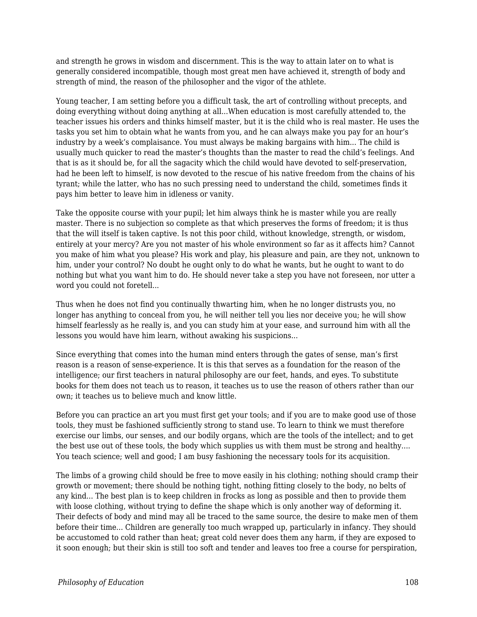and strength he grows in wisdom and discernment. This is the way to attain later on to what is generally considered incompatible, though most great men have achieved it, strength of body and strength of mind, the reason of the philosopher and the vigor of the athlete.

Young teacher, I am setting before you a difficult task, the art of controlling without precepts, and doing everything without doing anything at all...When education is most carefully attended to, the teacher issues his orders and thinks himself master, but it is the child who is real master. He uses the tasks you set him to obtain what he wants from you, and he can always make you pay for an hour's industry by a week's complaisance. You must always be making bargains with him... The child is usually much quicker to read the master's thoughts than the master to read the child's feelings. And that is as it should be, for all the sagacity which the child would have devoted to self-preservation, had he been left to himself, is now devoted to the rescue of his native freedom from the chains of his tyrant; while the latter, who has no such pressing need to understand the child, sometimes finds it pays him better to leave him in idleness or vanity.

Take the opposite course with your pupil; let him always think he is master while you are really master. There is no subjection so complete as that which preserves the forms of freedom; it is thus that the will itself is taken captive. Is not this poor child, without knowledge, strength, or wisdom, entirely at your mercy? Are you not master of his whole environment so far as it affects him? Cannot you make of him what you please? His work and play, his pleasure and pain, are they not, unknown to him, under your control? No doubt he ought only to do what he wants, but he ought to want to do nothing but what you want him to do. He should never take a step you have not foreseen, nor utter a word you could not foretell...

Thus when he does not find you continually thwarting him, when he no longer distrusts you, no longer has anything to conceal from you, he will neither tell you lies nor deceive you; he will show himself fearlessly as he really is, and you can study him at your ease, and surround him with all the lessons you would have him learn, without awaking his suspicions...

Since everything that comes into the human mind enters through the gates of sense, man's first reason is a reason of sense-experience. It is this that serves as a foundation for the reason of the intelligence; our first teachers in natural philosophy are our feet, hands, and eyes. To substitute books for them does not teach us to reason, it teaches us to use the reason of others rather than our own; it teaches us to believe much and know little.

Before you can practice an art you must first get your tools; and if you are to make good use of those tools, they must be fashioned sufficiently strong to stand use. To learn to think we must therefore exercise our limbs, our senses, and our bodily organs, which are the tools of the intellect; and to get the best use out of these tools, the body which supplies us with them must be strong and healthy.... You teach science; well and good; I am busy fashioning the necessary tools for its acquisition.

The limbs of a growing child should be free to move easily in his clothing; nothing should cramp their growth or movement; there should be nothing tight, nothing fitting closely to the body, no belts of any kind... The best plan is to keep children in frocks as long as possible and then to provide them with loose clothing, without trying to define the shape which is only another way of deforming it. Their defects of body and mind may all be traced to the same source, the desire to make men of them before their time... Children are generally too much wrapped up, particularly in infancy. They should be accustomed to cold rather than heat; great cold never does them any harm, if they are exposed to it soon enough; but their skin is still too soft and tender and leaves too free a course for perspiration,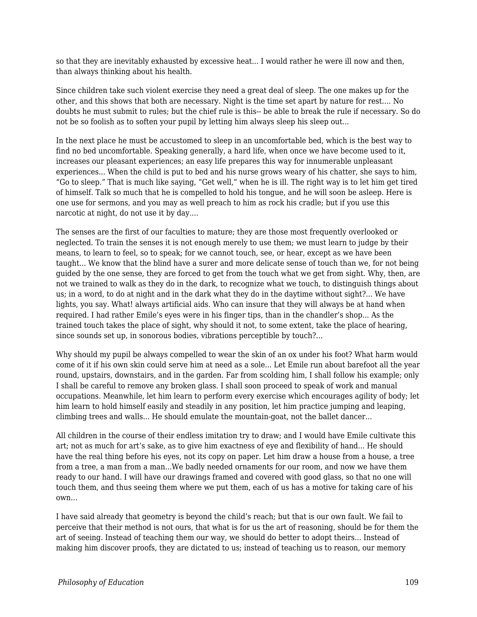so that they are inevitably exhausted by excessive heat... I would rather he were ill now and then, than always thinking about his health.

Since children take such violent exercise they need a great deal of sleep. The one makes up for the other, and this shows that both are necessary. Night is the time set apart by nature for rest.... No doubts he must submit to rules; but the chief rule is this-- be able to break the rule if necessary. So do not be so foolish as to soften your pupil by letting him always sleep his sleep out...

In the next place he must be accustomed to sleep in an uncomfortable bed, which is the best way to find no bed uncomfortable. Speaking generally, a hard life, when once we have become used to it, increases our pleasant experiences; an easy life prepares this way for innumerable unpleasant experiences... When the child is put to bed and his nurse grows weary of his chatter, she says to him, "Go to sleep." That is much like saying, "Get well," when he is ill. The right way is to let him get tired of himself. Talk so much that he is compelled to hold his tongue, and he will soon be asleep. Here is one use for sermons, and you may as well preach to him as rock his cradle; but if you use this narcotic at night, do not use it by day....

The senses are the first of our faculties to mature; they are those most frequently overlooked or neglected. To train the senses it is not enough merely to use them; we must learn to judge by their means, to learn to feel, so to speak; for we cannot touch, see, or hear, except as we have been taught... We know that the blind have a surer and more delicate sense of touch than we, for not being guided by the one sense, they are forced to get from the touch what we get from sight. Why, then, are not we trained to walk as they do in the dark, to recognize what we touch, to distinguish things about us; in a word, to do at night and in the dark what they do in the daytime without sight?... We have lights, you say. What! always artificial aids. Who can insure that they will always be at hand when required. I had rather Emile's eyes were in his finger tips, than in the chandler's shop... As the trained touch takes the place of sight, why should it not, to some extent, take the place of hearing, since sounds set up, in sonorous bodies, vibrations perceptible by touch?...

Why should my pupil be always compelled to wear the skin of an ox under his foot? What harm would come of it if his own skin could serve him at need as a sole... Let Emile run about barefoot all the year round, upstairs, downstairs, and in the garden. Far from scolding him, I shall follow his example; only I shall be careful to remove any broken glass. I shall soon proceed to speak of work and manual occupations. Meanwhile, let him learn to perform every exercise which encourages agility of body; let him learn to hold himself easily and steadily in any position, let him practice jumping and leaping, climbing trees and walls... He should emulate the mountain-goat, not the ballet dancer...

All children in the course of their endless imitation try to draw; and I would have Emile cultivate this art; not as much for art's sake, as to give him exactness of eye and flexibility of hand... He should have the real thing before his eyes, not its copy on paper. Let him draw a house from a house, a tree from a tree, a man from a man...We badly needed ornaments for our room, and now we have them ready to our hand. I will have our drawings framed and covered with good glass, so that no one will touch them, and thus seeing them where we put them, each of us has a motive for taking care of his own...

I have said already that geometry is beyond the child's reach; but that is our own fault. We fail to perceive that their method is not ours, that what is for us the art of reasoning, should be for them the art of seeing. Instead of teaching them our way, we should do better to adopt theirs... Instead of making him discover proofs, they are dictated to us; instead of teaching us to reason, our memory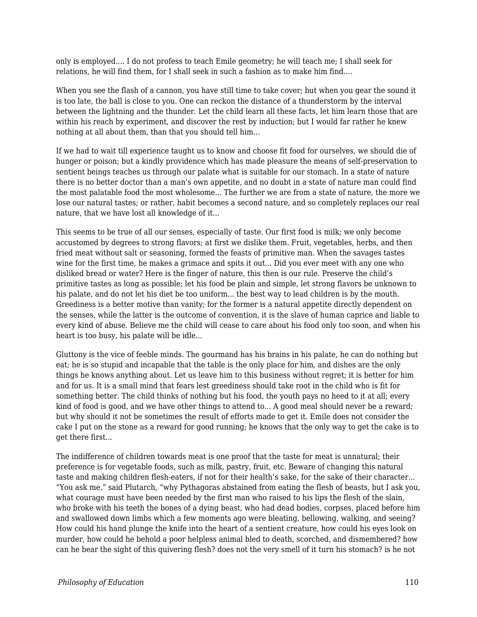only is employed.... I do not profess to teach Emile geometry; he will teach me; I shall seek for relations, he will find them, for I shall seek in such a fashion as to make him find....

When you see the flash of a cannon, you have still time to take cover; but when you gear the sound it is too late, the ball is close to you. One can reckon the distance of a thunderstorm by the interval between the lightning and the thunder. Let the child learn all these facts, let him learn those that are within his reach by experiment, and discover the rest by induction; but I would far rather he knew nothing at all about them, than that you should tell him...

If we had to wait till experience taught us to know and choose fit food for ourselves, we should die of hunger or poison; but a kindly providence which has made pleasure the means of self-preservation to sentient beings teaches us through our palate what is suitable for our stomach. In a state of nature there is no better doctor than a man's own appetite, and no doubt in a state of nature man could find the most palatable food the most wholesome... The further we are from a state of nature, the more we lose our natural tastes; or rather, habit becomes a second nature, and so completely replaces our real nature, that we have lost all knowledge of it...

This seems to be true of all our senses, especially of taste. Our first food is milk; we only become accustomed by degrees to strong flavors; at first we dislike them. Fruit, vegetables, herbs, and then fried meat without salt or seasoning, formed the feasts of primitive man. When the savages tastes wine for the first time, he makes a grimace and spits it out... Did you ever meet with any one who disliked bread or water? Here is the finger of nature, this then is our rule. Preserve the child's primitive tastes as long as possible; let his food be plain and simple, let strong flavors be unknown to his palate, and do not let his diet be too uniform... the best way to lead children is by the mouth. Greediness is a better motive than vanity; for the former is a natural appetite directly dependent on the senses, while the latter is the outcome of convention, it is the slave of human caprice and liable to every kind of abuse. Believe me the child will cease to care about his food only too soon, and when his heart is too busy, his palate will be idle...

Gluttony is the vice of feeble minds. The gourmand has his brains in his palate, he can do nothing but eat; he is so stupid and incapable that the table is the only place for him, and dishes are the only things he knows anything about. Let us leave him to this business without regret; it is better for him and for us. It is a small mind that fears lest greediness should take root in the child who is fit for something better. The child thinks of nothing but his food, the youth pays no heed to it at all; every kind of food is good, and we have other things to attend to... A good meal should never be a reward; but why should it not be sometimes the result of efforts made to get it. Emile does not consider the cake I put on the stone as a reward for good running; he knows that the only way to get the cake is to get there first...

The indifference of children towards meat is one proof that the taste for meat is unnatural; their preference is for vegetable foods, such as milk, pastry, fruit, etc. Beware of changing this natural taste and making children flesh-eaters, if not for their health's sake, for the sake of their character... "You ask me," said Plutarch, "why Pythagoras abstained from eating the flesh of beasts, but I ask you, what courage must have been needed by the first man who raised to his lips the flesh of the slain, who broke with his teeth the bones of a dying beast, who had dead bodies, corpses, placed before him and swallowed down limbs which a few moments ago were bleating, bellowing, walking, and seeing? How could his hand plunge the knife into the heart of a sentient creature, how could his eyes look on murder, how could he behold a poor helpless animal bled to death, scorched, and dismembered? how can he bear the sight of this quivering flesh? does not the very smell of it turn his stomach? is he not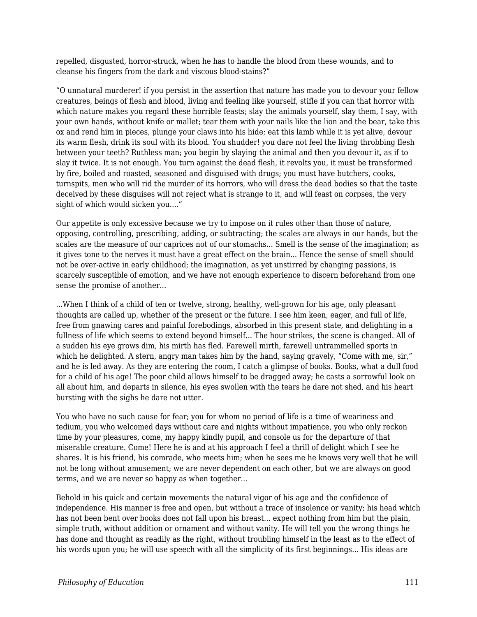repelled, disgusted, horror-struck, when he has to handle the blood from these wounds, and to cleanse his fingers from the dark and viscous blood-stains?"

"O unnatural murderer! if you persist in the assertion that nature has made you to devour your fellow creatures, beings of flesh and blood, living and feeling like yourself, stifle if you can that horror with which nature makes you regard these horrible feasts; slay the animals yourself, slay them, I say, with your own hands, without knife or mallet; tear them with your nails like the lion and the bear, take this ox and rend him in pieces, plunge your claws into his hide; eat this lamb while it is yet alive, devour its warm flesh, drink its soul with its blood. You shudder! you dare not feel the living throbbing flesh between your teeth? Ruthless man; you begin by slaying the animal and then you devour it, as if to slay it twice. It is not enough. You turn against the dead flesh, it revolts you, it must be transformed by fire, boiled and roasted, seasoned and disguised with drugs; you must have butchers, cooks, turnspits, men who will rid the murder of its horrors, who will dress the dead bodies so that the taste deceived by these disguises will not reject what is strange to it, and will feast on corpses, the very sight of which would sicken you...."

Our appetite is only excessive because we try to impose on it rules other than those of nature, opposing, controlling, prescribing, adding, or subtracting; the scales are always in our hands, but the scales are the measure of our caprices not of our stomachs... Smell is the sense of the imagination; as it gives tone to the nerves it must have a great effect on the brain... Hence the sense of smell should not be over-active in early childhood; the imagination, as yet unstirred by changing passions, is scarcely susceptible of emotion, and we have not enough experience to discern beforehand from one sense the promise of another...

...When I think of a child of ten or twelve, strong, healthy, well-grown for his age, only pleasant thoughts are called up, whether of the present or the future. I see him keen, eager, and full of life, free from gnawing cares and painful forebodings, absorbed in this present state, and delighting in a fullness of life which seems to extend beyond himself... The hour strikes, the scene is changed. All of a sudden his eye grows dim, his mirth has fled. Farewell mirth, farewell untrammelled sports in which he delighted. A stern, angry man takes him by the hand, saying gravely, "Come with me, sir," and he is led away. As they are entering the room, I catch a glimpse of books. Books, what a dull food for a child of his age! The poor child allows himself to be dragged away; he casts a sorrowful look on all about him, and departs in silence, his eyes swollen with the tears he dare not shed, and his heart bursting with the sighs he dare not utter.

You who have no such cause for fear; you for whom no period of life is a time of weariness and tedium, you who welcomed days without care and nights without impatience, you who only reckon time by your pleasures, come, my happy kindly pupil, and console us for the departure of that miserable creature. Come! Here he is and at his approach I feel a thrill of delight which I see he shares. It is his friend, his comrade, who meets him; when he sees me he knows very well that he will not be long without amusement; we are never dependent on each other, but we are always on good terms, and we are never so happy as when together...

Behold in his quick and certain movements the natural vigor of his age and the confidence of independence. His manner is free and open, but without a trace of insolence or vanity; his head which has not been bent over books does not fall upon his breast... expect nothing from him but the plain, simple truth, without addition or ornament and without vanity. He will tell you the wrong things he has done and thought as readily as the right, without troubling himself in the least as to the effect of his words upon you; he will use speech with all the simplicity of its first beginnings... His ideas are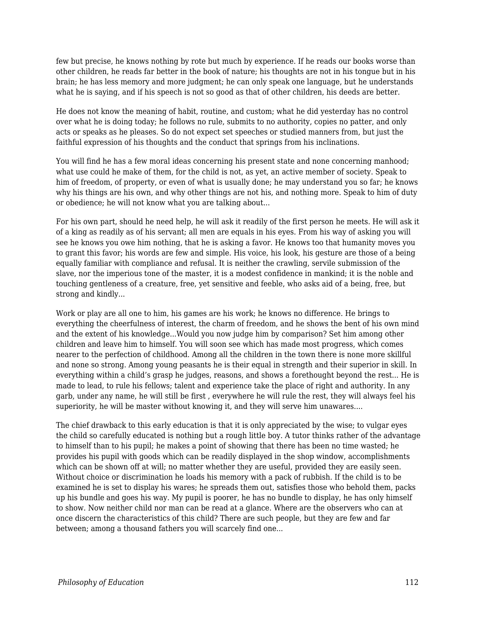few but precise, he knows nothing by rote but much by experience. If he reads our books worse than other children, he reads far better in the book of nature; his thoughts are not in his tongue but in his brain; he has less memory and more judgment; he can only speak one language, but he understands what he is saying, and if his speech is not so good as that of other children, his deeds are better.

He does not know the meaning of habit, routine, and custom; what he did yesterday has no control over what he is doing today; he follows no rule, submits to no authority, copies no patter, and only acts or speaks as he pleases. So do not expect set speeches or studied manners from, but just the faithful expression of his thoughts and the conduct that springs from his inclinations.

You will find he has a few moral ideas concerning his present state and none concerning manhood; what use could he make of them, for the child is not, as yet, an active member of society. Speak to him of freedom, of property, or even of what is usually done; he may understand you so far; he knows why his things are his own, and why other things are not his, and nothing more. Speak to him of duty or obedience; he will not know what you are talking about...

For his own part, should he need help, he will ask it readily of the first person he meets. He will ask it of a king as readily as of his servant; all men are equals in his eyes. From his way of asking you will see he knows you owe him nothing, that he is asking a favor. He knows too that humanity moves you to grant this favor; his words are few and simple. His voice, his look, his gesture are those of a being equally familiar with compliance and refusal. It is neither the crawling, servile submission of the slave, nor the imperious tone of the master, it is a modest confidence in mankind; it is the noble and touching gentleness of a creature, free, yet sensitive and feeble, who asks aid of a being, free, but strong and kindly...

Work or play are all one to him, his games are his work; he knows no difference. He brings to everything the cheerfulness of interest, the charm of freedom, and he shows the bent of his own mind and the extent of his knowledge...Would you now judge him by comparison? Set him among other children and leave him to himself. You will soon see which has made most progress, which comes nearer to the perfection of childhood. Among all the children in the town there is none more skillful and none so strong. Among young peasants he is their equal in strength and their superior in skill. In everything within a child's grasp he judges, reasons, and shows a forethought beyond the rest... He is made to lead, to rule his fellows; talent and experience take the place of right and authority. In any garb, under any name, he will still be first , everywhere he will rule the rest, they will always feel his superiority, he will be master without knowing it, and they will serve him unawares....

The chief drawback to this early education is that it is only appreciated by the wise; to vulgar eyes the child so carefully educated is nothing but a rough little boy. A tutor thinks rather of the advantage to himself than to his pupil; he makes a point of showing that there has been no time wasted; he provides his pupil with goods which can be readily displayed in the shop window, accomplishments which can be shown off at will; no matter whether they are useful, provided they are easily seen. Without choice or discrimination he loads his memory with a pack of rubbish. If the child is to be examined he is set to display his wares; he spreads them out, satisfies those who behold them, packs up his bundle and goes his way. My pupil is poorer, he has no bundle to display, he has only himself to show. Now neither child nor man can be read at a glance. Where are the observers who can at once discern the characteristics of this child? There are such people, but they are few and far between; among a thousand fathers you will scarcely find one...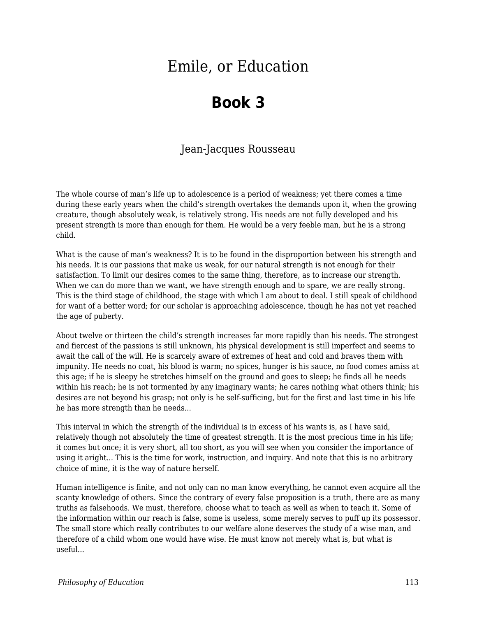### Emile, or Education

# **Book 3**

#### Jean-Jacques Rousseau

The whole course of man's life up to adolescence is a period of weakness; yet there comes a time during these early years when the child's strength overtakes the demands upon it, when the growing creature, though absolutely weak, is relatively strong. His needs are not fully developed and his present strength is more than enough for them. He would be a very feeble man, but he is a strong child.

What is the cause of man's weakness? It is to be found in the disproportion between his strength and his needs. It is our passions that make us weak, for our natural strength is not enough for their satisfaction. To limit our desires comes to the same thing, therefore, as to increase our strength. When we can do more than we want, we have strength enough and to spare, we are really strong. This is the third stage of childhood, the stage with which I am about to deal. I still speak of childhood for want of a better word; for our scholar is approaching adolescence, though he has not yet reached the age of puberty.

About twelve or thirteen the child's strength increases far more rapidly than his needs. The strongest and fiercest of the passions is still unknown, his physical development is still imperfect and seems to await the call of the will. He is scarcely aware of extremes of heat and cold and braves them with impunity. He needs no coat, his blood is warm; no spices, hunger is his sauce, no food comes amiss at this age; if he is sleepy he stretches himself on the ground and goes to sleep; he finds all he needs within his reach; he is not tormented by any imaginary wants; he cares nothing what others think; his desires are not beyond his grasp; not only is he self-sufficing, but for the first and last time in his life he has more strength than he needs...

This interval in which the strength of the individual is in excess of his wants is, as I have said, relatively though not absolutely the time of greatest strength. It is the most precious time in his life; it comes but once; it is very short, all too short, as you will see when you consider the importance of using it aright... This is the time for work, instruction, and inquiry. And note that this is no arbitrary choice of mine, it is the way of nature herself.

Human intelligence is finite, and not only can no man know everything, he cannot even acquire all the scanty knowledge of others. Since the contrary of every false proposition is a truth, there are as many truths as falsehoods. We must, therefore, choose what to teach as well as when to teach it. Some of the information within our reach is false, some is useless, some merely serves to puff up its possessor. The small store which really contributes to our welfare alone deserves the study of a wise man, and therefore of a child whom one would have wise. He must know not merely what is, but what is useful...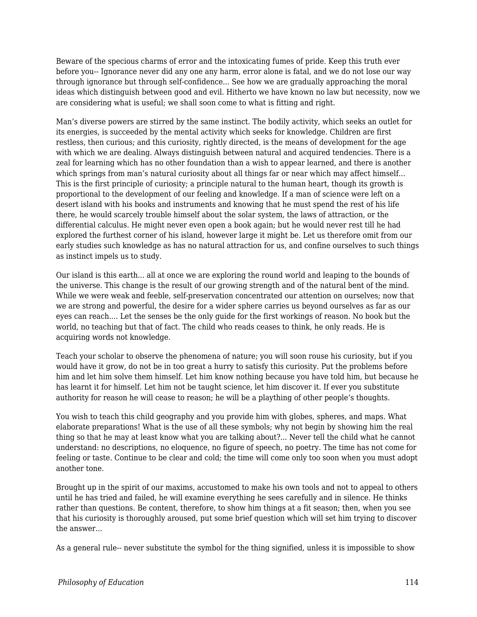Beware of the specious charms of error and the intoxicating fumes of pride. Keep this truth ever before you-- Ignorance never did any one any harm, error alone is fatal, and we do not lose our way through ignorance but through self-confidence... See how we are gradually approaching the moral ideas which distinguish between good and evil. Hitherto we have known no law but necessity, now we are considering what is useful; we shall soon come to what is fitting and right.

Man's diverse powers are stirred by the same instinct. The bodily activity, which seeks an outlet for its energies, is succeeded by the mental activity which seeks for knowledge. Children are first restless, then curious; and this curiosity, rightly directed, is the means of development for the age with which we are dealing. Always distinguish between natural and acquired tendencies. There is a zeal for learning which has no other foundation than a wish to appear learned, and there is another which springs from man's natural curiosity about all things far or near which may affect himself... This is the first principle of curiosity; a principle natural to the human heart, though its growth is proportional to the development of our feeling and knowledge. If a man of science were left on a desert island with his books and instruments and knowing that he must spend the rest of his life there, he would scarcely trouble himself about the solar system, the laws of attraction, or the differential calculus. He might never even open a book again; but he would never rest till he had explored the furthest corner of his island, however large it might be. Let us therefore omit from our early studies such knowledge as has no natural attraction for us, and confine ourselves to such things as instinct impels us to study.

Our island is this earth... all at once we are exploring the round world and leaping to the bounds of the universe. This change is the result of our growing strength and of the natural bent of the mind. While we were weak and feeble, self-preservation concentrated our attention on ourselves; now that we are strong and powerful, the desire for a wider sphere carries us beyond ourselves as far as our eyes can reach.... Let the senses be the only guide for the first workings of reason. No book but the world, no teaching but that of fact. The child who reads ceases to think, he only reads. He is acquiring words not knowledge.

Teach your scholar to observe the phenomena of nature; you will soon rouse his curiosity, but if you would have it grow, do not be in too great a hurry to satisfy this curiosity. Put the problems before him and let him solve them himself. Let him know nothing because you have told him, but because he has learnt it for himself. Let him not be taught science, let him discover it. If ever you substitute authority for reason he will cease to reason; he will be a plaything of other people's thoughts.

You wish to teach this child geography and you provide him with globes, spheres, and maps. What elaborate preparations! What is the use of all these symbols; why not begin by showing him the real thing so that he may at least know what you are talking about?... Never tell the child what he cannot understand: no descriptions, no eloquence, no figure of speech, no poetry. The time has not come for feeling or taste. Continue to be clear and cold; the time will come only too soon when you must adopt another tone.

Brought up in the spirit of our maxims, accustomed to make his own tools and not to appeal to others until he has tried and failed, he will examine everything he sees carefully and in silence. He thinks rather than questions. Be content, therefore, to show him things at a fit season; then, when you see that his curiosity is thoroughly aroused, put some brief question which will set him trying to discover the answer...

As a general rule-- never substitute the symbol for the thing signified, unless it is impossible to show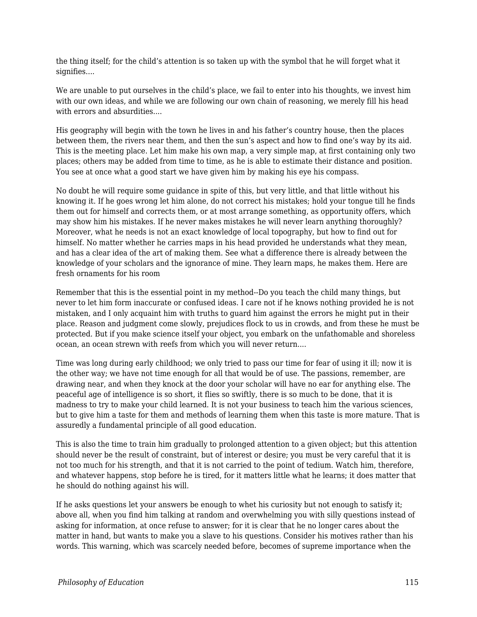the thing itself; for the child's attention is so taken up with the symbol that he will forget what it signifies....

We are unable to put ourselves in the child's place, we fail to enter into his thoughts, we invest him with our own ideas, and while we are following our own chain of reasoning, we merely fill his head with errors and absurdities....

His geography will begin with the town he lives in and his father's country house, then the places between them, the rivers near them, and then the sun's aspect and how to find one's way by its aid. This is the meeting place. Let him make his own map, a very simple map, at first containing only two places; others may be added from time to time, as he is able to estimate their distance and position. You see at once what a good start we have given him by making his eye his compass.

No doubt he will require some guidance in spite of this, but very little, and that little without his knowing it. If he goes wrong let him alone, do not correct his mistakes; hold your tongue till he finds them out for himself and corrects them, or at most arrange something, as opportunity offers, which may show him his mistakes. If he never makes mistakes he will never learn anything thoroughly? Moreover, what he needs is not an exact knowledge of local topography, but how to find out for himself. No matter whether he carries maps in his head provided he understands what they mean, and has a clear idea of the art of making them. See what a difference there is already between the knowledge of your scholars and the ignorance of mine. They learn maps, he makes them. Here are fresh ornaments for his room

Remember that this is the essential point in my method--Do you teach the child many things, but never to let him form inaccurate or confused ideas. I care not if he knows nothing provided he is not mistaken, and I only acquaint him with truths to guard him against the errors he might put in their place. Reason and judgment come slowly, prejudices flock to us in crowds, and from these he must be protected. But if you make science itself your object, you embark on the unfathomable and shoreless ocean, an ocean strewn with reefs from which you will never return....

Time was long during early childhood; we only tried to pass our time for fear of using it ill; now it is the other way; we have not time enough for all that would be of use. The passions, remember, are drawing near, and when they knock at the door your scholar will have no ear for anything else. The peaceful age of intelligence is so short, it flies so swiftly, there is so much to be done, that it is madness to try to make your child learned. It is not your business to teach him the various sciences, but to give him a taste for them and methods of learning them when this taste is more mature. That is assuredly a fundamental principle of all good education.

This is also the time to train him gradually to prolonged attention to a given object; but this attention should never be the result of constraint, but of interest or desire; you must be very careful that it is not too much for his strength, and that it is not carried to the point of tedium. Watch him, therefore, and whatever happens, stop before he is tired, for it matters little what he learns; it does matter that he should do nothing against his will.

If he asks questions let your answers be enough to whet his curiosity but not enough to satisfy it; above all, when you find him talking at random and overwhelming you with silly questions instead of asking for information, at once refuse to answer; for it is clear that he no longer cares about the matter in hand, but wants to make you a slave to his questions. Consider his motives rather than his words. This warning, which was scarcely needed before, becomes of supreme importance when the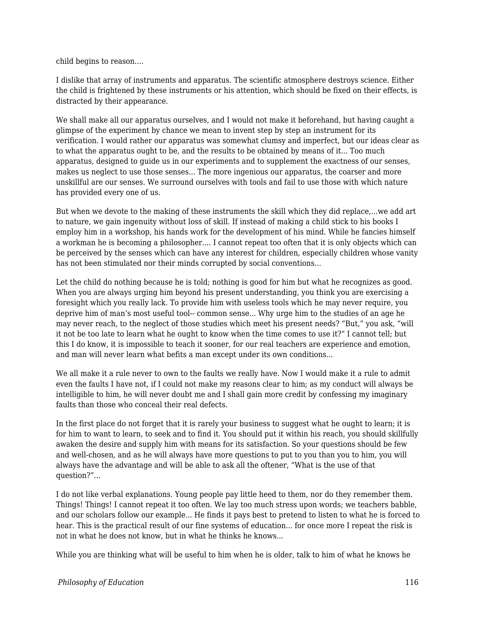child begins to reason....

I dislike that array of instruments and apparatus. The scientific atmosphere destroys science. Either the child is frightened by these instruments or his attention, which should be fixed on their effects, is distracted by their appearance.

We shall make all our apparatus ourselves, and I would not make it beforehand, but having caught a glimpse of the experiment by chance we mean to invent step by step an instrument for its verification. I would rather our apparatus was somewhat clumsy and imperfect, but our ideas clear as to what the apparatus ought to be, and the results to be obtained by means of it... Too much apparatus, designed to guide us in our experiments and to supplement the exactness of our senses, makes us neglect to use those senses... The more ingenious our apparatus, the coarser and more unskillful are our senses. We surround ourselves with tools and fail to use those with which nature has provided every one of us.

But when we devote to the making of these instruments the skill which they did replace,...we add art to nature, we gain ingenuity without loss of skill. If instead of making a child stick to his books I employ him in a workshop, his hands work for the development of his mind. While he fancies himself a workman he is becoming a philosopher.... I cannot repeat too often that it is only objects which can be perceived by the senses which can have any interest for children, especially children whose vanity has not been stimulated nor their minds corrupted by social conventions...

Let the child do nothing because he is told; nothing is good for him but what he recognizes as good. When you are always urging him beyond his present understanding, you think you are exercising a foresight which you really lack. To provide him with useless tools which he may never require, you deprive him of man's most useful tool-- common sense... Why urge him to the studies of an age he may never reach, to the neglect of those studies which meet his present needs? "But," you ask, "will it not be too late to learn what he ought to know when the time comes to use it?" I cannot tell; but this I do know, it is impossible to teach it sooner, for our real teachers are experience and emotion, and man will never learn what befits a man except under its own conditions...

We all make it a rule never to own to the faults we really have. Now I would make it a rule to admit even the faults I have not, if I could not make my reasons clear to him; as my conduct will always be intelligible to him, he will never doubt me and I shall gain more credit by confessing my imaginary faults than those who conceal their real defects.

In the first place do not forget that it is rarely your business to suggest what he ought to learn; it is for him to want to learn, to seek and to find it. You should put it within his reach, you should skillfully awaken the desire and supply him with means for its satisfaction. So your questions should be few and well-chosen, and as he will always have more questions to put to you than you to him, you will always have the advantage and will be able to ask all the oftener, "What is the use of that question?"...

I do not like verbal explanations. Young people pay little heed to them, nor do they remember them. Things! Things! I cannot repeat it too often. We lay too much stress upon words; we teachers babble, and our scholars follow our example... He finds it pays best to pretend to listen to what he is forced to hear. This is the practical result of our fine systems of education... for once more I repeat the risk is not in what he does not know, but in what he thinks he knows...

While you are thinking what will be useful to him when he is older, talk to him of what he knows he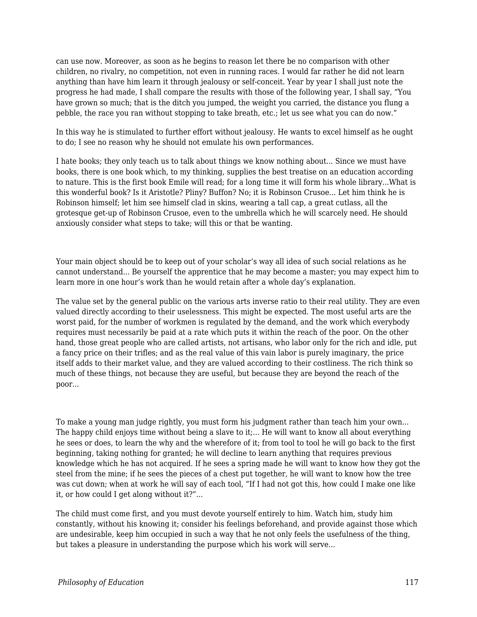can use now. Moreover, as soon as he begins to reason let there be no comparison with other children, no rivalry, no competition, not even in running races. I would far rather he did not learn anything than have him learn it through jealousy or self-conceit. Year by year I shall just note the progress he had made, I shall compare the results with those of the following year, I shall say, "You have grown so much; that is the ditch you jumped, the weight you carried, the distance you flung a pebble, the race you ran without stopping to take breath, etc.; let us see what you can do now."

In this way he is stimulated to further effort without jealousy. He wants to excel himself as he ought to do; I see no reason why he should not emulate his own performances.

I hate books; they only teach us to talk about things we know nothing about... Since we must have books, there is one book which, to my thinking, supplies the best treatise on an education according to nature. This is the first book Emile will read; for a long time it will form his whole library...What is this wonderful book? Is it Aristotle? Pliny? Buffon? No; it is Robinson Crusoe... Let him think he is Robinson himself; let him see himself clad in skins, wearing a tall cap, a great cutlass, all the grotesque get-up of Robinson Crusoe, even to the umbrella which he will scarcely need. He should anxiously consider what steps to take; will this or that be wanting.

Your main object should be to keep out of your scholar's way all idea of such social relations as he cannot understand... Be yourself the apprentice that he may become a master; you may expect him to learn more in one hour's work than he would retain after a whole day's explanation.

The value set by the general public on the various arts inverse ratio to their real utility. They are even valued directly according to their uselessness. This might be expected. The most useful arts are the worst paid, for the number of workmen is regulated by the demand, and the work which everybody requires must necessarily be paid at a rate which puts it within the reach of the poor. On the other hand, those great people who are called artists, not artisans, who labor only for the rich and idle, put a fancy price on their trifles; and as the real value of this vain labor is purely imaginary, the price itself adds to their market value, and they are valued according to their costliness. The rich think so much of these things, not because they are useful, but because they are beyond the reach of the poor...

To make a young man judge rightly, you must form his judgment rather than teach him your own... The happy child enjoys time without being a slave to it;... He will want to know all about everything he sees or does, to learn the why and the wherefore of it; from tool to tool he will go back to the first beginning, taking nothing for granted; he will decline to learn anything that requires previous knowledge which he has not acquired. If he sees a spring made he will want to know how they got the steel from the mine; if he sees the pieces of a chest put together, he will want to know how the tree was cut down; when at work he will say of each tool, "If I had not got this, how could I make one like it, or how could I get along without it?"...

The child must come first, and you must devote yourself entirely to him. Watch him, study him constantly, without his knowing it; consider his feelings beforehand, and provide against those which are undesirable, keep him occupied in such a way that he not only feels the usefulness of the thing, but takes a pleasure in understanding the purpose which his work will serve...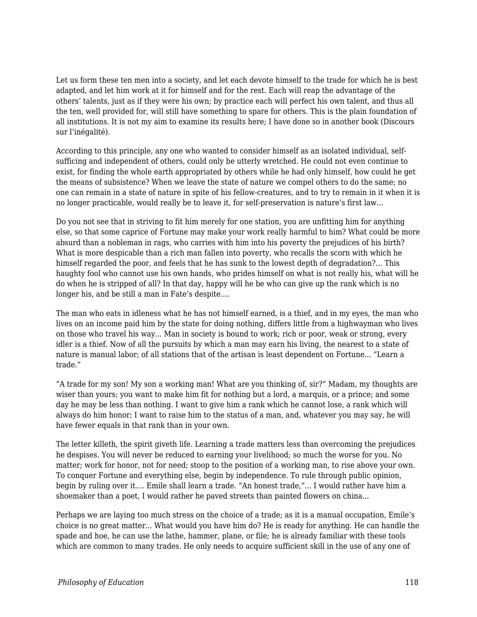Let us form these ten men into a society, and let each devote himself to the trade for which he is best adapted, and let him work at it for himself and for the rest. Each will reap the advantage of the others' talents, just as if they were his own; by practice each will perfect his own talent, and thus all the ten, well provided for, will still have something to spare for others. This is the plain foundation of all institutions. It is not my aim to examine its results here; I have done so in another book (Discours sur l'inégalité).

According to this principle, any one who wanted to consider himself as an isolated individual, selfsufficing and independent of others, could only be utterly wretched. He could not even continue to exist, for finding the whole earth appropriated by others while he had only himself, how could he get the means of subsistence? When we leave the state of nature we compel others to do the same; no one can remain in a state of nature in spite of his fellow-creatures, and to try to remain in it when it is no longer practicable, would really be to leave it, for self-preservation is nature's first law...

Do you not see that in striving to fit him merely for one station, you are unfitting him for anything else, so that some caprice of Fortune may make your work really harmful to him? What could be more absurd than a nobleman in rags, who carries with him into his poverty the prejudices of his birth? What is more despicable than a rich man fallen into poverty, who recalls the scorn with which he himself regarded the poor, and feels that he has sunk to the lowest depth of degradation?... This haughty fool who cannot use his own hands, who prides himself on what is not really his, what will he do when he is stripped of all? In that day, happy will he be who can give up the rank which is no longer his, and be still a man in Fate's despite....

The man who eats in idleness what he has not himself earned, is a thief, and in my eyes, the man who lives on an income paid him by the state for doing nothing, differs little from a highwayman who lives on those who travel his way... Man in society is bound to work; rich or poor, weak or strong, every idler is a thief. Now of all the pursuits by which a man may earn his living, the nearest to a state of nature is manual labor; of all stations that of the artisan is least dependent on Fortune... "Learn a trade."

"A trade for my son! My son a working man! What are you thinking of, sir?" Madam, my thoughts are wiser than yours; you want to make him fit for nothing but a lord, a marquis, or a prince; and some day he may be less than nothing. I want to give him a rank which he cannot lose, a rank which will always do him honor; I want to raise him to the status of a man, and, whatever you may say, he will have fewer equals in that rank than in your own.

The letter killeth, the spirit giveth life. Learning a trade matters less than overcoming the prejudices he despises. You will never be reduced to earning your livelihood; so much the worse for you. No matter; work for honor, not for need; stoop to the position of a working man, to rise above your own. To conquer Fortune and everything else, begin by independence. To rule through public opinion, begin by ruling over it.... Emile shall learn a trade. "An honest trade,"... I would rather have him a shoemaker than a poet, I would rather he paved streets than painted flowers on china...

Perhaps we are laying too much stress on the choice of a trade; as it is a manual occupation, Emile's choice is no great matter... What would you have him do? He is ready for anything. He can handle the spade and hoe, he can use the lathe, hammer, plane, or file; he is already familiar with these tools which are common to many trades. He only needs to acquire sufficient skill in the use of any one of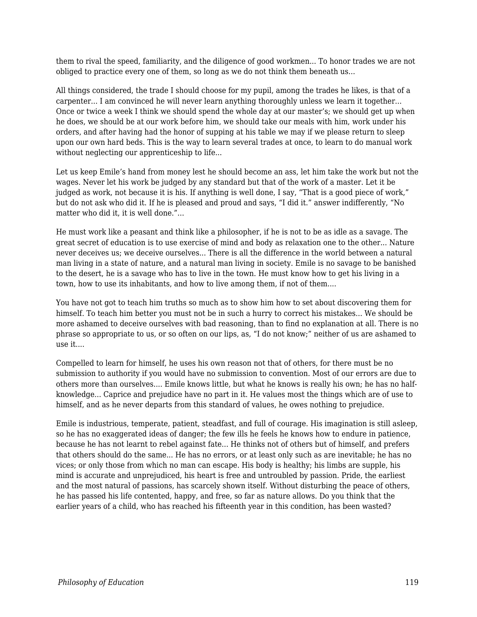them to rival the speed, familiarity, and the diligence of good workmen... To honor trades we are not obliged to practice every one of them, so long as we do not think them beneath us...

All things considered, the trade I should choose for my pupil, among the trades he likes, is that of a carpenter... I am convinced he will never learn anything thoroughly unless we learn it together... Once or twice a week I think we should spend the whole day at our master's; we should get up when he does, we should be at our work before him, we should take our meals with him, work under his orders, and after having had the honor of supping at his table we may if we please return to sleep upon our own hard beds. This is the way to learn several trades at once, to learn to do manual work without neglecting our apprenticeship to life...

Let us keep Emile's hand from money lest he should become an ass, let him take the work but not the wages. Never let his work be judged by any standard but that of the work of a master. Let it be judged as work, not because it is his. If anything is well done, I say, "That is a good piece of work," but do not ask who did it. If he is pleased and proud and says, "I did it." answer indifferently, "No matter who did it, it is well done."...

He must work like a peasant and think like a philosopher, if he is not to be as idle as a savage. The great secret of education is to use exercise of mind and body as relaxation one to the other... Nature never deceives us; we deceive ourselves... There is all the difference in the world between a natural man living in a state of nature, and a natural man living in society. Emile is no savage to be banished to the desert, he is a savage who has to live in the town. He must know how to get his living in a town, how to use its inhabitants, and how to live among them, if not of them....

You have not got to teach him truths so much as to show him how to set about discovering them for himself. To teach him better you must not be in such a hurry to correct his mistakes... We should be more ashamed to deceive ourselves with bad reasoning, than to find no explanation at all. There is no phrase so appropriate to us, or so often on our lips, as, "I do not know;" neither of us are ashamed to use it....

Compelled to learn for himself, he uses his own reason not that of others, for there must be no submission to authority if you would have no submission to convention. Most of our errors are due to others more than ourselves.... Emile knows little, but what he knows is really his own; he has no halfknowledge... Caprice and prejudice have no part in it. He values most the things which are of use to himself, and as he never departs from this standard of values, he owes nothing to prejudice.

Emile is industrious, temperate, patient, steadfast, and full of courage. His imagination is still asleep, so he has no exaggerated ideas of danger; the few ills he feels he knows how to endure in patience, because he has not learnt to rebel against fate... He thinks not of others but of himself, and prefers that others should do the same... He has no errors, or at least only such as are inevitable; he has no vices; or only those from which no man can escape. His body is healthy; his limbs are supple, his mind is accurate and unprejudiced, his heart is free and untroubled by passion. Pride, the earliest and the most natural of passions, has scarcely shown itself. Without disturbing the peace of others, he has passed his life contented, happy, and free, so far as nature allows. Do you think that the earlier years of a child, who has reached his fifteenth year in this condition, has been wasted?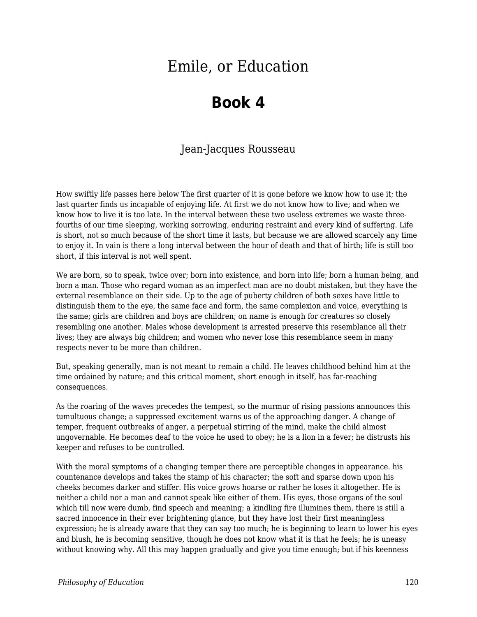### Emile, or Education

## **Book 4**

#### Jean-Jacques Rousseau

How swiftly life passes here below The first quarter of it is gone before we know how to use it; the last quarter finds us incapable of enjoying life. At first we do not know how to live; and when we know how to live it is too late. In the interval between these two useless extremes we waste threefourths of our time sleeping, working sorrowing, enduring restraint and every kind of suffering. Life is short, not so much because of the short time it lasts, but because we are allowed scarcely any time to enjoy it. In vain is there a long interval between the hour of death and that of birth; life is still too short, if this interval is not well spent.

We are born, so to speak, twice over; born into existence, and born into life; born a human being, and born a man. Those who regard woman as an imperfect man are no doubt mistaken, but they have the external resemblance on their side. Up to the age of puberty children of both sexes have little to distinguish them to the eye, the same face and form, the same complexion and voice, everything is the same; girls are children and boys are children; on name is enough for creatures so closely resembling one another. Males whose development is arrested preserve this resemblance all their lives; they are always big children; and women who never lose this resemblance seem in many respects never to be more than children.

But, speaking generally, man is not meant to remain a child. He leaves childhood behind him at the time ordained by nature; and this critical moment, short enough in itself, has far-reaching consequences.

As the roaring of the waves precedes the tempest, so the murmur of rising passions announces this tumultuous change; a suppressed excitement warns us of the approaching danger. A change of temper, frequent outbreaks of anger, a perpetual stirring of the mind, make the child almost ungovernable. He becomes deaf to the voice he used to obey; he is a lion in a fever; he distrusts his keeper and refuses to be controlled.

With the moral symptoms of a changing temper there are perceptible changes in appearance. his countenance develops and takes the stamp of his character; the soft and sparse down upon his cheeks becomes darker and stiffer. His voice grows hoarse or rather he loses it altogether. He is neither a child nor a man and cannot speak like either of them. His eyes, those organs of the soul which till now were dumb, find speech and meaning; a kindling fire illumines them, there is still a sacred innocence in their ever brightening glance, but they have lost their first meaningless expression; he is already aware that they can say too much; he is beginning to learn to lower his eyes and blush, he is becoming sensitive, though he does not know what it is that he feels; he is uneasy without knowing why. All this may happen gradually and give you time enough; but if his keenness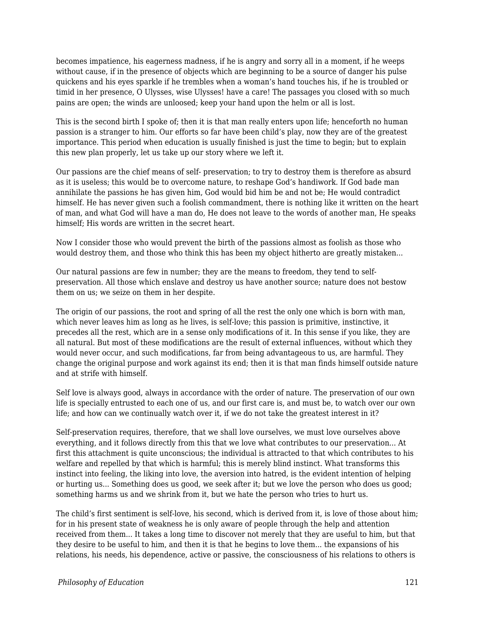becomes impatience, his eagerness madness, if he is angry and sorry all in a moment, if he weeps without cause, if in the presence of objects which are beginning to be a source of danger his pulse quickens and his eyes sparkle if he trembles when a woman's hand touches his, if he is troubled or timid in her presence, O Ulysses, wise Ulysses! have a care! The passages you closed with so much pains are open; the winds are unloosed; keep your hand upon the helm or all is lost.

This is the second birth I spoke of; then it is that man really enters upon life; henceforth no human passion is a stranger to him. Our efforts so far have been child's play, now they are of the greatest importance. This period when education is usually finished is just the time to begin; but to explain this new plan properly, let us take up our story where we left it.

Our passions are the chief means of self- preservation; to try to destroy them is therefore as absurd as it is useless; this would be to overcome nature, to reshape God's handiwork. If God bade man annihilate the passions he has given him, God would bid him be and not be; He would contradict himself. He has never given such a foolish commandment, there is nothing like it written on the heart of man, and what God will have a man do, He does not leave to the words of another man, He speaks himself; His words are written in the secret heart.

Now I consider those who would prevent the birth of the passions almost as foolish as those who would destroy them, and those who think this has been my object hitherto are greatly mistaken...

Our natural passions are few in number; they are the means to freedom, they tend to selfpreservation. All those which enslave and destroy us have another source; nature does not bestow them on us; we seize on them in her despite.

The origin of our passions, the root and spring of all the rest the only one which is born with man, which never leaves him as long as he lives, is self-love; this passion is primitive, instinctive, it precedes all the rest, which are in a sense only modifications of it. In this sense if you like, they are all natural. But most of these modifications are the result of external influences, without which they would never occur, and such modifications, far from being advantageous to us, are harmful. They change the original purpose and work against its end; then it is that man finds himself outside nature and at strife with himself.

Self love is always good, always in accordance with the order of nature. The preservation of our own life is specially entrusted to each one of us, and our first care is, and must be, to watch over our own life; and how can we continually watch over it, if we do not take the greatest interest in it?

Self-preservation requires, therefore, that we shall love ourselves, we must love ourselves above everything, and it follows directly from this that we love what contributes to our preservation... At first this attachment is quite unconscious; the individual is attracted to that which contributes to his welfare and repelled by that which is harmful; this is merely blind instinct. What transforms this instinct into feeling, the liking into love, the aversion into hatred, is the evident intention of helping or hurting us... Something does us good, we seek after it; but we love the person who does us good; something harms us and we shrink from it, but we hate the person who tries to hurt us.

The child's first sentiment is self-love, his second, which is derived from it, is love of those about him; for in his present state of weakness he is only aware of people through the help and attention received from them... It takes a long time to discover not merely that they are useful to him, but that they desire to be useful to him, and then it is that he begins to love them... the expansions of his relations, his needs, his dependence, active or passive, the consciousness of his relations to others is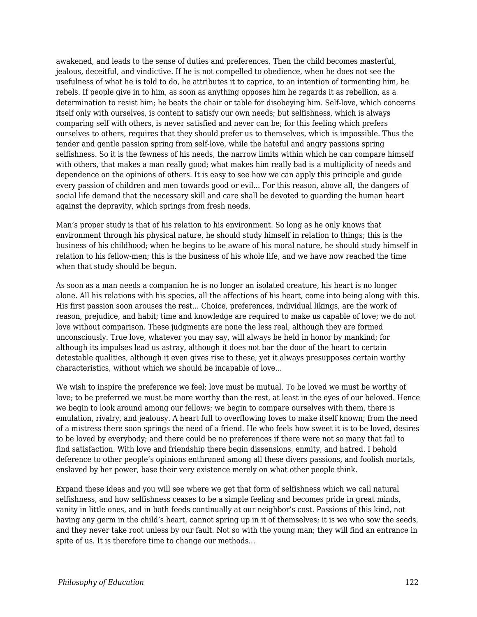awakened, and leads to the sense of duties and preferences. Then the child becomes masterful, jealous, deceitful, and vindictive. If he is not compelled to obedience, when he does not see the usefulness of what he is told to do, he attributes it to caprice, to an intention of tormenting him, he rebels. If people give in to him, as soon as anything opposes him he regards it as rebellion, as a determination to resist him; he beats the chair or table for disobeying him. Self-love, which concerns itself only with ourselves, is content to satisfy our own needs; but selfishness, which is always comparing self with others, is never satisfied and never can be; for this feeling which prefers ourselves to others, requires that they should prefer us to themselves, which is impossible. Thus the tender and gentle passion spring from self-love, while the hateful and angry passions spring selfishness. So it is the fewness of his needs, the narrow limits within which he can compare himself with others, that makes a man really good; what makes him really bad is a multiplicity of needs and dependence on the opinions of others. It is easy to see how we can apply this principle and guide every passion of children and men towards good or evil... For this reason, above all, the dangers of social life demand that the necessary skill and care shall be devoted to guarding the human heart against the depravity, which springs from fresh needs.

Man's proper study is that of his relation to his environment. So long as he only knows that environment through his physical nature, he should study himself in relation to things; this is the business of his childhood; when he begins to be aware of his moral nature, he should study himself in relation to his fellow-men; this is the business of his whole life, and we have now reached the time when that study should be begun.

As soon as a man needs a companion he is no longer an isolated creature, his heart is no longer alone. All his relations with his species, all the affections of his heart, come into being along with this. His first passion soon arouses the rest... Choice, preferences, individual likings, are the work of reason, prejudice, and habit; time and knowledge are required to make us capable of love; we do not love without comparison. These judgments are none the less real, although they are formed unconsciously. True love, whatever you may say, will always be held in honor by mankind; for although its impulses lead us astray, although it does not bar the door of the heart to certain detestable qualities, although it even gives rise to these, yet it always presupposes certain worthy characteristics, without which we should be incapable of love...

We wish to inspire the preference we feel; love must be mutual. To be loved we must be worthy of love; to be preferred we must be more worthy than the rest, at least in the eyes of our beloved. Hence we begin to look around among our fellows; we begin to compare ourselves with them, there is emulation, rivalry, and jealousy. A heart full to overflowing loves to make itself known; from the need of a mistress there soon springs the need of a friend. He who feels how sweet it is to be loved, desires to be loved by everybody; and there could be no preferences if there were not so many that fail to find satisfaction. With love and friendship there begin dissensions, enmity, and hatred. I behold deference to other people's opinions enthroned among all these divers passions, and foolish mortals, enslaved by her power, base their very existence merely on what other people think.

Expand these ideas and you will see where we get that form of selfishness which we call natural selfishness, and how selfishness ceases to be a simple feeling and becomes pride in great minds, vanity in little ones, and in both feeds continually at our neighbor's cost. Passions of this kind, not having any germ in the child's heart, cannot spring up in it of themselves; it is we who sow the seeds, and they never take root unless by our fault. Not so with the young man; they will find an entrance in spite of us. It is therefore time to change our methods...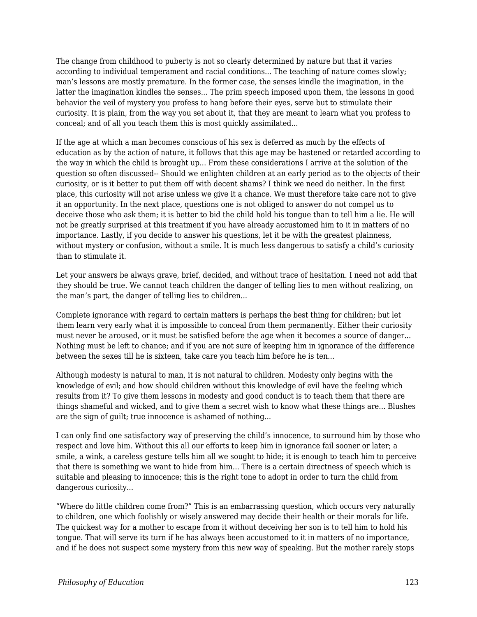The change from childhood to puberty is not so clearly determined by nature but that it varies according to individual temperament and racial conditions... The teaching of nature comes slowly; man's lessons are mostly premature. In the former case, the senses kindle the imagination, in the latter the imagination kindles the senses... The prim speech imposed upon them, the lessons in good behavior the veil of mystery you profess to hang before their eyes, serve but to stimulate their curiosity. It is plain, from the way you set about it, that they are meant to learn what you profess to conceal; and of all you teach them this is most quickly assimilated...

If the age at which a man becomes conscious of his sex is deferred as much by the effects of education as by the action of nature, it follows that this age may be hastened or retarded according to the way in which the child is brought up... From these considerations I arrive at the solution of the question so often discussed-- Should we enlighten children at an early period as to the objects of their curiosity, or is it better to put them off with decent shams? I think we need do neither. In the first place, this curiosity will not arise unless we give it a chance. We must therefore take care not to give it an opportunity. In the next place, questions one is not obliged to answer do not compel us to deceive those who ask them; it is better to bid the child hold his tongue than to tell him a lie. He will not be greatly surprised at this treatment if you have already accustomed him to it in matters of no importance. Lastly, if you decide to answer his questions, let it be with the greatest plainness, without mystery or confusion, without a smile. It is much less dangerous to satisfy a child's curiosity than to stimulate it.

Let your answers be always grave, brief, decided, and without trace of hesitation. I need not add that they should be true. We cannot teach children the danger of telling lies to men without realizing, on the man's part, the danger of telling lies to children...

Complete ignorance with regard to certain matters is perhaps the best thing for children; but let them learn very early what it is impossible to conceal from them permanently. Either their curiosity must never be aroused, or it must be satisfied before the age when it becomes a source of danger... Nothing must be left to chance; and if you are not sure of keeping him in ignorance of the difference between the sexes till he is sixteen, take care you teach him before he is ten...

Although modesty is natural to man, it is not natural to children. Modesty only begins with the knowledge of evil; and how should children without this knowledge of evil have the feeling which results from it? To give them lessons in modesty and good conduct is to teach them that there are things shameful and wicked, and to give them a secret wish to know what these things are... Blushes are the sign of guilt; true innocence is ashamed of nothing...

I can only find one satisfactory way of preserving the child's innocence, to surround him by those who respect and love him. Without this all our efforts to keep him in ignorance fail sooner or later; a smile, a wink, a careless gesture tells him all we sought to hide; it is enough to teach him to perceive that there is something we want to hide from him... There is a certain directness of speech which is suitable and pleasing to innocence; this is the right tone to adopt in order to turn the child from dangerous curiosity...

"Where do little children come from?" This is an embarrassing question, which occurs very naturally to children, one which foolishly or wisely answered may decide their health or their morals for life. The quickest way for a mother to escape from it without deceiving her son is to tell him to hold his tongue. That will serve its turn if he has always been accustomed to it in matters of no importance, and if he does not suspect some mystery from this new way of speaking. But the mother rarely stops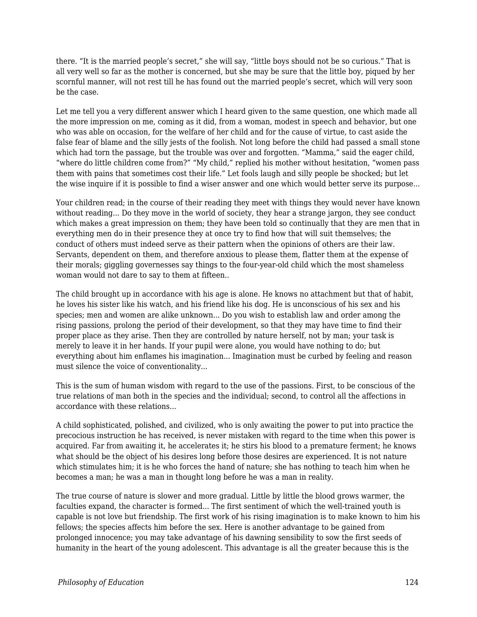there. "It is the married people's secret," she will say, "little boys should not be so curious." That is all very well so far as the mother is concerned, but she may be sure that the little boy, piqued by her scornful manner, will not rest till he has found out the married people's secret, which will very soon be the case.

Let me tell you a very different answer which I heard given to the same question, one which made all the more impression on me, coming as it did, from a woman, modest in speech and behavior, but one who was able on occasion, for the welfare of her child and for the cause of virtue, to cast aside the false fear of blame and the silly jests of the foolish. Not long before the child had passed a small stone which had torn the passage, but the trouble was over and forgotten. "Mamma," said the eager child, "where do little children come from?" "My child," replied his mother without hesitation, "women pass them with pains that sometimes cost their life." Let fools laugh and silly people be shocked; but let the wise inquire if it is possible to find a wiser answer and one which would better serve its purpose...

Your children read; in the course of their reading they meet with things they would never have known without reading... Do they move in the world of society, they hear a strange jargon, they see conduct which makes a great impression on them; they have been told so continually that they are men that in everything men do in their presence they at once try to find how that will suit themselves; the conduct of others must indeed serve as their pattern when the opinions of others are their law. Servants, dependent on them, and therefore anxious to please them, flatter them at the expense of their morals; giggling governesses say things to the four-year-old child which the most shameless woman would not dare to say to them at fifteen..

The child brought up in accordance with his age is alone. He knows no attachment but that of habit, he loves his sister like his watch, and his friend like his dog. He is unconscious of his sex and his species; men and women are alike unknown... Do you wish to establish law and order among the rising passions, prolong the period of their development, so that they may have time to find their proper place as they arise. Then they are controlled by nature herself, not by man; your task is merely to leave it in her hands. If your pupil were alone, you would have nothing to do; but everything about him enflames his imagination... Imagination must be curbed by feeling and reason must silence the voice of conventionality...

This is the sum of human wisdom with regard to the use of the passions. First, to be conscious of the true relations of man both in the species and the individual; second, to control all the affections in accordance with these relations...

A child sophisticated, polished, and civilized, who is only awaiting the power to put into practice the precocious instruction he has received, is never mistaken with regard to the time when this power is acquired. Far from awaiting it, he accelerates it; he stirs his blood to a premature ferment; he knows what should be the object of his desires long before those desires are experienced. It is not nature which stimulates him; it is he who forces the hand of nature; she has nothing to teach him when he becomes a man; he was a man in thought long before he was a man in reality.

The true course of nature is slower and more gradual. Little by little the blood grows warmer, the faculties expand, the character is formed... The first sentiment of which the well-trained youth is capable is not love but friendship. The first work of his rising imagination is to make known to him his fellows; the species affects him before the sex. Here is another advantage to be gained from prolonged innocence; you may take advantage of his dawning sensibility to sow the first seeds of humanity in the heart of the young adolescent. This advantage is all the greater because this is the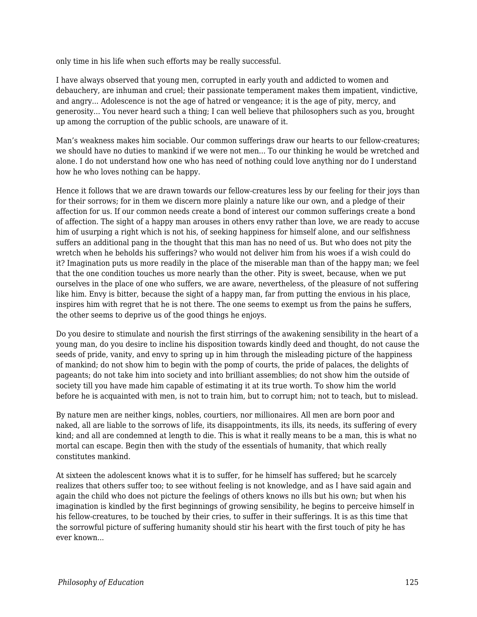only time in his life when such efforts may be really successful.

I have always observed that young men, corrupted in early youth and addicted to women and debauchery, are inhuman and cruel; their passionate temperament makes them impatient, vindictive, and angry... Adolescence is not the age of hatred or vengeance; it is the age of pity, mercy, and generosity... You never heard such a thing; I can well believe that philosophers such as you, brought up among the corruption of the public schools, are unaware of it.

Man's weakness makes him sociable. Our common sufferings draw our hearts to our fellow-creatures; we should have no duties to mankind if we were not men... To our thinking he would be wretched and alone. I do not understand how one who has need of nothing could love anything nor do I understand how he who loves nothing can be happy.

Hence it follows that we are drawn towards our fellow-creatures less by our feeling for their joys than for their sorrows; for in them we discern more plainly a nature like our own, and a pledge of their affection for us. If our common needs create a bond of interest our common sufferings create a bond of affection. The sight of a happy man arouses in others envy rather than love, we are ready to accuse him of usurping a right which is not his, of seeking happiness for himself alone, and our selfishness suffers an additional pang in the thought that this man has no need of us. But who does not pity the wretch when he beholds his sufferings? who would not deliver him from his woes if a wish could do it? Imagination puts us more readily in the place of the miserable man than of the happy man; we feel that the one condition touches us more nearly than the other. Pity is sweet, because, when we put ourselves in the place of one who suffers, we are aware, nevertheless, of the pleasure of not suffering like him. Envy is bitter, because the sight of a happy man, far from putting the envious in his place, inspires him with regret that he is not there. The one seems to exempt us from the pains he suffers, the other seems to deprive us of the good things he enjoys.

Do you desire to stimulate and nourish the first stirrings of the awakening sensibility in the heart of a young man, do you desire to incline his disposition towards kindly deed and thought, do not cause the seeds of pride, vanity, and envy to spring up in him through the misleading picture of the happiness of mankind; do not show him to begin with the pomp of courts, the pride of palaces, the delights of pageants; do not take him into society and into brilliant assemblies; do not show him the outside of society till you have made him capable of estimating it at its true worth. To show him the world before he is acquainted with men, is not to train him, but to corrupt him; not to teach, but to mislead.

By nature men are neither kings, nobles, courtiers, nor millionaires. All men are born poor and naked, all are liable to the sorrows of life, its disappointments, its ills, its needs, its suffering of every kind; and all are condemned at length to die. This is what it really means to be a man, this is what no mortal can escape. Begin then with the study of the essentials of humanity, that which really constitutes mankind.

At sixteen the adolescent knows what it is to suffer, for he himself has suffered; but he scarcely realizes that others suffer too; to see without feeling is not knowledge, and as I have said again and again the child who does not picture the feelings of others knows no ills but his own; but when his imagination is kindled by the first beginnings of growing sensibility, he begins to perceive himself in his fellow-creatures, to be touched by their cries, to suffer in their sufferings. It is as this time that the sorrowful picture of suffering humanity should stir his heart with the first touch of pity he has ever known...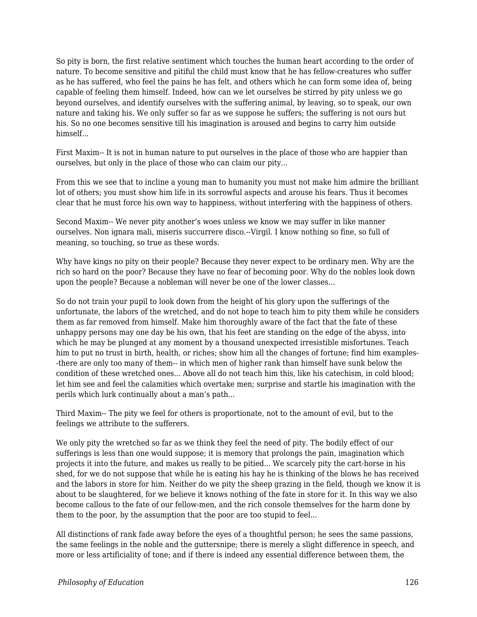So pity is born, the first relative sentiment which touches the human heart according to the order of nature. To become sensitive and pitiful the child must know that he has fellow-creatures who suffer as he has suffered, who feel the pains he has felt, and others which he can form some idea of, being capable of feeling them himself. Indeed, how can we let ourselves be stirred by pity unless we go beyond ourselves, and identify ourselves with the suffering animal, by leaving, so to speak, our own nature and taking his. We only suffer so far as we suppose he suffers; the suffering is not ours but his. So no one becomes sensitive till his imagination is aroused and begins to carry him outside himself...

First Maxim-- It is not in human nature to put ourselves in the place of those who are happier than ourselves, but only in the place of those who can claim our pity...

From this we see that to incline a young man to humanity you must not make him admire the brilliant lot of others; you must show him life in its sorrowful aspects and arouse his fears. Thus it becomes clear that he must force his own way to happiness, without interfering with the happiness of others.

Second Maxim-- We never pity another's woes unless we know we may suffer in like manner ourselves. Non ignara mali, miseris succurrere disco.--Virgil. I know nothing so fine, so full of meaning, so touching, so true as these words.

Why have kings no pity on their people? Because they never expect to be ordinary men. Why are the rich so hard on the poor? Because they have no fear of becoming poor. Why do the nobles look down upon the people? Because a nobleman will never be one of the lower classes...

So do not train your pupil to look down from the height of his glory upon the sufferings of the unfortunate, the labors of the wretched, and do not hope to teach him to pity them while he considers them as far removed from himself. Make him thoroughly aware of the fact that the fate of these unhappy persons may one day be his own, that his feet are standing on the edge of the abyss, into which he may be plunged at any moment by a thousand unexpected irresistible misfortunes. Teach him to put no trust in birth, health, or riches; show him all the changes of fortune; find him examples- -there are only too many of them-- in which men of higher rank than himself have sunk below the condition of these wretched ones... Above all do not teach him this, like his catechism, in cold blood; let him see and feel the calamities which overtake men; surprise and startle his imagination with the perils which lurk continually about a man's path...

Third Maxim-- The pity we feel for others is proportionate, not to the amount of evil, but to the feelings we attribute to the sufferers.

We only pity the wretched so far as we think they feel the need of pity. The bodily effect of our sufferings is less than one would suppose; it is memory that prolongs the pain, imagination which projects it into the future, and makes us really to be pitied... We scarcely pity the cart-horse in his shed, for we do not suppose that while he is eating his hay he is thinking of the blows he has received and the labors in store for him. Neither do we pity the sheep grazing in the field, though we know it is about to be slaughtered, for we believe it knows nothing of the fate in store for it. In this way we also become callous to the fate of our fellow-men, and the rich console themselves for the harm done by them to the poor, by the assumption that the poor are too stupid to feel...

All distinctions of rank fade away before the eyes of a thoughtful person; he sees the same passions, the same feelings in the noble and the guttersnipe; there is merely a slight difference in speech, and more or less artificiality of tone; and if there is indeed any essential difference between them, the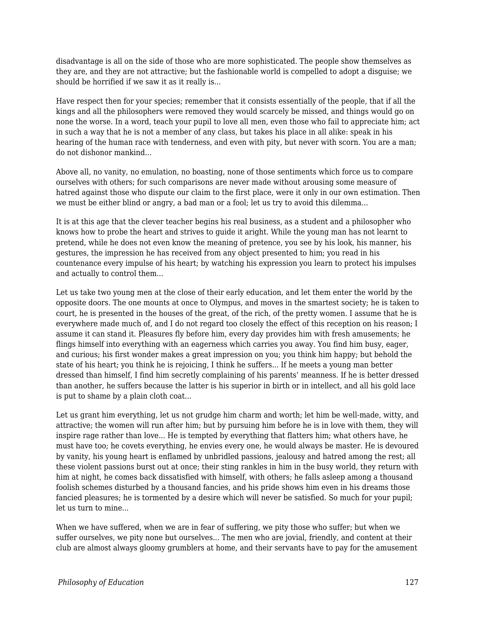disadvantage is all on the side of those who are more sophisticated. The people show themselves as they are, and they are not attractive; but the fashionable world is compelled to adopt a disguise; we should be horrified if we saw it as it really is...

Have respect then for your species; remember that it consists essentially of the people, that if all the kings and all the philosophers were removed they would scarcely be missed, and things would go on none the worse. In a word, teach your pupil to love all men, even those who fail to appreciate him; act in such a way that he is not a member of any class, but takes his place in all alike: speak in his hearing of the human race with tenderness, and even with pity, but never with scorn. You are a man; do not dishonor mankind...

Above all, no vanity, no emulation, no boasting, none of those sentiments which force us to compare ourselves with others; for such comparisons are never made without arousing some measure of hatred against those who dispute our claim to the first place, were it only in our own estimation. Then we must be either blind or angry, a bad man or a fool; let us try to avoid this dilemma...

It is at this age that the clever teacher begins his real business, as a student and a philosopher who knows how to probe the heart and strives to guide it aright. While the young man has not learnt to pretend, while he does not even know the meaning of pretence, you see by his look, his manner, his gestures, the impression he has received from any object presented to him; you read in his countenance every impulse of his heart; by watching his expression you learn to protect his impulses and actually to control them...

Let us take two young men at the close of their early education, and let them enter the world by the opposite doors. The one mounts at once to Olympus, and moves in the smartest society; he is taken to court, he is presented in the houses of the great, of the rich, of the pretty women. I assume that he is everywhere made much of, and I do not regard too closely the effect of this reception on his reason; I assume it can stand it. Pleasures fly before him, every day provides him with fresh amusements; he flings himself into everything with an eagerness which carries you away. You find him busy, eager, and curious; his first wonder makes a great impression on you; you think him happy; but behold the state of his heart; you think he is rejoicing, I think he suffers... If he meets a young man better dressed than himself, I find him secretly complaining of his parents' meanness. If he is better dressed than another, he suffers because the latter is his superior in birth or in intellect, and all his gold lace is put to shame by a plain cloth coat...

Let us grant him everything, let us not grudge him charm and worth; let him be well-made, witty, and attractive; the women will run after him; but by pursuing him before he is in love with them, they will inspire rage rather than love... He is tempted by everything that flatters him; what others have, he must have too; he covets everything, he envies every one, he would always be master. He is devoured by vanity, his young heart is enflamed by unbridled passions, jealousy and hatred among the rest; all these violent passions burst out at once; their sting rankles in him in the busy world, they return with him at night, he comes back dissatisfied with himself, with others; he falls asleep among a thousand foolish schemes disturbed by a thousand fancies, and his pride shows him even in his dreams those fancied pleasures; he is tormented by a desire which will never be satisfied. So much for your pupil; let us turn to mine...

When we have suffered, when we are in fear of suffering, we pity those who suffer; but when we suffer ourselves, we pity none but ourselves... The men who are jovial, friendly, and content at their club are almost always gloomy grumblers at home, and their servants have to pay for the amusement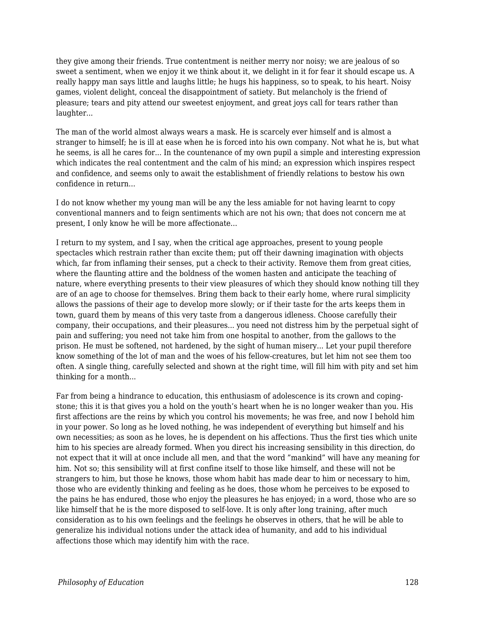they give among their friends. True contentment is neither merry nor noisy; we are jealous of so sweet a sentiment, when we enjoy it we think about it, we delight in it for fear it should escape us. A really happy man says little and laughs little; he hugs his happiness, so to speak, to his heart. Noisy games, violent delight, conceal the disappointment of satiety. But melancholy is the friend of pleasure; tears and pity attend our sweetest enjoyment, and great joys call for tears rather than laughter...

The man of the world almost always wears a mask. He is scarcely ever himself and is almost a stranger to himself; he is ill at ease when he is forced into his own company. Not what he is, but what he seems, is all he cares for... In the countenance of my own pupil a simple and interesting expression which indicates the real contentment and the calm of his mind; an expression which inspires respect and confidence, and seems only to await the establishment of friendly relations to bestow his own confidence in return...

I do not know whether my young man will be any the less amiable for not having learnt to copy conventional manners and to feign sentiments which are not his own; that does not concern me at present, I only know he will be more affectionate...

I return to my system, and I say, when the critical age approaches, present to young people spectacles which restrain rather than excite them; put off their dawning imagination with objects which, far from inflaming their senses, put a check to their activity. Remove them from great cities, where the flaunting attire and the boldness of the women hasten and anticipate the teaching of nature, where everything presents to their view pleasures of which they should know nothing till they are of an age to choose for themselves. Bring them back to their early home, where rural simplicity allows the passions of their age to develop more slowly; or if their taste for the arts keeps them in town, guard them by means of this very taste from a dangerous idleness. Choose carefully their company, their occupations, and their pleasures... you need not distress him by the perpetual sight of pain and suffering; you need not take him from one hospital to another, from the gallows to the prison. He must be softened, not hardened, by the sight of human misery... Let your pupil therefore know something of the lot of man and the woes of his fellow-creatures, but let him not see them too often. A single thing, carefully selected and shown at the right time, will fill him with pity and set him thinking for a month...

Far from being a hindrance to education, this enthusiasm of adolescence is its crown and copingstone; this it is that gives you a hold on the youth's heart when he is no longer weaker than you. His first affections are the reins by which you control his movements; he was free, and now I behold him in your power. So long as he loved nothing, he was independent of everything but himself and his own necessities; as soon as he loves, he is dependent on his affections. Thus the first ties which unite him to his species are already formed. When you direct his increasing sensibility in this direction, do not expect that it will at once include all men, and that the word "mankind" will have any meaning for him. Not so; this sensibility will at first confine itself to those like himself, and these will not be strangers to him, but those he knows, those whom habit has made dear to him or necessary to him, those who are evidently thinking and feeling as he does, those whom he perceives to be exposed to the pains he has endured, those who enjoy the pleasures he has enjoyed; in a word, those who are so like himself that he is the more disposed to self-love. It is only after long training, after much consideration as to his own feelings and the feelings he observes in others, that he will be able to generalize his individual notions under the attack idea of humanity, and add to his individual affections those which may identify him with the race.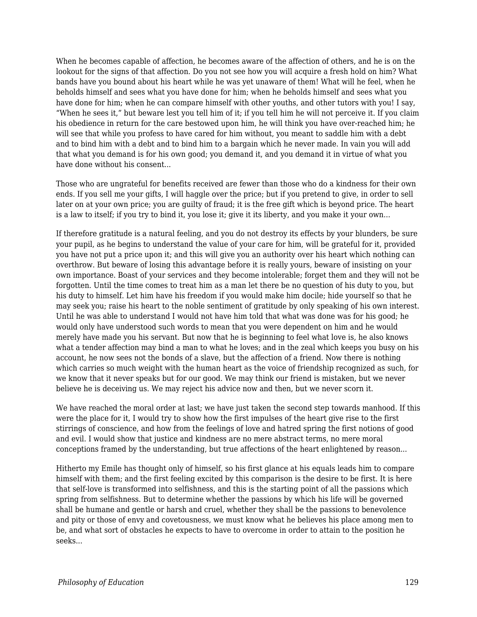When he becomes capable of affection, he becomes aware of the affection of others, and he is on the lookout for the signs of that affection. Do you not see how you will acquire a fresh hold on him? What bands have you bound about his heart while he was yet unaware of them! What will he feel, when he beholds himself and sees what you have done for him; when he beholds himself and sees what you have done for him; when he can compare himself with other youths, and other tutors with you! I say, "When he sees it," but beware lest you tell him of it; if you tell him he will not perceive it. If you claim his obedience in return for the care bestowed upon him, he will think you have over-reached him; he will see that while you profess to have cared for him without, you meant to saddle him with a debt and to bind him with a debt and to bind him to a bargain which he never made. In vain you will add that what you demand is for his own good; you demand it, and you demand it in virtue of what you have done without his consent...

Those who are ungrateful for benefits received are fewer than those who do a kindness for their own ends. If you sell me your gifts, I will haggle over the price; but if you pretend to give, in order to sell later on at your own price; you are guilty of fraud; it is the free gift which is beyond price. The heart is a law to itself; if you try to bind it, you lose it; give it its liberty, and you make it your own...

If therefore gratitude is a natural feeling, and you do not destroy its effects by your blunders, be sure your pupil, as he begins to understand the value of your care for him, will be grateful for it, provided you have not put a price upon it; and this will give you an authority over his heart which nothing can overthrow. But beware of losing this advantage before it is really yours, beware of insisting on your own importance. Boast of your services and they become intolerable; forget them and they will not be forgotten. Until the time comes to treat him as a man let there be no question of his duty to you, but his duty to himself. Let him have his freedom if you would make him docile; hide yourself so that he may seek you; raise his heart to the noble sentiment of gratitude by only speaking of his own interest. Until he was able to understand I would not have him told that what was done was for his good; he would only have understood such words to mean that you were dependent on him and he would merely have made you his servant. But now that he is beginning to feel what love is, he also knows what a tender affection may bind a man to what he loves; and in the zeal which keeps you busy on his account, he now sees not the bonds of a slave, but the affection of a friend. Now there is nothing which carries so much weight with the human heart as the voice of friendship recognized as such, for we know that it never speaks but for our good. We may think our friend is mistaken, but we never believe he is deceiving us. We may reject his advice now and then, but we never scorn it.

We have reached the moral order at last; we have just taken the second step towards manhood. If this were the place for it, I would try to show how the first impulses of the heart give rise to the first stirrings of conscience, and how from the feelings of love and hatred spring the first notions of good and evil. I would show that justice and kindness are no mere abstract terms, no mere moral conceptions framed by the understanding, but true affections of the heart enlightened by reason...

Hitherto my Emile has thought only of himself, so his first glance at his equals leads him to compare himself with them; and the first feeling excited by this comparison is the desire to be first. It is here that self-love is transformed into selfishness, and this is the starting point of all the passions which spring from selfishness. But to determine whether the passions by which his life will be governed shall be humane and gentle or harsh and cruel, whether they shall be the passions to benevolence and pity or those of envy and covetousness, we must know what he believes his place among men to be, and what sort of obstacles he expects to have to overcome in order to attain to the position he seeks...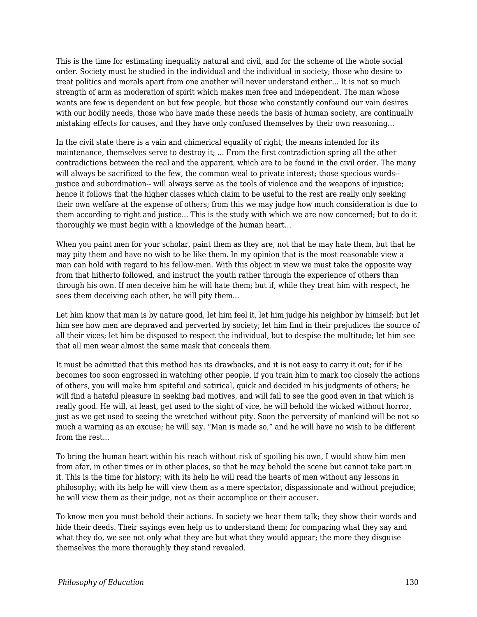This is the time for estimating inequality natural and civil, and for the scheme of the whole social order. Society must be studied in the individual and the individual in society; those who desire to treat politics and morals apart from one another will never understand either... It is not so much strength of arm as moderation of spirit which makes men free and independent. The man whose wants are few is dependent on but few people, but those who constantly confound our vain desires with our bodily needs, those who have made these needs the basis of human society, are continually mistaking effects for causes, and they have only confused themselves by their own reasoning...

In the civil state there is a vain and chimerical equality of right; the means intended for its maintenance, themselves serve to destroy it; ... From the first contradiction spring all the other contradictions between the real and the apparent, which are to be found in the civil order. The many will always be sacrificed to the few, the common weal to private interest; those specious words- justice and subordination-- will always serve as the tools of violence and the weapons of injustice; hence it follows that the higher classes which claim to be useful to the rest are really only seeking their own welfare at the expense of others; from this we may judge how much consideration is due to them according to right and justice... This is the study with which we are now concerned; but to do it thoroughly we must begin with a knowledge of the human heart...

When you paint men for your scholar, paint them as they are, not that he may hate them, but that he may pity them and have no wish to be like them. In my opinion that is the most reasonable view a man can hold with regard to his fellow-men. With this object in view we must take the opposite way from that hitherto followed, and instruct the youth rather through the experience of others than through his own. If men deceive him he will hate them; but if, while they treat him with respect, he sees them deceiving each other, he will pity them...

Let him know that man is by nature good, let him feel it, let him judge his neighbor by himself; but let him see how men are depraved and perverted by society; let him find in their prejudices the source of all their vices; let him be disposed to respect the individual, but to despise the multitude; let him see that all men wear almost the same mask that conceals them.

It must be admitted that this method has its drawbacks, and it is not easy to carry it out; for if he becomes too soon engrossed in watching other people, if you train him to mark too closely the actions of others, you will make him spiteful and satirical, quick and decided in his judgments of others; he will find a hateful pleasure in seeking bad motives, and will fail to see the good even in that which is really good. He will, at least, get used to the sight of vice, he will behold the wicked without horror, just as we get used to seeing the wretched without pity. Soon the perversity of mankind will be not so much a warning as an excuse; he will say, "Man is made so," and he will have no wish to be different from the rest...

To bring the human heart within his reach without risk of spoiling his own, I would show him men from afar, in other times or in other places, so that he may behold the scene but cannot take part in it. This is the time for history; with its help he will read the hearts of men without any lessons in philosophy; with its help he will view them as a mere spectator, dispassionate and without prejudice; he will view them as their judge, not as their accomplice or their accuser.

To know men you must behold their actions. In society we hear them talk; they show their words and hide their deeds. Their sayings even help us to understand them; for comparing what they say and what they do, we see not only what they are but what they would appear; the more they disguise themselves the more thoroughly they stand revealed.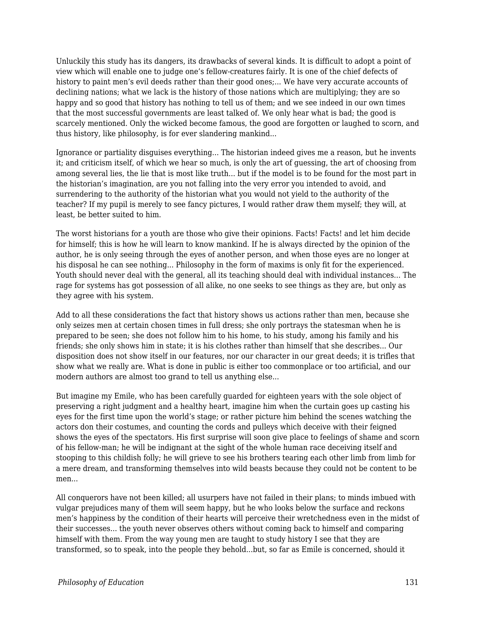Unluckily this study has its dangers, its drawbacks of several kinds. It is difficult to adopt a point of view which will enable one to judge one's fellow-creatures fairly. It is one of the chief defects of history to paint men's evil deeds rather than their good ones;... We have very accurate accounts of declining nations; what we lack is the history of those nations which are multiplying; they are so happy and so good that history has nothing to tell us of them; and we see indeed in our own times that the most successful governments are least talked of. We only hear what is bad; the good is scarcely mentioned. Only the wicked become famous, the good are forgotten or laughed to scorn, and thus history, like philosophy, is for ever slandering mankind...

Ignorance or partiality disguises everything... The historian indeed gives me a reason, but he invents it; and criticism itself, of which we hear so much, is only the art of guessing, the art of choosing from among several lies, the lie that is most like truth... but if the model is to be found for the most part in the historian's imagination, are you not falling into the very error you intended to avoid, and surrendering to the authority of the historian what you would not yield to the authority of the teacher? If my pupil is merely to see fancy pictures, I would rather draw them myself; they will, at least, be better suited to him.

The worst historians for a youth are those who give their opinions. Facts! Facts! and let him decide for himself; this is how he will learn to know mankind. If he is always directed by the opinion of the author, he is only seeing through the eyes of another person, and when those eyes are no longer at his disposal he can see nothing... Philosophy in the form of maxims is only fit for the experienced. Youth should never deal with the general, all its teaching should deal with individual instances... The rage for systems has got possession of all alike, no one seeks to see things as they are, but only as they agree with his system.

Add to all these considerations the fact that history shows us actions rather than men, because she only seizes men at certain chosen times in full dress; she only portrays the statesman when he is prepared to be seen; she does not follow him to his home, to his study, among his family and his friends; she only shows him in state; it is his clothes rather than himself that she describes... Our disposition does not show itself in our features, nor our character in our great deeds; it is trifles that show what we really are. What is done in public is either too commonplace or too artificial, and our modern authors are almost too grand to tell us anything else...

But imagine my Emile, who has been carefully guarded for eighteen years with the sole object of preserving a right judgment and a healthy heart, imagine him when the curtain goes up casting his eyes for the first time upon the world's stage; or rather picture him behind the scenes watching the actors don their costumes, and counting the cords and pulleys which deceive with their feigned shows the eyes of the spectators. His first surprise will soon give place to feelings of shame and scorn of his fellow-man; he will be indignant at the sight of the whole human race deceiving itself and stooping to this childish folly; he will grieve to see his brothers tearing each other limb from limb for a mere dream, and transforming themselves into wild beasts because they could not be content to be men...

All conquerors have not been killed; all usurpers have not failed in their plans; to minds imbued with vulgar prejudices many of them will seem happy, but he who looks below the surface and reckons men's happiness by the condition of their hearts will perceive their wretchedness even in the midst of their successes... the youth never observes others without coming back to himself and comparing himself with them. From the way young men are taught to study history I see that they are transformed, so to speak, into the people they behold...but, so far as Emile is concerned, should it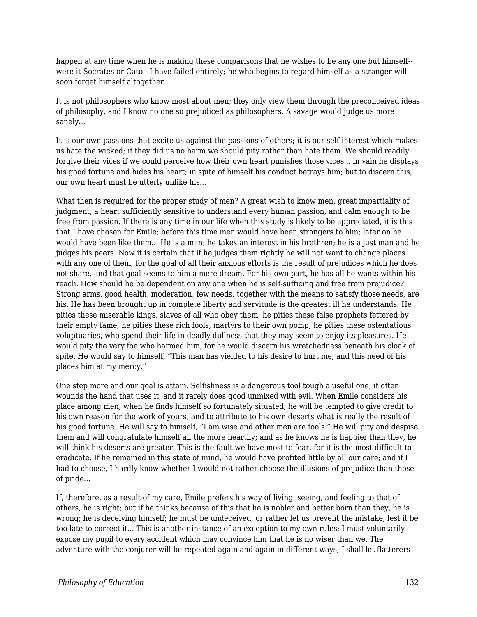happen at any time when he is making these comparisons that he wishes to be any one but himself- were it Socrates or Cato-- I have failed entirely; he who begins to regard himself as a stranger will soon forget himself altogether.

It is not philosophers who know most about men; they only view them through the preconceived ideas of philosophy, and I know no one so prejudiced as philosophers. A savage would judge us more sanely...

It is our own passions that excite us against the passions of others; it is our self-interest which makes us hate the wicked; if they did us no harm we should pity rather than hate them. We should readily forgive their vices if we could perceive how their own heart punishes those vices... in vain he displays his good fortune and hides his heart; in spite of himself his conduct betrays him; but to discern this, our own heart must be utterly unlike his...

What then is required for the proper study of men? A great wish to know men, great impartiality of judgment, a heart sufficiently sensitive to understand every human passion, and calm enough to be free from passion. If there is any time in our life when this study is likely to be appreciated, it is this that I have chosen for Emile; before this time men would have been strangers to him; later on he would have been like them... He is a man; he takes an interest in his brethren; he is a just man and he judges his peers. Now it is certain that if he judges them rightly he will not want to change places with any one of them, for the goal of all their anxious efforts is the result of prejudices which he does not share, and that goal seems to him a mere dream. For his own part, he has all he wants within his reach. How should he be dependent on any one when he is self-sufficing and free from prejudice? Strong arms, good health, moderation, few needs, together with the means to satisfy those needs, are his. He has been brought up in complete liberty and servitude is the greatest ill he understands. He pities these miserable kings, slaves of all who obey them; he pities these false prophets fettered by their empty fame; he pities these rich fools, martyrs to their own pomp; he pities these ostentatious voluptuaries, who spend their life in deadly dullness that they may seem to enjoy its pleasures. He would pity the very foe who harmed him, for he would discern his wretchedness beneath his cloak of spite. He would say to himself, "This man has yielded to his desire to hurt me, and this need of his places him at my mercy."

One step more and our goal is attain. Selfishness is a dangerous tool tough a useful one; it often wounds the hand that uses it, and it rarely does good unmixed with evil. When Emile considers his place among men, when he finds himself so fortunately situated, he will be tempted to give credit to his own reason for the work of yours, and to attribute to his own deserts what is really the result of his good fortune. He will say to himself, "I am wise and other men are fools." He will pity and despise them and will congratulate himself all the more heartily; and as he knows he is happier than they, he will think his deserts are greater. This is the fault we have most to fear, for it is the most difficult to eradicate. If he remained in this state of mind, he would have profited little by all our care; and if I had to choose, I hardly know whether I would not rather choose the illusions of prejudice than those of pride...

If, therefore, as a result of my care, Emile prefers his way of living, seeing, and feeling to that of others, he is right; but if he thinks because of this that he is nobler and better born than they, he is wrong; he is deceiving himself; he must be undeceived, or rather let us prevent the mistake, lest it be too late to correct it... This is another instance of an exception to my own rules; I must voluntarily expose my pupil to every accident which may convince him that he is no wiser than we. The adventure with the conjurer will be repeated again and again in different ways; I shall let flatterers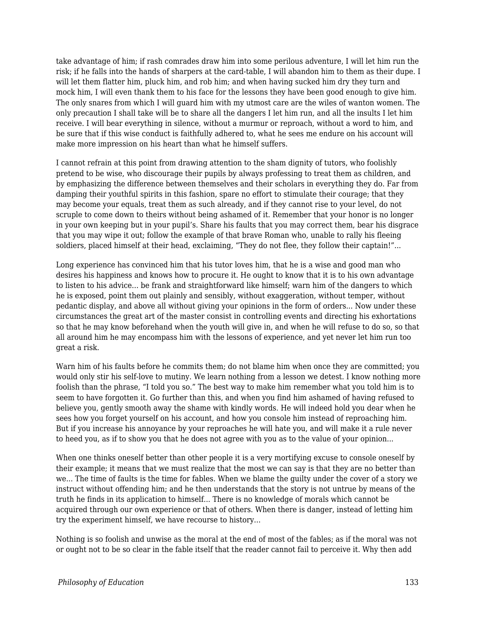take advantage of him; if rash comrades draw him into some perilous adventure, I will let him run the risk; if he falls into the hands of sharpers at the card-table, I will abandon him to them as their dupe. I will let them flatter him, pluck him, and rob him; and when having sucked him dry they turn and mock him, I will even thank them to his face for the lessons they have been good enough to give him. The only snares from which I will guard him with my utmost care are the wiles of wanton women. The only precaution I shall take will be to share all the dangers I let him run, and all the insults I let him receive. I will bear everything in silence, without a murmur or reproach, without a word to him, and be sure that if this wise conduct is faithfully adhered to, what he sees me endure on his account will make more impression on his heart than what he himself suffers.

I cannot refrain at this point from drawing attention to the sham dignity of tutors, who foolishly pretend to be wise, who discourage their pupils by always professing to treat them as children, and by emphasizing the difference between themselves and their scholars in everything they do. Far from damping their youthful spirits in this fashion, spare no effort to stimulate their courage; that they may become your equals, treat them as such already, and if they cannot rise to your level, do not scruple to come down to theirs without being ashamed of it. Remember that your honor is no longer in your own keeping but in your pupil's. Share his faults that you may correct them, bear his disgrace that you may wipe it out; follow the example of that brave Roman who, unable to rally his fleeing soldiers, placed himself at their head, exclaiming, "They do not flee, they follow their captain!"...

Long experience has convinced him that his tutor loves him, that he is a wise and good man who desires his happiness and knows how to procure it. He ought to know that it is to his own advantage to listen to his advice... be frank and straightforward like himself; warn him of the dangers to which he is exposed, point them out plainly and sensibly, without exaggeration, without temper, without pedantic display, and above all without giving your opinions in the form of orders... Now under these circumstances the great art of the master consist in controlling events and directing his exhortations so that he may know beforehand when the youth will give in, and when he will refuse to do so, so that all around him he may encompass him with the lessons of experience, and yet never let him run too great a risk.

Warn him of his faults before he commits them; do not blame him when once they are committed; you would only stir his self-love to mutiny. We learn nothing from a lesson we detest. I know nothing more foolish than the phrase, "I told you so." The best way to make him remember what you told him is to seem to have forgotten it. Go further than this, and when you find him ashamed of having refused to believe you, gently smooth away the shame with kindly words. He will indeed hold you dear when he sees how you forget yourself on his account, and how you console him instead of reproaching him. But if you increase his annoyance by your reproaches he will hate you, and will make it a rule never to heed you, as if to show you that he does not agree with you as to the value of your opinion...

When one thinks oneself better than other people it is a very mortifying excuse to console oneself by their example; it means that we must realize that the most we can say is that they are no better than we... The time of faults is the time for fables. When we blame the guilty under the cover of a story we instruct without offending him; and he then understands that the story is not untrue by means of the truth he finds in its application to himself... There is no knowledge of morals which cannot be acquired through our own experience or that of others. When there is danger, instead of letting him try the experiment himself, we have recourse to history...

Nothing is so foolish and unwise as the moral at the end of most of the fables; as if the moral was not or ought not to be so clear in the fable itself that the reader cannot fail to perceive it. Why then add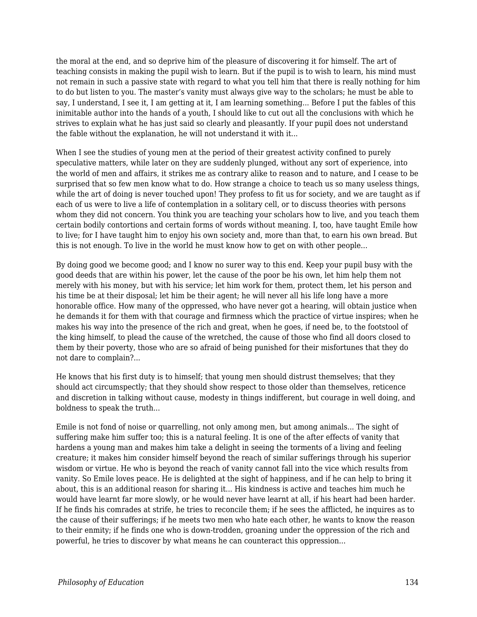the moral at the end, and so deprive him of the pleasure of discovering it for himself. The art of teaching consists in making the pupil wish to learn. But if the pupil is to wish to learn, his mind must not remain in such a passive state with regard to what you tell him that there is really nothing for him to do but listen to you. The master's vanity must always give way to the scholars; he must be able to say, I understand, I see it, I am getting at it, I am learning something... Before I put the fables of this inimitable author into the hands of a youth, I should like to cut out all the conclusions with which he strives to explain what he has just said so clearly and pleasantly. If your pupil does not understand the fable without the explanation, he will not understand it with it...

When I see the studies of young men at the period of their greatest activity confined to purely speculative matters, while later on they are suddenly plunged, without any sort of experience, into the world of men and affairs, it strikes me as contrary alike to reason and to nature, and I cease to be surprised that so few men know what to do. How strange a choice to teach us so many useless things, while the art of doing is never touched upon! They profess to fit us for society, and we are taught as if each of us were to live a life of contemplation in a solitary cell, or to discuss theories with persons whom they did not concern. You think you are teaching your scholars how to live, and you teach them certain bodily contortions and certain forms of words without meaning. I, too, have taught Emile how to live; for I have taught him to enjoy his own society and, more than that, to earn his own bread. But this is not enough. To live in the world he must know how to get on with other people...

By doing good we become good; and I know no surer way to this end. Keep your pupil busy with the good deeds that are within his power, let the cause of the poor be his own, let him help them not merely with his money, but with his service; let him work for them, protect them, let his person and his time be at their disposal; let him be their agent; he will never all his life long have a more honorable office. How many of the oppressed, who have never got a hearing, will obtain justice when he demands it for them with that courage and firmness which the practice of virtue inspires; when he makes his way into the presence of the rich and great, when he goes, if need be, to the footstool of the king himself, to plead the cause of the wretched, the cause of those who find all doors closed to them by their poverty, those who are so afraid of being punished for their misfortunes that they do not dare to complain?...

He knows that his first duty is to himself; that young men should distrust themselves; that they should act circumspectly; that they should show respect to those older than themselves, reticence and discretion in talking without cause, modesty in things indifferent, but courage in well doing, and boldness to speak the truth...

Emile is not fond of noise or quarrelling, not only among men, but among animals... The sight of suffering make him suffer too; this is a natural feeling. It is one of the after effects of vanity that hardens a young man and makes him take a delight in seeing the torments of a living and feeling creature; it makes him consider himself beyond the reach of similar sufferings through his superior wisdom or virtue. He who is beyond the reach of vanity cannot fall into the vice which results from vanity. So Emile loves peace. He is delighted at the sight of happiness, and if he can help to bring it about, this is an additional reason for sharing it... His kindness is active and teaches him much he would have learnt far more slowly, or he would never have learnt at all, if his heart had been harder. If he finds his comrades at strife, he tries to reconcile them; if he sees the afflicted, he inquires as to the cause of their sufferings; if he meets two men who hate each other, he wants to know the reason to their enmity; if he finds one who is down-trodden, groaning under the oppression of the rich and powerful, he tries to discover by what means he can counteract this oppression...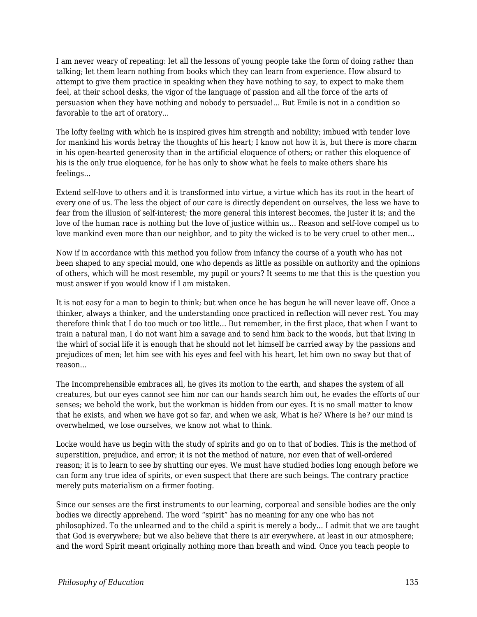I am never weary of repeating: let all the lessons of young people take the form of doing rather than talking; let them learn nothing from books which they can learn from experience. How absurd to attempt to give them practice in speaking when they have nothing to say, to expect to make them feel, at their school desks, the vigor of the language of passion and all the force of the arts of persuasion when they have nothing and nobody to persuade!... But Emile is not in a condition so favorable to the art of oratory...

The lofty feeling with which he is inspired gives him strength and nobility; imbued with tender love for mankind his words betray the thoughts of his heart; I know not how it is, but there is more charm in his open-hearted generosity than in the artificial eloquence of others; or rather this eloquence of his is the only true eloquence, for he has only to show what he feels to make others share his feelings...

Extend self-love to others and it is transformed into virtue, a virtue which has its root in the heart of every one of us. The less the object of our care is directly dependent on ourselves, the less we have to fear from the illusion of self-interest; the more general this interest becomes, the juster it is; and the love of the human race is nothing but the love of justice within us... Reason and self-love compel us to love mankind even more than our neighbor, and to pity the wicked is to be very cruel to other men...

Now if in accordance with this method you follow from infancy the course of a youth who has not been shaped to any special mould, one who depends as little as possible on authority and the opinions of others, which will he most resemble, my pupil or yours? It seems to me that this is the question you must answer if you would know if I am mistaken.

It is not easy for a man to begin to think; but when once he has begun he will never leave off. Once a thinker, always a thinker, and the understanding once practiced in reflection will never rest. You may therefore think that I do too much or too little... But remember, in the first place, that when I want to train a natural man, I do not want him a savage and to send him back to the woods, but that living in the whirl of social life it is enough that he should not let himself be carried away by the passions and prejudices of men; let him see with his eyes and feel with his heart, let him own no sway but that of reason...

The Incomprehensible embraces all, he gives its motion to the earth, and shapes the system of all creatures, but our eyes cannot see him nor can our hands search him out, he evades the efforts of our senses; we behold the work, but the workman is hidden from our eyes. It is no small matter to know that he exists, and when we have got so far, and when we ask, What is he? Where is he? our mind is overwhelmed, we lose ourselves, we know not what to think.

Locke would have us begin with the study of spirits and go on to that of bodies. This is the method of superstition, prejudice, and error; it is not the method of nature, nor even that of well-ordered reason; it is to learn to see by shutting our eyes. We must have studied bodies long enough before we can form any true idea of spirits, or even suspect that there are such beings. The contrary practice merely puts materialism on a firmer footing.

Since our senses are the first instruments to our learning, corporeal and sensible bodies are the only bodies we directly apprehend. The word "spirit" has no meaning for any one who has not philosophized. To the unlearned and to the child a spirit is merely a body... I admit that we are taught that God is everywhere; but we also believe that there is air everywhere, at least in our atmosphere; and the word Spirit meant originally nothing more than breath and wind. Once you teach people to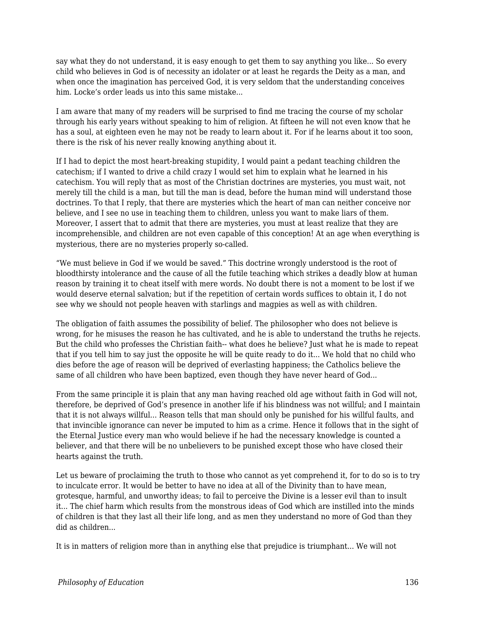say what they do not understand, it is easy enough to get them to say anything you like... So every child who believes in God is of necessity an idolater or at least he regards the Deity as a man, and when once the imagination has perceived God, it is very seldom that the understanding conceives him. Locke's order leads us into this same mistake...

I am aware that many of my readers will be surprised to find me tracing the course of my scholar through his early years without speaking to him of religion. At fifteen he will not even know that he has a soul, at eighteen even he may not be ready to learn about it. For if he learns about it too soon, there is the risk of his never really knowing anything about it.

If I had to depict the most heart-breaking stupidity, I would paint a pedant teaching children the catechism; if I wanted to drive a child crazy I would set him to explain what he learned in his catechism. You will reply that as most of the Christian doctrines are mysteries, you must wait, not merely till the child is a man, but till the man is dead, before the human mind will understand those doctrines. To that I reply, that there are mysteries which the heart of man can neither conceive nor believe, and I see no use in teaching them to children, unless you want to make liars of them. Moreover, I assert that to admit that there are mysteries, you must at least realize that they are incomprehensible, and children are not even capable of this conception! At an age when everything is mysterious, there are no mysteries properly so-called.

"We must believe in God if we would be saved." This doctrine wrongly understood is the root of bloodthirsty intolerance and the cause of all the futile teaching which strikes a deadly blow at human reason by training it to cheat itself with mere words. No doubt there is not a moment to be lost if we would deserve eternal salvation; but if the repetition of certain words suffices to obtain it, I do not see why we should not people heaven with starlings and magpies as well as with children.

The obligation of faith assumes the possibility of belief. The philosopher who does not believe is wrong, for he misuses the reason he has cultivated, and he is able to understand the truths he rejects. But the child who professes the Christian faith-- what does he believe? Just what he is made to repeat that if you tell him to say just the opposite he will be quite ready to do it... We hold that no child who dies before the age of reason will be deprived of everlasting happiness; the Catholics believe the same of all children who have been baptized, even though they have never heard of God...

From the same principle it is plain that any man having reached old age without faith in God will not, therefore, be deprived of God's presence in another life if his blindness was not willful; and I maintain that it is not always willful... Reason tells that man should only be punished for his willful faults, and that invincible ignorance can never be imputed to him as a crime. Hence it follows that in the sight of the Eternal Justice every man who would believe if he had the necessary knowledge is counted a believer, and that there will be no unbelievers to be punished except those who have closed their hearts against the truth.

Let us beware of proclaiming the truth to those who cannot as yet comprehend it, for to do so is to try to inculcate error. It would be better to have no idea at all of the Divinity than to have mean, grotesque, harmful, and unworthy ideas; to fail to perceive the Divine is a lesser evil than to insult it... The chief harm which results from the monstrous ideas of God which are instilled into the minds of children is that they last all their life long, and as men they understand no more of God than they did as children...

It is in matters of religion more than in anything else that prejudice is triumphant... We will not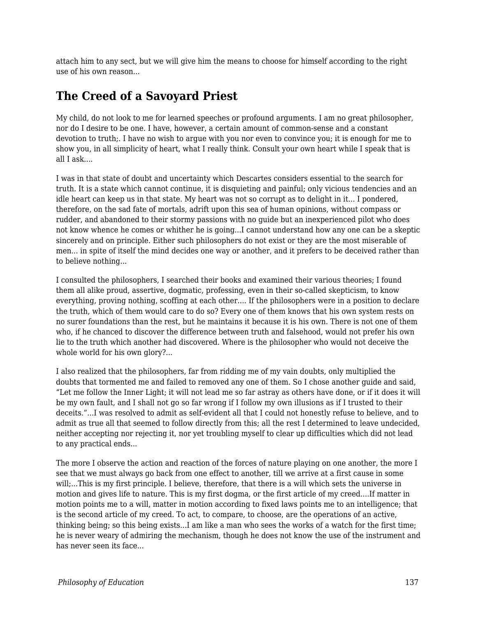attach him to any sect, but we will give him the means to choose for himself according to the right use of his own reason...

#### **The Creed of a Savoyard Priest**

My child, do not look to me for learned speeches or profound arguments. I am no great philosopher, nor do I desire to be one. I have, however, a certain amount of common-sense and a constant devotion to truth;. I have no wish to argue with you nor even to convince you; it is enough for me to show you, in all simplicity of heart, what I really think. Consult your own heart while I speak that is all I ask....

I was in that state of doubt and uncertainty which Descartes considers essential to the search for truth. It is a state which cannot continue, it is disquieting and painful; only vicious tendencies and an idle heart can keep us in that state. My heart was not so corrupt as to delight in it... I pondered, therefore, on the sad fate of mortals, adrift upon this sea of human opinions, without compass or rudder, and abandoned to their stormy passions with no guide but an inexperienced pilot who does not know whence he comes or whither he is going...I cannot understand how any one can be a skeptic sincerely and on principle. Either such philosophers do not exist or they are the most miserable of men... in spite of itself the mind decides one way or another, and it prefers to be deceived rather than to believe nothing...

I consulted the philosophers, I searched their books and examined their various theories; I found them all alike proud, assertive, dogmatic, professing, even in their so-called skepticism, to know everything, proving nothing, scoffing at each other.... If the philosophers were in a position to declare the truth, which of them would care to do so? Every one of them knows that his own system rests on no surer foundations than the rest, but he maintains it because it is his own. There is not one of them who, if he chanced to discover the difference between truth and falsehood, would not prefer his own lie to the truth which another had discovered. Where is the philosopher who would not deceive the whole world for his own glory?...

I also realized that the philosophers, far from ridding me of my vain doubts, only multiplied the doubts that tormented me and failed to removed any one of them. So I chose another guide and said, "Let me follow the Inner Light; it will not lead me so far astray as others have done, or if it does it will be my own fault, and I shall not go so far wrong if I follow my own illusions as if I trusted to their deceits."...I was resolved to admit as self-evident all that I could not honestly refuse to believe, and to admit as true all that seemed to follow directly from this; all the rest I determined to leave undecided, neither accepting nor rejecting it, nor yet troubling myself to clear up difficulties which did not lead to any practical ends...

The more I observe the action and reaction of the forces of nature playing on one another, the more I see that we must always go back from one effect to another, till we arrive at a first cause in some will;...This is my first principle. I believe, therefore, that there is a will which sets the universe in motion and gives life to nature. This is my first dogma, or the first article of my creed....If matter in motion points me to a will, matter in motion according to fixed laws points me to an intelligence; that is the second article of my creed. To act, to compare, to choose, are the operations of an active, thinking being; so this being exists...I am like a man who sees the works of a watch for the first time; he is never weary of admiring the mechanism, though he does not know the use of the instrument and has never seen its face...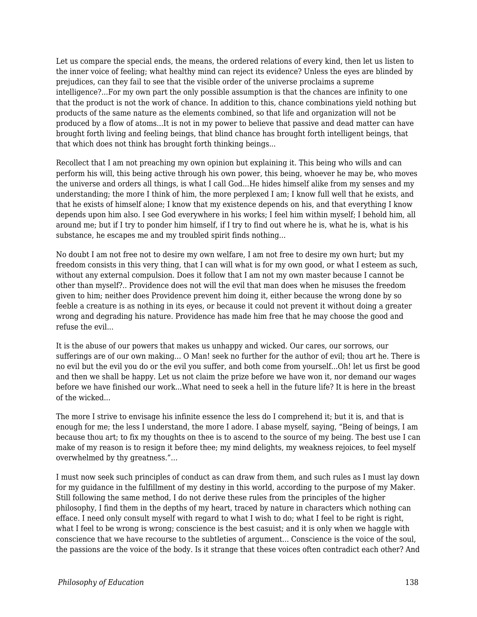Let us compare the special ends, the means, the ordered relations of every kind, then let us listen to the inner voice of feeling; what healthy mind can reject its evidence? Unless the eyes are blinded by prejudices, can they fail to see that the visible order of the universe proclaims a supreme intelligence?...For my own part the only possible assumption is that the chances are infinity to one that the product is not the work of chance. In addition to this, chance combinations yield nothing but products of the same nature as the elements combined, so that life and organization will not be produced by a flow of atoms...It is not in my power to believe that passive and dead matter can have brought forth living and feeling beings, that blind chance has brought forth intelligent beings, that that which does not think has brought forth thinking beings...

Recollect that I am not preaching my own opinion but explaining it. This being who wills and can perform his will, this being active through his own power, this being, whoever he may be, who moves the universe and orders all things, is what I call God...He hides himself alike from my senses and my understanding; the more I think of him, the more perplexed I am; I know full well that he exists, and that he exists of himself alone; I know that my existence depends on his, and that everything I know depends upon him also. I see God everywhere in his works; I feel him within myself; I behold him, all around me; but if I try to ponder him himself, if I try to find out where he is, what he is, what is his substance, he escapes me and my troubled spirit finds nothing...

No doubt I am not free not to desire my own welfare, I am not free to desire my own hurt; but my freedom consists in this very thing, that I can will what is for my own good, or what I esteem as such, without any external compulsion. Does it follow that I am not my own master because I cannot be other than myself?.. Providence does not will the evil that man does when he misuses the freedom given to him; neither does Providence prevent him doing it, either because the wrong done by so feeble a creature is as nothing in its eyes, or because it could not prevent it without doing a greater wrong and degrading his nature. Providence has made him free that he may choose the good and refuse the evil...

It is the abuse of our powers that makes us unhappy and wicked. Our cares, our sorrows, our sufferings are of our own making... O Man! seek no further for the author of evil; thou art he. There is no evil but the evil you do or the evil you suffer, and both come from yourself...Oh! let us first be good and then we shall be happy. Let us not claim the prize before we have won it, nor demand our wages before we have finished our work...What need to seek a hell in the future life? It is here in the breast of the wicked...

The more I strive to envisage his infinite essence the less do I comprehend it; but it is, and that is enough for me; the less I understand, the more I adore. I abase myself, saying, "Being of beings, I am because thou art; to fix my thoughts on thee is to ascend to the source of my being. The best use I can make of my reason is to resign it before thee; my mind delights, my weakness rejoices, to feel myself overwhelmed by thy greatness."...

I must now seek such principles of conduct as can draw from them, and such rules as I must lay down for my guidance in the fulfillment of my destiny in this world, according to the purpose of my Maker. Still following the same method, I do not derive these rules from the principles of the higher philosophy, I find them in the depths of my heart, traced by nature in characters which nothing can efface. I need only consult myself with regard to what I wish to do; what I feel to be right is right, what I feel to be wrong is wrong; conscience is the best casuist; and it is only when we haggle with conscience that we have recourse to the subtleties of argument... Conscience is the voice of the soul, the passions are the voice of the body. Is it strange that these voices often contradict each other? And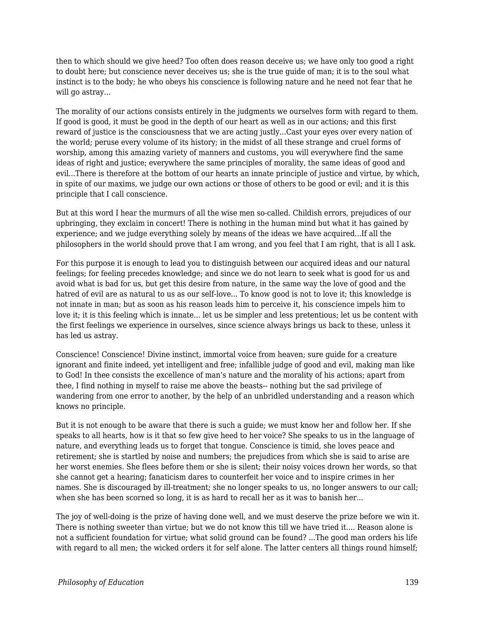then to which should we give heed? Too often does reason deceive us; we have only too good a right to doubt here; but conscience never deceives us; she is the true guide of man; it is to the soul what instinct is to the body; he who obeys his conscience is following nature and he need not fear that he will go astray...

The morality of our actions consists entirely in the judgments we ourselves form with regard to them. If good is good, it must be good in the depth of our heart as well as in our actions; and this first reward of justice is the consciousness that we are acting justly...Cast your eyes over every nation of the world; peruse every volume of its history; in the midst of all these strange and cruel forms of worship, among this amazing variety of manners and customs, you will everywhere find the same ideas of right and justice; everywhere the same principles of morality, the same ideas of good and evil...There is therefore at the bottom of our hearts an innate principle of justice and virtue, by which, in spite of our maxims, we judge our own actions or those of others to be good or evil; and it is this principle that I call conscience.

But at this word I hear the murmurs of all the wise men so-called. Childish errors, prejudices of our upbringing, they exclaim in concert! There is nothing in the human mind but what it has gained by experience; and we judge everything solely by means of the ideas we have acquired...If all the philosophers in the world should prove that I am wrong, and you feel that I am right, that is all I ask.

For this purpose it is enough to lead you to distinguish between our acquired ideas and our natural feelings; for feeling precedes knowledge; and since we do not learn to seek what is good for us and avoid what is bad for us, but get this desire from nature, in the same way the love of good and the hatred of evil are as natural to us as our self-love... To know good is not to love it; this knowledge is not innate in man; but as soon as his reason leads him to perceive it, his conscience impels him to love it; it is this feeling which is innate... let us be simpler and less pretentious; let us be content with the first feelings we experience in ourselves, since science always brings us back to these, unless it has led us astray.

Conscience! Conscience! Divine instinct, immortal voice from heaven; sure guide for a creature ignorant and finite indeed, yet intelligent and free; infallible judge of good and evil, making man like to God! In thee consists the excellence of man's nature and the morality of his actions; apart from thee, I find nothing in myself to raise me above the beasts-- nothing but the sad privilege of wandering from one error to another, by the help of an unbridled understanding and a reason which knows no principle.

But it is not enough to be aware that there is such a guide; we must know her and follow her. If she speaks to all hearts, how is it that so few give heed to her voice? She speaks to us in the language of nature, and everything leads us to forget that tongue. Conscience is timid, she loves peace and retirement; she is startled by noise and numbers; the prejudices from which she is said to arise are her worst enemies. She flees before them or she is silent; their noisy voices drown her words, so that she cannot get a hearing; fanaticism dares to counterfeit her voice and to inspire crimes in her names. She is discouraged by ill-treatment; she no longer speaks to us, no longer answers to our call; when she has been scorned so long, it is as hard to recall her as it was to banish her...

The joy of well-doing is the prize of having done well, and we must deserve the prize before we win it. There is nothing sweeter than virtue; but we do not know this till we have tried it.... Reason alone is not a sufficient foundation for virtue; what solid ground can be found? ...The good man orders his life with regard to all men; the wicked orders it for self alone. The latter centers all things round himself;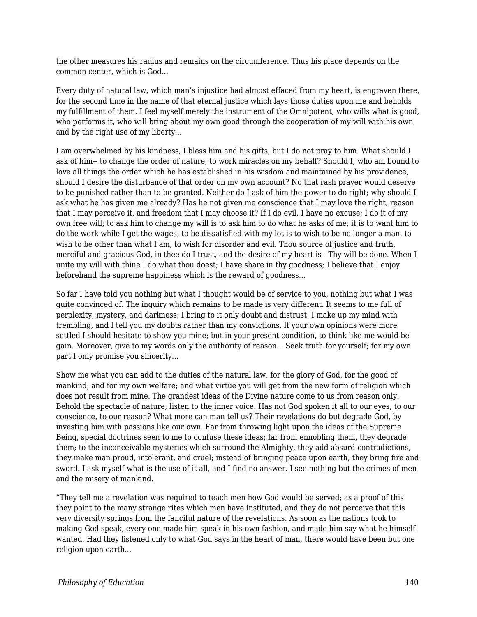the other measures his radius and remains on the circumference. Thus his place depends on the common center, which is God...

Every duty of natural law, which man's injustice had almost effaced from my heart, is engraven there, for the second time in the name of that eternal justice which lays those duties upon me and beholds my fulfillment of them. I feel myself merely the instrument of the Omnipotent, who wills what is good, who performs it, who will bring about my own good through the cooperation of my will with his own, and by the right use of my liberty...

I am overwhelmed by his kindness, I bless him and his gifts, but I do not pray to him. What should I ask of him-- to change the order of nature, to work miracles on my behalf? Should I, who am bound to love all things the order which he has established in his wisdom and maintained by his providence, should I desire the disturbance of that order on my own account? No that rash prayer would deserve to be punished rather than to be granted. Neither do I ask of him the power to do right; why should I ask what he has given me already? Has he not given me conscience that I may love the right, reason that I may perceive it, and freedom that I may choose it? If I do evil, I have no excuse; I do it of my own free will; to ask him to change my will is to ask him to do what he asks of me; it is to want him to do the work while I get the wages; to be dissatisfied with my lot is to wish to be no longer a man, to wish to be other than what I am, to wish for disorder and evil. Thou source of justice and truth, merciful and gracious God, in thee do I trust, and the desire of my heart is-- Thy will be done. When I unite my will with thine I do what thou doest; I have share in thy goodness; I believe that I enjoy beforehand the supreme happiness which is the reward of goodness...

So far I have told you nothing but what I thought would be of service to you, nothing but what I was quite convinced of. The inquiry which remains to be made is very different. It seems to me full of perplexity, mystery, and darkness; I bring to it only doubt and distrust. I make up my mind with trembling, and I tell you my doubts rather than my convictions. If your own opinions were more settled I should hesitate to show you mine; but in your present condition, to think like me would be gain. Moreover, give to my words only the authority of reason... Seek truth for yourself; for my own part I only promise you sincerity...

Show me what you can add to the duties of the natural law, for the glory of God, for the good of mankind, and for my own welfare; and what virtue you will get from the new form of religion which does not result from mine. The grandest ideas of the Divine nature come to us from reason only. Behold the spectacle of nature; listen to the inner voice. Has not God spoken it all to our eyes, to our conscience, to our reason? What more can man tell us? Their revelations do but degrade God, by investing him with passions like our own. Far from throwing light upon the ideas of the Supreme Being, special doctrines seen to me to confuse these ideas; far from ennobling them, they degrade them; to the inconceivable mysteries which surround the Almighty, they add absurd contradictions, they make man proud, intolerant, and cruel; instead of bringing peace upon earth, they bring fire and sword. I ask myself what is the use of it all, and I find no answer. I see nothing but the crimes of men and the misery of mankind.

"They tell me a revelation was required to teach men how God would be served; as a proof of this they point to the many strange rites which men have instituted, and they do not perceive that this very diversity springs from the fanciful nature of the revelations. As soon as the nations took to making God speak, every one made him speak in his own fashion, and made him say what he himself wanted. Had they listened only to what God says in the heart of man, there would have been but one religion upon earth...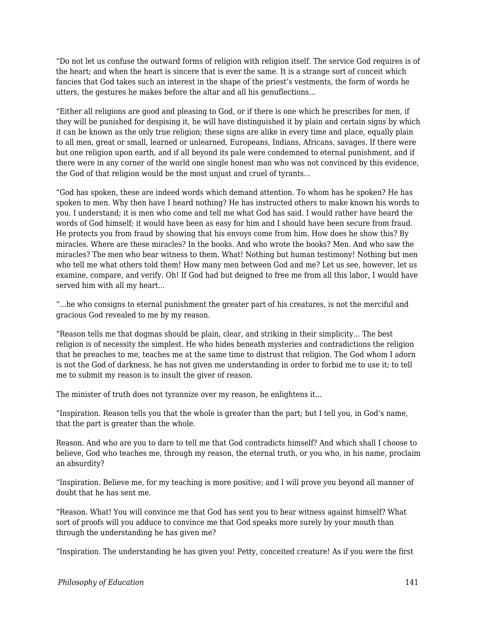"Do not let us confuse the outward forms of religion with religion itself. The service God requires is of the heart; and when the heart is sincere that is ever the same. It is a strange sort of conceit which fancies that God takes such an interest in the shape of the priest's vestments, the form of words he utters, the gestures he makes before the altar and all his genuflections...

"Either all religions are good and pleasing to God, or if there is one which he prescribes for men, if they will be punished for despising it, he will have distinguished it by plain and certain signs by which it can be known as the only true religion; these signs are alike in every time and place, equally plain to all men, great or small, learned or unlearned, Europeans, Indians, Africans, savages. If there were but one religion upon earth, and if all beyond its pale were condemned to eternal punishment, and if there were in any corner of the world one single honest man who was not convinced by this evidence, the God of that religion would be the most unjust and cruel of tyrants...

"God has spoken, these are indeed words which demand attention. To whom has he spoken? He has spoken to men. Why then have I heard nothing? He has instructed others to make known his words to you. I understand; it is men who come and tell me what God has said. I would rather have heard the words of God himself; it would have been as easy for him and I should have been secure from fraud. He protects you from fraud by showing that his envoys come from him. How does he show this? By miracles. Where are these miracles? In the books. And who wrote the books? Men. And who saw the miracles? The men who bear witness to them. What! Nothing but human testimony! Nothing but men who tell me what others told them! How many men between God and me? Let us see, however, let us examine, compare, and verify. Oh! If God had but deigned to free me from all this labor, I would have served him with all my heart...

"...he who consigns to eternal punishment the greater part of his creatures, is not the merciful and gracious God revealed to me by my reason.

"Reason tells me that dogmas should be plain, clear, and striking in their simplicity... The best religion is of necessity the simplest. He who hides beneath mysteries and contradictions the religion that he preaches to me, teaches me at the same time to distrust that religion. The God whom I adorn is not the God of darkness, he has not given me understanding in order to forbid me to use it; to tell me to submit my reason is to insult the giver of reason.

The minister of truth does not tyrannize over my reason, he enlightens it...

"Inspiration. Reason tells you that the whole is greater than the part; but I tell you, in God's name, that the part is greater than the whole.

Reason. And who are you to dare to tell me that God contradicts himself? And which shall I choose to believe, God who teaches me, through my reason, the eternal truth, or you who, in his name, proclaim an absurdity?

"Inspiration. Believe me, for my teaching is more positive; and I will prove you beyond all manner of doubt that he has sent me.

"Reason. What! You will convince me that God has sent you to bear witness against himself? What sort of proofs will you adduce to convince me that God speaks more surely by your mouth than through the understanding he has given me?

"Inspiration. The understanding he has given you! Petty, conceited creature! As if you were the first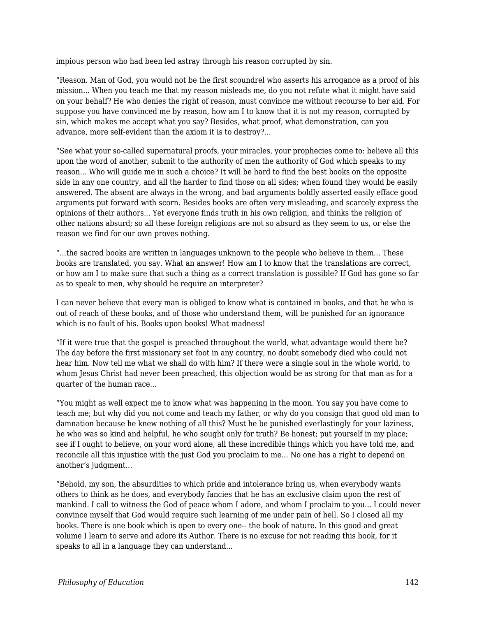impious person who had been led astray through his reason corrupted by sin.

"Reason. Man of God, you would not be the first scoundrel who asserts his arrogance as a proof of his mission... When you teach me that my reason misleads me, do you not refute what it might have said on your behalf? He who denies the right of reason, must convince me without recourse to her aid. For suppose you have convinced me by reason, how am I to know that it is not my reason, corrupted by sin, which makes me accept what you say? Besides, what proof, what demonstration, can you advance, more self-evident than the axiom it is to destroy?...

"See what your so-called supernatural proofs, your miracles, your prophecies come to: believe all this upon the word of another, submit to the authority of men the authority of God which speaks to my reason... Who will guide me in such a choice? It will be hard to find the best books on the opposite side in any one country, and all the harder to find those on all sides; when found they would be easily answered. The absent are always in the wrong, and bad arguments boldly asserted easily efface good arguments put forward with scorn. Besides books are often very misleading, and scarcely express the opinions of their authors... Yet everyone finds truth in his own religion, and thinks the religion of other nations absurd; so all these foreign religions are not so absurd as they seem to us, or else the reason we find for our own proves nothing.

"...the sacred books are written in languages unknown to the people who believe in them... These books are translated, you say. What an answer! How am I to know that the translations are correct, or how am I to make sure that such a thing as a correct translation is possible? If God has gone so far as to speak to men, why should he require an interpreter?

I can never believe that every man is obliged to know what is contained in books, and that he who is out of reach of these books, and of those who understand them, will be punished for an ignorance which is no fault of his. Books upon books! What madness!

"If it were true that the gospel is preached throughout the world, what advantage would there be? The day before the first missionary set foot in any country, no doubt somebody died who could not hear him. Now tell me what we shall do with him? If there were a single soul in the whole world, to whom Jesus Christ had never been preached, this objection would be as strong for that man as for a quarter of the human race...

"You might as well expect me to know what was happening in the moon. You say you have come to teach me; but why did you not come and teach my father, or why do you consign that good old man to damnation because he knew nothing of all this? Must he be punished everlastingly for your laziness, he who was so kind and helpful, he who sought only for truth? Be honest; put yourself in my place; see if I ought to believe, on your word alone, all these incredible things which you have told me, and reconcile all this injustice with the just God you proclaim to me... No one has a right to depend on another's judgment...

"Behold, my son, the absurdities to which pride and intolerance bring us, when everybody wants others to think as he does, and everybody fancies that he has an exclusive claim upon the rest of mankind. I call to witness the God of peace whom I adore, and whom I proclaim to you... I could never convince myself that God would require such learning of me under pain of hell. So I closed all my books. There is one book which is open to every one-- the book of nature. In this good and great volume I learn to serve and adore its Author. There is no excuse for not reading this book, for it speaks to all in a language they can understand...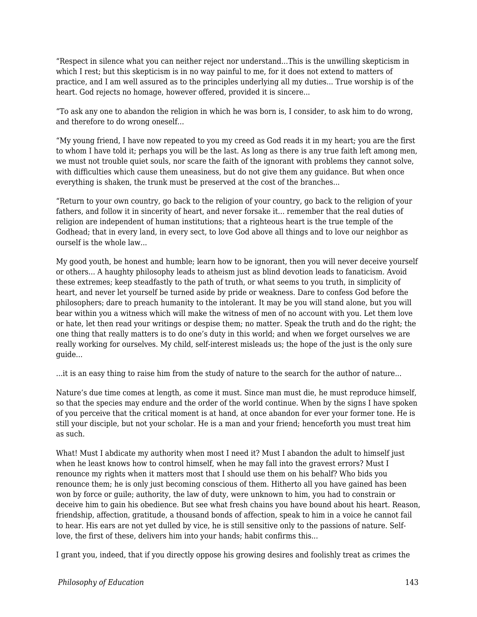"Respect in silence what you can neither reject nor understand...This is the unwilling skepticism in which I rest; but this skepticism is in no way painful to me, for it does not extend to matters of practice, and I am well assured as to the principles underlying all my duties... True worship is of the heart. God rejects no homage, however offered, provided it is sincere...

"To ask any one to abandon the religion in which he was born is, I consider, to ask him to do wrong, and therefore to do wrong oneself...

"My young friend, I have now repeated to you my creed as God reads it in my heart; you are the first to whom I have told it; perhaps you will be the last. As long as there is any true faith left among men, we must not trouble quiet souls, nor scare the faith of the ignorant with problems they cannot solve, with difficulties which cause them uneasiness, but do not give them any guidance. But when once everything is shaken, the trunk must be preserved at the cost of the branches...

"Return to your own country, go back to the religion of your country, go back to the religion of your fathers, and follow it in sincerity of heart, and never forsake it... remember that the real duties of religion are independent of human institutions; that a righteous heart is the true temple of the Godhead; that in every land, in every sect, to love God above all things and to love our neighbor as ourself is the whole law...

My good youth, be honest and humble; learn how to be ignorant, then you will never deceive yourself or others... A haughty philosophy leads to atheism just as blind devotion leads to fanaticism. Avoid these extremes; keep steadfastly to the path of truth, or what seems to you truth, in simplicity of heart, and never let yourself be turned aside by pride or weakness. Dare to confess God before the philosophers; dare to preach humanity to the intolerant. It may be you will stand alone, but you will bear within you a witness which will make the witness of men of no account with you. Let them love or hate, let then read your writings or despise them; no matter. Speak the truth and do the right; the one thing that really matters is to do one's duty in this world; and when we forget ourselves we are really working for ourselves. My child, self-interest misleads us; the hope of the just is the only sure guide...

...it is an easy thing to raise him from the study of nature to the search for the author of nature...

Nature's due time comes at length, as come it must. Since man must die, he must reproduce himself, so that the species may endure and the order of the world continue. When by the signs I have spoken of you perceive that the critical moment is at hand, at once abandon for ever your former tone. He is still your disciple, but not your scholar. He is a man and your friend; henceforth you must treat him as such.

What! Must I abdicate my authority when most I need it? Must I abandon the adult to himself just when he least knows how to control himself, when he may fall into the gravest errors? Must I renounce my rights when it matters most that I should use them on his behalf? Who bids you renounce them; he is only just becoming conscious of them. Hitherto all you have gained has been won by force or guile; authority, the law of duty, were unknown to him, you had to constrain or deceive him to gain his obedience. But see what fresh chains you have bound about his heart. Reason, friendship, affection, gratitude, a thousand bonds of affection, speak to him in a voice he cannot fail to hear. His ears are not yet dulled by vice, he is still sensitive only to the passions of nature. Selflove, the first of these, delivers him into your hands; habit confirms this...

I grant you, indeed, that if you directly oppose his growing desires and foolishly treat as crimes the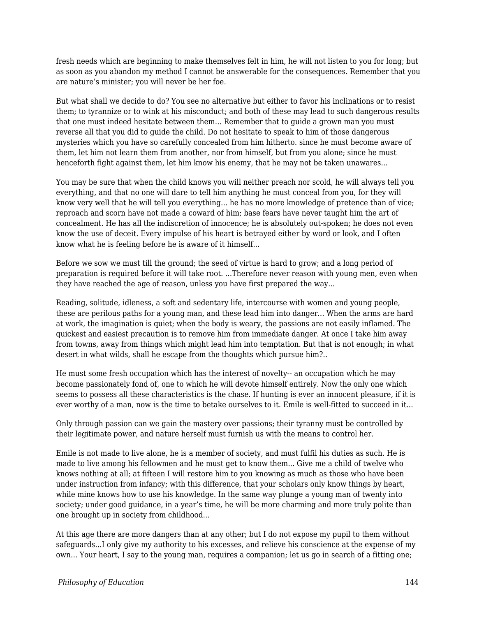fresh needs which are beginning to make themselves felt in him, he will not listen to you for long; but as soon as you abandon my method I cannot be answerable for the consequences. Remember that you are nature's minister; you will never be her foe.

But what shall we decide to do? You see no alternative but either to favor his inclinations or to resist them; to tyrannize or to wink at his misconduct; and both of these may lead to such dangerous results that one must indeed hesitate between them... Remember that to guide a grown man you must reverse all that you did to guide the child. Do not hesitate to speak to him of those dangerous mysteries which you have so carefully concealed from him hitherto. since he must become aware of them, let him not learn them from another, nor from himself, but from you alone; since he must henceforth fight against them, let him know his enemy, that he may not be taken unawares...

You may be sure that when the child knows you will neither preach nor scold, he will always tell you everything, and that no one will dare to tell him anything he must conceal from you, for they will know very well that he will tell you everything... he has no more knowledge of pretence than of vice; reproach and scorn have not made a coward of him; base fears have never taught him the art of concealment. He has all the indiscretion of innocence; he is absolutely out-spoken; he does not even know the use of deceit. Every impulse of his heart is betrayed either by word or look, and I often know what he is feeling before he is aware of it himself...

Before we sow we must till the ground; the seed of virtue is hard to grow; and a long period of preparation is required before it will take root. ...Therefore never reason with young men, even when they have reached the age of reason, unless you have first prepared the way...

Reading, solitude, idleness, a soft and sedentary life, intercourse with women and young people, these are perilous paths for a young man, and these lead him into danger... When the arms are hard at work, the imagination is quiet; when the body is weary, the passions are not easily inflamed. The quickest and easiest precaution is to remove him from immediate danger. At once I take him away from towns, away from things which might lead him into temptation. But that is not enough; in what desert in what wilds, shall he escape from the thoughts which pursue him?..

He must some fresh occupation which has the interest of novelty-- an occupation which he may become passionately fond of, one to which he will devote himself entirely. Now the only one which seems to possess all these characteristics is the chase. If hunting is ever an innocent pleasure, if it is ever worthy of a man, now is the time to betake ourselves to it. Emile is well-fitted to succeed in it...

Only through passion can we gain the mastery over passions; their tyranny must be controlled by their legitimate power, and nature herself must furnish us with the means to control her.

Emile is not made to live alone, he is a member of society, and must fulfil his duties as such. He is made to live among his fellowmen and he must get to know them... Give me a child of twelve who knows nothing at all; at fifteen I will restore him to you knowing as much as those who have been under instruction from infancy; with this difference, that your scholars only know things by heart, while mine knows how to use his knowledge. In the same way plunge a young man of twenty into society; under good guidance, in a year's time, he will be more charming and more truly polite than one brought up in society from childhood...

At this age there are more dangers than at any other; but I do not expose my pupil to them without safeguards...I only give my authority to his excesses, and relieve his conscience at the expense of my own... Your heart, I say to the young man, requires a companion; let us go in search of a fitting one;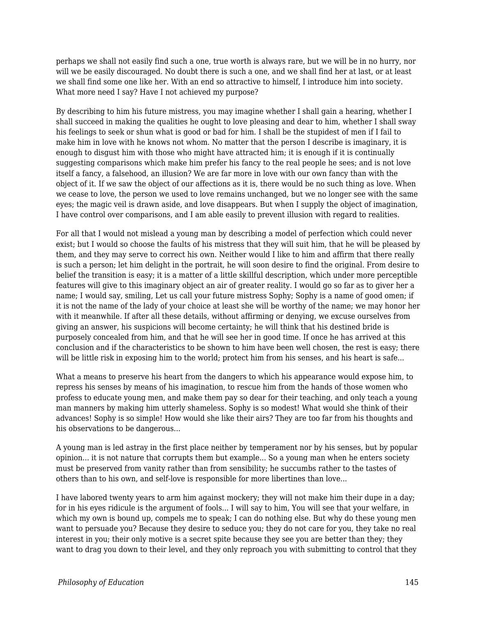perhaps we shall not easily find such a one, true worth is always rare, but we will be in no hurry, nor will we be easily discouraged. No doubt there is such a one, and we shall find her at last, or at least we shall find some one like her. With an end so attractive to himself, I introduce him into society. What more need I say? Have I not achieved my purpose?

By describing to him his future mistress, you may imagine whether I shall gain a hearing, whether I shall succeed in making the qualities he ought to love pleasing and dear to him, whether I shall sway his feelings to seek or shun what is good or bad for him. I shall be the stupidest of men if I fail to make him in love with he knows not whom. No matter that the person I describe is imaginary, it is enough to disgust him with those who might have attracted him; it is enough if it is continually suggesting comparisons which make him prefer his fancy to the real people he sees; and is not love itself a fancy, a falsehood, an illusion? We are far more in love with our own fancy than with the object of it. If we saw the object of our affections as it is, there would be no such thing as love. When we cease to love, the person we used to love remains unchanged, but we no longer see with the same eyes; the magic veil is drawn aside, and love disappears. But when I supply the object of imagination, I have control over comparisons, and I am able easily to prevent illusion with regard to realities.

For all that I would not mislead a young man by describing a model of perfection which could never exist; but I would so choose the faults of his mistress that they will suit him, that he will be pleased by them, and they may serve to correct his own. Neither would I like to him and affirm that there really is such a person; let him delight in the portrait, he will soon desire to find the original. From desire to belief the transition is easy; it is a matter of a little skillful description, which under more perceptible features will give to this imaginary object an air of greater reality. I would go so far as to giver her a name; I would say, smiling, Let us call your future mistress Sophy; Sophy is a name of good omen; if it is not the name of the lady of your choice at least she will be worthy of the name; we may honor her with it meanwhile. If after all these details, without affirming or denying, we excuse ourselves from giving an answer, his suspicions will become certainty; he will think that his destined bride is purposely concealed from him, and that he will see her in good time. If once he has arrived at this conclusion and if the characteristics to be shown to him have been well chosen, the rest is easy; there will be little risk in exposing him to the world; protect him from his senses, and his heart is safe...

What a means to preserve his heart from the dangers to which his appearance would expose him, to repress his senses by means of his imagination, to rescue him from the hands of those women who profess to educate young men, and make them pay so dear for their teaching, and only teach a young man manners by making him utterly shameless. Sophy is so modest! What would she think of their advances! Sophy is so simple! How would she like their airs? They are too far from his thoughts and his observations to be dangerous...

A young man is led astray in the first place neither by temperament nor by his senses, but by popular opinion... it is not nature that corrupts them but example... So a young man when he enters society must be preserved from vanity rather than from sensibility; he succumbs rather to the tastes of others than to his own, and self-love is responsible for more libertines than love...

I have labored twenty years to arm him against mockery; they will not make him their dupe in a day; for in his eyes ridicule is the argument of fools... I will say to him, You will see that your welfare, in which my own is bound up, compels me to speak; I can do nothing else. But why do these young men want to persuade you? Because they desire to seduce you; they do not care for you, they take no real interest in you; their only motive is a secret spite because they see you are better than they; they want to drag you down to their level, and they only reproach you with submitting to control that they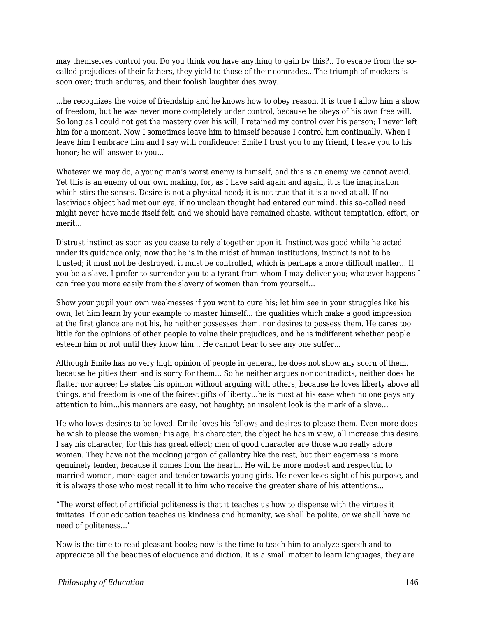may themselves control you. Do you think you have anything to gain by this?.. To escape from the socalled prejudices of their fathers, they yield to those of their comrades...The triumph of mockers is soon over; truth endures, and their foolish laughter dies away...

...he recognizes the voice of friendship and he knows how to obey reason. It is true I allow him a show of freedom, but he was never more completely under control, because he obeys of his own free will. So long as I could not get the mastery over his will, I retained my control over his person; I never left him for a moment. Now I sometimes leave him to himself because I control him continually. When I leave him I embrace him and I say with confidence: Emile I trust you to my friend, I leave you to his honor; he will answer to you...

Whatever we may do, a young man's worst enemy is himself, and this is an enemy we cannot avoid. Yet this is an enemy of our own making, for, as I have said again and again, it is the imagination which stirs the senses. Desire is not a physical need; it is not true that it is a need at all. If no lascivious object had met our eye, if no unclean thought had entered our mind, this so-called need might never have made itself felt, and we should have remained chaste, without temptation, effort, or merit...

Distrust instinct as soon as you cease to rely altogether upon it. Instinct was good while he acted under its guidance only; now that he is in the midst of human institutions, instinct is not to be trusted; it must not be destroyed, it must be controlled, which is perhaps a more difficult matter... If you be a slave, I prefer to surrender you to a tyrant from whom I may deliver you; whatever happens I can free you more easily from the slavery of women than from yourself...

Show your pupil your own weaknesses if you want to cure his; let him see in your struggles like his own; let him learn by your example to master himself... the qualities which make a good impression at the first glance are not his, he neither possesses them, nor desires to possess them. He cares too little for the opinions of other people to value their prejudices, and he is indifferent whether people esteem him or not until they know him... He cannot bear to see any one suffer...

Although Emile has no very high opinion of people in general, he does not show any scorn of them, because he pities them and is sorry for them... So he neither argues nor contradicts; neither does he flatter nor agree; he states his opinion without arguing with others, because he loves liberty above all things, and freedom is one of the fairest gifts of liberty...he is most at his ease when no one pays any attention to him...his manners are easy, not haughty; an insolent look is the mark of a slave...

He who loves desires to be loved. Emile loves his fellows and desires to please them. Even more does he wish to please the women; his age, his character, the object he has in view, all increase this desire. I say his character, for this has great effect; men of good character are those who really adore women. They have not the mocking jargon of gallantry like the rest, but their eagerness is more genuinely tender, because it comes from the heart... He will be more modest and respectful to married women, more eager and tender towards young girls. He never loses sight of his purpose, and it is always those who most recall it to him who receive the greater share of his attentions...

"The worst effect of artificial politeness is that it teaches us how to dispense with the virtues it imitates. If our education teaches us kindness and humanity, we shall be polite, or we shall have no need of politeness..."

Now is the time to read pleasant books; now is the time to teach him to analyze speech and to appreciate all the beauties of eloquence and diction. It is a small matter to learn languages, they are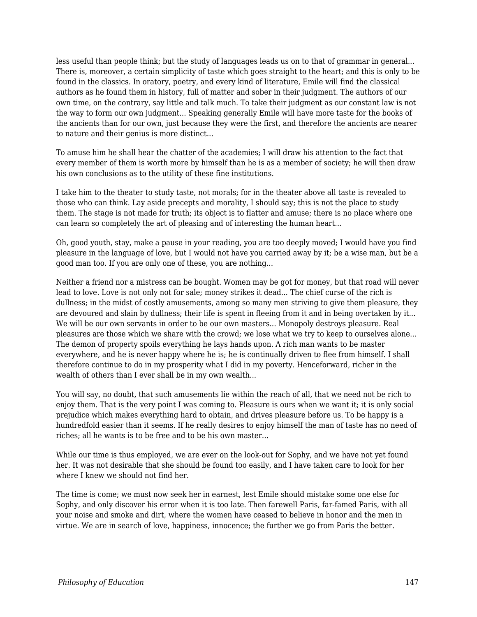less useful than people think; but the study of languages leads us on to that of grammar in general... There is, moreover, a certain simplicity of taste which goes straight to the heart; and this is only to be found in the classics. In oratory, poetry, and every kind of literature, Emile will find the classical authors as he found them in history, full of matter and sober in their judgment. The authors of our own time, on the contrary, say little and talk much. To take their judgment as our constant law is not the way to form our own judgment... Speaking generally Emile will have more taste for the books of the ancients than for our own, just because they were the first, and therefore the ancients are nearer to nature and their genius is more distinct...

To amuse him he shall hear the chatter of the academies; I will draw his attention to the fact that every member of them is worth more by himself than he is as a member of society; he will then draw his own conclusions as to the utility of these fine institutions.

I take him to the theater to study taste, not morals; for in the theater above all taste is revealed to those who can think. Lay aside precepts and morality, I should say; this is not the place to study them. The stage is not made for truth; its object is to flatter and amuse; there is no place where one can learn so completely the art of pleasing and of interesting the human heart...

Oh, good youth, stay, make a pause in your reading, you are too deeply moved; I would have you find pleasure in the language of love, but I would not have you carried away by it; be a wise man, but be a good man too. If you are only one of these, you are nothing...

Neither a friend nor a mistress can be bought. Women may be got for money, but that road will never lead to love. Love is not only not for sale; money strikes it dead... The chief curse of the rich is dullness; in the midst of costly amusements, among so many men striving to give them pleasure, they are devoured and slain by dullness; their life is spent in fleeing from it and in being overtaken by it... We will be our own servants in order to be our own masters... Monopoly destroys pleasure. Real pleasures are those which we share with the crowd; we lose what we try to keep to ourselves alone... The demon of property spoils everything he lays hands upon. A rich man wants to be master everywhere, and he is never happy where he is; he is continually driven to flee from himself. I shall therefore continue to do in my prosperity what I did in my poverty. Henceforward, richer in the wealth of others than I ever shall be in my own wealth...

You will say, no doubt, that such amusements lie within the reach of all, that we need not be rich to enjoy them. That is the very point I was coming to. Pleasure is ours when we want it; it is only social prejudice which makes everything hard to obtain, and drives pleasure before us. To be happy is a hundredfold easier than it seems. If he really desires to enjoy himself the man of taste has no need of riches; all he wants is to be free and to be his own master...

While our time is thus employed, we are ever on the look-out for Sophy, and we have not yet found her. It was not desirable that she should be found too easily, and I have taken care to look for her where I knew we should not find her.

The time is come; we must now seek her in earnest, lest Emile should mistake some one else for Sophy, and only discover his error when it is too late. Then farewell Paris, far-famed Paris, with all your noise and smoke and dirt, where the women have ceased to believe in honor and the men in virtue. We are in search of love, happiness, innocence; the further we go from Paris the better.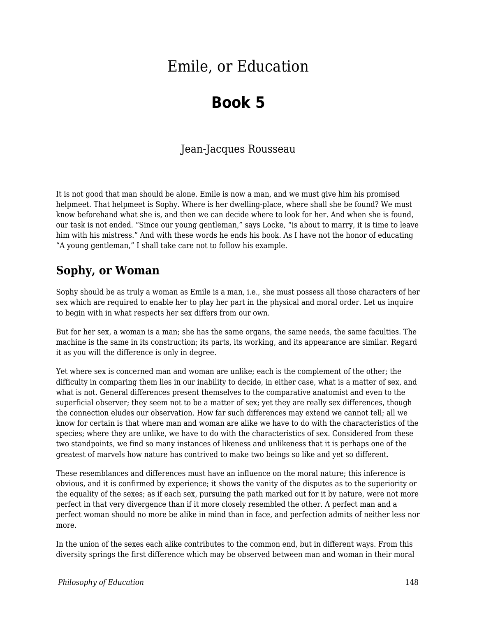# Emile, or Education

# **Book 5**

#### Jean-Jacques Rousseau

It is not good that man should be alone. Emile is now a man, and we must give him his promised helpmeet. That helpmeet is Sophy. Where is her dwelling-place, where shall she be found? We must know beforehand what she is, and then we can decide where to look for her. And when she is found, our task is not ended. "Since our young gentleman," says Locke, "is about to marry, it is time to leave him with his mistress." And with these words he ends his book. As I have not the honor of educating "A young gentleman," I shall take care not to follow his example.

### **Sophy, or Woman**

Sophy should be as truly a woman as Emile is a man, i.e., she must possess all those characters of her sex which are required to enable her to play her part in the physical and moral order. Let us inquire to begin with in what respects her sex differs from our own.

But for her sex, a woman is a man; she has the same organs, the same needs, the same faculties. The machine is the same in its construction; its parts, its working, and its appearance are similar. Regard it as you will the difference is only in degree.

Yet where sex is concerned man and woman are unlike; each is the complement of the other; the difficulty in comparing them lies in our inability to decide, in either case, what is a matter of sex, and what is not. General differences present themselves to the comparative anatomist and even to the superficial observer; they seem not to be a matter of sex; yet they are really sex differences, though the connection eludes our observation. How far such differences may extend we cannot tell; all we know for certain is that where man and woman are alike we have to do with the characteristics of the species; where they are unlike, we have to do with the characteristics of sex. Considered from these two standpoints, we find so many instances of likeness and unlikeness that it is perhaps one of the greatest of marvels how nature has contrived to make two beings so like and yet so different.

These resemblances and differences must have an influence on the moral nature; this inference is obvious, and it is confirmed by experience; it shows the vanity of the disputes as to the superiority or the equality of the sexes; as if each sex, pursuing the path marked out for it by nature, were not more perfect in that very divergence than if it more closely resembled the other. A perfect man and a perfect woman should no more be alike in mind than in face, and perfection admits of neither less nor more.

In the union of the sexes each alike contributes to the common end, but in different ways. From this diversity springs the first difference which may be observed between man and woman in their moral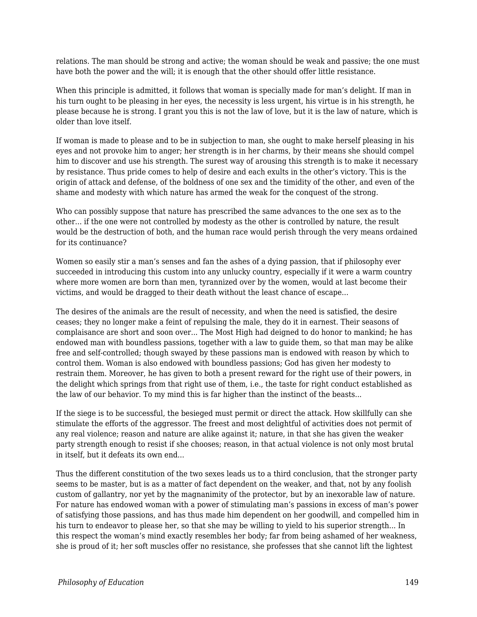relations. The man should be strong and active; the woman should be weak and passive; the one must have both the power and the will; it is enough that the other should offer little resistance.

When this principle is admitted, it follows that woman is specially made for man's delight. If man in his turn ought to be pleasing in her eyes, the necessity is less urgent, his virtue is in his strength, he please because he is strong. I grant you this is not the law of love, but it is the law of nature, which is older than love itself.

If woman is made to please and to be in subjection to man, she ought to make herself pleasing in his eyes and not provoke him to anger; her strength is in her charms, by their means she should compel him to discover and use his strength. The surest way of arousing this strength is to make it necessary by resistance. Thus pride comes to help of desire and each exults in the other's victory. This is the origin of attack and defense, of the boldness of one sex and the timidity of the other, and even of the shame and modesty with which nature has armed the weak for the conquest of the strong.

Who can possibly suppose that nature has prescribed the same advances to the one sex as to the other... if the one were not controlled by modesty as the other is controlled by nature, the result would be the destruction of both, and the human race would perish through the very means ordained for its continuance?

Women so easily stir a man's senses and fan the ashes of a dying passion, that if philosophy ever succeeded in introducing this custom into any unlucky country, especially if it were a warm country where more women are born than men, tyrannized over by the women, would at last become their victims, and would be dragged to their death without the least chance of escape...

The desires of the animals are the result of necessity, and when the need is satisfied, the desire ceases; they no longer make a feint of repulsing the male, they do it in earnest. Their seasons of complaisance are short and soon over... The Most High had deigned to do honor to mankind; he has endowed man with boundless passions, together with a law to guide them, so that man may be alike free and self-controlled; though swayed by these passions man is endowed with reason by which to control them. Woman is also endowed with boundless passions; God has given her modesty to restrain them. Moreover, he has given to both a present reward for the right use of their powers, in the delight which springs from that right use of them, i.e., the taste for right conduct established as the law of our behavior. To my mind this is far higher than the instinct of the beasts...

If the siege is to be successful, the besieged must permit or direct the attack. How skillfully can she stimulate the efforts of the aggressor. The freest and most delightful of activities does not permit of any real violence; reason and nature are alike against it; nature, in that she has given the weaker party strength enough to resist if she chooses; reason, in that actual violence is not only most brutal in itself, but it defeats its own end...

Thus the different constitution of the two sexes leads us to a third conclusion, that the stronger party seems to be master, but is as a matter of fact dependent on the weaker, and that, not by any foolish custom of gallantry, nor yet by the magnanimity of the protector, but by an inexorable law of nature. For nature has endowed woman with a power of stimulating man's passions in excess of man's power of satisfying those passions, and has thus made him dependent on her goodwill, and compelled him in his turn to endeavor to please her, so that she may be willing to yield to his superior strength... In this respect the woman's mind exactly resembles her body; far from being ashamed of her weakness, she is proud of it; her soft muscles offer no resistance, she professes that she cannot lift the lightest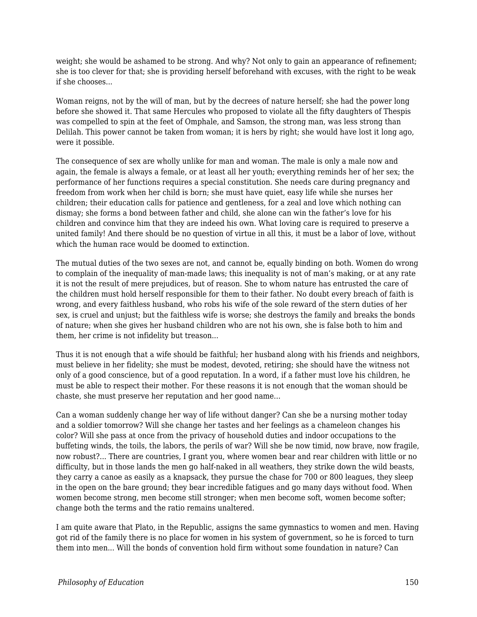weight; she would be ashamed to be strong. And why? Not only to gain an appearance of refinement; she is too clever for that; she is providing herself beforehand with excuses, with the right to be weak if she chooses...

Woman reigns, not by the will of man, but by the decrees of nature herself; she had the power long before she showed it. That same Hercules who proposed to violate all the fifty daughters of Thespis was compelled to spin at the feet of Omphale, and Samson, the strong man, was less strong than Delilah. This power cannot be taken from woman; it is hers by right; she would have lost it long ago, were it possible.

The consequence of sex are wholly unlike for man and woman. The male is only a male now and again, the female is always a female, or at least all her youth; everything reminds her of her sex; the performance of her functions requires a special constitution. She needs care during pregnancy and freedom from work when her child is born; she must have quiet, easy life while she nurses her children; their education calls for patience and gentleness, for a zeal and love which nothing can dismay; she forms a bond between father and child, she alone can win the father's love for his children and convince him that they are indeed his own. What loving care is required to preserve a united family! And there should be no question of virtue in all this, it must be a labor of love, without which the human race would be doomed to extinction.

The mutual duties of the two sexes are not, and cannot be, equally binding on both. Women do wrong to complain of the inequality of man-made laws; this inequality is not of man's making, or at any rate it is not the result of mere prejudices, but of reason. She to whom nature has entrusted the care of the children must hold herself responsible for them to their father. No doubt every breach of faith is wrong, and every faithless husband, who robs his wife of the sole reward of the stern duties of her sex, is cruel and unjust; but the faithless wife is worse; she destroys the family and breaks the bonds of nature; when she gives her husband children who are not his own, she is false both to him and them, her crime is not infidelity but treason...

Thus it is not enough that a wife should be faithful; her husband along with his friends and neighbors, must believe in her fidelity; she must be modest, devoted, retiring; she should have the witness not only of a good conscience, but of a good reputation. In a word, if a father must love his children, he must be able to respect their mother. For these reasons it is not enough that the woman should be chaste, she must preserve her reputation and her good name...

Can a woman suddenly change her way of life without danger? Can she be a nursing mother today and a soldier tomorrow? Will she change her tastes and her feelings as a chameleon changes his color? Will she pass at once from the privacy of household duties and indoor occupations to the buffeting winds, the toils, the labors, the perils of war? Will she be now timid, now brave, now fragile, now robust?... There are countries, I grant you, where women bear and rear children with little or no difficulty, but in those lands the men go half-naked in all weathers, they strike down the wild beasts, they carry a canoe as easily as a knapsack, they pursue the chase for 700 or 800 leagues, they sleep in the open on the bare ground; they bear incredible fatigues and go many days without food. When women become strong, men become still stronger; when men become soft, women become softer; change both the terms and the ratio remains unaltered.

I am quite aware that Plato, in the Republic, assigns the same gymnastics to women and men. Having got rid of the family there is no place for women in his system of government, so he is forced to turn them into men... Will the bonds of convention hold firm without some foundation in nature? Can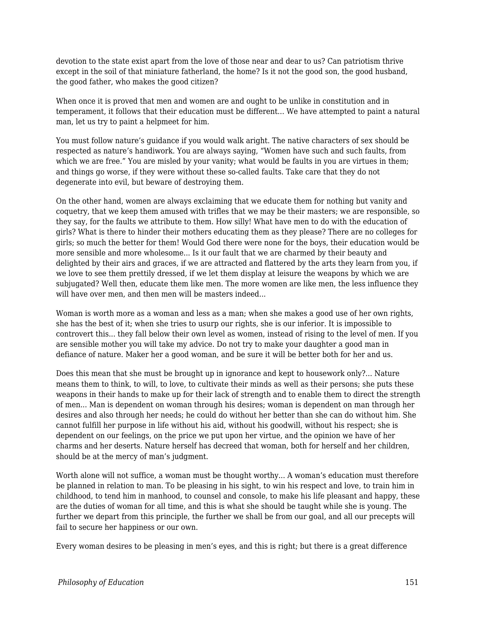devotion to the state exist apart from the love of those near and dear to us? Can patriotism thrive except in the soil of that miniature fatherland, the home? Is it not the good son, the good husband, the good father, who makes the good citizen?

When once it is proved that men and women are and ought to be unlike in constitution and in temperament, it follows that their education must be different... We have attempted to paint a natural man, let us try to paint a helpmeet for him.

You must follow nature's guidance if you would walk aright. The native characters of sex should be respected as nature's handiwork. You are always saying, "Women have such and such faults, from which we are free." You are misled by your vanity; what would be faults in you are virtues in them; and things go worse, if they were without these so-called faults. Take care that they do not degenerate into evil, but beware of destroying them.

On the other hand, women are always exclaiming that we educate them for nothing but vanity and coquetry, that we keep them amused with trifles that we may be their masters; we are responsible, so they say, for the faults we attribute to them. How silly! What have men to do with the education of girls? What is there to hinder their mothers educating them as they please? There are no colleges for girls; so much the better for them! Would God there were none for the boys, their education would be more sensible and more wholesome... Is it our fault that we are charmed by their beauty and delighted by their airs and graces, if we are attracted and flattered by the arts they learn from you, if we love to see them prettily dressed, if we let them display at leisure the weapons by which we are subjugated? Well then, educate them like men. The more women are like men, the less influence they will have over men, and then men will be masters indeed...

Woman is worth more as a woman and less as a man; when she makes a good use of her own rights, she has the best of it; when she tries to usurp our rights, she is our inferior. It is impossible to controvert this... they fall below their own level as women, instead of rising to the level of men. If you are sensible mother you will take my advice. Do not try to make your daughter a good man in defiance of nature. Maker her a good woman, and be sure it will be better both for her and us.

Does this mean that she must be brought up in ignorance and kept to housework only?... Nature means them to think, to will, to love, to cultivate their minds as well as their persons; she puts these weapons in their hands to make up for their lack of strength and to enable them to direct the strength of men... Man is dependent on woman through his desires; woman is dependent on man through her desires and also through her needs; he could do without her better than she can do without him. She cannot fulfill her purpose in life without his aid, without his goodwill, without his respect; she is dependent on our feelings, on the price we put upon her virtue, and the opinion we have of her charms and her deserts. Nature herself has decreed that woman, both for herself and her children, should be at the mercy of man's judgment.

Worth alone will not suffice, a woman must be thought worthy... A woman's education must therefore be planned in relation to man. To be pleasing in his sight, to win his respect and love, to train him in childhood, to tend him in manhood, to counsel and console, to make his life pleasant and happy, these are the duties of woman for all time, and this is what she should be taught while she is young. The further we depart from this principle, the further we shall be from our goal, and all our precepts will fail to secure her happiness or our own.

Every woman desires to be pleasing in men's eyes, and this is right; but there is a great difference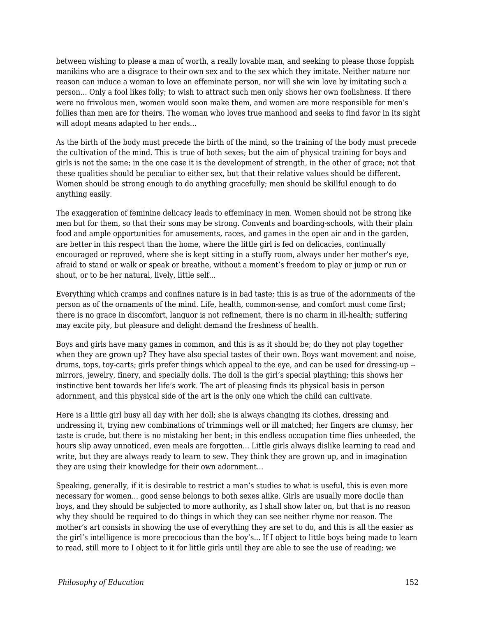between wishing to please a man of worth, a really lovable man, and seeking to please those foppish manikins who are a disgrace to their own sex and to the sex which they imitate. Neither nature nor reason can induce a woman to love an effeminate person, nor will she win love by imitating such a person... Only a fool likes folly; to wish to attract such men only shows her own foolishness. If there were no frivolous men, women would soon make them, and women are more responsible for men's follies than men are for theirs. The woman who loves true manhood and seeks to find favor in its sight will adopt means adapted to her ends...

As the birth of the body must precede the birth of the mind, so the training of the body must precede the cultivation of the mind. This is true of both sexes; but the aim of physical training for boys and girls is not the same; in the one case it is the development of strength, in the other of grace; not that these qualities should be peculiar to either sex, but that their relative values should be different. Women should be strong enough to do anything gracefully; men should be skillful enough to do anything easily.

The exaggeration of feminine delicacy leads to effeminacy in men. Women should not be strong like men but for them, so that their sons may be strong. Convents and boarding-schools, with their plain food and ample opportunities for amusements, races, and games in the open air and in the garden, are better in this respect than the home, where the little girl is fed on delicacies, continually encouraged or reproved, where she is kept sitting in a stuffy room, always under her mother's eye, afraid to stand or walk or speak or breathe, without a moment's freedom to play or jump or run or shout, or to be her natural, lively, little self...

Everything which cramps and confines nature is in bad taste; this is as true of the adornments of the person as of the ornaments of the mind. Life, health, common-sense, and comfort must come first; there is no grace in discomfort, languor is not refinement, there is no charm in ill-health; suffering may excite pity, but pleasure and delight demand the freshness of health.

Boys and girls have many games in common, and this is as it should be; do they not play together when they are grown up? They have also special tastes of their own. Boys want movement and noise, drums, tops, toy-carts; girls prefer things which appeal to the eye, and can be used for dressing-up - mirrors, jewelry, finery, and specially dolls. The doll is the girl's special plaything; this shows her instinctive bent towards her life's work. The art of pleasing finds its physical basis in person adornment, and this physical side of the art is the only one which the child can cultivate.

Here is a little girl busy all day with her doll; she is always changing its clothes, dressing and undressing it, trying new combinations of trimmings well or ill matched; her fingers are clumsy, her taste is crude, but there is no mistaking her bent; in this endless occupation time flies unheeded, the hours slip away unnoticed, even meals are forgotten... Little girls always dislike learning to read and write, but they are always ready to learn to sew. They think they are grown up, and in imagination they are using their knowledge for their own adornment...

Speaking, generally, if it is desirable to restrict a man's studies to what is useful, this is even more necessary for women... good sense belongs to both sexes alike. Girls are usually more docile than boys, and they should be subjected to more authority, as I shall show later on, but that is no reason why they should be required to do things in which they can see neither rhyme nor reason. The mother's art consists in showing the use of everything they are set to do, and this is all the easier as the girl's intelligence is more precocious than the boy's... If I object to little boys being made to learn to read, still more to I object to it for little girls until they are able to see the use of reading; we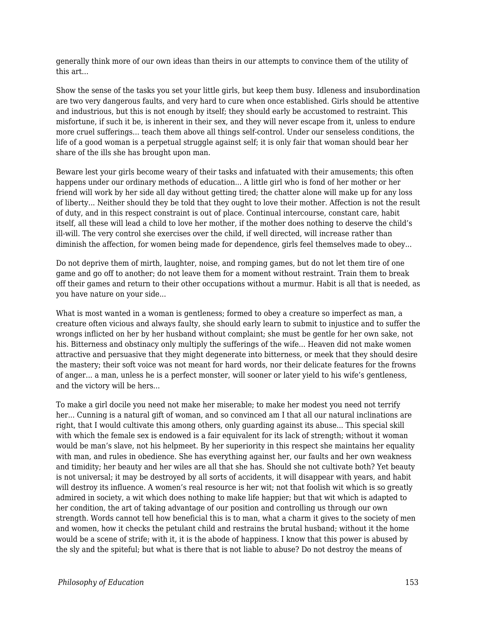generally think more of our own ideas than theirs in our attempts to convince them of the utility of this art...

Show the sense of the tasks you set your little girls, but keep them busy. Idleness and insubordination are two very dangerous faults, and very hard to cure when once established. Girls should be attentive and industrious, but this is not enough by itself; they should early be accustomed to restraint. This misfortune, if such it be, is inherent in their sex, and they will never escape from it, unless to endure more cruel sufferings... teach them above all things self-control. Under our senseless conditions, the life of a good woman is a perpetual struggle against self; it is only fair that woman should bear her share of the ills she has brought upon man.

Beware lest your girls become weary of their tasks and infatuated with their amusements; this often happens under our ordinary methods of education... A little girl who is fond of her mother or her friend will work by her side all day without getting tired; the chatter alone will make up for any loss of liberty... Neither should they be told that they ought to love their mother. Affection is not the result of duty, and in this respect constraint is out of place. Continual intercourse, constant care, habit itself, all these will lead a child to love her mother, if the mother does nothing to deserve the child's ill-will. The very control she exercises over the child, if well directed, will increase rather than diminish the affection, for women being made for dependence, girls feel themselves made to obey...

Do not deprive them of mirth, laughter, noise, and romping games, but do not let them tire of one game and go off to another; do not leave them for a moment without restraint. Train them to break off their games and return to their other occupations without a murmur. Habit is all that is needed, as you have nature on your side...

What is most wanted in a woman is gentleness; formed to obey a creature so imperfect as man, a creature often vicious and always faulty, she should early learn to submit to injustice and to suffer the wrongs inflicted on her by her husband without complaint; she must be gentle for her own sake, not his. Bitterness and obstinacy only multiply the sufferings of the wife... Heaven did not make women attractive and persuasive that they might degenerate into bitterness, or meek that they should desire the mastery; their soft voice was not meant for hard words, nor their delicate features for the frowns of anger... a man, unless he is a perfect monster, will sooner or later yield to his wife's gentleness, and the victory will be hers...

To make a girl docile you need not make her miserable; to make her modest you need not terrify her... Cunning is a natural gift of woman, and so convinced am I that all our natural inclinations are right, that I would cultivate this among others, only guarding against its abuse... This special skill with which the female sex is endowed is a fair equivalent for its lack of strength; without it woman would be man's slave, not his helpmeet. By her superiority in this respect she maintains her equality with man, and rules in obedience. She has everything against her, our faults and her own weakness and timidity; her beauty and her wiles are all that she has. Should she not cultivate both? Yet beauty is not universal; it may be destroyed by all sorts of accidents, it will disappear with years, and habit will destroy its influence. A women's real resource is her wit; not that foolish wit which is so greatly admired in society, a wit which does nothing to make life happier; but that wit which is adapted to her condition, the art of taking advantage of our position and controlling us through our own strength. Words cannot tell how beneficial this is to man, what a charm it gives to the society of men and women, how it checks the petulant child and restrains the brutal husband; without it the home would be a scene of strife; with it, it is the abode of happiness. I know that this power is abused by the sly and the spiteful; but what is there that is not liable to abuse? Do not destroy the means of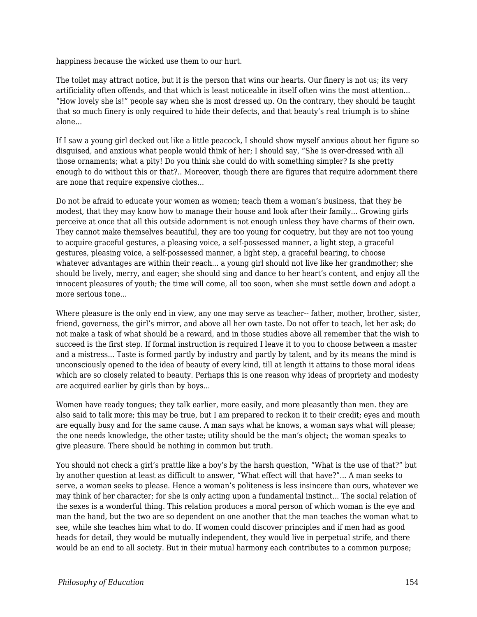happiness because the wicked use them to our hurt.

The toilet may attract notice, but it is the person that wins our hearts. Our finery is not us; its very artificiality often offends, and that which is least noticeable in itself often wins the most attention... "How lovely she is!" people say when she is most dressed up. On the contrary, they should be taught that so much finery is only required to hide their defects, and that beauty's real triumph is to shine alone...

If I saw a young girl decked out like a little peacock, I should show myself anxious about her figure so disguised, and anxious what people would think of her; I should say, "She is over-dressed with all those ornaments; what a pity! Do you think she could do with something simpler? Is she pretty enough to do without this or that?.. Moreover, though there are figures that require adornment there are none that require expensive clothes...

Do not be afraid to educate your women as women; teach them a woman's business, that they be modest, that they may know how to manage their house and look after their family... Growing girls perceive at once that all this outside adornment is not enough unless they have charms of their own. They cannot make themselves beautiful, they are too young for coquetry, but they are not too young to acquire graceful gestures, a pleasing voice, a self-possessed manner, a light step, a graceful gestures, pleasing voice, a self-possessed manner, a light step, a graceful bearing, to choose whatever advantages are within their reach... a young girl should not live like her grandmother; she should be lively, merry, and eager; she should sing and dance to her heart's content, and enjoy all the innocent pleasures of youth; the time will come, all too soon, when she must settle down and adopt a more serious tone...

Where pleasure is the only end in view, any one may serve as teacher-- father, mother, brother, sister, friend, governess, the girl's mirror, and above all her own taste. Do not offer to teach, let her ask; do not make a task of what should be a reward, and in those studies above all remember that the wish to succeed is the first step. If formal instruction is required I leave it to you to choose between a master and a mistress... Taste is formed partly by industry and partly by talent, and by its means the mind is unconsciously opened to the idea of beauty of every kind, till at length it attains to those moral ideas which are so closely related to beauty. Perhaps this is one reason why ideas of propriety and modesty are acquired earlier by girls than by boys...

Women have ready tongues; they talk earlier, more easily, and more pleasantly than men. they are also said to talk more; this may be true, but I am prepared to reckon it to their credit; eyes and mouth are equally busy and for the same cause. A man says what he knows, a woman says what will please; the one needs knowledge, the other taste; utility should be the man's object; the woman speaks to give pleasure. There should be nothing in common but truth.

You should not check a girl's prattle like a boy's by the harsh question, "What is the use of that?" but by another question at least as difficult to answer, "What effect will that have?"... A man seeks to serve, a woman seeks to please. Hence a woman's politeness is less insincere than ours, whatever we may think of her character; for she is only acting upon a fundamental instinct... The social relation of the sexes is a wonderful thing. This relation produces a moral person of which woman is the eye and man the hand, but the two are so dependent on one another that the man teaches the woman what to see, while she teaches him what to do. If women could discover principles and if men had as good heads for detail, they would be mutually independent, they would live in perpetual strife, and there would be an end to all society. But in their mutual harmony each contributes to a common purpose;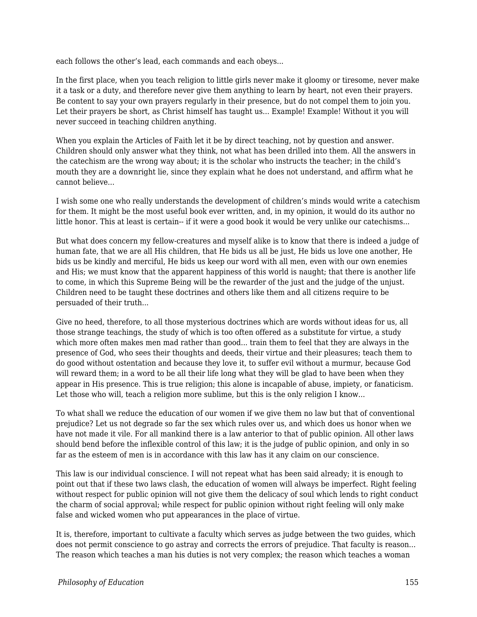each follows the other's lead, each commands and each obeys...

In the first place, when you teach religion to little girls never make it gloomy or tiresome, never make it a task or a duty, and therefore never give them anything to learn by heart, not even their prayers. Be content to say your own prayers regularly in their presence, but do not compel them to join you. Let their prayers be short, as Christ himself has taught us... Example! Example! Without it you will never succeed in teaching children anything.

When you explain the Articles of Faith let it be by direct teaching, not by question and answer. Children should only answer what they think, not what has been drilled into them. All the answers in the catechism are the wrong way about; it is the scholar who instructs the teacher; in the child's mouth they are a downright lie, since they explain what he does not understand, and affirm what he cannot believe...

I wish some one who really understands the development of children's minds would write a catechism for them. It might be the most useful book ever written, and, in my opinion, it would do its author no little honor. This at least is certain-- if it were a good book it would be very unlike our catechisms...

But what does concern my fellow-creatures and myself alike is to know that there is indeed a judge of human fate, that we are all His children, that He bids us all be just, He bids us love one another, He bids us be kindly and merciful, He bids us keep our word with all men, even with our own enemies and His; we must know that the apparent happiness of this world is naught; that there is another life to come, in which this Supreme Being will be the rewarder of the just and the judge of the unjust. Children need to be taught these doctrines and others like them and all citizens require to be persuaded of their truth...

Give no heed, therefore, to all those mysterious doctrines which are words without ideas for us, all those strange teachings, the study of which is too often offered as a substitute for virtue, a study which more often makes men mad rather than good... train them to feel that they are always in the presence of God, who sees their thoughts and deeds, their virtue and their pleasures; teach them to do good without ostentation and because they love it, to suffer evil without a murmur, because God will reward them; in a word to be all their life long what they will be glad to have been when they appear in His presence. This is true religion; this alone is incapable of abuse, impiety, or fanaticism. Let those who will, teach a religion more sublime, but this is the only religion I know...

To what shall we reduce the education of our women if we give them no law but that of conventional prejudice? Let us not degrade so far the sex which rules over us, and which does us honor when we have not made it vile. For all mankind there is a law anterior to that of public opinion. All other laws should bend before the inflexible control of this law; it is the judge of public opinion, and only in so far as the esteem of men is in accordance with this law has it any claim on our conscience.

This law is our individual conscience. I will not repeat what has been said already; it is enough to point out that if these two laws clash, the education of women will always be imperfect. Right feeling without respect for public opinion will not give them the delicacy of soul which lends to right conduct the charm of social approval; while respect for public opinion without right feeling will only make false and wicked women who put appearances in the place of virtue.

It is, therefore, important to cultivate a faculty which serves as judge between the two guides, which does not permit conscience to go astray and corrects the errors of prejudice. That faculty is reason... The reason which teaches a man his duties is not very complex; the reason which teaches a woman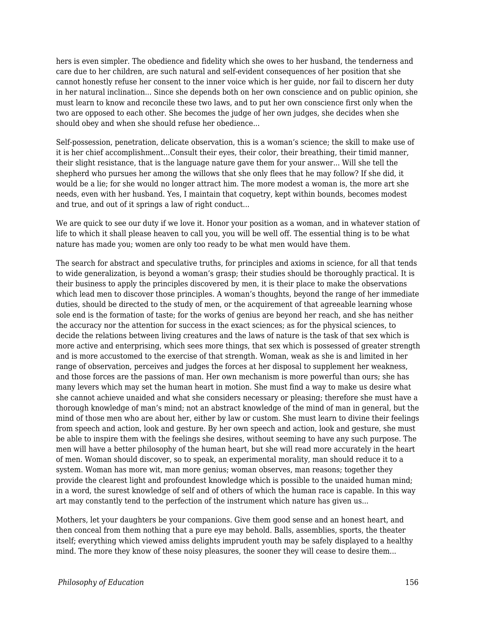hers is even simpler. The obedience and fidelity which she owes to her husband, the tenderness and care due to her children, are such natural and self-evident consequences of her position that she cannot honestly refuse her consent to the inner voice which is her guide, nor fail to discern her duty in her natural inclination... Since she depends both on her own conscience and on public opinion, she must learn to know and reconcile these two laws, and to put her own conscience first only when the two are opposed to each other. She becomes the judge of her own judges, she decides when she should obey and when she should refuse her obedience...

Self-possession, penetration, delicate observation, this is a woman's science; the skill to make use of it is her chief accomplishment...Consult their eyes, their color, their breathing, their timid manner, their slight resistance, that is the language nature gave them for your answer... Will she tell the shepherd who pursues her among the willows that she only flees that he may follow? If she did, it would be a lie; for she would no longer attract him. The more modest a woman is, the more art she needs, even with her husband. Yes, I maintain that coquetry, kept within bounds, becomes modest and true, and out of it springs a law of right conduct...

We are quick to see our duty if we love it. Honor your position as a woman, and in whatever station of life to which it shall please heaven to call you, you will be well off. The essential thing is to be what nature has made you; women are only too ready to be what men would have them.

The search for abstract and speculative truths, for principles and axioms in science, for all that tends to wide generalization, is beyond a woman's grasp; their studies should be thoroughly practical. It is their business to apply the principles discovered by men, it is their place to make the observations which lead men to discover those principles. A woman's thoughts, beyond the range of her immediate duties, should be directed to the study of men, or the acquirement of that agreeable learning whose sole end is the formation of taste; for the works of genius are beyond her reach, and she has neither the accuracy nor the attention for success in the exact sciences; as for the physical sciences, to decide the relations between living creatures and the laws of nature is the task of that sex which is more active and enterprising, which sees more things, that sex which is possessed of greater strength and is more accustomed to the exercise of that strength. Woman, weak as she is and limited in her range of observation, perceives and judges the forces at her disposal to supplement her weakness, and those forces are the passions of man. Her own mechanism is more powerful than ours; she has many levers which may set the human heart in motion. She must find a way to make us desire what she cannot achieve unaided and what she considers necessary or pleasing; therefore she must have a thorough knowledge of man's mind; not an abstract knowledge of the mind of man in general, but the mind of those men who are about her, either by law or custom. She must learn to divine their feelings from speech and action, look and gesture. By her own speech and action, look and gesture, she must be able to inspire them with the feelings she desires, without seeming to have any such purpose. The men will have a better philosophy of the human heart, but she will read more accurately in the heart of men. Woman should discover, so to speak, an experimental morality, man should reduce it to a system. Woman has more wit, man more genius; woman observes, man reasons; together they provide the clearest light and profoundest knowledge which is possible to the unaided human mind; in a word, the surest knowledge of self and of others of which the human race is capable. In this way art may constantly tend to the perfection of the instrument which nature has given us...

Mothers, let your daughters be your companions. Give them good sense and an honest heart, and then conceal from them nothing that a pure eye may behold. Balls, assemblies, sports, the theater itself; everything which viewed amiss delights imprudent youth may be safely displayed to a healthy mind. The more they know of these noisy pleasures, the sooner they will cease to desire them...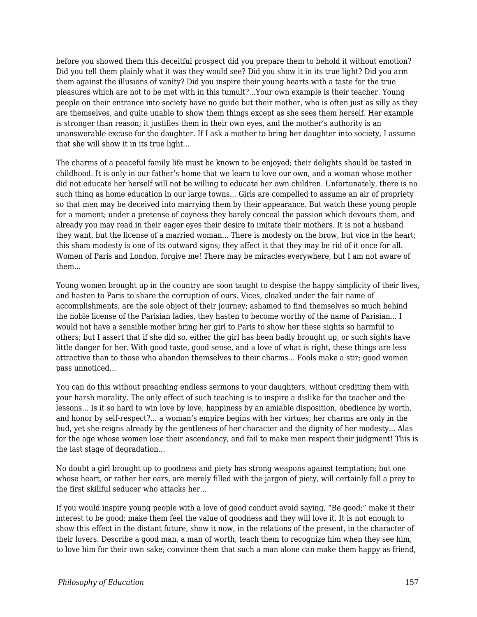before you showed them this deceitful prospect did you prepare them to behold it without emotion? Did you tell them plainly what it was they would see? Did you show it in its true light? Did you arm them against the illusions of vanity? Did you inspire their young hearts with a taste for the true pleasures which are not to be met with in this tumult?...Your own example is their teacher. Young people on their entrance into society have no guide but their mother, who is often just as silly as they are themselves, and quite unable to show them things except as she sees them herself. Her example is stronger than reason; it justifies them in their own eyes, and the mother's authority is an unanswerable excuse for the daughter. If I ask a mother to bring her daughter into society, I assume that she will show it in its true light...

The charms of a peaceful family life must be known to be enjoyed; their delights should be tasted in childhood. It is only in our father's home that we learn to love our own, and a woman whose mother did not educate her herself will not be willing to educate her own children. Unfortunately, there is no such thing as home education in our large towns... Girls are compelled to assume an air of propriety so that men may be deceived into marrying them by their appearance. But watch these young people for a moment; under a pretense of coyness they barely conceal the passion which devours them, and already you may read in their eager eyes their desire to imitate their mothers. It is not a husband they want, but the license of a married woman... There is modesty on the brow, but vice in the heart; this sham modesty is one of its outward signs; they affect it that they may be rid of it once for all. Women of Paris and London, forgive me! There may be miracles everywhere, but I am not aware of them...

Young women brought up in the country are soon taught to despise the happy simplicity of their lives, and hasten to Paris to share the corruption of ours. Vices, cloaked under the fair name of accomplishments, are the sole object of their journey; ashamed to find themselves so much behind the noble license of the Parisian ladies, they hasten to become worthy of the name of Parisian... I would not have a sensible mother bring her girl to Paris to show her these sights so harmful to others; but I assert that if she did so, either the girl has been badly brought up, or such sights have little danger for her. With good taste, good sense, and a love of what is right, these things are less attractive than to those who abandon themselves to their charms... Fools make a stir; good women pass unnoticed...

You can do this without preaching endless sermons to your daughters, without crediting them with your harsh morality. The only effect of such teaching is to inspire a dislike for the teacher and the lessons... Is it so hard to win love by love, happiness by an amiable disposition, obedience by worth, and honor by self-respect?... a woman's empire begins with her virtues; her charms are only in the bud, yet she reigns already by the gentleness of her character and the dignity of her modesty... Alas for the age whose women lose their ascendancy, and fail to make men respect their judgment! This is the last stage of degradation...

No doubt a girl brought up to goodness and piety has strong weapons against temptation; but one whose heart, or rather her ears, are merely filled with the jargon of piety, will certainly fall a prey to the first skillful seducer who attacks her...

If you would inspire young people with a love of good conduct avoid saying, "Be good;" make it their interest to be good; make them feel the value of goodness and they will love it. It is not enough to show this effect in the distant future, show it now, in the relations of the present, in the character of their lovers. Describe a good man, a man of worth, teach them to recognize him when they see him, to love him for their own sake; convince them that such a man alone can make them happy as friend,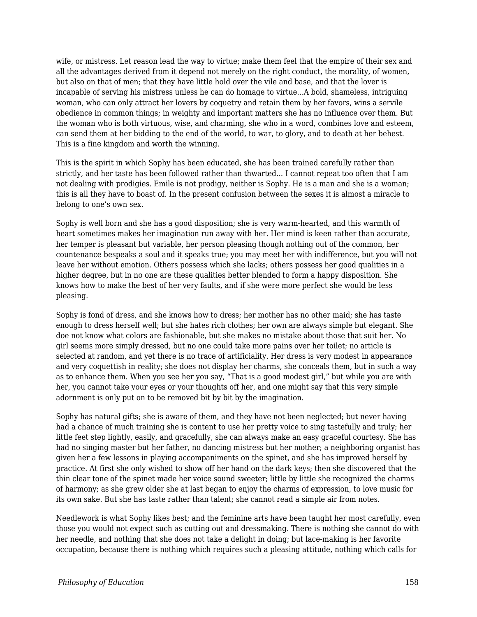wife, or mistress. Let reason lead the way to virtue; make them feel that the empire of their sex and all the advantages derived from it depend not merely on the right conduct, the morality, of women, but also on that of men; that they have little hold over the vile and base, and that the lover is incapable of serving his mistress unless he can do homage to virtue...A bold, shameless, intriguing woman, who can only attract her lovers by coquetry and retain them by her favors, wins a servile obedience in common things; in weighty and important matters she has no influence over them. But the woman who is both virtuous, wise, and charming, she who in a word, combines love and esteem, can send them at her bidding to the end of the world, to war, to glory, and to death at her behest. This is a fine kingdom and worth the winning.

This is the spirit in which Sophy has been educated, she has been trained carefully rather than strictly, and her taste has been followed rather than thwarted... I cannot repeat too often that I am not dealing with prodigies. Emile is not prodigy, neither is Sophy. He is a man and she is a woman; this is all they have to boast of. In the present confusion between the sexes it is almost a miracle to belong to one's own sex.

Sophy is well born and she has a good disposition; she is very warm-hearted, and this warmth of heart sometimes makes her imagination run away with her. Her mind is keen rather than accurate, her temper is pleasant but variable, her person pleasing though nothing out of the common, her countenance bespeaks a soul and it speaks true; you may meet her with indifference, but you will not leave her without emotion. Others possess which she lacks; others possess her good qualities in a higher degree, but in no one are these qualities better blended to form a happy disposition. She knows how to make the best of her very faults, and if she were more perfect she would be less pleasing.

Sophy is fond of dress, and she knows how to dress; her mother has no other maid; she has taste enough to dress herself well; but she hates rich clothes; her own are always simple but elegant. She doe not know what colors are fashionable, but she makes no mistake about those that suit her. No girl seems more simply dressed, but no one could take more pains over her toilet; no article is selected at random, and yet there is no trace of artificiality. Her dress is very modest in appearance and very coquettish in reality; she does not display her charms, she conceals them, but in such a way as to enhance them. When you see her you say, "That is a good modest girl," but while you are with her, you cannot take your eyes or your thoughts off her, and one might say that this very simple adornment is only put on to be removed bit by bit by the imagination.

Sophy has natural gifts; she is aware of them, and they have not been neglected; but never having had a chance of much training she is content to use her pretty voice to sing tastefully and truly; her little feet step lightly, easily, and gracefully, she can always make an easy graceful courtesy. She has had no singing master but her father, no dancing mistress but her mother; a neighboring organist has given her a few lessons in playing accompaniments on the spinet, and she has improved herself by practice. At first she only wished to show off her hand on the dark keys; then she discovered that the thin clear tone of the spinet made her voice sound sweeter; little by little she recognized the charms of harmony; as she grew older she at last began to enjoy the charms of expression, to love music for its own sake. But she has taste rather than talent; she cannot read a simple air from notes.

Needlework is what Sophy likes best; and the feminine arts have been taught her most carefully, even those you would not expect such as cutting out and dressmaking. There is nothing she cannot do with her needle, and nothing that she does not take a delight in doing; but lace-making is her favorite occupation, because there is nothing which requires such a pleasing attitude, nothing which calls for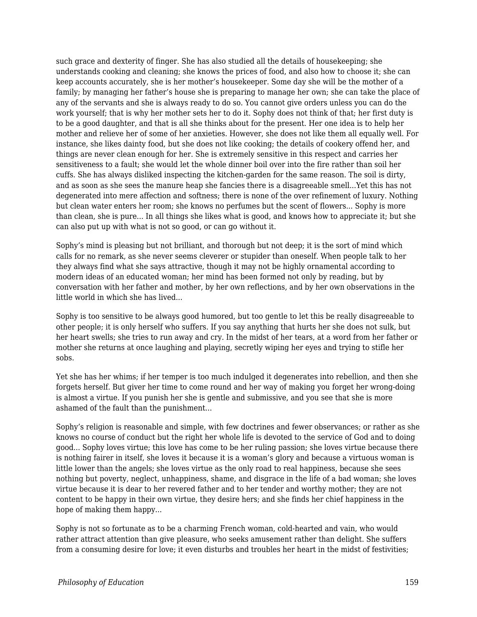such grace and dexterity of finger. She has also studied all the details of housekeeping; she understands cooking and cleaning; she knows the prices of food, and also how to choose it; she can keep accounts accurately, she is her mother's housekeeper. Some day she will be the mother of a family; by managing her father's house she is preparing to manage her own; she can take the place of any of the servants and she is always ready to do so. You cannot give orders unless you can do the work yourself; that is why her mother sets her to do it. Sophy does not think of that; her first duty is to be a good daughter, and that is all she thinks about for the present. Her one idea is to help her mother and relieve her of some of her anxieties. However, she does not like them all equally well. For instance, she likes dainty food, but she does not like cooking; the details of cookery offend her, and things are never clean enough for her. She is extremely sensitive in this respect and carries her sensitiveness to a fault; she would let the whole dinner boil over into the fire rather than soil her cuffs. She has always disliked inspecting the kitchen-garden for the same reason. The soil is dirty, and as soon as she sees the manure heap she fancies there is a disagreeable smell...Yet this has not degenerated into mere affection and softness; there is none of the over refinement of luxury. Nothing but clean water enters her room; she knows no perfumes but the scent of flowers... Sophy is more than clean, she is pure... In all things she likes what is good, and knows how to appreciate it; but she can also put up with what is not so good, or can go without it.

Sophy's mind is pleasing but not brilliant, and thorough but not deep; it is the sort of mind which calls for no remark, as she never seems cleverer or stupider than oneself. When people talk to her they always find what she says attractive, though it may not be highly ornamental according to modern ideas of an educated woman; her mind has been formed not only by reading, but by conversation with her father and mother, by her own reflections, and by her own observations in the little world in which she has lived...

Sophy is too sensitive to be always good humored, but too gentle to let this be really disagreeable to other people; it is only herself who suffers. If you say anything that hurts her she does not sulk, but her heart swells; she tries to run away and cry. In the midst of her tears, at a word from her father or mother she returns at once laughing and playing, secretly wiping her eyes and trying to stifle her sobs.

Yet she has her whims; if her temper is too much indulged it degenerates into rebellion, and then she forgets herself. But giver her time to come round and her way of making you forget her wrong-doing is almost a virtue. If you punish her she is gentle and submissive, and you see that she is more ashamed of the fault than the punishment...

Sophy's religion is reasonable and simple, with few doctrines and fewer observances; or rather as she knows no course of conduct but the right her whole life is devoted to the service of God and to doing good... Sophy loves virtue; this love has come to be her ruling passion; she loves virtue because there is nothing fairer in itself, she loves it because it is a woman's glory and because a virtuous woman is little lower than the angels; she loves virtue as the only road to real happiness, because she sees nothing but poverty, neglect, unhappiness, shame, and disgrace in the life of a bad woman; she loves virtue because it is dear to her revered father and to her tender and worthy mother; they are not content to be happy in their own virtue, they desire hers; and she finds her chief happiness in the hope of making them happy...

Sophy is not so fortunate as to be a charming French woman, cold-hearted and vain, who would rather attract attention than give pleasure, who seeks amusement rather than delight. She suffers from a consuming desire for love; it even disturbs and troubles her heart in the midst of festivities;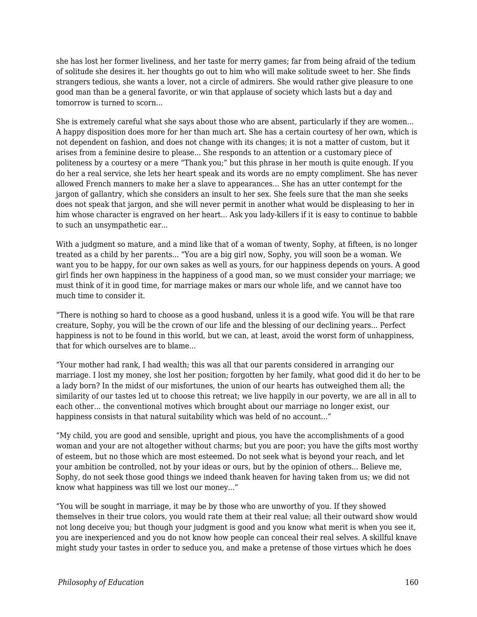she has lost her former liveliness, and her taste for merry games; far from being afraid of the tedium of solitude she desires it. her thoughts go out to him who will make solitude sweet to her. She finds strangers tedious, she wants a lover, not a circle of admirers. She would rather give pleasure to one good man than be a general favorite, or win that applause of society which lasts but a day and tomorrow is turned to scorn...

She is extremely careful what she says about those who are absent, particularly if they are women... A happy disposition does more for her than much art. She has a certain courtesy of her own, which is not dependent on fashion, and does not change with its changes; it is not a matter of custom, but it arises from a feminine desire to please... She responds to an attention or a customary piece of politeness by a courtesy or a mere "Thank you;" but this phrase in her mouth is quite enough. If you do her a real service, she lets her heart speak and its words are no empty compliment. She has never allowed French manners to make her a slave to appearances... She has an utter contempt for the jargon of gallantry, which she considers an insult to her sex. She feels sure that the man she seeks does not speak that jargon, and she will never permit in another what would be displeasing to her in him whose character is engraved on her heart... Ask you lady-killers if it is easy to continue to babble to such an unsympathetic ear...

With a judgment so mature, and a mind like that of a woman of twenty, Sophy, at fifteen, is no longer treated as a child by her parents... "You are a big girl now, Sophy, you will soon be a woman. We want you to be happy, for our own sakes as well as yours, for our happiness depends on yours. A good girl finds her own happiness in the happiness of a good man, so we must consider your marriage; we must think of it in good time, for marriage makes or mars our whole life, and we cannot have too much time to consider it.

"There is nothing so hard to choose as a good husband, unless it is a good wife. You will be that rare creature, Sophy, you will be the crown of our life and the blessing of our declining years... Perfect happiness is not to be found in this world, but we can, at least, avoid the worst form of unhappiness, that for which ourselves are to blame...

"Your mother had rank, I had wealth; this was all that our parents considered in arranging our marriage. I lost my money, she lost her position; forgotten by her family, what good did it do her to be a lady born? In the midst of our misfortunes, the union of our hearts has outweighed them all; the similarity of our tastes led ut to choose this retreat; we live happily in our poverty, we are all in all to each other... the conventional motives which brought about our marriage no longer exist, our happiness consists in that natural suitability which was held of no account..."

"My child, you are good and sensible, upright and pious, you have the accomplishments of a good woman and your are not altogether without charms; but you are poor; you have the gifts most worthy of esteem, but no those which are most esteemed. Do not seek what is beyond your reach, and let your ambition be controlled, not by your ideas or ours, but by the opinion of others... Believe me, Sophy, do not seek those good things we indeed thank heaven for having taken from us; we did not know what happiness was till we lost our money..."

"You will be sought in marriage, it may be by those who are unworthy of you. If they showed themselves in their true colors, you would rate them at their real value; all their outward show would not long deceive you; but though your judgment is good and you know what merit is when you see it, you are inexperienced and you do not know how people can conceal their real selves. A skillful knave might study your tastes in order to seduce you, and make a pretense of those virtues which he does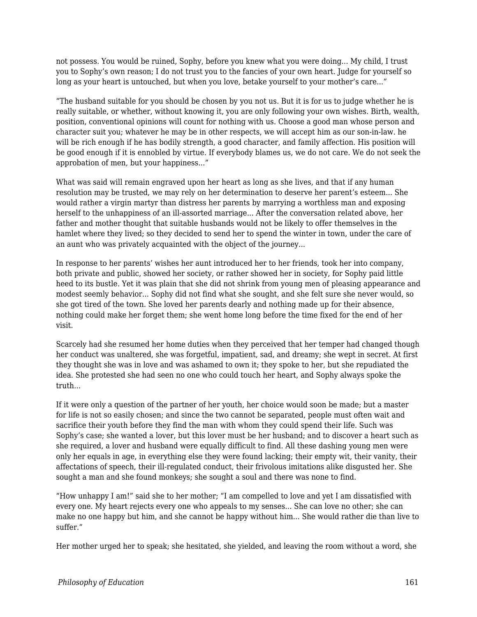not possess. You would be ruined, Sophy, before you knew what you were doing... My child, I trust you to Sophy's own reason; I do not trust you to the fancies of your own heart. Judge for yourself so long as your heart is untouched, but when you love, betake yourself to your mother's care..."

"The husband suitable for you should be chosen by you not us. But it is for us to judge whether he is really suitable, or whether, without knowing it, you are only following your own wishes. Birth, wealth, position, conventional opinions will count for nothing with us. Choose a good man whose person and character suit you; whatever he may be in other respects, we will accept him as our son-in-law. he will be rich enough if he has bodily strength, a good character, and family affection. His position will be good enough if it is ennobled by virtue. If everybody blames us, we do not care. We do not seek the approbation of men, but your happiness..."

What was said will remain engraved upon her heart as long as she lives, and that if any human resolution may be trusted, we may rely on her determination to deserve her parent's esteem... She would rather a virgin martyr than distress her parents by marrying a worthless man and exposing herself to the unhappiness of an ill-assorted marriage... After the conversation related above, her father and mother thought that suitable husbands would not be likely to offer themselves in the hamlet where they lived; so they decided to send her to spend the winter in town, under the care of an aunt who was privately acquainted with the object of the journey...

In response to her parents' wishes her aunt introduced her to her friends, took her into company, both private and public, showed her society, or rather showed her in society, for Sophy paid little heed to its bustle. Yet it was plain that she did not shrink from young men of pleasing appearance and modest seemly behavior... Sophy did not find what she sought, and she felt sure she never would, so she got tired of the town. She loved her parents dearly and nothing made up for their absence, nothing could make her forget them; she went home long before the time fixed for the end of her visit.

Scarcely had she resumed her home duties when they perceived that her temper had changed though her conduct was unaltered, she was forgetful, impatient, sad, and dreamy; she wept in secret. At first they thought she was in love and was ashamed to own it; they spoke to her, but she repudiated the idea. She protested she had seen no one who could touch her heart, and Sophy always spoke the truth...

If it were only a question of the partner of her youth, her choice would soon be made; but a master for life is not so easily chosen; and since the two cannot be separated, people must often wait and sacrifice their youth before they find the man with whom they could spend their life. Such was Sophy's case; she wanted a lover, but this lover must be her husband; and to discover a heart such as she required, a lover and husband were equally difficult to find. All these dashing young men were only her equals in age, in everything else they were found lacking; their empty wit, their vanity, their affectations of speech, their ill-regulated conduct, their frivolous imitations alike disgusted her. She sought a man and she found monkeys; she sought a soul and there was none to find.

"How unhappy I am!" said she to her mother; "I am compelled to love and yet I am dissatisfied with every one. My heart rejects every one who appeals to my senses... She can love no other; she can make no one happy but him, and she cannot be happy without him... She would rather die than live to suffer."

Her mother urged her to speak; she hesitated, she yielded, and leaving the room without a word, she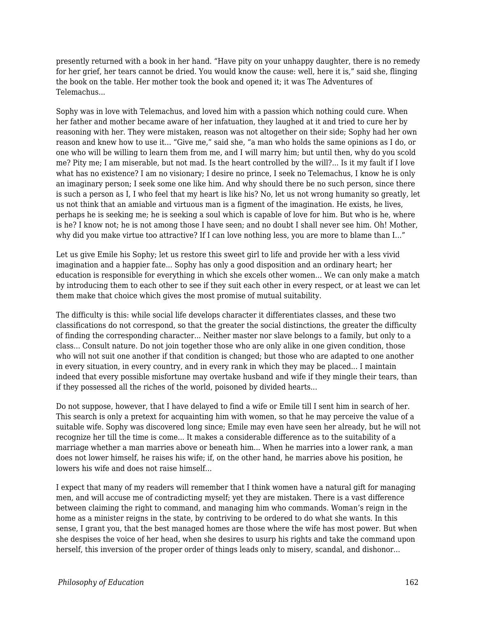presently returned with a book in her hand. "Have pity on your unhappy daughter, there is no remedy for her grief, her tears cannot be dried. You would know the cause: well, here it is," said she, flinging the book on the table. Her mother took the book and opened it; it was The Adventures of Telemachus...

Sophy was in love with Telemachus, and loved him with a passion which nothing could cure. When her father and mother became aware of her infatuation, they laughed at it and tried to cure her by reasoning with her. They were mistaken, reason was not altogether on their side; Sophy had her own reason and knew how to use it... "Give me," said she, "a man who holds the same opinions as I do, or one who will be willing to learn them from me, and I will marry him; but until then, why do you scold me? Pity me; I am miserable, but not mad. Is the heart controlled by the will?... Is it my fault if I love what has no existence? I am no visionary; I desire no prince, I seek no Telemachus, I know he is only an imaginary person; I seek some one like him. And why should there be no such person, since there is such a person as I, I who feel that my heart is like his? No, let us not wrong humanity so greatly, let us not think that an amiable and virtuous man is a figment of the imagination. He exists, he lives, perhaps he is seeking me; he is seeking a soul which is capable of love for him. But who is he, where is he? I know not; he is not among those I have seen; and no doubt I shall never see him. Oh! Mother, why did you make virtue too attractive? If I can love nothing less, you are more to blame than I..."

Let us give Emile his Sophy; let us restore this sweet girl to life and provide her with a less vivid imagination and a happier fate... Sophy has only a good disposition and an ordinary heart; her education is responsible for everything in which she excels other women... We can only make a match by introducing them to each other to see if they suit each other in every respect, or at least we can let them make that choice which gives the most promise of mutual suitability.

The difficulty is this: while social life develops character it differentiates classes, and these two classifications do not correspond, so that the greater the social distinctions, the greater the difficulty of finding the corresponding character... Neither master nor slave belongs to a family, but only to a class... Consult nature. Do not join together those who are only alike in one given condition, those who will not suit one another if that condition is changed; but those who are adapted to one another in every situation, in every country, and in every rank in which they may be placed... I maintain indeed that every possible misfortune may overtake husband and wife if they mingle their tears, than if they possessed all the riches of the world, poisoned by divided hearts...

Do not suppose, however, that I have delayed to find a wife or Emile till I sent him in search of her. This search is only a pretext for acquainting him with women, so that he may perceive the value of a suitable wife. Sophy was discovered long since; Emile may even have seen her already, but he will not recognize her till the time is come... It makes a considerable difference as to the suitability of a marriage whether a man marries above or beneath him... When he marries into a lower rank, a man does not lower himself, he raises his wife; if, on the other hand, he marries above his position, he lowers his wife and does not raise himself...

I expect that many of my readers will remember that I think women have a natural gift for managing men, and will accuse me of contradicting myself; yet they are mistaken. There is a vast difference between claiming the right to command, and managing him who commands. Woman's reign in the home as a minister reigns in the state, by contriving to be ordered to do what she wants. In this sense, I grant you, that the best managed homes are those where the wife has most power. But when she despises the voice of her head, when she desires to usurp his rights and take the command upon herself, this inversion of the proper order of things leads only to misery, scandal, and dishonor...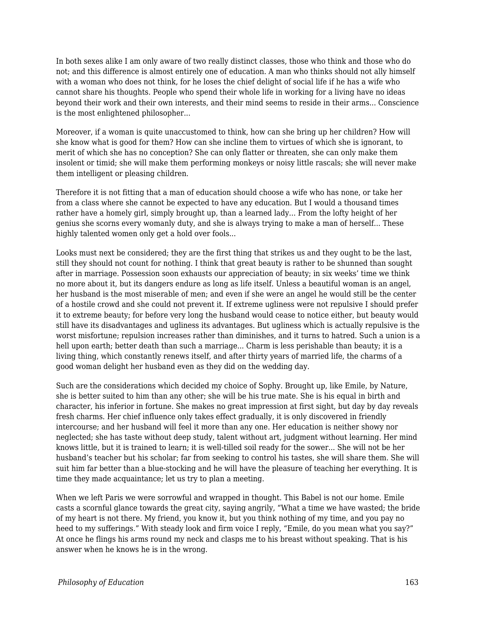In both sexes alike I am only aware of two really distinct classes, those who think and those who do not; and this difference is almost entirely one of education. A man who thinks should not ally himself with a woman who does not think, for he loses the chief delight of social life if he has a wife who cannot share his thoughts. People who spend their whole life in working for a living have no ideas beyond their work and their own interests, and their mind seems to reside in their arms... Conscience is the most enlightened philosopher...

Moreover, if a woman is quite unaccustomed to think, how can she bring up her children? How will she know what is good for them? How can she incline them to virtues of which she is ignorant, to merit of which she has no conception? She can only flatter or threaten, she can only make them insolent or timid; she will make them performing monkeys or noisy little rascals; she will never make them intelligent or pleasing children.

Therefore it is not fitting that a man of education should choose a wife who has none, or take her from a class where she cannot be expected to have any education. But I would a thousand times rather have a homely girl, simply brought up, than a learned lady... From the lofty height of her genius she scorns every womanly duty, and she is always trying to make a man of herself... These highly talented women only get a hold over fools...

Looks must next be considered; they are the first thing that strikes us and they ought to be the last, still they should not count for nothing. I think that great beauty is rather to be shunned than sought after in marriage. Possession soon exhausts our appreciation of beauty; in six weeks' time we think no more about it, but its dangers endure as long as life itself. Unless a beautiful woman is an angel, her husband is the most miserable of men; and even if she were an angel he would still be the center of a hostile crowd and she could not prevent it. If extreme ugliness were not repulsive I should prefer it to extreme beauty; for before very long the husband would cease to notice either, but beauty would still have its disadvantages and ugliness its advantages. But ugliness which is actually repulsive is the worst misfortune; repulsion increases rather than diminishes, and it turns to hatred. Such a union is a hell upon earth; better death than such a marriage... Charm is less perishable than beauty; it is a living thing, which constantly renews itself, and after thirty years of married life, the charms of a good woman delight her husband even as they did on the wedding day.

Such are the considerations which decided my choice of Sophy. Brought up, like Emile, by Nature, she is better suited to him than any other; she will be his true mate. She is his equal in birth and character, his inferior in fortune. She makes no great impression at first sight, but day by day reveals fresh charms. Her chief influence only takes effect gradually, it is only discovered in friendly intercourse; and her husband will feel it more than any one. Her education is neither showy nor neglected; she has taste without deep study, talent without art, judgment without learning. Her mind knows little, but it is trained to learn; it is well-tilled soil ready for the sower... She will not be her husband's teacher but his scholar; far from seeking to control his tastes, she will share them. She will suit him far better than a blue-stocking and he will have the pleasure of teaching her everything. It is time they made acquaintance; let us try to plan a meeting.

When we left Paris we were sorrowful and wrapped in thought. This Babel is not our home. Emile casts a scornful glance towards the great city, saying angrily, "What a time we have wasted; the bride of my heart is not there. My friend, you know it, but you think nothing of my time, and you pay no heed to my sufferings." With steady look and firm voice I reply, "Emile, do you mean what you say?" At once he flings his arms round my neck and clasps me to his breast without speaking. That is his answer when he knows he is in the wrong.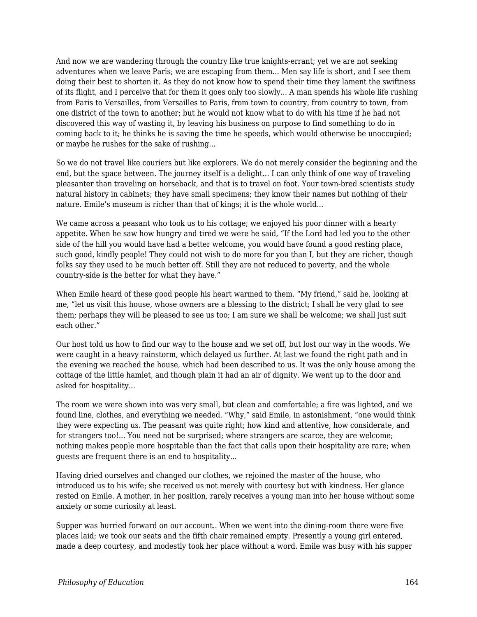And now we are wandering through the country like true knights-errant; yet we are not seeking adventures when we leave Paris; we are escaping from them... Men say life is short, and I see them doing their best to shorten it. As they do not know how to spend their time they lament the swiftness of its flight, and I perceive that for them it goes only too slowly... A man spends his whole life rushing from Paris to Versailles, from Versailles to Paris, from town to country, from country to town, from one district of the town to another; but he would not know what to do with his time if he had not discovered this way of wasting it, by leaving his business on purpose to find something to do in coming back to it; he thinks he is saving the time he speeds, which would otherwise be unoccupied; or maybe he rushes for the sake of rushing...

So we do not travel like couriers but like explorers. We do not merely consider the beginning and the end, but the space between. The journey itself is a delight... I can only think of one way of traveling pleasanter than traveling on horseback, and that is to travel on foot. Your town-bred scientists study natural history in cabinets; they have small specimens; they know their names but nothing of their nature. Emile's museum is richer than that of kings; it is the whole world...

We came across a peasant who took us to his cottage; we enjoyed his poor dinner with a hearty appetite. When he saw how hungry and tired we were he said, "If the Lord had led you to the other side of the hill you would have had a better welcome, you would have found a good resting place, such good, kindly people! They could not wish to do more for you than I, but they are richer, though folks say they used to be much better off. Still they are not reduced to poverty, and the whole country-side is the better for what they have."

When Emile heard of these good people his heart warmed to them. "My friend," said he, looking at me, "let us visit this house, whose owners are a blessing to the district; I shall be very glad to see them; perhaps they will be pleased to see us too; I am sure we shall be welcome; we shall just suit each other."

Our host told us how to find our way to the house and we set off, but lost our way in the woods. We were caught in a heavy rainstorm, which delayed us further. At last we found the right path and in the evening we reached the house, which had been described to us. It was the only house among the cottage of the little hamlet, and though plain it had an air of dignity. We went up to the door and asked for hospitality...

The room we were shown into was very small, but clean and comfortable; a fire was lighted, and we found line, clothes, and everything we needed. "Why," said Emile, in astonishment, "one would think they were expecting us. The peasant was quite right; how kind and attentive, how considerate, and for strangers too!... You need not be surprised; where strangers are scarce, they are welcome; nothing makes people more hospitable than the fact that calls upon their hospitality are rare; when guests are frequent there is an end to hospitality...

Having dried ourselves and changed our clothes, we rejoined the master of the house, who introduced us to his wife; she received us not merely with courtesy but with kindness. Her glance rested on Emile. A mother, in her position, rarely receives a young man into her house without some anxiety or some curiosity at least.

Supper was hurried forward on our account.. When we went into the dining-room there were five places laid; we took our seats and the fifth chair remained empty. Presently a young girl entered, made a deep courtesy, and modestly took her place without a word. Emile was busy with his supper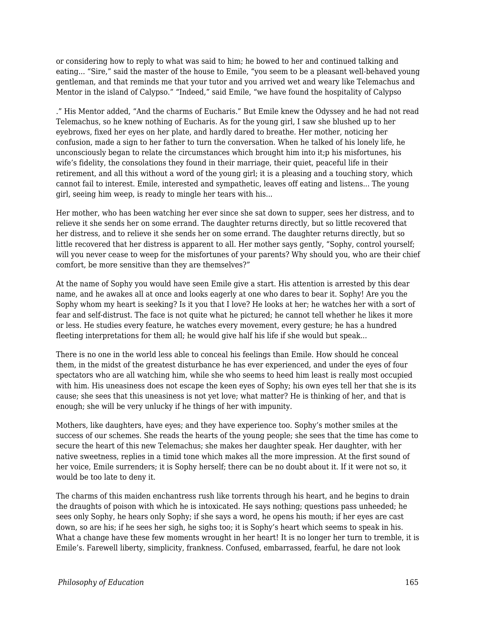or considering how to reply to what was said to him; he bowed to her and continued talking and eating... "Sire," said the master of the house to Emile, "you seem to be a pleasant well-behaved young gentleman, and that reminds me that your tutor and you arrived wet and weary like Telemachus and Mentor in the island of Calypso." "Indeed," said Emile, "we have found the hospitality of Calypso

." His Mentor added, "And the charms of Eucharis." But Emile knew the Odyssey and he had not read Telemachus, so he knew nothing of Eucharis. As for the young girl, I saw she blushed up to her eyebrows, fixed her eyes on her plate, and hardly dared to breathe. Her mother, noticing her confusion, made a sign to her father to turn the conversation. When he talked of his lonely life, he unconsciously began to relate the circumstances which brought him into it;p his misfortunes, his wife's fidelity, the consolations they found in their marriage, their quiet, peaceful life in their retirement, and all this without a word of the young girl; it is a pleasing and a touching story, which cannot fail to interest. Emile, interested and sympathetic, leaves off eating and listens... The young girl, seeing him weep, is ready to mingle her tears with his...

Her mother, who has been watching her ever since she sat down to supper, sees her distress, and to relieve it she sends her on some errand. The daughter returns directly, but so little recovered that her distress, and to relieve it she sends her on some errand. The daughter returns directly, but so little recovered that her distress is apparent to all. Her mother says gently, "Sophy, control yourself; will you never cease to weep for the misfortunes of your parents? Why should you, who are their chief comfort, be more sensitive than they are themselves?"

At the name of Sophy you would have seen Emile give a start. His attention is arrested by this dear name, and he awakes all at once and looks eagerly at one who dares to bear it. Sophy! Are you the Sophy whom my heart is seeking? Is it you that I love? He looks at her; he watches her with a sort of fear and self-distrust. The face is not quite what he pictured; he cannot tell whether he likes it more or less. He studies every feature, he watches every movement, every gesture; he has a hundred fleeting interpretations for them all; he would give half his life if she would but speak...

There is no one in the world less able to conceal his feelings than Emile. How should he conceal them, in the midst of the greatest disturbance he has ever experienced, and under the eyes of four spectators who are all watching him, while she who seems to heed him least is really most occupied with him. His uneasiness does not escape the keen eyes of Sophy; his own eyes tell her that she is its cause; she sees that this uneasiness is not yet love; what matter? He is thinking of her, and that is enough; she will be very unlucky if he things of her with impunity.

Mothers, like daughters, have eyes; and they have experience too. Sophy's mother smiles at the success of our schemes. She reads the hearts of the young people; she sees that the time has come to secure the heart of this new Telemachus; she makes her daughter speak. Her daughter, with her native sweetness, replies in a timid tone which makes all the more impression. At the first sound of her voice, Emile surrenders; it is Sophy herself; there can be no doubt about it. If it were not so, it would be too late to deny it.

The charms of this maiden enchantress rush like torrents through his heart, and he begins to drain the draughts of poison with which he is intoxicated. He says nothing; questions pass unheeded; he sees only Sophy, he hears only Sophy; if she says a word, he opens his mouth; if her eyes are cast down, so are his; if he sees her sigh, he sighs too; it is Sophy's heart which seems to speak in his. What a change have these few moments wrought in her heart! It is no longer her turn to tremble, it is Emile's. Farewell liberty, simplicity, frankness. Confused, embarrassed, fearful, he dare not look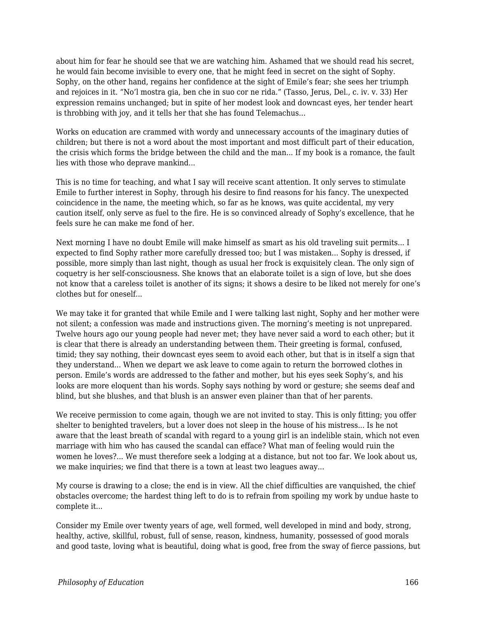about him for fear he should see that we are watching him. Ashamed that we should read his secret, he would fain become invisible to every one, that he might feed in secret on the sight of Sophy. Sophy, on the other hand, regains her confidence at the sight of Emile's fear; she sees her triumph and rejoices in it. "No'l mostra gia, ben che in suo cor ne rida." (Tasso, Jerus, Del., c. iv. v. 33) Her expression remains unchanged; but in spite of her modest look and downcast eyes, her tender heart is throbbing with joy, and it tells her that she has found Telemachus...

Works on education are crammed with wordy and unnecessary accounts of the imaginary duties of children; but there is not a word about the most important and most difficult part of their education, the crisis which forms the bridge between the child and the man... If my book is a romance, the fault lies with those who deprave mankind...

This is no time for teaching, and what I say will receive scant attention. It only serves to stimulate Emile to further interest in Sophy, through his desire to find reasons for his fancy. The unexpected coincidence in the name, the meeting which, so far as he knows, was quite accidental, my very caution itself, only serve as fuel to the fire. He is so convinced already of Sophy's excellence, that he feels sure he can make me fond of her.

Next morning I have no doubt Emile will make himself as smart as his old traveling suit permits... I expected to find Sophy rather more carefully dressed too; but I was mistaken... Sophy is dressed, if possible, more simply than last night, though as usual her frock is exquisitely clean. The only sign of coquetry is her self-consciousness. She knows that an elaborate toilet is a sign of love, but she does not know that a careless toilet is another of its signs; it shows a desire to be liked not merely for one's clothes but for oneself...

We may take it for granted that while Emile and I were talking last night, Sophy and her mother were not silent; a confession was made and instructions given. The morning's meeting is not unprepared. Twelve hours ago our young people had never met; they have never said a word to each other; but it is clear that there is already an understanding between them. Their greeting is formal, confused, timid; they say nothing, their downcast eyes seem to avoid each other, but that is in itself a sign that they understand... When we depart we ask leave to come again to return the borrowed clothes in person. Emile's words are addressed to the father and mother, but his eyes seek Sophy's, and his looks are more eloquent than his words. Sophy says nothing by word or gesture; she seems deaf and blind, but she blushes, and that blush is an answer even plainer than that of her parents.

We receive permission to come again, though we are not invited to stay. This is only fitting; you offer shelter to benighted travelers, but a lover does not sleep in the house of his mistress... Is he not aware that the least breath of scandal with regard to a young girl is an indelible stain, which not even marriage with him who has caused the scandal can efface? What man of feeling would ruin the women he loves?... We must therefore seek a lodging at a distance, but not too far. We look about us, we make inquiries; we find that there is a town at least two leagues away...

My course is drawing to a close; the end is in view. All the chief difficulties are vanquished, the chief obstacles overcome; the hardest thing left to do is to refrain from spoiling my work by undue haste to complete it...

Consider my Emile over twenty years of age, well formed, well developed in mind and body, strong, healthy, active, skillful, robust, full of sense, reason, kindness, humanity, possessed of good morals and good taste, loving what is beautiful, doing what is good, free from the sway of fierce passions, but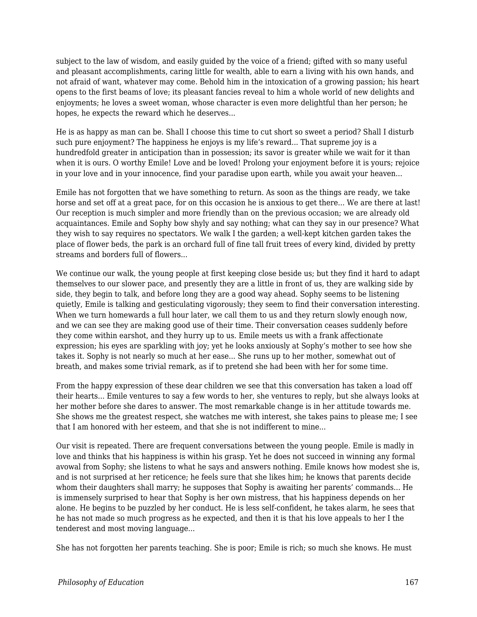subject to the law of wisdom, and easily guided by the voice of a friend; gifted with so many useful and pleasant accomplishments, caring little for wealth, able to earn a living with his own hands, and not afraid of want, whatever may come. Behold him in the intoxication of a growing passion; his heart opens to the first beams of love; its pleasant fancies reveal to him a whole world of new delights and enjoyments; he loves a sweet woman, whose character is even more delightful than her person; he hopes, he expects the reward which he deserves...

He is as happy as man can be. Shall I choose this time to cut short so sweet a period? Shall I disturb such pure enjoyment? The happiness he enjoys is my life's reward... That supreme joy is a hundredfold greater in anticipation than in possession; its savor is greater while we wait for it than when it is ours. O worthy Emile! Love and be loved! Prolong your enjoyment before it is yours; rejoice in your love and in your innocence, find your paradise upon earth, while you await your heaven...

Emile has not forgotten that we have something to return. As soon as the things are ready, we take horse and set off at a great pace, for on this occasion he is anxious to get there... We are there at last! Our reception is much simpler and more friendly than on the previous occasion; we are already old acquaintances. Emile and Sophy bow shyly and say nothing; what can they say in our presence? What they wish to say requires no spectators. We walk I the garden; a well-kept kitchen garden takes the place of flower beds, the park is an orchard full of fine tall fruit trees of every kind, divided by pretty streams and borders full of flowers...

We continue our walk, the young people at first keeping close beside us; but they find it hard to adapt themselves to our slower pace, and presently they are a little in front of us, they are walking side by side, they begin to talk, and before long they are a good way ahead. Sophy seems to be listening quietly, Emile is talking and gesticulating vigorously; they seem to find their conversation interesting. When we turn homewards a full hour later, we call them to us and they return slowly enough now, and we can see they are making good use of their time. Their conversation ceases suddenly before they come within earshot, and they hurry up to us. Emile meets us with a frank affectionate expression; his eyes are sparkling with joy; yet he looks anxiously at Sophy's mother to see how she takes it. Sophy is not nearly so much at her ease... She runs up to her mother, somewhat out of breath, and makes some trivial remark, as if to pretend she had been with her for some time.

From the happy expression of these dear children we see that this conversation has taken a load off their hearts... Emile ventures to say a few words to her, she ventures to reply, but she always looks at her mother before she dares to answer. The most remarkable change is in her attitude towards me. She shows me the greatest respect, she watches me with interest, she takes pains to please me; I see that I am honored with her esteem, and that she is not indifferent to mine...

Our visit is repeated. There are frequent conversations between the young people. Emile is madly in love and thinks that his happiness is within his grasp. Yet he does not succeed in winning any formal avowal from Sophy; she listens to what he says and answers nothing. Emile knows how modest she is, and is not surprised at her reticence; he feels sure that she likes him; he knows that parents decide whom their daughters shall marry; he supposes that Sophy is awaiting her parents' commands... He is immensely surprised to hear that Sophy is her own mistress, that his happiness depends on her alone. He begins to be puzzled by her conduct. He is less self-confident, he takes alarm, he sees that he has not made so much progress as he expected, and then it is that his love appeals to her I the tenderest and most moving language...

She has not forgotten her parents teaching. She is poor; Emile is rich; so much she knows. He must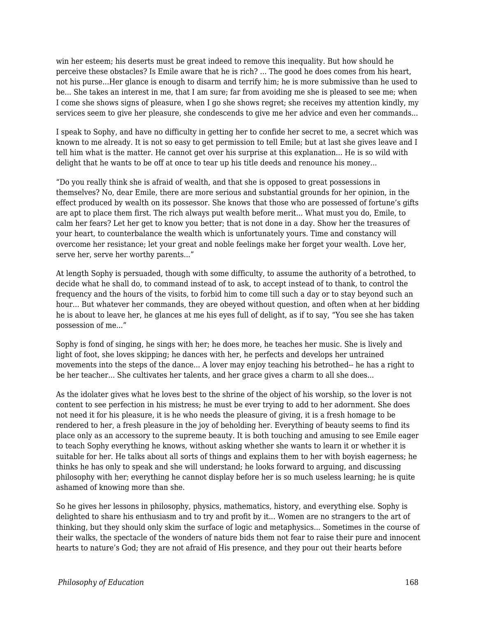win her esteem; his deserts must be great indeed to remove this inequality. But how should he perceive these obstacles? Is Emile aware that he is rich? ... The good he does comes from his heart, not his purse...Her glance is enough to disarm and terrify him; he is more submissive than he used to be... She takes an interest in me, that I am sure; far from avoiding me she is pleased to see me; when I come she shows signs of pleasure, when I go she shows regret; she receives my attention kindly, my services seem to give her pleasure, she condescends to give me her advice and even her commands...

I speak to Sophy, and have no difficulty in getting her to confide her secret to me, a secret which was known to me already. It is not so easy to get permission to tell Emile; but at last she gives leave and I tell him what is the matter. He cannot get over his surprise at this explanation... He is so wild with delight that he wants to be off at once to tear up his title deeds and renounce his money...

"Do you really think she is afraid of wealth, and that she is opposed to great possessions in themselves? No, dear Emile, there are more serious and substantial grounds for her opinion, in the effect produced by wealth on its possessor. She knows that those who are possessed of fortune's gifts are apt to place them first. The rich always put wealth before merit... What must you do, Emile, to calm her fears? Let her get to know you better; that is not done in a day. Show her the treasures of your heart, to counterbalance the wealth which is unfortunately yours. Time and constancy will overcome her resistance; let your great and noble feelings make her forget your wealth. Love her, serve her, serve her worthy parents..."

At length Sophy is persuaded, though with some difficulty, to assume the authority of a betrothed, to decide what he shall do, to command instead of to ask, to accept instead of to thank, to control the frequency and the hours of the visits, to forbid him to come till such a day or to stay beyond such an hour... But whatever her commands, they are obeyed without question, and often when at her bidding he is about to leave her, he glances at me his eyes full of delight, as if to say, "You see she has taken possession of me..."

Sophy is fond of singing, he sings with her; he does more, he teaches her music. She is lively and light of foot, she loves skipping; he dances with her, he perfects and develops her untrained movements into the steps of the dance... A lover may enjoy teaching his betrothed-- he has a right to be her teacher... She cultivates her talents, and her grace gives a charm to all she does...

As the idolater gives what he loves best to the shrine of the object of his worship, so the lover is not content to see perfection in his mistress; he must be ever trying to add to her adornment. She does not need it for his pleasure, it is he who needs the pleasure of giving, it is a fresh homage to be rendered to her, a fresh pleasure in the joy of beholding her. Everything of beauty seems to find its place only as an accessory to the supreme beauty. It is both touching and amusing to see Emile eager to teach Sophy everything he knows, without asking whether she wants to learn it or whether it is suitable for her. He talks about all sorts of things and explains them to her with boyish eagerness; he thinks he has only to speak and she will understand; he looks forward to arguing, and discussing philosophy with her; everything he cannot display before her is so much useless learning; he is quite ashamed of knowing more than she.

So he gives her lessons in philosophy, physics, mathematics, history, and everything else. Sophy is delighted to share his enthusiasm and to try and profit by it... Women are no strangers to the art of thinking, but they should only skim the surface of logic and metaphysics... Sometimes in the course of their walks, the spectacle of the wonders of nature bids them not fear to raise their pure and innocent hearts to nature's God; they are not afraid of His presence, and they pour out their hearts before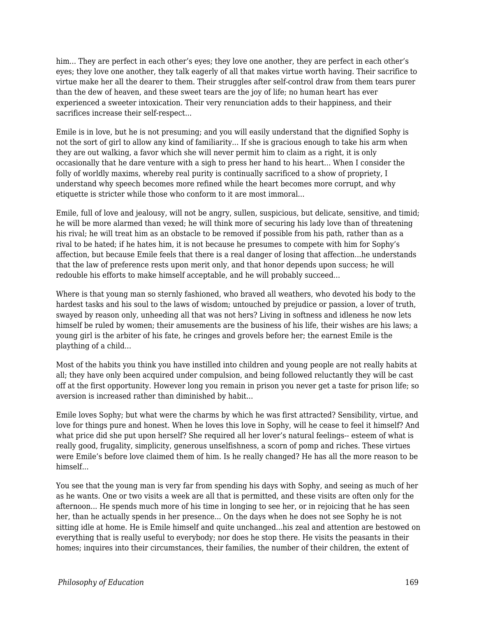him... They are perfect in each other's eyes; they love one another, they are perfect in each other's eyes; they love one another, they talk eagerly of all that makes virtue worth having. Their sacrifice to virtue make her all the dearer to them. Their struggles after self-control draw from them tears purer than the dew of heaven, and these sweet tears are the joy of life; no human heart has ever experienced a sweeter intoxication. Their very renunciation adds to their happiness, and their sacrifices increase their self-respect...

Emile is in love, but he is not presuming; and you will easily understand that the dignified Sophy is not the sort of girl to allow any kind of familiarity... If she is gracious enough to take his arm when they are out walking, a favor which she will never permit him to claim as a right, it is only occasionally that he dare venture with a sigh to press her hand to his heart... When I consider the folly of worldly maxims, whereby real purity is continually sacrificed to a show of propriety, I understand why speech becomes more refined while the heart becomes more corrupt, and why etiquette is stricter while those who conform to it are most immoral...

Emile, full of love and jealousy, will not be angry, sullen, suspicious, but delicate, sensitive, and timid; he will be more alarmed than vexed; he will think more of securing his lady love than of threatening his rival; he will treat him as an obstacle to be removed if possible from his path, rather than as a rival to be hated; if he hates him, it is not because he presumes to compete with him for Sophy's affection, but because Emile feels that there is a real danger of losing that affection...he understands that the law of preference rests upon merit only, and that honor depends upon success; he will redouble his efforts to make himself acceptable, and he will probably succeed...

Where is that young man so sternly fashioned, who braved all weathers, who devoted his body to the hardest tasks and his soul to the laws of wisdom; untouched by prejudice or passion, a lover of truth, swayed by reason only, unheeding all that was not hers? Living in softness and idleness he now lets himself be ruled by women; their amusements are the business of his life, their wishes are his laws; a young girl is the arbiter of his fate, he cringes and grovels before her; the earnest Emile is the plaything of a child...

Most of the habits you think you have instilled into children and young people are not really habits at all; they have only been acquired under compulsion, and being followed reluctantly they will be cast off at the first opportunity. However long you remain in prison you never get a taste for prison life; so aversion is increased rather than diminished by habit...

Emile loves Sophy; but what were the charms by which he was first attracted? Sensibility, virtue, and love for things pure and honest. When he loves this love in Sophy, will he cease to feel it himself? And what price did she put upon herself? She required all her lover's natural feelings-- esteem of what is really good, frugality, simplicity, generous unselfishness, a scorn of pomp and riches. These virtues were Emile's before love claimed them of him. Is he really changed? He has all the more reason to be himself...

You see that the young man is very far from spending his days with Sophy, and seeing as much of her as he wants. One or two visits a week are all that is permitted, and these visits are often only for the afternoon... He spends much more of his time in longing to see her, or in rejoicing that he has seen her, than he actually spends in her presence... On the days when he does not see Sophy he is not sitting idle at home. He is Emile himself and quite unchanged...his zeal and attention are bestowed on everything that is really useful to everybody; nor does he stop there. He visits the peasants in their homes; inquires into their circumstances, their families, the number of their children, the extent of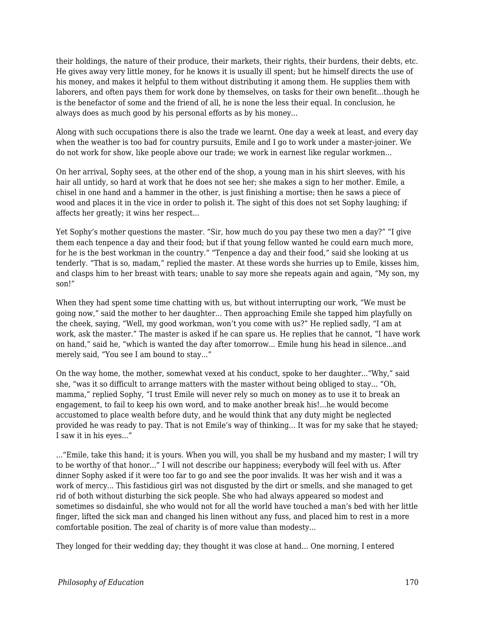their holdings, the nature of their produce, their markets, their rights, their burdens, their debts, etc. He gives away very little money, for he knows it is usually ill spent; but he himself directs the use of his money, and makes it helpful to them without distributing it among them. He supplies them with laborers, and often pays them for work done by themselves, on tasks for their own benefit...though he is the benefactor of some and the friend of all, he is none the less their equal. In conclusion, he always does as much good by his personal efforts as by his money...

Along with such occupations there is also the trade we learnt. One day a week at least, and every day when the weather is too bad for country pursuits, Emile and I go to work under a master-joiner. We do not work for show, like people above our trade; we work in earnest like regular workmen...

On her arrival, Sophy sees, at the other end of the shop, a young man in his shirt sleeves, with his hair all untidy, so hard at work that he does not see her; she makes a sign to her mother. Emile, a chisel in one hand and a hammer in the other, is just finishing a mortise; then he saws a piece of wood and places it in the vice in order to polish it. The sight of this does not set Sophy laughing; if affects her greatly; it wins her respect...

Yet Sophy's mother questions the master. "Sir, how much do you pay these two men a day?" "I give them each tenpence a day and their food; but if that young fellow wanted he could earn much more, for he is the best workman in the country." "Tenpence a day and their food," said she looking at us tenderly. "That is so, madam," replied the master. At these words she hurries up to Emile, kisses him, and clasps him to her breast with tears; unable to say more she repeats again and again, "My son, my son!"

When they had spent some time chatting with us, but without interrupting our work, "We must be going now," said the mother to her daughter... Then approaching Emile she tapped him playfully on the cheek, saying, "Well, my good workman, won't you come with us?" He replied sadly, "I am at work, ask the master." The master is asked if he can spare us. He replies that he cannot, "I have work on hand," said he, "which is wanted the day after tomorrow... Emile hung his head in silence...and merely said, "You see I am bound to stay..."

On the way home, the mother, somewhat vexed at his conduct, spoke to her daughter..."Why," said she, "was it so difficult to arrange matters with the master without being obliged to stay... "Oh, mamma," replied Sophy, "I trust Emile will never rely so much on money as to use it to break an engagement, to fail to keep his own word, and to make another break his!...he would become accustomed to place wealth before duty, and he would think that any duty might be neglected provided he was ready to pay. That is not Emile's way of thinking... It was for my sake that he stayed; I saw it in his eyes..."

..."Emile, take this hand; it is yours. When you will, you shall be my husband and my master; I will try to be worthy of that honor..." I will not describe our happiness; everybody will feel with us. After dinner Sophy asked if it were too far to go and see the poor invalids. It was her wish and it was a work of mercy... This fastidious girl was not disgusted by the dirt or smells, and she managed to get rid of both without disturbing the sick people. She who had always appeared so modest and sometimes so disdainful, she who would not for all the world have touched a man's bed with her little finger, lifted the sick man and changed his linen without any fuss, and placed him to rest in a more comfortable position. The zeal of charity is of more value than modesty...

They longed for their wedding day; they thought it was close at hand... One morning, I entered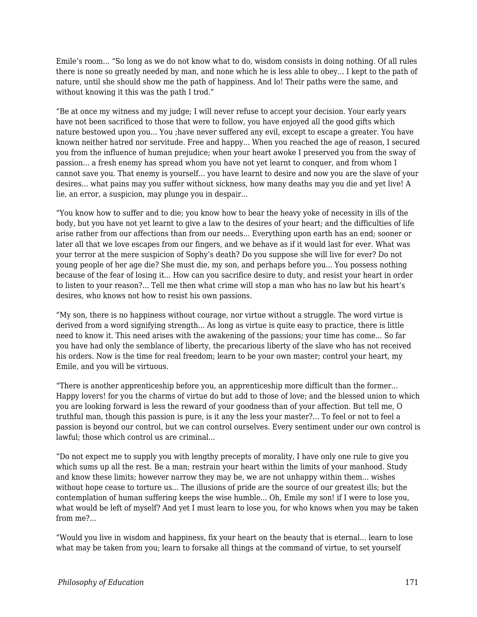Emile's room... "So long as we do not know what to do, wisdom consists in doing nothing. Of all rules there is none so greatly needed by man, and none which he is less able to obey... I kept to the path of nature, until she should show me the path of happiness. And lo! Their paths were the same, and without knowing it this was the path I trod."

"Be at once my witness and my judge; I will never refuse to accept your decision. Your early years have not been sacrificed to those that were to follow, you have enjoyed all the good gifts which nature bestowed upon you... You ;have never suffered any evil, except to escape a greater. You have known neither hatred nor servitude. Free and happy... When you reached the age of reason, I secured you from the influence of human prejudice; when your heart awoke I preserved you from the sway of passion... a fresh enemy has spread whom you have not yet learnt to conquer, and from whom I cannot save you. That enemy is yourself... you have learnt to desire and now you are the slave of your desires... what pains may you suffer without sickness, how many deaths may you die and yet live! A lie, an error, a suspicion, may plunge you in despair...

"You know how to suffer and to die; you know how to bear the heavy yoke of necessity in ills of the body, but you have not yet learnt to give a law to the desires of your heart; and the difficulties of life arise rather from our affections than from our needs... Everything upon earth has an end; sooner or later all that we love escapes from our fingers, and we behave as if it would last for ever. What was your terror at the mere suspicion of Sophy's death? Do you suppose she will live for ever? Do not young people of her age die? She must die, my son, and perhaps before you... You possess nothing because of the fear of losing it... How can you sacrifice desire to duty, and resist your heart in order to listen to your reason?... Tell me then what crime will stop a man who has no law but his heart's desires, who knows not how to resist his own passions.

"My son, there is no happiness without courage, nor virtue without a struggle. The word virtue is derived from a word signifying strength... As long as virtue is quite easy to practice, there is little need to know it. This need arises with the awakening of the passions; your time has come... So far you have had only the semblance of liberty, the precarious liberty of the slave who has not received his orders. Now is the time for real freedom; learn to be your own master; control your heart, my Emile, and you will be virtuous.

"There is another apprenticeship before you, an apprenticeship more difficult than the former... Happy lovers! for you the charms of virtue do but add to those of love; and the blessed union to which you are looking forward is less the reward of your goodness than of your affection. But tell me, O truthful man, though this passion is pure, is it any the less your master?... To feel or not to feel a passion is beyond our control, but we can control ourselves. Every sentiment under our own control is lawful; those which control us are criminal...

"Do not expect me to supply you with lengthy precepts of morality, I have only one rule to give you which sums up all the rest. Be a man; restrain your heart within the limits of your manhood. Study and know these limits; however narrow they may be, we are not unhappy within them... wishes without hope cease to torture us... The illusions of pride are the source of our greatest ills; but the contemplation of human suffering keeps the wise humble... Oh, Emile my son! if I were to lose you, what would be left of myself? And yet I must learn to lose you, for who knows when you may be taken from me?...

"Would you live in wisdom and happiness, fix your heart on the beauty that is eternal... learn to lose what may be taken from you; learn to forsake all things at the command of virtue, to set yourself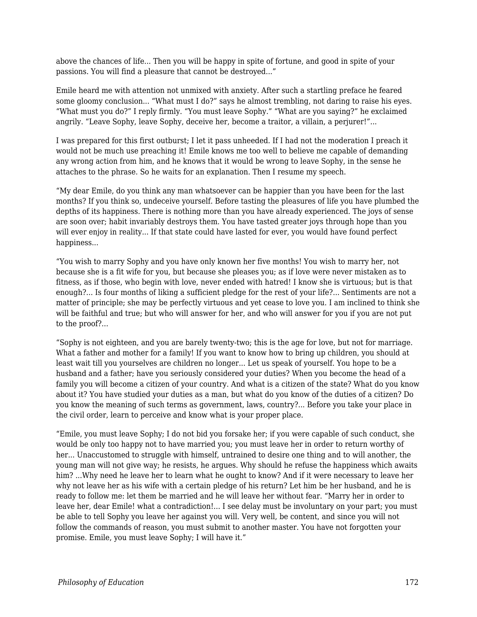above the chances of life... Then you will be happy in spite of fortune, and good in spite of your passions. You will find a pleasure that cannot be destroyed..."

Emile heard me with attention not unmixed with anxiety. After such a startling preface he feared some gloomy conclusion... "What must I do?" says he almost trembling, not daring to raise his eyes. "What must you do?" I reply firmly. "You must leave Sophy." "What are you saying?" he exclaimed angrily. "Leave Sophy, leave Sophy, deceive her, become a traitor, a villain, a perjurer!"...

I was prepared for this first outburst; I let it pass unheeded. If I had not the moderation I preach it would not be much use preaching it! Emile knows me too well to believe me capable of demanding any wrong action from him, and he knows that it would be wrong to leave Sophy, in the sense he attaches to the phrase. So he waits for an explanation. Then I resume my speech.

"My dear Emile, do you think any man whatsoever can be happier than you have been for the last months? If you think so, undeceive yourself. Before tasting the pleasures of life you have plumbed the depths of its happiness. There is nothing more than you have already experienced. The joys of sense are soon over; habit invariably destroys them. You have tasted greater joys through hope than you will ever enjoy in reality... If that state could have lasted for ever, you would have found perfect happiness...

"You wish to marry Sophy and you have only known her five months! You wish to marry her, not because she is a fit wife for you, but because she pleases you; as if love were never mistaken as to fitness, as if those, who begin with love, never ended with hatred! I know she is virtuous; but is that enough?... Is four months of liking a sufficient pledge for the rest of your life?... Sentiments are not a matter of principle; she may be perfectly virtuous and yet cease to love you. I am inclined to think she will be faithful and true; but who will answer for her, and who will answer for you if you are not put to the proof?...

"Sophy is not eighteen, and you are barely twenty-two; this is the age for love, but not for marriage. What a father and mother for a family! If you want to know how to bring up children, you should at least wait till you yourselves are children no longer... Let us speak of yourself. You hope to be a husband and a father; have you seriously considered your duties? When you become the head of a family you will become a citizen of your country. And what is a citizen of the state? What do you know about it? You have studied your duties as a man, but what do you know of the duties of a citizen? Do you know the meaning of such terms as government, laws, country?... Before you take your place in the civil order, learn to perceive and know what is your proper place.

"Emile, you must leave Sophy; I do not bid you forsake her; if you were capable of such conduct, she would be only too happy not to have married you; you must leave her in order to return worthy of her... Unaccustomed to struggle with himself, untrained to desire one thing and to will another, the young man will not give way; he resists, he argues. Why should he refuse the happiness which awaits him? ...Why need he leave her to learn what he ought to know? And if it were necessary to leave her why not leave her as his wife with a certain pledge of his return? Let him be her husband, and he is ready to follow me: let them be married and he will leave her without fear. "Marry her in order to leave her, dear Emile! what a contradiction!... I see delay must be involuntary on your part; you must be able to tell Sophy you leave her against you will. Very well, be content, and since you will not follow the commands of reason, you must submit to another master. You have not forgotten your promise. Emile, you must leave Sophy; I will have it."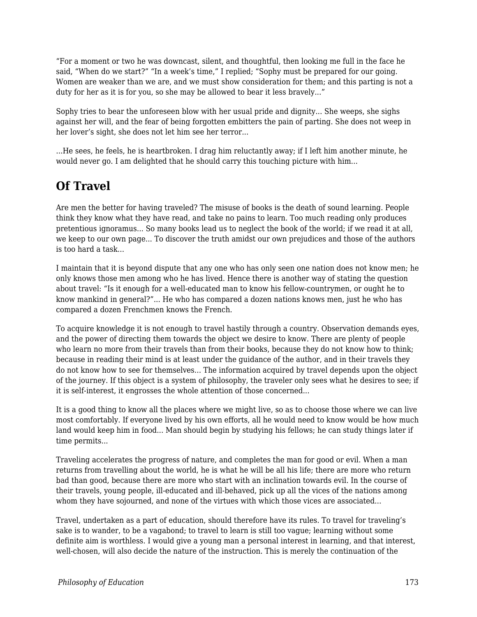"For a moment or two he was downcast, silent, and thoughtful, then looking me full in the face he said, "When do we start?" "In a week's time," I replied; "Sophy must be prepared for our going. Women are weaker than we are, and we must show consideration for them; and this parting is not a duty for her as it is for you, so she may be allowed to bear it less bravely..."

Sophy tries to bear the unforeseen blow with her usual pride and dignity... She weeps, she sighs against her will, and the fear of being forgotten embitters the pain of parting. She does not weep in her lover's sight, she does not let him see her terror...

...He sees, he feels, he is heartbroken. I drag him reluctantly away; if I left him another minute, he would never go. I am delighted that he should carry this touching picture with him...

## **Of Travel**

Are men the better for having traveled? The misuse of books is the death of sound learning. People think they know what they have read, and take no pains to learn. Too much reading only produces pretentious ignoramus... So many books lead us to neglect the book of the world; if we read it at all, we keep to our own page... To discover the truth amidst our own prejudices and those of the authors is too hard a task...

I maintain that it is beyond dispute that any one who has only seen one nation does not know men; he only knows those men among who he has lived. Hence there is another way of stating the question about travel: "Is it enough for a well-educated man to know his fellow-countrymen, or ought he to know mankind in general?"... He who has compared a dozen nations knows men, just he who has compared a dozen Frenchmen knows the French.

To acquire knowledge it is not enough to travel hastily through a country. Observation demands eyes, and the power of directing them towards the object we desire to know. There are plenty of people who learn no more from their travels than from their books, because they do not know how to think; because in reading their mind is at least under the guidance of the author, and in their travels they do not know how to see for themselves... The information acquired by travel depends upon the object of the journey. If this object is a system of philosophy, the traveler only sees what he desires to see; if it is self-interest, it engrosses the whole attention of those concerned...

It is a good thing to know all the places where we might live, so as to choose those where we can live most comfortably. If everyone lived by his own efforts, all he would need to know would be how much land would keep him in food... Man should begin by studying his fellows; he can study things later if time permits...

Traveling accelerates the progress of nature, and completes the man for good or evil. When a man returns from travelling about the world, he is what he will be all his life; there are more who return bad than good, because there are more who start with an inclination towards evil. In the course of their travels, young people, ill-educated and ill-behaved, pick up all the vices of the nations among whom they have sojourned, and none of the virtues with which those vices are associated...

Travel, undertaken as a part of education, should therefore have its rules. To travel for traveling's sake is to wander, to be a vagabond; to travel to learn is still too vague; learning without some definite aim is worthless. I would give a young man a personal interest in learning, and that interest, well-chosen, will also decide the nature of the instruction. This is merely the continuation of the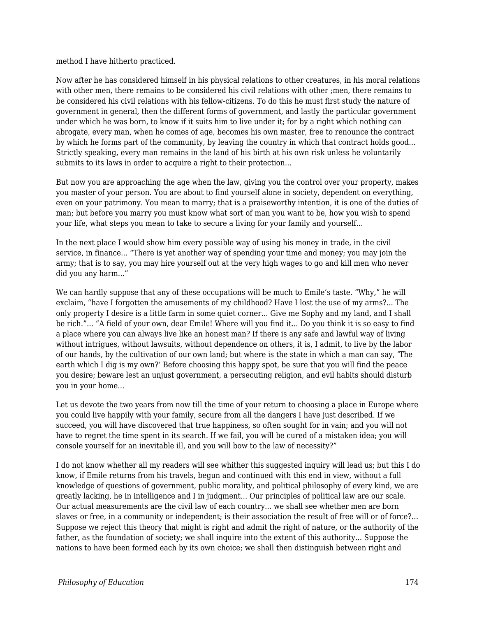method I have hitherto practiced.

Now after he has considered himself in his physical relations to other creatures, in his moral relations with other men, there remains to be considered his civil relations with other ;men, there remains to be considered his civil relations with his fellow-citizens. To do this he must first study the nature of government in general, then the different forms of government, and lastly the particular government under which he was born, to know if it suits him to live under it; for by a right which nothing can abrogate, every man, when he comes of age, becomes his own master, free to renounce the contract by which he forms part of the community, by leaving the country in which that contract holds good... Strictly speaking, every man remains in the land of his birth at his own risk unless he voluntarily submits to its laws in order to acquire a right to their protection...

But now you are approaching the age when the law, giving you the control over your property, makes you master of your person. You are about to find yourself alone in society, dependent on everything, even on your patrimony. You mean to marry; that is a praiseworthy intention, it is one of the duties of man; but before you marry you must know what sort of man you want to be, how you wish to spend your life, what steps you mean to take to secure a living for your family and yourself...

In the next place I would show him every possible way of using his money in trade, in the civil service, in finance... "There is yet another way of spending your time and money; you may join the army; that is to say, you may hire yourself out at the very high wages to go and kill men who never did you any harm..."

We can hardly suppose that any of these occupations will be much to Emile's taste. "Why," he will exclaim, "have I forgotten the amusements of my childhood? Have I lost the use of my arms?... The only property I desire is a little farm in some quiet corner... Give me Sophy and my land, and I shall be rich."... "A field of your own, dear Emile! Where will you find it... Do you think it is so easy to find a place where you can always live like an honest man? If there is any safe and lawful way of living without intrigues, without lawsuits, without dependence on others, it is, I admit, to live by the labor of our hands, by the cultivation of our own land; but where is the state in which a man can say, 'The earth which I dig is my own?' Before choosing this happy spot, be sure that you will find the peace you desire; beware lest an unjust government, a persecuting religion, and evil habits should disturb you in your home...

Let us devote the two years from now till the time of your return to choosing a place in Europe where you could live happily with your family, secure from all the dangers I have just described. If we succeed, you will have discovered that true happiness, so often sought for in vain; and you will not have to regret the time spent in its search. If we fail, you will be cured of a mistaken idea; you will console yourself for an inevitable ill, and you will bow to the law of necessity?"

I do not know whether all my readers will see whither this suggested inquiry will lead us; but this I do know, if Emile returns from his travels, begun and continued with this end in view, without a full knowledge of questions of government, public morality, and political philosophy of every kind, we are greatly lacking, he in intelligence and I in judgment... Our principles of political law are our scale. Our actual measurements are the civil law of each country... we shall see whether men are born slaves or free, in a community or independent; is their association the result of free will or of force?... Suppose we reject this theory that might is right and admit the right of nature, or the authority of the father, as the foundation of society; we shall inquire into the extent of this authority... Suppose the nations to have been formed each by its own choice; we shall then distinguish between right and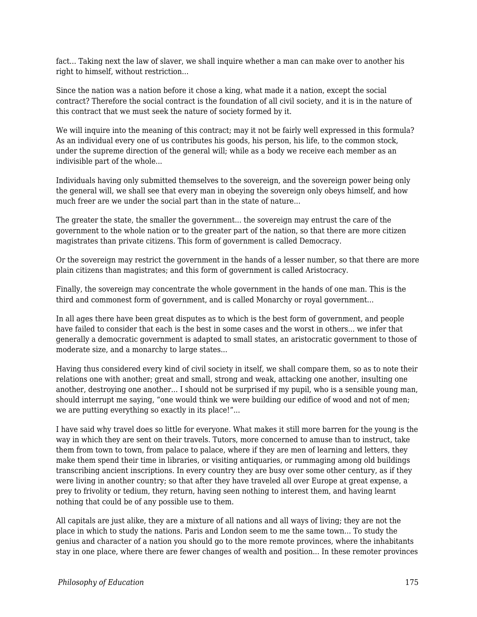fact... Taking next the law of slaver, we shall inquire whether a man can make over to another his right to himself, without restriction...

Since the nation was a nation before it chose a king, what made it a nation, except the social contract? Therefore the social contract is the foundation of all civil society, and it is in the nature of this contract that we must seek the nature of society formed by it.

We will inquire into the meaning of this contract; may it not be fairly well expressed in this formula? As an individual every one of us contributes his goods, his person, his life, to the common stock, under the supreme direction of the general will; while as a body we receive each member as an indivisible part of the whole...

Individuals having only submitted themselves to the sovereign, and the sovereign power being only the general will, we shall see that every man in obeying the sovereign only obeys himself, and how much freer are we under the social part than in the state of nature...

The greater the state, the smaller the government... the sovereign may entrust the care of the government to the whole nation or to the greater part of the nation, so that there are more citizen magistrates than private citizens. This form of government is called Democracy.

Or the sovereign may restrict the government in the hands of a lesser number, so that there are more plain citizens than magistrates; and this form of government is called Aristocracy.

Finally, the sovereign may concentrate the whole government in the hands of one man. This is the third and commonest form of government, and is called Monarchy or royal government...

In all ages there have been great disputes as to which is the best form of government, and people have failed to consider that each is the best in some cases and the worst in others... we infer that generally a democratic government is adapted to small states, an aristocratic government to those of moderate size, and a monarchy to large states...

Having thus considered every kind of civil society in itself, we shall compare them, so as to note their relations one with another; great and small, strong and weak, attacking one another, insulting one another, destroying one another... I should not be surprised if my pupil, who is a sensible young man, should interrupt me saying, "one would think we were building our edifice of wood and not of men; we are putting everything so exactly in its place!"...

I have said why travel does so little for everyone. What makes it still more barren for the young is the way in which they are sent on their travels. Tutors, more concerned to amuse than to instruct, take them from town to town, from palace to palace, where if they are men of learning and letters, they make them spend their time in libraries, or visiting antiquaries, or rummaging among old buildings transcribing ancient inscriptions. In every country they are busy over some other century, as if they were living in another country; so that after they have traveled all over Europe at great expense, a prey to frivolity or tedium, they return, having seen nothing to interest them, and having learnt nothing that could be of any possible use to them.

All capitals are just alike, they are a mixture of all nations and all ways of living; they are not the place in which to study the nations. Paris and London seem to me the same town... To study the genius and character of a nation you should go to the more remote provinces, where the inhabitants stay in one place, where there are fewer changes of wealth and position... In these remoter provinces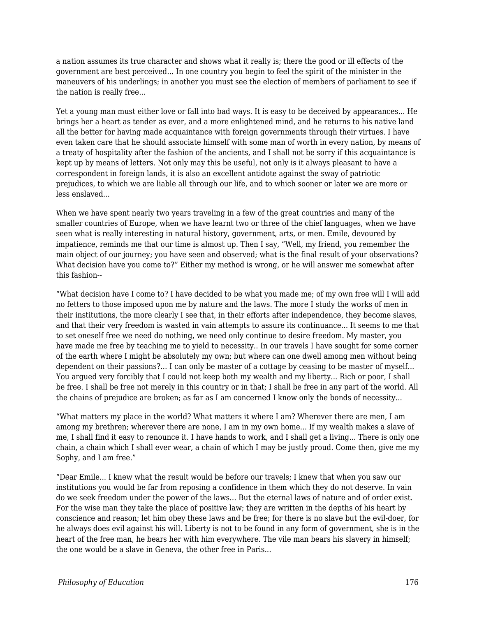a nation assumes its true character and shows what it really is; there the good or ill effects of the government are best perceived... In one country you begin to feel the spirit of the minister in the maneuvers of his underlings; in another you must see the election of members of parliament to see if the nation is really free...

Yet a young man must either love or fall into bad ways. It is easy to be deceived by appearances... He brings her a heart as tender as ever, and a more enlightened mind, and he returns to his native land all the better for having made acquaintance with foreign governments through their virtues. I have even taken care that he should associate himself with some man of worth in every nation, by means of a treaty of hospitality after the fashion of the ancients, and I shall not be sorry if this acquaintance is kept up by means of letters. Not only may this be useful, not only is it always pleasant to have a correspondent in foreign lands, it is also an excellent antidote against the sway of patriotic prejudices, to which we are liable all through our life, and to which sooner or later we are more or less enslaved...

When we have spent nearly two years traveling in a few of the great countries and many of the smaller countries of Europe, when we have learnt two or three of the chief languages, when we have seen what is really interesting in natural history, government, arts, or men. Emile, devoured by impatience, reminds me that our time is almost up. Then I say, "Well, my friend, you remember the main object of our journey; you have seen and observed; what is the final result of your observations? What decision have you come to?" Either my method is wrong, or he will answer me somewhat after this fashion--

"What decision have I come to? I have decided to be what you made me; of my own free will I will add no fetters to those imposed upon me by nature and the laws. The more I study the works of men in their institutions, the more clearly I see that, in their efforts after independence, they become slaves, and that their very freedom is wasted in vain attempts to assure its continuance... It seems to me that to set oneself free we need do nothing, we need only continue to desire freedom. My master, you have made me free by teaching me to yield to necessity.. In our travels I have sought for some corner of the earth where I might be absolutely my own; but where can one dwell among men without being dependent on their passions?... I can only be master of a cottage by ceasing to be master of myself... You argued very forcibly that I could not keep both my wealth and my liberty... Rich or poor, I shall be free. I shall be free not merely in this country or in that; I shall be free in any part of the world. All the chains of prejudice are broken; as far as I am concerned I know only the bonds of necessity...

"What matters my place in the world? What matters it where I am? Wherever there are men, I am among my brethren; wherever there are none, I am in my own home... If my wealth makes a slave of me, I shall find it easy to renounce it. I have hands to work, and I shall get a living... There is only one chain, a chain which I shall ever wear, a chain of which I may be justly proud. Come then, give me my Sophy, and I am free."

"Dear Emile... I knew what the result would be before our travels; I knew that when you saw our institutions you would be far from reposing a confidence in them which they do not deserve. In vain do we seek freedom under the power of the laws... But the eternal laws of nature and of order exist. For the wise man they take the place of positive law; they are written in the depths of his heart by conscience and reason; let him obey these laws and be free; for there is no slave but the evil-doer, for he always does evil against his will. Liberty is not to be found in any form of government, she is in the heart of the free man, he bears her with him everywhere. The vile man bears his slavery in himself; the one would be a slave in Geneva, the other free in Paris...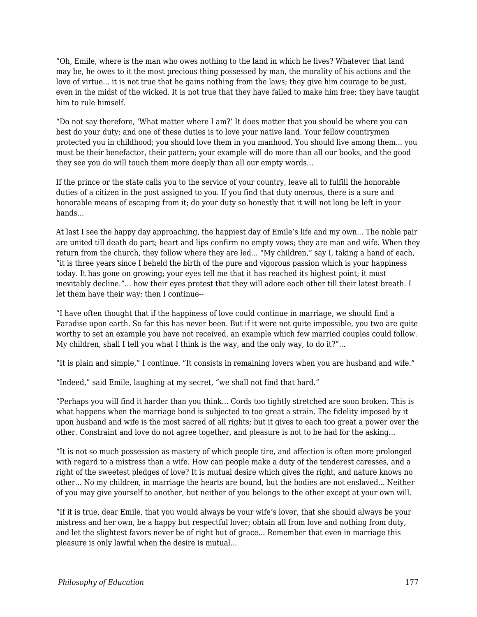"Oh, Emile, where is the man who owes nothing to the land in which he lives? Whatever that land may be, he owes to it the most precious thing possessed by man, the morality of his actions and the love of virtue... it is not true that he gains nothing from the laws; they give him courage to be just, even in the midst of the wicked. It is not true that they have failed to make him free; they have taught him to rule himself.

"Do not say therefore, 'What matter where I am?' It does matter that you should be where you can best do your duty; and one of these duties is to love your native land. Your fellow countrymen protected you in childhood; you should love them in you manhood. You should live among them... you must be their benefactor, their pattern; your example will do more than all our books, and the good they see you do will touch them more deeply than all our empty words...

If the prince or the state calls you to the service of your country, leave all to fulfill the honorable duties of a citizen in the post assigned to you. If you find that duty onerous, there is a sure and honorable means of escaping from it; do your duty so honestly that it will not long be left in your hands...

At last I see the happy day approaching, the happiest day of Emile's life and my own... The noble pair are united till death do part; heart and lips confirm no empty vows; they are man and wife. When they return from the church, they follow where they are led... "My children," say I, taking a hand of each, "it is three years since I beheld the birth of the pure and vigorous passion which is your happiness today. It has gone on growing; your eyes tell me that it has reached its highest point; it must inevitably decline."... how their eyes protest that they will adore each other till their latest breath. I let them have their way; then I continue--

"I have often thought that if the happiness of love could continue in marriage, we should find a Paradise upon earth. So far this has never been. But if it were not quite impossible, you two are quite worthy to set an example you have not received, an example which few married couples could follow. My children, shall I tell you what I think is the way, and the only way, to do it?"...

"It is plain and simple," I continue. "It consists in remaining lovers when you are husband and wife."

"Indeed," said Emile, laughing at my secret, "we shall not find that hard."

"Perhaps you will find it harder than you think... Cords too tightly stretched are soon broken. This is what happens when the marriage bond is subjected to too great a strain. The fidelity imposed by it upon husband and wife is the most sacred of all rights; but it gives to each too great a power over the other. Constraint and love do not agree together, and pleasure is not to be had for the asking...

"It is not so much possession as mastery of which people tire, and affection is often more prolonged with regard to a mistress than a wife. How can people make a duty of the tenderest caresses, and a right of the sweetest pledges of love? It is mutual desire which gives the right, and nature knows no other... No my children, in marriage the hearts are bound, but the bodies are not enslaved... Neither of you may give yourself to another, but neither of you belongs to the other except at your own will.

"If it is true, dear Emile, that you would always be your wife's lover, that she should always be your mistress and her own, be a happy but respectful lover; obtain all from love and nothing from duty, and let the slightest favors never be of right but of grace... Remember that even in marriage this pleasure is only lawful when the desire is mutual...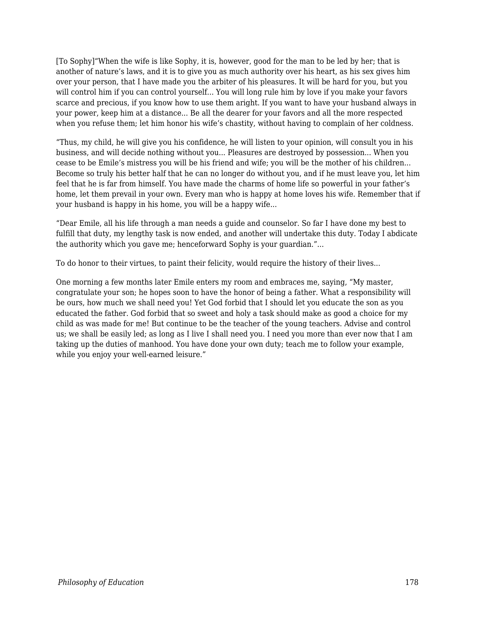[To Sophy]"When the wife is like Sophy, it is, however, good for the man to be led by her; that is another of nature's laws, and it is to give you as much authority over his heart, as his sex gives him over your person, that I have made you the arbiter of his pleasures. It will be hard for you, but you will control him if you can control yourself... You will long rule him by love if you make your favors scarce and precious, if you know how to use them aright. If you want to have your husband always in your power, keep him at a distance... Be all the dearer for your favors and all the more respected when you refuse them; let him honor his wife's chastity, without having to complain of her coldness.

"Thus, my child, he will give you his confidence, he will listen to your opinion, will consult you in his business, and will decide nothing without you... Pleasures are destroyed by possession... When you cease to be Emile's mistress you will be his friend and wife; you will be the mother of his children... Become so truly his better half that he can no longer do without you, and if he must leave you, let him feel that he is far from himself. You have made the charms of home life so powerful in your father's home, let them prevail in your own. Every man who is happy at home loves his wife. Remember that if your husband is happy in his home, you will be a happy wife...

"Dear Emile, all his life through a man needs a guide and counselor. So far I have done my best to fulfill that duty, my lengthy task is now ended, and another will undertake this duty. Today I abdicate the authority which you gave me; henceforward Sophy is your guardian."...

To do honor to their virtues, to paint their felicity, would require the history of their lives...

One morning a few months later Emile enters my room and embraces me, saying, "My master, congratulate your son; he hopes soon to have the honor of being a father. What a responsibility will be ours, how much we shall need you! Yet God forbid that I should let you educate the son as you educated the father. God forbid that so sweet and holy a task should make as good a choice for my child as was made for me! But continue to be the teacher of the young teachers. Advise and control us; we shall be easily led; as long as I live I shall need you. I need you more than ever now that I am taking up the duties of manhood. You have done your own duty; teach me to follow your example, while you enjoy your well-earned leisure."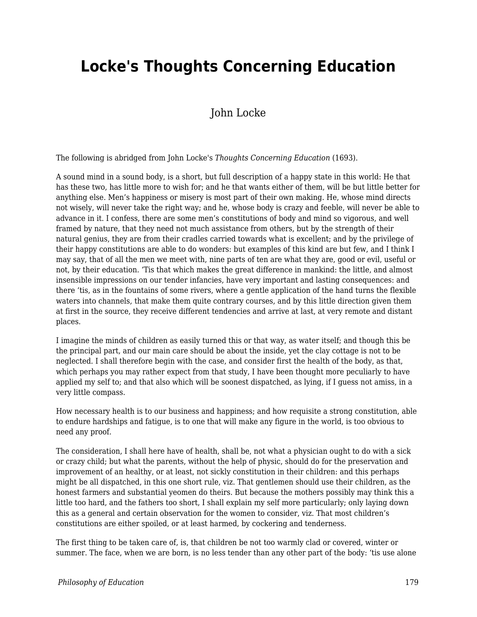## **Locke's Thoughts Concerning Education**

#### John Locke

The following is abridged from John Locke's *Thoughts Concerning Education* (1693).

A sound mind in a sound body, is a short, but full description of a happy state in this world: He that has these two, has little more to wish for; and he that wants either of them, will be but little better for anything else. Men's happiness or misery is most part of their own making. He, whose mind directs not wisely, will never take the right way; and he, whose body is crazy and feeble, will never be able to advance in it. I confess, there are some men's constitutions of body and mind so vigorous, and well framed by nature, that they need not much assistance from others, but by the strength of their natural genius, they are from their cradles carried towards what is excellent; and by the privilege of their happy constitutions are able to do wonders: but examples of this kind are but few, and I think I may say, that of all the men we meet with, nine parts of ten are what they are, good or evil, useful or not, by their education. 'Tis that which makes the great difference in mankind: the little, and almost insensible impressions on our tender infancies, have very important and lasting consequences: and there 'tis, as in the fountains of some rivers, where a gentle application of the hand turns the flexible waters into channels, that make them quite contrary courses, and by this little direction given them at first in the source, they receive different tendencies and arrive at last, at very remote and distant places.

I imagine the minds of children as easily turned this or that way, as water itself; and though this be the principal part, and our main care should be about the inside, yet the clay cottage is not to be neglected. I shall therefore begin with the case, and consider first the health of the body, as that, which perhaps you may rather expect from that study, I have been thought more peculiarly to have applied my self to; and that also which will be soonest dispatched, as lying, if I guess not amiss, in a very little compass.

How necessary health is to our business and happiness; and how requisite a strong constitution, able to endure hardships and fatigue, is to one that will make any figure in the world, is too obvious to need any proof.

The consideration, I shall here have of health, shall be, not what a physician ought to do with a sick or crazy child; but what the parents, without the help of physic, should do for the preservation and improvement of an healthy, or at least, not sickly constitution in their children: and this perhaps might be all dispatched, in this one short rule, viz. That gentlemen should use their children, as the honest farmers and substantial yeomen do theirs. But because the mothers possibly may think this a little too hard, and the fathers too short, I shall explain my self more particularly; only laying down this as a general and certain observation for the women to consider, viz. That most children's constitutions are either spoiled, or at least harmed, by cockering and tenderness.

The first thing to be taken care of, is, that children be not too warmly clad or covered, winter or summer. The face, when we are born, is no less tender than any other part of the body: 'tis use alone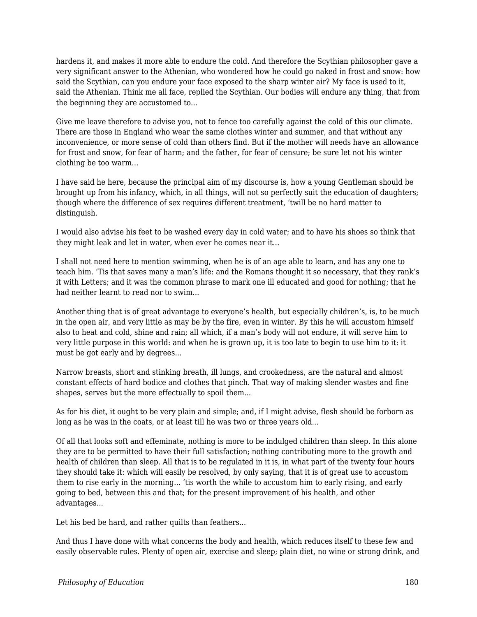hardens it, and makes it more able to endure the cold. And therefore the Scythian philosopher gave a very significant answer to the Athenian, who wondered how he could go naked in frost and snow: how said the Scythian, can you endure your face exposed to the sharp winter air? My face is used to it, said the Athenian. Think me all face, replied the Scythian. Our bodies will endure any thing, that from the beginning they are accustomed to...

Give me leave therefore to advise you, not to fence too carefully against the cold of this our climate. There are those in England who wear the same clothes winter and summer, and that without any inconvenience, or more sense of cold than others find. But if the mother will needs have an allowance for frost and snow, for fear of harm; and the father, for fear of censure; be sure let not his winter clothing be too warm...

I have said he here, because the principal aim of my discourse is, how a young Gentleman should be brought up from his infancy, which, in all things, will not so perfectly suit the education of daughters; though where the difference of sex requires different treatment, 'twill be no hard matter to distinguish.

I would also advise his feet to be washed every day in cold water; and to have his shoes so think that they might leak and let in water, when ever he comes near it...

I shall not need here to mention swimming, when he is of an age able to learn, and has any one to teach him. 'Tis that saves many a man's life: and the Romans thought it so necessary, that they rank's it with Letters; and it was the common phrase to mark one ill educated and good for nothing; that he had neither learnt to read nor to swim...

Another thing that is of great advantage to everyone's health, but especially children's, is, to be much in the open air, and very little as may be by the fire, even in winter. By this he will accustom himself also to heat and cold, shine and rain; all which, if a man's body will not endure, it will serve him to very little purpose in this world: and when he is grown up, it is too late to begin to use him to it: it must be got early and by degrees...

Narrow breasts, short and stinking breath, ill lungs, and crookedness, are the natural and almost constant effects of hard bodice and clothes that pinch. That way of making slender wastes and fine shapes, serves but the more effectually to spoil them...

As for his diet, it ought to be very plain and simple; and, if I might advise, flesh should be forborn as long as he was in the coats, or at least till he was two or three years old...

Of all that looks soft and effeminate, nothing is more to be indulged children than sleep. In this alone they are to be permitted to have their full satisfaction; nothing contributing more to the growth and health of children than sleep. All that is to be regulated in it is, in what part of the twenty four hours they should take it: which will easily be resolved, by only saying, that it is of great use to accustom them to rise early in the morning... 'tis worth the while to accustom him to early rising, and early going to bed, between this and that; for the present improvement of his health, and other advantages...

Let his bed be hard, and rather quilts than feathers...

And thus I have done with what concerns the body and health, which reduces itself to these few and easily observable rules. Plenty of open air, exercise and sleep; plain diet, no wine or strong drink, and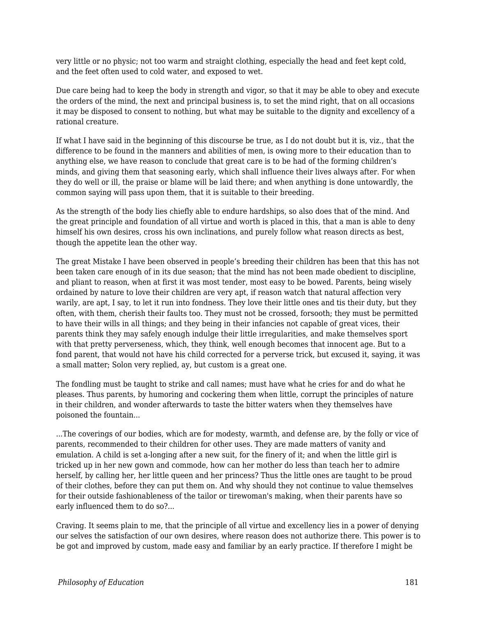very little or no physic; not too warm and straight clothing, especially the head and feet kept cold, and the feet often used to cold water, and exposed to wet.

Due care being had to keep the body in strength and vigor, so that it may be able to obey and execute the orders of the mind, the next and principal business is, to set the mind right, that on all occasions it may be disposed to consent to nothing, but what may be suitable to the dignity and excellency of a rational creature.

If what I have said in the beginning of this discourse be true, as I do not doubt but it is, viz., that the difference to be found in the manners and abilities of men, is owing more to their education than to anything else, we have reason to conclude that great care is to be had of the forming children's minds, and giving them that seasoning early, which shall influence their lives always after. For when they do well or ill, the praise or blame will be laid there; and when anything is done untowardly, the common saying will pass upon them, that it is suitable to their breeding.

As the strength of the body lies chiefly able to endure hardships, so also does that of the mind. And the great principle and foundation of all virtue and worth is placed in this, that a man is able to deny himself his own desires, cross his own inclinations, and purely follow what reason directs as best, though the appetite lean the other way.

The great Mistake I have been observed in people's breeding their children has been that this has not been taken care enough of in its due season; that the mind has not been made obedient to discipline, and pliant to reason, when at first it was most tender, most easy to be bowed. Parents, being wisely ordained by nature to love their children are very apt, if reason watch that natural affection very warily, are apt, I say, to let it run into fondness. They love their little ones and tis their duty, but they often, with them, cherish their faults too. They must not be crossed, forsooth; they must be permitted to have their wills in all things; and they being in their infancies not capable of great vices, their parents think they may safely enough indulge their little irregularities, and make themselves sport with that pretty perverseness, which, they think, well enough becomes that innocent age. But to a fond parent, that would not have his child corrected for a perverse trick, but excused it, saying, it was a small matter; Solon very replied, ay, but custom is a great one.

The fondling must be taught to strike and call names; must have what he cries for and do what he pleases. Thus parents, by humoring and cockering them when little, corrupt the principles of nature in their children, and wonder afterwards to taste the bitter waters when they themselves have poisoned the fountain...

...The coverings of our bodies, which are for modesty, warmth, and defense are, by the folly or vice of parents, recommended to their children for other uses. They are made matters of vanity and emulation. A child is set a-longing after a new suit, for the finery of it; and when the little girl is tricked up in her new gown and commode, how can her mother do less than teach her to admire herself, by calling her, her little queen and her princess? Thus the little ones are taught to be proud of their clothes, before they can put them on. And why should they not continue to value themselves for their outside fashionableness of the tailor or tirewoman's making, when their parents have so early influenced them to do so?...

Craving. It seems plain to me, that the principle of all virtue and excellency lies in a power of denying our selves the satisfaction of our own desires, where reason does not authorize there. This power is to be got and improved by custom, made easy and familiar by an early practice. If therefore I might be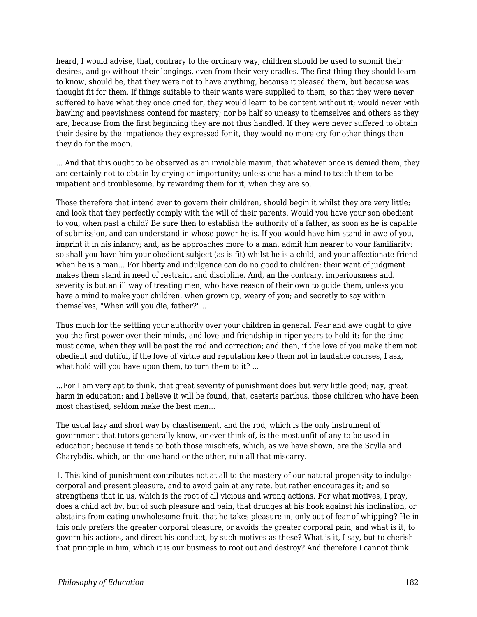heard, I would advise, that, contrary to the ordinary way, children should be used to submit their desires, and go without their longings, even from their very cradles. The first thing they should learn to know, should be, that they were not to have anything, because it pleased them, but because was thought fit for them. If things suitable to their wants were supplied to them, so that they were never suffered to have what they once cried for, they would learn to be content without it; would never with bawling and peevishness contend for mastery; nor be half so uneasy to themselves and others as they are, because from the first beginning they are not thus handled. If they were never suffered to obtain their desire by the impatience they expressed for it, they would no more cry for other things than they do for the moon.

... And that this ought to be observed as an inviolable maxim, that whatever once is denied them, they are certainly not to obtain by crying or importunity; unless one has a mind to teach them to be impatient and troublesome, by rewarding them for it, when they are so.

Those therefore that intend ever to govern their children, should begin it whilst they are very little; and look that they perfectly comply with the will of their parents. Would you have your son obedient to you, when past a child? Be sure then to establish the authority of a father, as soon as he is capable of submission, and can understand in whose power he is. If you would have him stand in awe of you, imprint it in his infancy; and, as he approaches more to a man, admit him nearer to your familiarity: so shall you have him your obedient subject (as is fit) whilst he is a child, and your affectionate friend when he is a man... For liberty and indulgence can do no good to children: their want of judgment makes them stand in need of restraint and discipline. And, an the contrary, imperiousness and. severity is but an ill way of treating men, who have reason of their own to guide them, unless you have a mind to make your children, when grown up, weary of you; and secretly to say within themselves, "When will you die, father?"...

Thus much for the settling your authority over your children in general. Fear and awe ought to give you the first power over their minds, and love and friendship in riper years to hold it: for the time must come, when they will be past the rod and correction; and then, if the love of you make them not obedient and dutiful, if the love of virtue and reputation keep them not in laudable courses, I ask, what hold will you have upon them, to turn them to it? ...

...For I am very apt to think, that great severity of punishment does but very little good; nay, great harm in education: and I believe it will be found, that, caeteris paribus, those children who have been most chastised, seldom make the best men...

The usual lazy and short way by chastisement, and the rod, which is the only instrument of government that tutors generally know, or ever think of, is the most unfit of any to be used in education; because it tends to both those mischiefs, which, as we have shown, are the Scylla and Charybdis, which, on the one hand or the other, ruin all that miscarry.

1. This kind of punishment contributes not at all to the mastery of our natural propensity to indulge corporal and present pleasure, and to avoid pain at any rate, but rather encourages it; and so strengthens that in us, which is the root of all vicious and wrong actions. For what motives, I pray, does a child act by, but of such pleasure and pain, that drudges at his book against his inclination, or abstains from eating unwholesome fruit, that he takes pleasure in, only out of fear of whipping? He in this only prefers the greater corporal pleasure, or avoids the greater corporal pain; and what is it, to govern his actions, and direct his conduct, by such motives as these? What is it, I say, but to cherish that principle in him, which it is our business to root out and destroy? And therefore I cannot think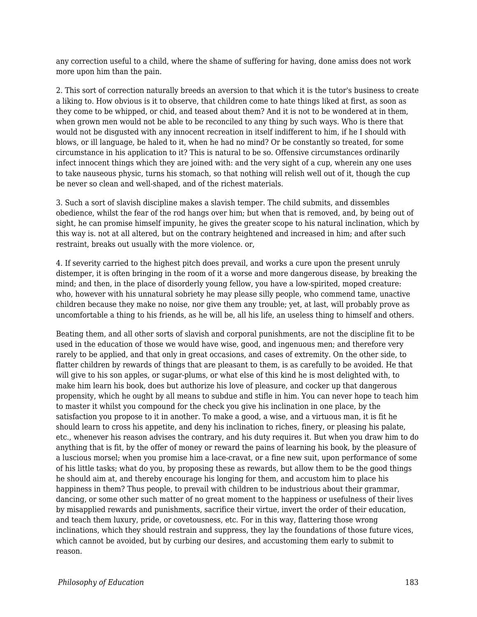any correction useful to a child, where the shame of suffering for having, done amiss does not work more upon him than the pain.

2. This sort of correction naturally breeds an aversion to that which it is the tutor's business to create a liking to. How obvious is it to observe, that children come to hate things liked at first, as soon as they come to be whipped, or chid, and teased about them? And it is not to be wondered at in them, when grown men would not be able to be reconciled to any thing by such ways. Who is there that would not be disgusted with any innocent recreation in itself indifferent to him, if he I should with blows, or ill language, be haled to it, when he had no mind? Or be constantly so treated, for some circumstance in his application to it? This is natural to be so. Offensive circumstances ordinarily infect innocent things which they are joined with: and the very sight of a cup, wherein any one uses to take nauseous physic, turns his stomach, so that nothing will relish well out of it, though the cup be never so clean and well-shaped, and of the richest materials.

3. Such a sort of slavish discipline makes a slavish temper. The child submits, and dissembles obedience, whilst the fear of the rod hangs over him; but when that is removed, and, by being out of sight, he can promise himself impunity, he gives the greater scope to his natural inclination, which by this way is. not at all altered, but on the contrary heightened and increased in him; and after such restraint, breaks out usually with the more violence. or,

4. If severity carried to the highest pitch does prevail, and works a cure upon the present unruly distemper, it is often bringing in the room of it a worse and more dangerous disease, by breaking the mind; and then, in the place of disorderly young fellow, you have a low-spirited, moped creature: who, however with his unnatural sobriety he may please silly people, who commend tame, unactive children because they make no noise, nor give them any trouble; yet, at last, will probably prove as uncomfortable a thing to his friends, as he will be, all his life, an useless thing to himself and others.

Beating them, and all other sorts of slavish and corporal punishments, are not the discipline fit to be used in the education of those we would have wise, good, and ingenuous men; and therefore very rarely to be applied, and that only in great occasions, and cases of extremity. On the other side, to flatter children by rewards of things that are pleasant to them, is as carefully to be avoided. He that will give to his son apples, or sugar-plums, or what else of this kind he is most delighted with, to make him learn his book, does but authorize his love of pleasure, and cocker up that dangerous propensity, which he ought by all means to subdue and stifle in him. You can never hope to teach him to master it whilst you compound for the check you give his inclination in one place, by the satisfaction you propose to it in another. To make a good, a wise, and a virtuous man, it is fit he should learn to cross his appetite, and deny his inclination to riches, finery, or pleasing his palate, etc., whenever his reason advises the contrary, and his duty requires it. But when you draw him to do anything that is fit, by the offer of money or reward the pains of learning his book, by the pleasure of a luscious morsel; when you promise him a lace-cravat, or a fine new suit, upon performance of some of his little tasks; what do you, by proposing these as rewards, but allow them to be the good things he should aim at, and thereby encourage his longing for them, and accustom him to place his happiness in them? Thus people, to prevail with children to be industrious about their grammar, dancing, or some other such matter of no great moment to the happiness or usefulness of their lives by misapplied rewards and punishments, sacrifice their virtue, invert the order of their education, and teach them luxury, pride, or covetousness, etc. For in this way, flattering those wrong inclinations, which they should restrain and suppress, they lay the foundations of those future vices, which cannot be avoided, but by curbing our desires, and accustoming them early to submit to reason.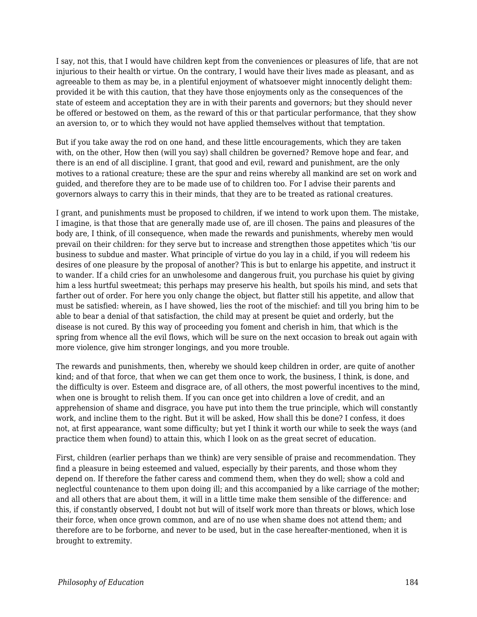I say, not this, that I would have children kept from the conveniences or pleasures of life, that are not injurious to their health or virtue. On the contrary, I would have their lives made as pleasant, and as agreeable to them as may be, in a plentiful enjoyment of whatsoever might innocently delight them: provided it be with this caution, that they have those enjoyments only as the consequences of the state of esteem and acceptation they are in with their parents and governors; but they should never be offered or bestowed on them, as the reward of this or that particular performance, that they show an aversion to, or to which they would not have applied themselves without that temptation.

But if you take away the rod on one hand, and these little encouragements, which they are taken with, on the other, How then (will you say) shall children be governed? Remove hope and fear, and there is an end of all discipline. I grant, that good and evil, reward and punishment, are the only motives to a rational creature; these are the spur and reins whereby all mankind are set on work and guided, and therefore they are to be made use of to children too. For I advise their parents and governors always to carry this in their minds, that they are to be treated as rational creatures.

I grant, and punishments must be proposed to children, if we intend to work upon them. The mistake, I imagine, is that those that are generally made use of, are ill chosen. The pains and pleasures of the body are, I think, of ill consequence, when made the rewards and punishments, whereby men would prevail on their children: for they serve but to increase and strengthen those appetites which 'tis our business to subdue and master. What principle of virtue do you lay in a child, if you will redeem his desires of one pleasure by the proposal of another? This is but to enlarge his appetite, and instruct it to wander. If a child cries for an unwholesome and dangerous fruit, you purchase his quiet by giving him a less hurtful sweetmeat; this perhaps may preserve his health, but spoils his mind, and sets that farther out of order. For here you only change the object, but flatter still his appetite, and allow that must be satisfied: wherein, as I have showed, lies the root of the mischief: and till you bring him to be able to bear a denial of that satisfaction, the child may at present be quiet and orderly, but the disease is not cured. By this way of proceeding you foment and cherish in him, that which is the spring from whence all the evil flows, which will be sure on the next occasion to break out again with more violence, give him stronger longings, and you more trouble.

The rewards and punishments, then, whereby we should keep children in order, are quite of another kind; and of that force, that when we can get them once to work, the business, I think, is done, and the difficulty is over. Esteem and disgrace are, of all others, the most powerful incentives to the mind, when one is brought to relish them. If you can once get into children a love of credit, and an apprehension of shame and disgrace, you have put into them the true principle, which will constantly work, and incline them to the right. But it will be asked, How shall this be done? I confess, it does not, at first appearance, want some difficulty; but yet I think it worth our while to seek the ways (and practice them when found) to attain this, which I look on as the great secret of education.

First, children (earlier perhaps than we think) are very sensible of praise and recommendation. They find a pleasure in being esteemed and valued, especially by their parents, and those whom they depend on. If therefore the father caress and commend them, when they do well; show a cold and neglectful countenance to them upon doing ill; and this accompanied by a like carriage of the mother; and all others that are about them, it will in a little time make them sensible of the difference: and this, if constantly observed, I doubt not but will of itself work more than threats or blows, which lose their force, when once grown common, and are of no use when shame does not attend them; and therefore are to be forborne, and never to be used, but in the case hereafter-mentioned, when it is brought to extremity.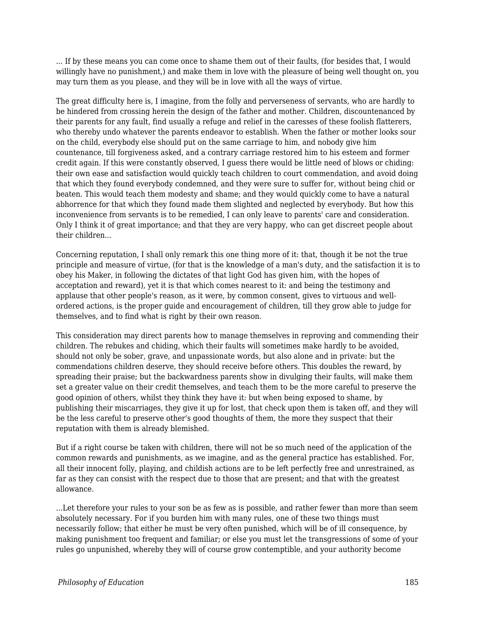... If by these means you can come once to shame them out of their faults, (for besides that, I would willingly have no punishment,) and make them in love with the pleasure of being well thought on, you may turn them as you please, and they will be in love with all the ways of virtue.

The great difficulty here is, I imagine, from the folly and perverseness of servants, who are hardly to be hindered from crossing herein the design of the father and mother. Children, discountenanced by their parents for any fault, find usually a refuge and relief in the caresses of these foolish flatterers, who thereby undo whatever the parents endeavor to establish. When the father or mother looks sour on the child, everybody else should put on the same carriage to him, and nobody give him countenance, till forgiveness asked, and a contrary carriage restored him to his esteem and former credit again. If this were constantly observed, I guess there would be little need of blows or chiding: their own ease and satisfaction would quickly teach children to court commendation, and avoid doing that which they found everybody condemned, and they were sure to suffer for, without being chid or beaten. This would teach them modesty and shame; and they would quickly come to have a natural abhorrence for that which they found made them slighted and neglected by everybody. But how this inconvenience from servants is to be remedied, I can only leave to parents' care and consideration. Only I think it of great importance; and that they are very happy, who can get discreet people about their children...

Concerning reputation, I shall only remark this one thing more of it: that, though it be not the true principle and measure of virtue, (for that is the knowledge of a man's duty, and the satisfaction it is to obey his Maker, in following the dictates of that light God has given him, with the hopes of acceptation and reward), yet it is that which comes nearest to it: and being the testimony and applause that other people's reason, as it were, by common consent, gives to virtuous and wellordered actions, is the proper guide and encouragement of children, till they grow able to judge for themselves, and to find what is right by their own reason.

This consideration may direct parents how to manage themselves in reproving and commending their children. The rebukes and chiding, which their faults will sometimes make hardly to be avoided, should not only be sober, grave, and unpassionate words, but also alone and in private: but the commendations children deserve, they should receive before others. This doubles the reward, by spreading their praise; but the backwardness parents show in divulging their faults, will make them set a greater value on their credit themselves, and teach them to be the more careful to preserve the good opinion of others, whilst they think they have it: but when being exposed to shame, by publishing their miscarriages, they give it up for lost, that check upon them is taken off, and they will be the less careful to preserve other's good thoughts of them, the more they suspect that their reputation with them is already blemished.

But if a right course be taken with children, there will not be so much need of the application of the common rewards and punishments, as we imagine, and as the general practice has established. For, all their innocent folly, playing, and childish actions are to be left perfectly free and unrestrained, as far as they can consist with the respect due to those that are present; and that with the greatest allowance.

...Let therefore your rules to your son be as few as is possible, and rather fewer than more than seem absolutely necessary. For if you burden him with many rules, one of these two things must necessarily follow; that either he must be very often punished, which will be of ill consequence, by making punishment too frequent and familiar; or else you must let the transgressions of some of your rules go unpunished, whereby they will of course grow contemptible, and your authority become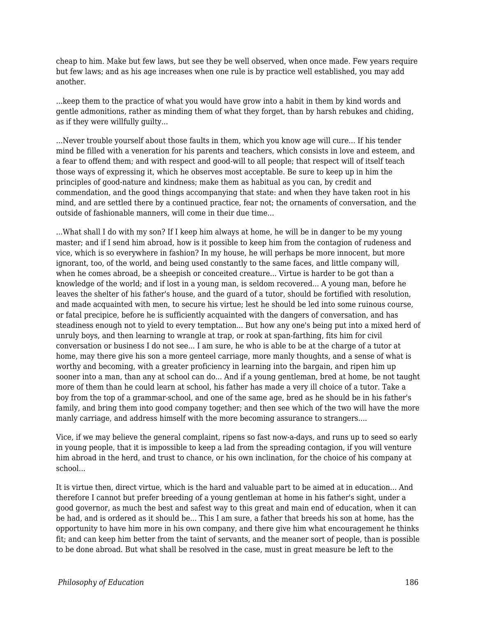cheap to him. Make but few laws, but see they be well observed, when once made. Few years require but few laws; and as his age increases when one rule is by practice well established, you may add another.

...keep them to the practice of what you would have grow into a habit in them by kind words and gentle admonitions, rather as minding them of what they forget, than by harsh rebukes and chiding, as if they were willfully guilty...

...Never trouble yourself about those faults in them, which you know age will cure... If his tender mind be filled with a veneration for his parents and teachers, which consists in love and esteem, and a fear to offend them; and with respect and good-will to all people; that respect will of itself teach those ways of expressing it, which he observes most acceptable. Be sure to keep up in him the principles of good-nature and kindness; make them as habitual as you can, by credit and commendation, and the good things accompanying that state: and when they have taken root in his mind, and are settled there by a continued practice, fear not; the ornaments of conversation, and the outside of fashionable manners, will come in their due time...

...What shall I do with my son? If I keep him always at home, he will be in danger to be my young master; and if I send him abroad, how is it possible to keep him from the contagion of rudeness and vice, which is so everywhere in fashion? In my house, he will perhaps be more innocent, but more ignorant, too, of the world, and being used constantly to the same faces, and little company will, when he comes abroad, be a sheepish or conceited creature... Virtue is harder to be got than a knowledge of the world; and if lost in a young man, is seldom recovered... A young man, before he leaves the shelter of his father's house, and the guard of a tutor, should be fortified with resolution, and made acquainted with men, to secure his virtue; lest he should be led into some ruinous course, or fatal precipice, before he is sufficiently acquainted with the dangers of conversation, and has steadiness enough not to yield to every temptation... But how any one's being put into a mixed herd of unruly boys, and then learning to wrangle at trap, or rook at span-farthing, fits him for civil conversation or business I do not see... I am sure, he who is able to be at the charge of a tutor at home, may there give his son a more genteel carriage, more manly thoughts, and a sense of what is worthy and becoming, with a greater proficiency in learning into the bargain, and ripen him up sooner into a man, than any at school can do... And if a young gentleman, bred at home, be not taught more of them than he could learn at school, his father has made a very ill choice of a tutor. Take a boy from the top of a grammar-school, and one of the same age, bred as he should be in his father's family, and bring them into good company together; and then see which of the two will have the more manly carriage, and address himself with the more becoming assurance to strangers....

Vice, if we may believe the general complaint, ripens so fast now-a-days, and runs up to seed so early in young people, that it is impossible to keep a lad from the spreading contagion, if you will venture him abroad in the herd, and trust to chance, or his own inclination, for the choice of his company at school...

It is virtue then, direct virtue, which is the hard and valuable part to be aimed at in education... And therefore I cannot but prefer breeding of a young gentleman at home in his father's sight, under a good governor, as much the best and safest way to this great and main end of education, when it can be had, and is ordered as it should be... This I am sure, a father that breeds his son at home, has the opportunity to have him more in his own company, and there give him what encouragement he thinks fit; and can keep him better from the taint of servants, and the meaner sort of people, than is possible to be done abroad. But what shall be resolved in the case, must in great measure be left to the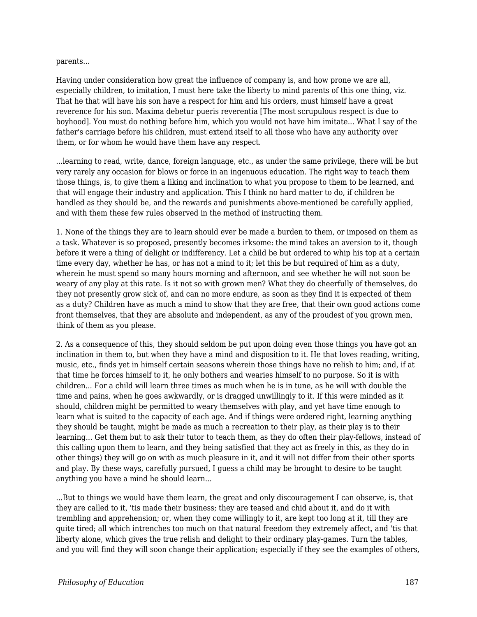## parents...

Having under consideration how great the influence of company is, and how prone we are all, especially children, to imitation, I must here take the liberty to mind parents of this one thing, viz. That he that will have his son have a respect for him and his orders, must himself have a great reverence for his son. Maxima debetur pueris reverentia [The most scrupulous respect is due to boyhood]. You must do nothing before him, which you would not have him imitate... What I say of the father's carriage before his children, must extend itself to all those who have any authority over them, or for whom he would have them have any respect.

...learning to read, write, dance, foreign language, etc., as under the same privilege, there will be but very rarely any occasion for blows or force in an ingenuous education. The right way to teach them those things, is, to give them a liking and inclination to what you propose to them to be learned, and that will engage their industry and application. This I think no hard matter to do, if children be handled as they should be, and the rewards and punishments above-mentioned be carefully applied, and with them these few rules observed in the method of instructing them.

1. None of the things they are to learn should ever be made a burden to them, or imposed on them as a task. Whatever is so proposed, presently becomes irksome: the mind takes an aversion to it, though before it were a thing of delight or indifferency. Let a child be but ordered to whip his top at a certain time every day, whether he has, or has not a mind to it; let this be but required of him as a duty, wherein he must spend so many hours morning and afternoon, and see whether he will not soon be weary of any play at this rate. Is it not so with grown men? What they do cheerfully of themselves, do they not presently grow sick of, and can no more endure, as soon as they find it is expected of them as a duty? Children have as much a mind to show that they are free, that their own good actions come front themselves, that they are absolute and independent, as any of the proudest of you grown men, think of them as you please.

2. As a consequence of this, they should seldom be put upon doing even those things you have got an inclination in them to, but when they have a mind and disposition to it. He that loves reading, writing, music, etc., finds yet in himself certain seasons wherein those things have no relish to him; and, if at that time he forces himself to it, he only bothers and wearies himself to no purpose. So it is with children... For a child will learn three times as much when he is in tune, as he will with double the time and pains, when he goes awkwardly, or is dragged unwillingly to it. If this were minded as it should, children might be permitted to weary themselves with play, and yet have time enough to learn what is suited to the capacity of each age. And if things were ordered right, learning anything they should be taught, might be made as much a recreation to their play, as their play is to their learning... Get them but to ask their tutor to teach them, as they do often their play-fellows, instead of this calling upon them to learn, and they being satisfied that they act as freely in this, as they do in other things) they will go on with as much pleasure in it, and it will not differ from their other sports and play. By these ways, carefully pursued, I guess a child may be brought to desire to be taught anything you have a mind he should learn...

...But to things we would have them learn, the great and only discouragement I can observe, is, that they are called to it, 'tis made their business; they are teased and chid about it, and do it with trembling and apprehension; or, when they come willingly to it, are kept too long at it, till they are quite tired; all which intrenches too much on that natural freedom they extremely affect, and 'tis that liberty alone, which gives the true relish and delight to their ordinary play-games. Turn the tables, and you will find they will soon change their application; especially if they see the examples of others,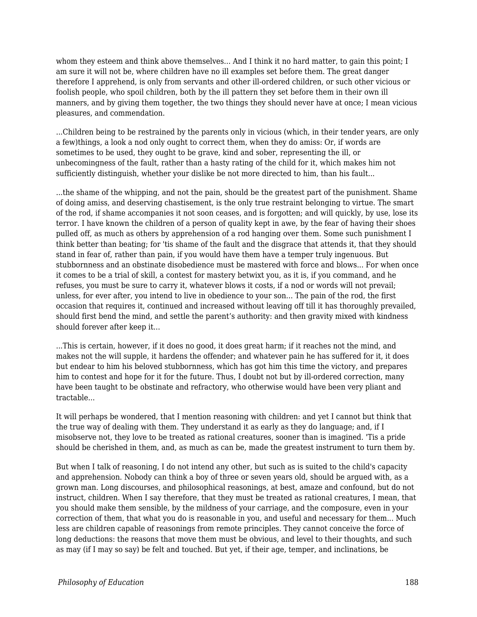whom they esteem and think above themselves... And I think it no hard matter, to gain this point; I am sure it will not be, where children have no ill examples set before them. The great danger therefore I apprehend, is only from servants and other ill-ordered children, or such other vicious or foolish people, who spoil children, both by the ill pattern they set before them in their own ill manners, and by giving them together, the two things they should never have at once; I mean vicious pleasures, and commendation.

...Children being to be restrained by the parents only in vicious (which, in their tender years, are only a few)things, a look a nod only ought to correct them, when they do amiss: Or, if words are sometimes to be used, they ought to be grave, kind and sober, representing the ill, or unbecomingness of the fault, rather than a hasty rating of the child for it, which makes him not sufficiently distinguish, whether your dislike be not more directed to him, than his fault...

...the shame of the whipping, and not the pain, should be the greatest part of the punishment. Shame of doing amiss, and deserving chastisement, is the only true restraint belonging to virtue. The smart of the rod, if shame accompanies it not soon ceases, and is forgotten; and will quickly, by use, lose its terror. I have known the children of a person of quality kept in awe, by the fear of having their shoes pulled off, as much as others by apprehension of a rod hanging over them. Some such punishment I think better than beating; for 'tis shame of the fault and the disgrace that attends it, that they should stand in fear of, rather than pain, if you would have them have a temper truly ingenuous. But stubbornness and an obstinate disobedience must be mastered with force and blows... For when once it comes to be a trial of skill, a contest for mastery betwixt you, as it is, if you command, and he refuses, you must be sure to carry it, whatever blows it costs, if a nod or words will not prevail; unless, for ever after, you intend to live in obedience to your son... The pain of the rod, the first occasion that requires it, continued and increased without leaving off till it has thoroughly prevailed, should first bend the mind, and settle the parent's authority: and then gravity mixed with kindness should forever after keep it...

...This is certain, however, if it does no good, it does great harm; if it reaches not the mind, and makes not the will supple, it hardens the offender; and whatever pain he has suffered for it, it does but endear to him his beloved stubbornness, which has got him this time the victory, and prepares him to contest and hope for it for the future. Thus, I doubt not but by ill-ordered correction, many have been taught to be obstinate and refractory, who otherwise would have been very pliant and tractable...

It will perhaps be wondered, that I mention reasoning with children: and yet I cannot but think that the true way of dealing with them. They understand it as early as they do language; and, if I misobserve not, they love to be treated as rational creatures, sooner than is imagined. 'Tis a pride should be cherished in them, and, as much as can be, made the greatest instrument to turn them by.

But when I talk of reasoning, I do not intend any other, but such as is suited to the child's capacity and apprehension. Nobody can think a boy of three or seven years old, should be argued with, as a grown man. Long discourses, and philosophical reasonings, at best, amaze and confound, but do not instruct, children. When I say therefore, that they must be treated as rational creatures, I mean, that you should make them sensible, by the mildness of your carriage, and the composure, even in your correction of them, that what you do is reasonable in you, and useful and necessary for them... Much less are children capable of reasonings from remote principles. They cannot conceive the force of long deductions: the reasons that move them must be obvious, and level to their thoughts, and such as may (if I may so say) be felt and touched. But yet, if their age, temper, and inclinations, be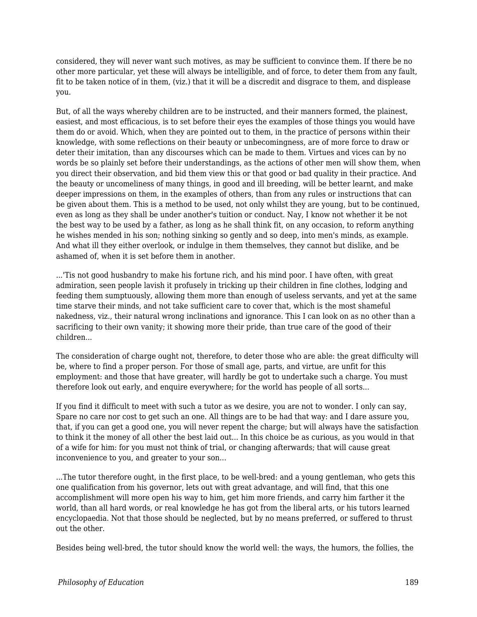considered, they will never want such motives, as may be sufficient to convince them. If there be no other more particular, yet these will always be intelligible, and of force, to deter them from any fault, fit to be taken notice of in them, (viz.) that it will be a discredit and disgrace to them, and displease you.

But, of all the ways whereby children are to be instructed, and their manners formed, the plainest, easiest, and most efficacious, is to set before their eyes the examples of those things you would have them do or avoid. Which, when they are pointed out to them, in the practice of persons within their knowledge, with some reflections on their beauty or unbecomingness, are of more force to draw or deter their imitation, than any discourses which can be made to them. Virtues and vices can by no words be so plainly set before their understandings, as the actions of other men will show them, when you direct their observation, and bid them view this or that good or bad quality in their practice. And the beauty or uncomeliness of many things, in good and ill breeding, will be better learnt, and make deeper impressions on them, in the examples of others, than from any rules or instructions that can be given about them. This is a method to be used, not only whilst they are young, but to be continued, even as long as they shall be under another's tuition or conduct. Nay, I know not whether it be not the best way to be used by a father, as long as he shall think fit, on any occasion, to reform anything he wishes mended in his son; nothing sinking so gently and so deep, into men's minds, as example. And what ill they either overlook, or indulge in them themselves, they cannot but dislike, and be ashamed of, when it is set before them in another.

...'Tis not good husbandry to make his fortune rich, and his mind poor. I have often, with great admiration, seen people lavish it profusely in tricking up their children in fine clothes, lodging and feeding them sumptuously, allowing them more than enough of useless servants, and yet at the same time starve their minds, and not take sufficient care to cover that, which is the most shameful nakedness, viz., their natural wrong inclinations and ignorance. This I can look on as no other than a sacrificing to their own vanity; it showing more their pride, than true care of the good of their children...

The consideration of charge ought not, therefore, to deter those who are able: the great difficulty will be, where to find a proper person. For those of small age, parts, and virtue, are unfit for this employment: and those that have greater, will hardly be got to undertake such a charge. You must therefore look out early, and enquire everywhere; for the world has people of all sorts...

If you find it difficult to meet with such a tutor as we desire, you are not to wonder. I only can say, Spare no care nor cost to get such an one. All things are to be had that way: and I dare assure you, that, if you can get a good one, you will never repent the charge; but will always have the satisfaction to think it the money of all other the best laid out... In this choice be as curious, as you would in that of a wife for him: for you must not think of trial, or changing afterwards; that will cause great inconvenience to you, and greater to your son...

...The tutor therefore ought, in the first place, to be well-bred: and a young gentleman, who gets this one qualification from his governor, lets out with great advantage, and will find, that this one accomplishment will more open his way to him, get him more friends, and carry him farther it the world, than all hard words, or real knowledge he has got from the liberal arts, or his tutors learned encyclopaedia. Not that those should be neglected, but by no means preferred, or suffered to thrust out the other.

Besides being well-bred, the tutor should know the world well: the ways, the humors, the follies, the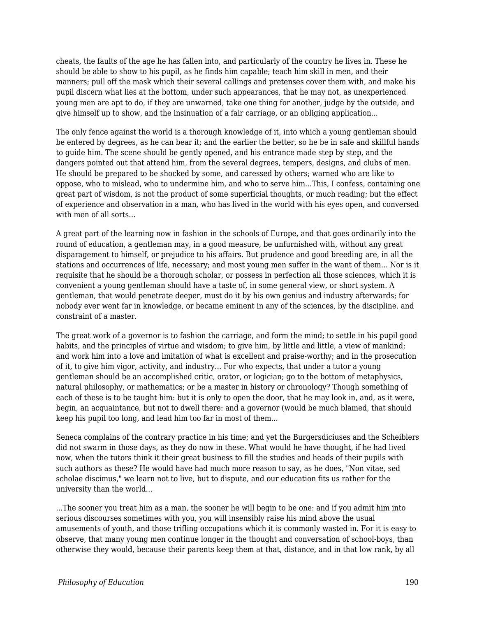cheats, the faults of the age he has fallen into, and particularly of the country he lives in. These he should be able to show to his pupil, as he finds him capable; teach him skill in men, and their manners; pull off the mask which their several callings and pretenses cover them with, and make his pupil discern what lies at the bottom, under such appearances, that he may not, as unexperienced young men are apt to do, if they are unwarned, take one thing for another, judge by the outside, and give himself up to show, and the insinuation of a fair carriage, or an obliging application...

The only fence against the world is a thorough knowledge of it, into which a young gentleman should be entered by degrees, as he can bear it; and the earlier the better, so he be in safe and skillful hands to guide him. The scene should be gently opened, and his entrance made step by step, and the dangers pointed out that attend him, from the several degrees, tempers, designs, and clubs of men. He should be prepared to be shocked by some, and caressed by others; warned who are like to oppose, who to mislead, who to undermine him, and who to serve him...This, I confess, containing one great part of wisdom, is not the product of some superficial thoughts, or much reading; but the effect of experience and observation in a man, who has lived in the world with his eyes open, and conversed with men of all sorts...

A great part of the learning now in fashion in the schools of Europe, and that goes ordinarily into the round of education, a gentleman may, in a good measure, be unfurnished with, without any great disparagement to himself, or prejudice to his affairs. But prudence and good breeding are, in all the stations and occurrences of life, necessary; and most young men suffer in the want of them... Nor is it requisite that he should be a thorough scholar, or possess in perfection all those sciences, which it is convenient a young gentleman should have a taste of, in some general view, or short system. A gentleman, that would penetrate deeper, must do it by his own genius and industry afterwards; for nobody ever went far in knowledge, or became eminent in any of the sciences, by the discipline. and constraint of a master.

The great work of a governor is to fashion the carriage, and form the mind; to settle in his pupil good habits, and the principles of virtue and wisdom; to give him, by little and little, a view of mankind; and work him into a love and imitation of what is excellent and praise-worthy; and in the prosecution of it, to give him vigor, activity, and industry... For who expects, that under a tutor a young gentleman should be an accomplished critic, orator, or logician; go to the bottom of metaphysics, natural philosophy, or mathematics; or be a master in history or chronology? Though something of each of these is to be taught him: but it is only to open the door, that he may look in, and, as it were, begin, an acquaintance, but not to dwell there: and a governor (would be much blamed, that should keep his pupil too long, and lead him too far in most of them...

Seneca complains of the contrary practice in his time; and yet the Burgersdiciuses and the Scheiblers did not swarm in those days, as they do now in these. What would he have thought, if he had lived now, when the tutors think it their great business to fill the studies and heads of their pupils with such authors as these? He would have had much more reason to say, as he does, "Non vitae, sed scholae discimus," we learn not to live, but to dispute, and our education fits us rather for the university than the world...

...The sooner you treat him as a man, the sooner he will begin to be one: and if you admit him into serious discourses sometimes with you, you will insensibly raise his mind above the usual amusements of youth, and those trifling occupations which it is commonly wasted in. For it is easy to observe, that many young men continue longer in the thought and conversation of school-boys, than otherwise they would, because their parents keep them at that, distance, and in that low rank, by all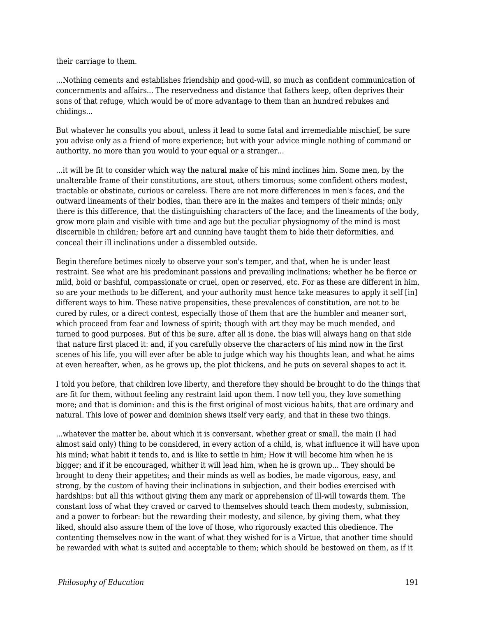their carriage to them.

...Nothing cements and establishes friendship and good-will, so much as confident communication of concernments and affairs... The reservedness and distance that fathers keep, often deprives their sons of that refuge, which would be of more advantage to them than an hundred rebukes and chidings...

But whatever he consults you about, unless it lead to some fatal and irremediable mischief, be sure you advise only as a friend of more experience; but with your advice mingle nothing of command or authority, no more than you would to your equal or a stranger...

...it will be fit to consider which way the natural make of his mind inclines him. Some men, by the unalterable frame of their constitutions, are stout, others timorous; some confident others modest, tractable or obstinate, curious or careless. There are not more differences in men's faces, and the outward lineaments of their bodies, than there are in the makes and tempers of their minds; only there is this difference, that the distinguishing characters of the face; and the lineaments of the body, grow more plain and visible with time and age but the peculiar physiognomy of the mind is most discernible in children; before art and cunning have taught them to hide their deformities, and conceal their ill inclinations under a dissembled outside.

Begin therefore betimes nicely to observe your son's temper, and that, when he is under least restraint. See what are his predominant passions and prevailing inclinations; whether he be fierce or mild, bold or bashful, compassionate or cruel, open or reserved, etc. For as these are different in him, so are your methods to be different, and your authority must hence take measures to apply it self [in] different ways to him. These native propensities, these prevalences of constitution, are not to be cured by rules, or a direct contest, especially those of them that are the humbler and meaner sort, which proceed from fear and lowness of spirit; though with art they may be much mended, and turned to good purposes. But of this be sure, after all is done, the bias will always hang on that side that nature first placed it: and, if you carefully observe the characters of his mind now in the first scenes of his life, you will ever after be able to judge which way his thoughts lean, and what he aims at even hereafter, when, as he grows up, the plot thickens, and he puts on several shapes to act it.

I told you before, that children love liberty, and therefore they should be brought to do the things that are fit for them, without feeling any restraint laid upon them. I now tell you, they love something more; and that is dominion: and this is the first original of most vicious habits, that are ordinary and natural. This love of power and dominion shews itself very early, and that in these two things.

...whatever the matter be, about which it is conversant, whether great or small, the main (I had almost said only) thing to be considered, in every action of a child, is, what influence it will have upon his mind; what habit it tends to, and is like to settle in him; How it will become him when he is bigger; and if it be encouraged, whither it will lead him, when he is grown up... They should be brought to deny their appetites; and their minds as well as bodies, be made vigorous, easy, and strong, by the custom of having their inclinations in subjection, and their bodies exercised with hardships: but all this without giving them any mark or apprehension of ill-will towards them. The constant loss of what they craved or carved to themselves should teach them modesty, submission, and a power to forbear: but the rewarding their modesty, and silence, by giving them, what they liked, should also assure them of the love of those, who rigorously exacted this obedience. The contenting themselves now in the want of what they wished for is a Virtue, that another time should be rewarded with what is suited and acceptable to them; which should be bestowed on them, as if it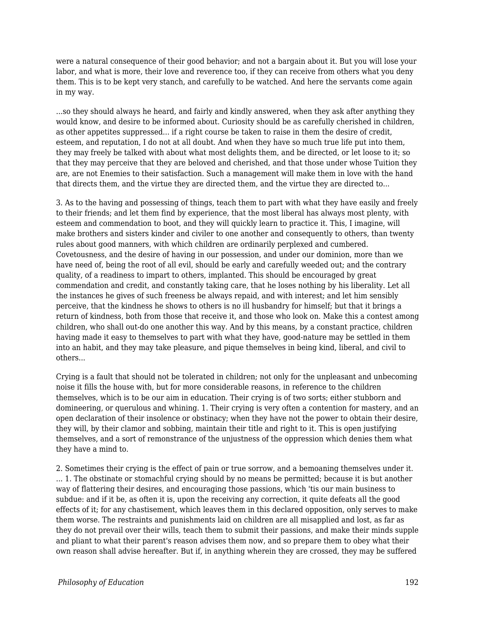were a natural consequence of their good behavior; and not a bargain about it. But you will lose your labor, and what is more, their love and reverence too, if they can receive from others what you deny them. This is to be kept very stanch, and carefully to be watched. And here the servants come again in my way.

...so they should always he heard, and fairly and kindly answered, when they ask after anything they would know, and desire to be informed about. Curiosity should be as carefully cherished in children, as other appetites suppressed... if a right course be taken to raise in them the desire of credit, esteem, and reputation, I do not at all doubt. And when they have so much true life put into them, they may freely be talked with about what most delights them, and be directed, or let loose to it; so that they may perceive that they are beloved and cherished, and that those under whose Tuition they are, are not Enemies to their satisfaction. Such a management will make them in love with the hand that directs them, and the virtue they are directed them, and the virtue they are directed to...

3. As to the having and possessing of things, teach them to part with what they have easily and freely to their friends; and let them find by experience, that the most liberal has always most plenty, with esteem and commendation to boot, and they will quickly learn to practice it. This, I imagine, will make brothers and sisters kinder and civiler to one another and consequently to others, than twenty rules about good manners, with which children are ordinarily perplexed and cumbered. Covetousness, and the desire of having in our possession, and under our dominion, more than we have need of, being the root of all evil, should be early and carefully weeded out; and the contrary quality, of a readiness to impart to others, implanted. This should be encouraged by great commendation and credit, and constantly taking care, that he loses nothing by his liberality. Let all the instances he gives of such freeness be always repaid, and with interest; and let him sensibly perceive, that the kindness he shows to others is no ill husbandry for himself; but that it brings a return of kindness, both from those that receive it, and those who look on. Make this a contest among children, who shall out-do one another this way. And by this means, by a constant practice, children having made it easy to themselves to part with what they have, good-nature may be settled in them into an habit, and they may take pleasure, and pique themselves in being kind, liberal, and civil to others...

Crying is a fault that should not be tolerated in children; not only for the unpleasant and unbecoming noise it fills the house with, but for more considerable reasons, in reference to the children themselves, which is to be our aim in education. Their crying is of two sorts; either stubborn and domineering, or querulous and whining. 1. Their crying is very often a contention for mastery, and an open declaration of their insolence or obstinacy; when they have not the power to obtain their desire, they will, by their clamor and sobbing, maintain their title and right to it. This is open justifying themselves, and a sort of remonstrance of the unjustness of the oppression which denies them what they have a mind to.

2. Sometimes their crying is the effect of pain or true sorrow, and a bemoaning themselves under it. ... 1. The obstinate or stomachful crying should by no means be permitted; because it is but another way of flattering their desires, and encouraging those passions, which 'tis our main business to subdue: and if it be, as often it is, upon the receiving any correction, it quite defeats all the good effects of it; for any chastisement, which leaves them in this declared opposition, only serves to make them worse. The restraints and punishments laid on children are all misapplied and lost, as far as they do not prevail over their wills, teach them to submit their passions, and make their minds supple and pliant to what their parent's reason advises them now, and so prepare them to obey what their own reason shall advise hereafter. But if, in anything wherein they are crossed, they may be suffered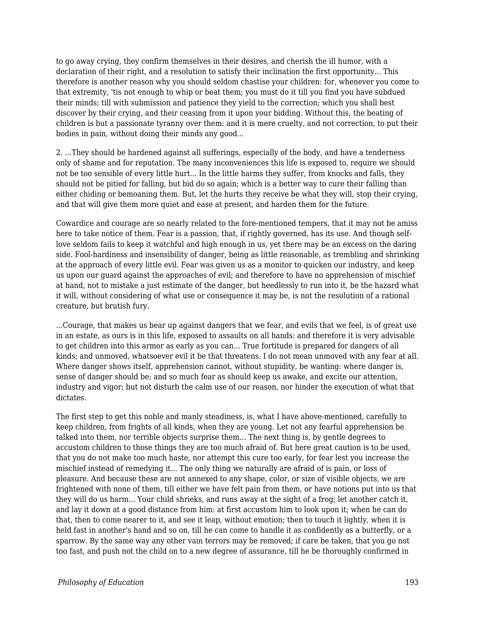to go away crying, they confirm themselves in their desires, and cherish the ill humor, with a declaration of their right, and a resolution to satisfy their inclination the first opportunity... This therefore is another reason why you should seldom chastise your children: for, whenever you come to that extremity, 'tis not enough to whip or beat them; you must do it till you find you have subdued their minds; till with submission and patience they yield to the correction; which you shall best discover by their crying, and their ceasing from it upon your bidding. Without this, the beating of children is but a passionate tyranny over them: and it is mere cruelty, and not correction, to put their bodies in pain, without doing their minds any good...

2. ...They should be hardened against all sufferings, especially of the body, and have a tenderness only of shame and for reputation. The many inconveniences this life is exposed to, require we should not be too sensible of every little hurt... In the little harms they suffer, from knocks and falls, they should not be pitied for falling, but bid do so again; which is a better way to cure their falling than either chiding or bemoaning them. But, let the hurts they receive be what they will, stop their crying, and that will give them more quiet and ease at present, and harden them for the future.

Cowardice and courage are so nearly related to the fore-mentioned tempers, that it may not be amiss here to take notice of them. Fear is a passion, that, if rightly governed, has its use. And though selflove seldom fails to keep it watchful and high enough in us, yet there may be an excess on the daring side. Fool-hardiness and insensibility of danger, being as little reasonable, as trembling and shrinking at the approach of every little evil. Fear was given us as a monitor to quicken our industry, and keep us upon our guard against the approaches of evil; and therefore to have no apprehension of mischief at hand, not to mistake a just estimate of the danger, but heedlessly to run into it, be the hazard what it will, without considering of what use or consequence it may be, is not the resolution of a rational creature, but brutish fury.

...Courage, that makes us bear up against dangers that we fear, and evils that we feel, is of great use in an estate, as ours is in this life, exposed to assaults on all hands: and therefore it is very advisable to get children into this armor as early as you can... True fortitude is prepared for dangers of all kinds; and unmoved, whatsoever evil it be that threatens. I do not mean unmoved with any fear at all. Where danger shows itself, apprehension cannot, without stupidity, be wanting: where danger is, sense of danger should be; and so much fear as should keep us awake, and excite our attention, industry and vigor; but not disturb the calm use of our reason, nor hinder the execution of what that dictates.

The first step to get this noble and manly steadiness, is, what I have above-mentioned, carefully to keep children, from frights of all kinds, when they are young. Let not any fearful apprehension be talked into them, nor terrible objects surprise them... The next thing is, by gentle degrees to accustom children to those things they are too much afraid of. But here great caution is to be used, that you do not make too much haste, nor attempt this cure too early, for fear lest you increase the mischief instead of remedying it... The only thing we naturally are afraid of is pain, or loss of pleasure. And because these are not annexed to any shape, color, or size of visible objects, we are frightened with none of them, till either we have felt pain from them, or have notions put into us that they will do us harm... Your child shrieks, and runs away at the sight of a frog; let another catch it, and lay it down at a good distance from him: at first accustom him to look upon it; when he can do that, then to come nearer to it, and see it leap, without emotion; then to touch it lightly, when it is held fast in another's hand and so on, till he can come to handle it as confidently as a butterfly, or a sparrow. By the same way any other vain terrors may be removed; if care be taken, that you go not too fast, and push not the child on to a new degree of assurance, till he be thoroughly confirmed in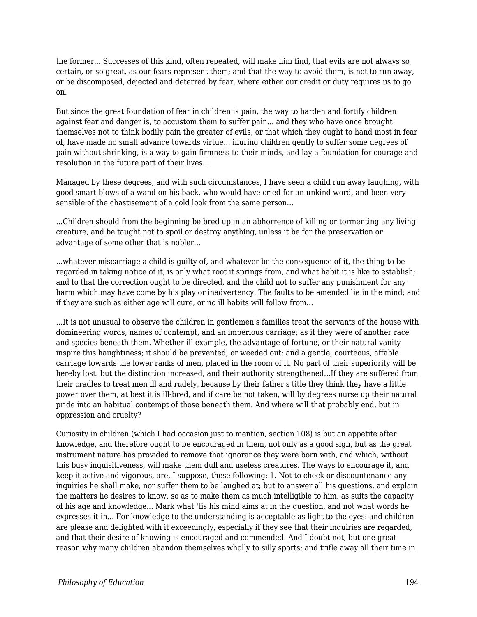the former... Successes of this kind, often repeated, will make him find, that evils are not always so certain, or so great, as our fears represent them; and that the way to avoid them, is not to run away, or be discomposed, dejected and deterred by fear, where either our credit or duty requires us to go on.

But since the great foundation of fear in children is pain, the way to harden and fortify children against fear and danger is, to accustom them to suffer pain... and they who have once brought themselves not to think bodily pain the greater of evils, or that which they ought to hand most in fear of, have made no small advance towards virtue... inuring children gently to suffer some degrees of pain without shrinking, is a way to gain firmness to their minds, and lay a foundation for courage and resolution in the future part of their lives...

Managed by these degrees, and with such circumstances, I have seen a child run away laughing, with good smart blows of a wand on his back, who would have cried for an unkind word, and been very sensible of the chastisement of a cold look from the same person...

...Children should from the beginning be bred up in an abhorrence of killing or tormenting any living creature, and be taught not to spoil or destroy anything, unless it be for the preservation or advantage of some other that is nobler...

...whatever miscarriage a child is guilty of, and whatever be the consequence of it, the thing to be regarded in taking notice of it, is only what root it springs from, and what habit it is like to establish; and to that the correction ought to be directed, and the child not to suffer any punishment for any harm which may have come by his play or inadvertency. The faults to be amended lie in the mind; and if they are such as either age will cure, or no ill habits will follow from...

...It is not unusual to observe the children in gentlemen's families treat the servants of the house with domineering words, names of contempt, and an imperious carriage; as if they were of another race and species beneath them. Whether ill example, the advantage of fortune, or their natural vanity inspire this haughtiness; it should be prevented, or weeded out; and a gentle, courteous, affable carriage towards the lower ranks of men, placed in the room of it. No part of their superiority will be hereby lost: but the distinction increased, and their authority strengthened...If they are suffered from their cradles to treat men ill and rudely, because by their father's title they think they have a little power over them, at best it is ill-bred, and if care be not taken, will by degrees nurse up their natural pride into an habitual contempt of those beneath them. And where will that probably end, but in oppression and cruelty?

Curiosity in children (which I had occasion just to mention, section 108) is but an appetite after knowledge, and therefore ought to be encouraged in them, not only as a good sign, but as the great instrument nature has provided to remove that ignorance they were born with, and which, without this busy inquisitiveness, will make them dull and useless creatures. The ways to encourage it, and keep it active and vigorous, are, I suppose, these following: 1. Not to check or discountenance any inquiries he shall make, nor suffer them to be laughed at; but to answer all his questions, and explain the matters he desires to know, so as to make them as much intelligible to him. as suits the capacity of his age and knowledge... Mark what 'tis his mind aims at in the question, and not what words he expresses it in... For knowledge to the understanding is acceptable as light to the eyes: and children are please and delighted with it exceedingly, especially if they see that their inquiries are regarded, and that their desire of knowing is encouraged and commended. And I doubt not, but one great reason why many children abandon themselves wholly to silly sports; and trifle away all their time in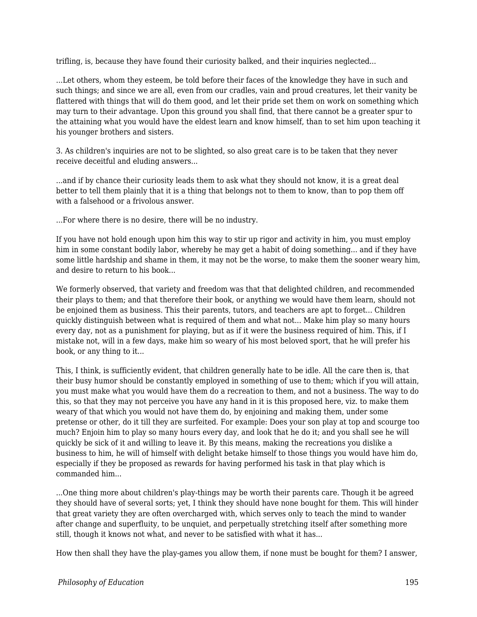trifling, is, because they have found their curiosity balked, and their inquiries neglected...

...Let others, whom they esteem, be told before their faces of the knowledge they have in such and such things; and since we are all, even from our cradles, vain and proud creatures, let their vanity be flattered with things that will do them good, and let their pride set them on work on something which may turn to their advantage. Upon this ground you shall find, that there cannot be a greater spur to the attaining what you would have the eldest learn and know himself, than to set him upon teaching it his younger brothers and sisters.

3. As children's inquiries are not to be slighted, so also great care is to be taken that they never receive deceitful and eluding answers...

...and if by chance their curiosity leads them to ask what they should not know, it is a great deal better to tell them plainly that it is a thing that belongs not to them to know, than to pop them off with a falsehood or a frivolous answer.

...For where there is no desire, there will be no industry.

If you have not hold enough upon him this way to stir up rigor and activity in him, you must employ him in some constant bodily labor, whereby he may get a habit of doing something... and if they have some little hardship and shame in them, it may not be the worse, to make them the sooner weary him, and desire to return to his book...

We formerly observed, that variety and freedom was that that delighted children, and recommended their plays to them; and that therefore their book, or anything we would have them learn, should not be enjoined them as business. This their parents, tutors, and teachers are apt to forget... Children quickly distinguish between what is required of them and what not... Make him play so many hours every day, not as a punishment for playing, but as if it were the business required of him. This, if I mistake not, will in a few days, make him so weary of his most beloved sport, that he will prefer his book, or any thing to it...

This, I think, is sufficiently evident, that children generally hate to be idle. All the care then is, that their busy humor should be constantly employed in something of use to them; which if you will attain, you must make what you would have them do a recreation to them, and not a business. The way to do this, so that they may not perceive you have any hand in it is this proposed here, viz. to make them weary of that which you would not have them do, by enjoining and making them, under some pretense or other, do it till they are surfeited. For example: Does your son play at top and scourge too much? Enjoin him to play so many hours every day, and look that he do it; and you shall see he will quickly be sick of it and willing to leave it. By this means, making the recreations you dislike a business to him, he will of himself with delight betake himself to those things you would have him do, especially if they be proposed as rewards for having performed his task in that play which is commanded him...

...One thing more about children's play-things may be worth their parents care. Though it be agreed they should have of several sorts; yet, I think they should have none bought for them. This will hinder that great variety they are often overcharged with, which serves only to teach the mind to wander after change and superfluity, to be unquiet, and perpetually stretching itself after something more still, though it knows not what, and never to be satisfied with what it has...

How then shall they have the play-games you allow them, if none must be bought for them? I answer,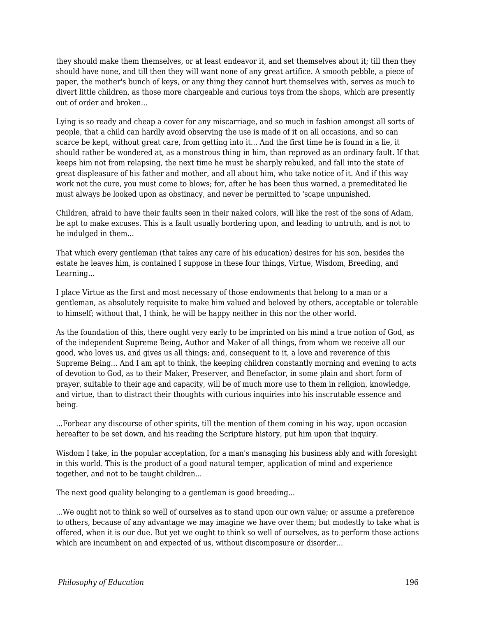they should make them themselves, or at least endeavor it, and set themselves about it; till then they should have none, and till then they will want none of any great artifice. A smooth pebble, a piece of paper, the mother's bunch of keys, or any thing they cannot hurt themselves with, serves as much to divert little children, as those more chargeable and curious toys from the shops, which are presently out of order and broken...

Lying is so ready and cheap a cover for any miscarriage, and so much in fashion amongst all sorts of people, that a child can hardly avoid observing the use is made of it on all occasions, and so can scarce be kept, without great care, from getting into it... And the first time he is found in a lie, it should rather be wondered at, as a monstrous thing in him, than reproved as an ordinary fault. If that keeps him not from relapsing, the next time he must be sharply rebuked, and fall into the state of great displeasure of his father and mother, and all about him, who take notice of it. And if this way work not the cure, you must come to blows; for, after he has been thus warned, a premeditated lie must always be looked upon as obstinacy, and never be permitted to 'scape unpunished.

Children, afraid to have their faults seen in their naked colors, will like the rest of the sons of Adam, be apt to make excuses. This is a fault usually bordering upon, and leading to untruth, and is not to be indulged in them...

That which every gentleman (that takes any care of his education) desires for his son, besides the estate he leaves him, is contained I suppose in these four things, Virtue, Wisdom, Breeding, and Learning...

I place Virtue as the first and most necessary of those endowments that belong to a man or a gentleman, as absolutely requisite to make him valued and beloved by others, acceptable or tolerable to himself; without that, I think, he will be happy neither in this nor the other world.

As the foundation of this, there ought very early to be imprinted on his mind a true notion of God, as of the independent Supreme Being, Author and Maker of all things, from whom we receive all our good, who loves us, and gives us all things; and, consequent to it, a love and reverence of this Supreme Being... And I am apt to think, the keeping children constantly morning and evening to acts of devotion to God, as to their Maker, Preserver, and Benefactor, in some plain and short form of prayer, suitable to their age and capacity, will be of much more use to them in religion, knowledge, and virtue, than to distract their thoughts with curious inquiries into his inscrutable essence and being.

...Forbear any discourse of other spirits, till the mention of them coming in his way, upon occasion hereafter to be set down, and his reading the Scripture history, put him upon that inquiry.

Wisdom I take, in the popular acceptation, for a man's managing his business ably and with foresight in this world. This is the product of a good natural temper, application of mind and experience together, and not to be taught children...

The next good quality belonging to a gentleman is good breeding...

...We ought not to think so well of ourselves as to stand upon our own value; or assume a preference to others, because of any advantage we may imagine we have over them; but modestly to take what is offered, when it is our due. But yet we ought to think so well of ourselves, as to perform those actions which are incumbent on and expected of us, without discomposure or disorder...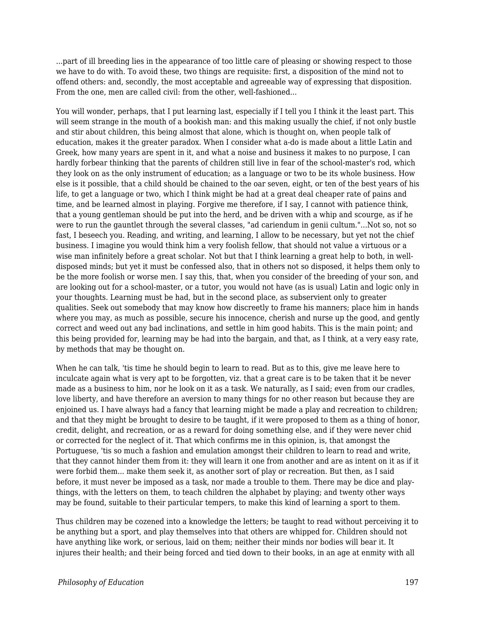...part of ill breeding lies in the appearance of too little care of pleasing or showing respect to those we have to do with. To avoid these, two things are requisite: first, a disposition of the mind not to offend others: and, secondly, the most acceptable and agreeable way of expressing that disposition. From the one, men are called civil: from the other, well-fashioned...

You will wonder, perhaps, that I put learning last, especially if I tell you I think it the least part. This will seem strange in the mouth of a bookish man: and this making usually the chief, if not only bustle and stir about children, this being almost that alone, which is thought on, when people talk of education, makes it the greater paradox. When I consider what a-do is made about a little Latin and Greek, how many years are spent in it, and what a noise and business it makes to no purpose, I can hardly forbear thinking that the parents of children still live in fear of the school-master's rod, which they look on as the only instrument of education; as a language or two to be its whole business. How else is it possible, that a child should be chained to the oar seven, eight, or ten of the best years of his life, to get a language or two, which I think might be had at a great deal cheaper rate of pains and time, and be learned almost in playing. Forgive me therefore, if I say, I cannot with patience think, that a young gentleman should be put into the herd, and be driven with a whip and scourge, as if he were to run the gauntlet through the several classes, "ad cariendum in genii cultum."...Not so, not so fast, I beseech you. Reading, and writing, and learning, I allow to be necessary, but yet not the chief business. I imagine you would think him a very foolish fellow, that should not value a virtuous or a wise man infinitely before a great scholar. Not but that I think learning a great help to both, in welldisposed minds; but yet it must be confessed also, that in others not so disposed, it helps them only to be the more foolish or worse men. I say this, that, when you consider of the breeding of your son, and are looking out for a school-master, or a tutor, you would not have (as is usual) Latin and logic only in your thoughts. Learning must be had, but in the second place, as subservient only to greater qualities. Seek out somebody that may know how discreetly to frame his manners; place him in hands where you may, as much as possible, secure his innocence, cherish and nurse up the good, and gently correct and weed out any bad inclinations, and settle in him good habits. This is the main point; and this being provided for, learning may be had into the bargain, and that, as I think, at a very easy rate, by methods that may be thought on.

When he can talk, 'tis time he should begin to learn to read. But as to this, give me leave here to inculcate again what is very apt to be forgotten, viz. that a great care is to be taken that it be never made as a business to him, nor he look on it as a task. We naturally, as I said; even from our cradles, love liberty, and have therefore an aversion to many things for no other reason but because they are enjoined us. I have always had a fancy that learning might be made a play and recreation to children; and that they might be brought to desire to be taught, if it were proposed to them as a thing of honor, credit, delight, and recreation, or as a reward for doing something else, and if they were never chid or corrected for the neglect of it. That which confirms me in this opinion, is, that amongst the Portuguese, 'tis so much a fashion and emulation amongst their children to learn to read and write, that they cannot hinder them from it: they will learn it one from another and are as intent on it as if it were forbid them... make them seek it, as another sort of play or recreation. But then, as I said before, it must never be imposed as a task, nor made a trouble to them. There may be dice and playthings, with the letters on them, to teach children the alphabet by playing; and twenty other ways may be found, suitable to their particular tempers, to make this kind of learning a sport to them.

Thus children may be cozened into a knowledge the letters; be taught to read without perceiving it to be anything but a sport, and play themselves into that others are whipped for. Children should not have anything like work, or serious, laid on them; neither their minds nor bodies will bear it. It injures their health; and their being forced and tied down to their books, in an age at enmity with all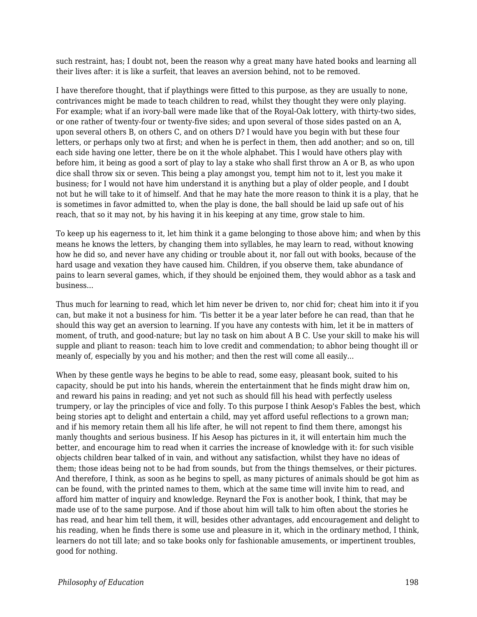such restraint, has; I doubt not, been the reason why a great many have hated books and learning all their lives after: it is like a surfeit, that leaves an aversion behind, not to be removed.

I have therefore thought, that if playthings were fitted to this purpose, as they are usually to none, contrivances might be made to teach children to read, whilst they thought they were only playing. For example; what if an ivory-ball were made like that of the Royal-Oak lottery, with thirty-two sides, or one rather of twenty-four or twenty-five sides; and upon several of those sides pasted on an A, upon several others B, on others C, and on others D? I would have you begin with but these four letters, or perhaps only two at first; and when he is perfect in them, then add another; and so on, till each side having one letter, there be on it the whole alphabet. This I would have others play with before him, it being as good a sort of play to lay a stake who shall first throw an A or B, as who upon dice shall throw six or seven. This being a play amongst you, tempt him not to it, lest you make it business; for I would not have him understand it is anything but a play of older people, and I doubt not but he will take to it of himself. And that he may hate the more reason to think it is a play, that he is sometimes in favor admitted to, when the play is done, the ball should be laid up safe out of his reach, that so it may not, by his having it in his keeping at any time, grow stale to him.

To keep up his eagerness to it, let him think it a game belonging to those above him; and when by this means he knows the letters, by changing them into syllables, he may learn to read, without knowing how he did so, and never have any chiding or trouble about it, nor fall out with books, because of the hard usage and vexation they have caused him. Children, if you observe them, take abundance of pains to learn several games, which, if they should be enjoined them, they would abhor as a task and business...

Thus much for learning to read, which let him never be driven to, nor chid for; cheat him into it if you can, but make it not a business for him. 'Tis better it be a year later before he can read, than that he should this way get an aversion to learning. If you have any contests with him, let it be in matters of moment, of truth, and good-nature; but lay no task on him about A B C. Use your skill to make his will supple and pliant to reason: teach him to love credit and commendation; to abhor being thought ill or meanly of, especially by you and his mother; and then the rest will come all easily...

When by these gentle ways he begins to be able to read, some easy, pleasant book, suited to his capacity, should be put into his hands, wherein the entertainment that he finds might draw him on, and reward his pains in reading; and yet not such as should fill his head with perfectly useless trumpery, or lay the principles of vice and folly. To this purpose I think Aesop's Fables the best, which being stories apt to delight and entertain a child, may yet afford useful reflections to a grown man; and if his memory retain them all his life after, he will not repent to find them there, amongst his manly thoughts and serious business. If his Aesop has pictures in it, it will entertain him much the better, and encourage him to read when it carries the increase of knowledge with it: for such visible objects children bear talked of in vain, and without any satisfaction, whilst they have no ideas of them; those ideas being not to be had from sounds, but from the things themselves, or their pictures. And therefore, I think, as soon as he begins to spell, as many pictures of animals should be got him as can be found, with the printed names to them, which at the same time will invite him to read, and afford him matter of inquiry and knowledge. Reynard the Fox is another book, I think, that may be made use of to the same purpose. And if those about him will talk to him often about the stories he has read, and hear him tell them, it will, besides other advantages, add encouragement and delight to his reading, when he finds there is some use and pleasure in it, which in the ordinary method, I think, learners do not till late; and so take books only for fashionable amusements, or impertinent troubles, good for nothing.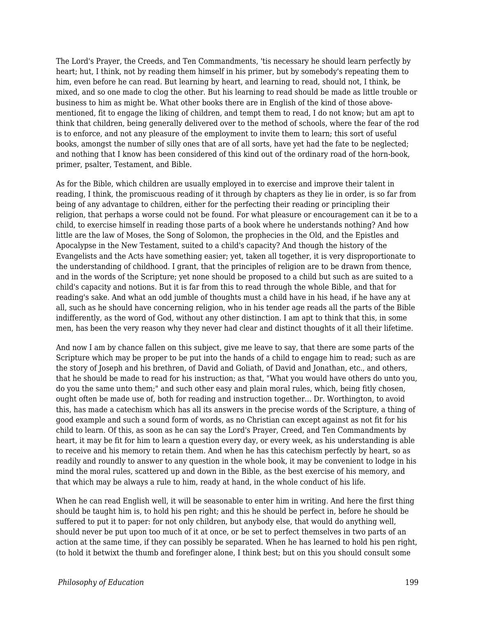The Lord's Prayer, the Creeds, and Ten Commandments, 'tis necessary he should learn perfectly by heart; hut, I think, not by reading them himself in his primer, but by somebody's repeating them to him, even before he can read. But learning by heart, and learning to read, should not, I think, be mixed, and so one made to clog the other. But his learning to read should be made as little trouble or business to him as might be. What other books there are in English of the kind of those abovementioned, fit to engage the liking of children, and tempt them to read, I do not know; but am apt to think that children, being generally delivered over to the method of schools, where the fear of the rod is to enforce, and not any pleasure of the employment to invite them to learn; this sort of useful books, amongst the number of silly ones that are of all sorts, have yet had the fate to be neglected; and nothing that I know has been considered of this kind out of the ordinary road of the horn-book, primer, psalter, Testament, and Bible.

As for the Bible, which children are usually employed in to exercise and improve their talent in reading, I think, the promiscuous reading of it through by chapters as they lie in order, is so far from being of any advantage to children, either for the perfecting their reading or principling their religion, that perhaps a worse could not be found. For what pleasure or encouragement can it be to a child, to exercise himself in reading those parts of a book where he understands nothing? And how little are the law of Moses, the Song of Solomon, the prophecies in the Old, and the Epistles and Apocalypse in the New Testament, suited to a child's capacity? And though the history of the Evangelists and the Acts have something easier; yet, taken all together, it is very disproportionate to the understanding of childhood. I grant, that the principles of religion are to be drawn from thence, and in the words of the Scripture; yet none should be proposed to a child but such as are suited to a child's capacity and notions. But it is far from this to read through the whole Bible, and that for reading's sake. And what an odd jumble of thoughts must a child have in his head, if he have any at all, such as he should have concerning religion, who in his tender age reads all the parts of the Bible indifferently, as the word of God, without any other distinction. I am apt to think that this, in some men, has been the very reason why they never had clear and distinct thoughts of it all their lifetime.

And now I am by chance fallen on this subject, give me leave to say, that there are some parts of the Scripture which may be proper to be put into the hands of a child to engage him to read; such as are the story of Joseph and his brethren, of David and Goliath, of David and Jonathan, etc., and others, that he should be made to read for his instruction; as that, "What you would have others do unto you, do you the same unto them;" and such other easy and plain moral rules, which, being fitly chosen, ought often be made use of, both for reading and instruction together... Dr. Worthington, to avoid this, has made a catechism which has all its answers in the precise words of the Scripture, a thing of good example and such a sound form of words, as no Christian can except against as not fit for his child to learn. Of this, as soon as he can say the Lord's Prayer, Creed, and Ten Commandments by heart, it may be fit for him to learn a question every day, or every week, as his understanding is able to receive and his memory to retain them. And when he has this catechism perfectly by heart, so as readily and roundly to answer to any question in the whole book, it may be convenient to lodge in his mind the moral rules, scattered up and down in the Bible, as the best exercise of his memory, and that which may be always a rule to him, ready at hand, in the whole conduct of his life.

When he can read English well, it will be seasonable to enter him in writing. And here the first thing should be taught him is, to hold his pen right; and this he should be perfect in, before he should be suffered to put it to paper: for not only children, but anybody else, that would do anything well, should never be put upon too much of it at once, or be set to perfect themselves in two parts of an action at the same time, if they can possibly be separated. When he has learned to hold his pen right, (to hold it betwixt the thumb and forefinger alone, I think best; but on this you should consult some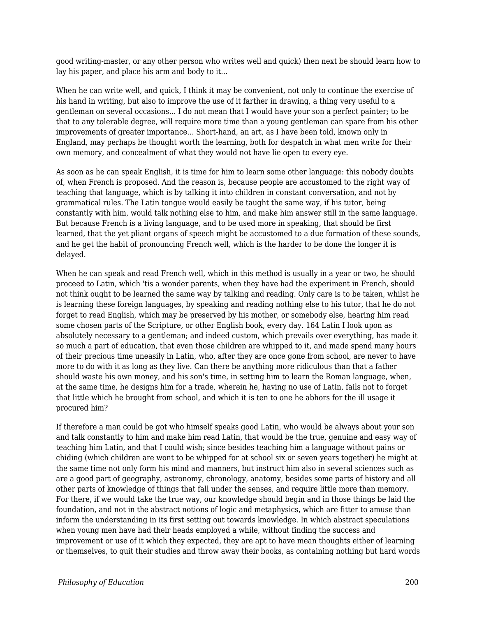good writing-master, or any other person who writes well and quick) then next be should learn how to lay his paper, and place his arm and body to it...

When he can write well, and quick, I think it may be convenient, not only to continue the exercise of his hand in writing, but also to improve the use of it farther in drawing, a thing very useful to a gentleman on several occasions... I do not mean that I would have your son a perfect painter; to be that to any tolerable degree, will require more time than a young gentleman can spare from his other improvements of greater importance... Short-hand, an art, as I have been told, known only in England, may perhaps be thought worth the learning, both for despatch in what men write for their own memory, and concealment of what they would not have lie open to every eye.

As soon as he can speak English, it is time for him to learn some other language: this nobody doubts of, when French is proposed. And the reason is, because people are accustomed to the right way of teaching that language, which is by talking it into children in constant conversation, and not by grammatical rules. The Latin tongue would easily be taught the same way, if his tutor, being constantly with him, would talk nothing else to him, and make him answer still in the same language. But because French is a living language, and to be used more in speaking, that should be first learned, that the yet pliant organs of speech might be accustomed to a due formation of these sounds, and he get the habit of pronouncing French well, which is the harder to be done the longer it is delayed.

When he can speak and read French well, which in this method is usually in a year or two, he should proceed to Latin, which 'tis a wonder parents, when they have had the experiment in French, should not think ought to be learned the same way by talking and reading. Only care is to be taken, whilst he is learning these foreign languages, by speaking and reading nothing else to his tutor, that he do not forget to read English, which may be preserved by his mother, or somebody else, hearing him read some chosen parts of the Scripture, or other English book, every day. 164 Latin I look upon as absolutely necessary to a gentleman; and indeed custom, which prevails over everything, has made it so much a part of education, that even those children are whipped to it, and made spend many hours of their precious time uneasily in Latin, who, after they are once gone from school, are never to have more to do with it as long as they live. Can there be anything more ridiculous than that a father should waste his own money, and his son's time, in setting him to learn the Roman language, when, at the same time, he designs him for a trade, wherein he, having no use of Latin, fails not to forget that little which he brought from school, and which it is ten to one he abhors for the ill usage it procured him?

If therefore a man could be got who himself speaks good Latin, who would be always about your son and talk constantly to him and make him read Latin, that would be the true, genuine and easy way of teaching him Latin, and that I could wish; since besides teaching him a language without pains or chiding (which children are wont to be whipped for at school six or seven years together) he might at the same time not only form his mind and manners, but instruct him also in several sciences such as are a good part of geography, astronomy, chronology, anatomy, besides some parts of history and all other parts of knowledge of things that fall under the senses, and require little more than memory. For there, if we would take the true way, our knowledge should begin and in those things be laid the foundation, and not in the abstract notions of logic and metaphysics, which are fitter to amuse than inform the understanding in its first setting out towards knowledge. In which abstract speculations when young men have had their heads employed a while, without finding the success and improvement or use of it which they expected, they are apt to have mean thoughts either of learning or themselves, to quit their studies and throw away their books, as containing nothing but hard words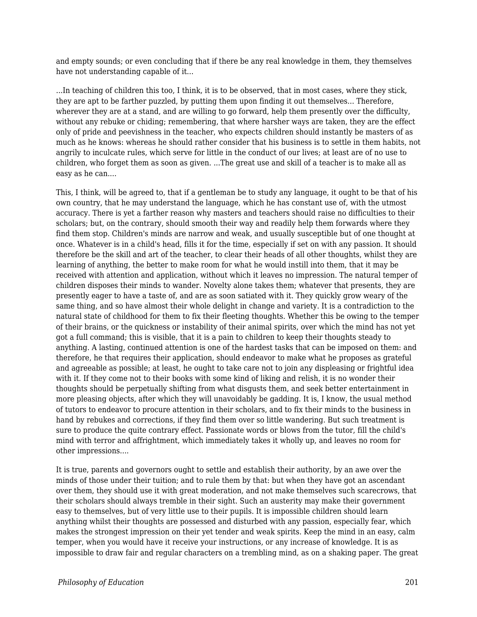and empty sounds; or even concluding that if there be any real knowledge in them, they themselves have not understanding capable of it...

...In teaching of children this too, I think, it is to be observed, that in most cases, where they stick, they are apt to be farther puzzled, by putting them upon finding it out themselves... Therefore, wherever they are at a stand, and are willing to go forward, help them presently over the difficulty, without any rebuke or chiding; remembering, that where harsher ways are taken, they are the effect only of pride and peevishness in the teacher, who expects children should instantly be masters of as much as he knows: whereas he should rather consider that his business is to settle in them habits, not angrily to inculcate rules, which serve for little in the conduct of our lives; at least are of no use to children, who forget them as soon as given. ...The great use and skill of a teacher is to make all as easy as he can....

This, I think, will be agreed to, that if a gentleman be to study any language, it ought to be that of his own country, that he may understand the language, which he has constant use of, with the utmost accuracy. There is yet a farther reason why masters and teachers should raise no difficulties to their scholars; but, on the contrary, should smooth their way and readily help them forwards where they find them stop. Children's minds are narrow and weak, and usually susceptible but of one thought at once. Whatever is in a child's head, fills it for the time, especially if set on with any passion. It should therefore be the skill and art of the teacher, to clear their heads of all other thoughts, whilst they are learning of anything, the better to make room for what he would instill into them, that it may be received with attention and application, without which it leaves no impression. The natural temper of children disposes their minds to wander. Novelty alone takes them; whatever that presents, they are presently eager to have a taste of, and are as soon satiated with it. They quickly grow weary of the same thing, and so have almost their whole delight in change and variety. It is a contradiction to the natural state of childhood for them to fix their fleeting thoughts. Whether this be owing to the temper of their brains, or the quickness or instability of their animal spirits, over which the mind has not yet got a full command; this is visible, that it is a pain to children to keep their thoughts steady to anything. A lasting, continued attention is one of the hardest tasks that can be imposed on them: and therefore, he that requires their application, should endeavor to make what he proposes as grateful and agreeable as possible; at least, he ought to take care not to join any displeasing or frightful idea with it. If they come not to their books with some kind of liking and relish, it is no wonder their thoughts should be perpetually shifting from what disgusts them, and seek better entertainment in more pleasing objects, after which they will unavoidably be gadding. It is, I know, the usual method of tutors to endeavor to procure attention in their scholars, and to fix their minds to the business in hand by rebukes and corrections, if they find them over so little wandering. But such treatment is sure to produce the quite contrary effect. Passionate words or blows from the tutor, fill the child's mind with terror and affrightment, which immediately takes it wholly up, and leaves no room for other impressions....

It is true, parents and governors ought to settle and establish their authority, by an awe over the minds of those under their tuition; and to rule them by that: but when they have got an ascendant over them, they should use it with great moderation, and not make themselves such scarecrows, that their scholars should always tremble in their sight. Such an austerity may make their government easy to themselves, but of very little use to their pupils. It is impossible children should learn anything whilst their thoughts are possessed and disturbed with any passion, especially fear, which makes the strongest impression on their yet tender and weak spirits. Keep the mind in an easy, calm temper, when you would have it receive your instructions, or any increase of knowledge. It is as impossible to draw fair and regular characters on a trembling mind, as on a shaking paper. The great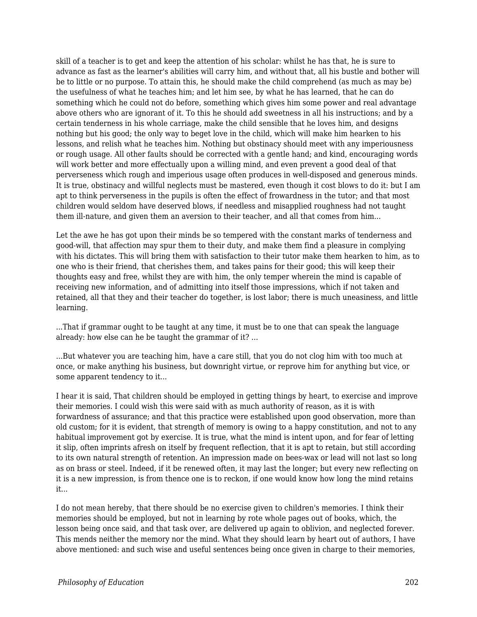skill of a teacher is to get and keep the attention of his scholar: whilst he has that, he is sure to advance as fast as the learner's abilities will carry him, and without that, all his bustle and bother will be to little or no purpose. To attain this, he should make the child comprehend (as much as may be) the usefulness of what he teaches him; and let him see, by what he has learned, that he can do something which he could not do before, something which gives him some power and real advantage above others who are ignorant of it. To this he should add sweetness in all his instructions; and by a certain tenderness in his whole carriage, make the child sensible that he loves him, and designs nothing but his good; the only way to beget love in the child, which will make him hearken to his lessons, and relish what he teaches him. Nothing but obstinacy should meet with any imperiousness or rough usage. All other faults should be corrected with a gentle hand; and kind, encouraging words will work better and more effectually upon a willing mind, and even prevent a good deal of that perverseness which rough and imperious usage often produces in well-disposed and generous minds. It is true, obstinacy and willful neglects must be mastered, even though it cost blows to do it: but I am apt to think perverseness in the pupils is often the effect of frowardness in the tutor; and that most children would seldom have deserved blows, if needless and misapplied roughness had not taught them ill-nature, and given them an aversion to their teacher, and all that comes from him...

Let the awe he has got upon their minds be so tempered with the constant marks of tenderness and good-will, that affection may spur them to their duty, and make them find a pleasure in complying with his dictates. This will bring them with satisfaction to their tutor make them hearken to him, as to one who is their friend, that cherishes them, and takes pains for their good; this will keep their thoughts easy and free, whilst they are with him, the only temper wherein the mind is capable of receiving new information, and of admitting into itself those impressions, which if not taken and retained, all that they and their teacher do together, is lost labor; there is much uneasiness, and little learning.

...That if grammar ought to be taught at any time, it must be to one that can speak the language already: how else can he be taught the grammar of it? ...

...But whatever you are teaching him, have a care still, that you do not clog him with too much at once, or make anything his business, but downright virtue, or reprove him for anything but vice, or some apparent tendency to it...

I hear it is said, That children should be employed in getting things by heart, to exercise and improve their memories. I could wish this were said with as much authority of reason, as it is with forwardness of assurance; and that this practice were established upon good observation, more than old custom; for it is evident, that strength of memory is owing to a happy constitution, and not to any habitual improvement got by exercise. It is true, what the mind is intent upon, and for fear of letting it slip, often imprints afresh on itself by frequent reflection, that it is apt to retain, but still according to its own natural strength of retention. An impression made on bees-wax or lead will not last so long as on brass or steel. Indeed, if it be renewed often, it may last the longer; but every new reflecting on it is a new impression, is from thence one is to reckon, if one would know how long the mind retains it...

I do not mean hereby, that there should be no exercise given to children's memories. I think their memories should be employed, but not in learning by rote whole pages out of books, which, the lesson being once said, and that task over, are delivered up again to oblivion, and neglected forever. This mends neither the memory nor the mind. What they should learn by heart out of authors, I have above mentioned: and such wise and useful sentences being once given in charge to their memories,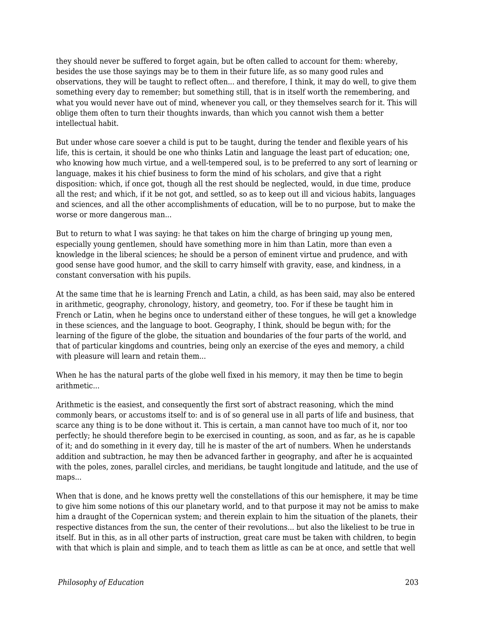they should never be suffered to forget again, but be often called to account for them: whereby, besides the use those sayings may be to them in their future life, as so many good rules and observations, they will be taught to reflect often... and therefore, I think, it may do well, to give them something every day to remember; but something still, that is in itself worth the remembering, and what you would never have out of mind, whenever you call, or they themselves search for it. This will oblige them often to turn their thoughts inwards, than which you cannot wish them a better intellectual habit.

But under whose care soever a child is put to be taught, during the tender and flexible years of his life, this is certain, it should be one who thinks Latin and language the least part of education; one, who knowing how much virtue, and a well-tempered soul, is to be preferred to any sort of learning or language, makes it his chief business to form the mind of his scholars, and give that a right disposition: which, if once got, though all the rest should be neglected, would, in due time, produce all the rest; and which, if it be not got, and settled, so as to keep out ill and vicious habits, languages and sciences, and all the other accomplishments of education, will be to no purpose, but to make the worse or more dangerous man...

But to return to what I was saying: he that takes on him the charge of bringing up young men, especially young gentlemen, should have something more in him than Latin, more than even a knowledge in the liberal sciences; he should be a person of eminent virtue and prudence, and with good sense have good humor, and the skill to carry himself with gravity, ease, and kindness, in a constant conversation with his pupils.

At the same time that he is learning French and Latin, a child, as has been said, may also be entered in arithmetic, geography, chronology, history, and geometry, too. For if these be taught him in French or Latin, when he begins once to understand either of these tongues, he will get a knowledge in these sciences, and the language to boot. Geography, I think, should be begun with; for the learning of the figure of the globe, the situation and boundaries of the four parts of the world, and that of particular kingdoms and countries, being only an exercise of the eyes and memory, a child with pleasure will learn and retain them...

When he has the natural parts of the globe well fixed in his memory, it may then be time to begin arithmetic...

Arithmetic is the easiest, and consequently the first sort of abstract reasoning, which the mind commonly bears, or accustoms itself to: and is of so general use in all parts of life and business, that scarce any thing is to be done without it. This is certain, a man cannot have too much of it, nor too perfectly; he should therefore begin to be exercised in counting, as soon, and as far, as he is capable of it; and do something in it every day, till he is master of the art of numbers. When he understands addition and subtraction, he may then be advanced farther in geography, and after he is acquainted with the poles, zones, parallel circles, and meridians, be taught longitude and latitude, and the use of maps...

When that is done, and he knows pretty well the constellations of this our hemisphere, it may be time to give him some notions of this our planetary world, and to that purpose it may not be amiss to make him a draught of the Copernican system; and therein explain to him the situation of the planets, their respective distances from the sun, the center of their revolutions... but also the likeliest to be true in itself. But in this, as in all other parts of instruction, great care must be taken with children, to begin with that which is plain and simple, and to teach them as little as can be at once, and settle that well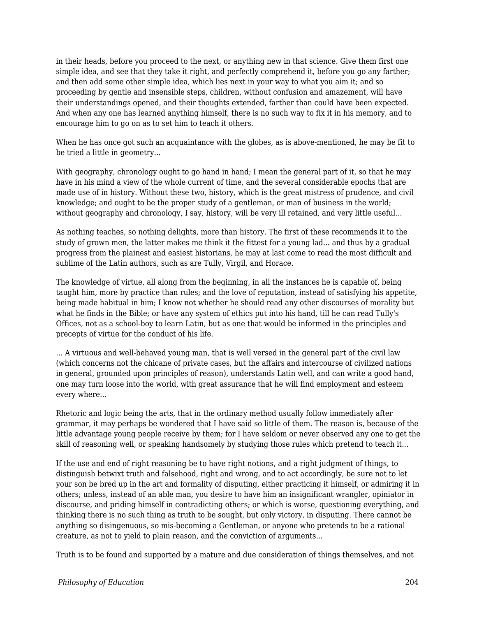in their heads, before you proceed to the next, or anything new in that science. Give them first one simple idea, and see that they take it right, and perfectly comprehend it, before you go any farther; and then add some other simple idea, which lies next in your way to what you aim it; and so proceeding by gentle and insensible steps, children, without confusion and amazement, will have their understandings opened, and their thoughts extended, farther than could have been expected. And when any one has learned anything himself, there is no such way to fix it in his memory, and to encourage him to go on as to set him to teach it others.

When he has once got such an acquaintance with the globes, as is above-mentioned, he may be fit to be tried a little in geometry...

With geography, chronology ought to go hand in hand; I mean the general part of it, so that he may have in his mind a view of the whole current of time, and the several considerable epochs that are made use of in history. Without these two, history, which is the great mistress of prudence, and civil knowledge; and ought to be the proper study of a gentleman, or man of business in the world; without geography and chronology, I say, history, will be very ill retained, and very little useful...

As nothing teaches, so nothing delights, more than history. The first of these recommends it to the study of grown men, the latter makes me think it the fittest for a young lad... and thus by a gradual progress from the plainest and easiest historians, he may at last come to read the most difficult and sublime of the Latin authors, such as are Tully, Virgil, and Horace.

The knowledge of virtue, all along from the beginning, in all the instances he is capable of, being taught him, more by practice than rules; and the love of reputation, instead of satisfying his appetite, being made habitual in him; I know not whether he should read any other discourses of morality but what he finds in the Bible; or have any system of ethics put into his hand, till he can read Tully's Offices, not as a school-boy to learn Latin, but as one that would be informed in the principles and precepts of virtue for the conduct of his life.

... A virtuous and well-behaved young man, that is well versed in the general part of the civil law (which concerns not the chicane of private cases, but the affairs and intercourse of civilized nations in general, grounded upon principles of reason), understands Latin well, and can write a good hand, one may turn loose into the world, with great assurance that he will find employment and esteem every where...

Rhetoric and logic being the arts, that in the ordinary method usually follow immediately after grammar, it may perhaps be wondered that I have said so little of them. The reason is, because of the little advantage young people receive by them; for I have seldom or never observed any one to get the skill of reasoning well, or speaking handsomely by studying those rules which pretend to teach it...

If the use and end of right reasoning be to have right notions, and a right judgment of things, to distinguish betwixt truth and falsehood, right and wrong, and to act accordingly, be sure not to let your son be bred up in the art and formality of disputing, either practicing it himself, or admiring it in others; unless, instead of an able man, you desire to have him an insignificant wrangler, opiniator in discourse, and priding himself in contradicting others; or which is worse, questioning everything, and thinking there is no such thing as truth to be sought, but only victory, in disputing. There cannot be anything so disingenuous, so mis-becoming a Gentleman, or anyone who pretends to be a rational creature, as not to yield to plain reason, and the conviction of arguments...

Truth is to be found and supported by a mature and due consideration of things themselves, and not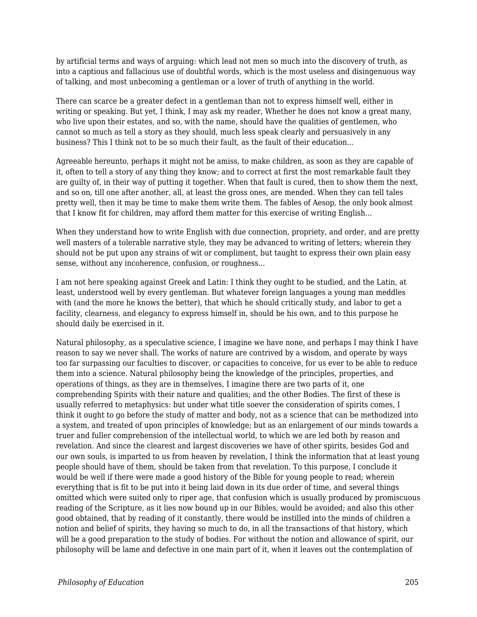by artificial terms and ways of arguing: which lead not men so much into the discovery of truth, as into a captious and fallacious use of doubtful words, which is the most useless and disingenuous way of talking, and most unbecoming a gentleman or a lover of truth of anything in the world.

There can scarce be a greater defect in a gentleman than not to express himself well, either in writing or speaking. But yet, I think, I may ask my reader, Whether he does not know a great many, who live upon their estates, and so, with the name, should have the qualities of gentlemen, who cannot so much as tell a story as they should, much less speak clearly and persuasively in any business? This I think not to be so much their fault, as the fault of their education...

Agreeable hereunto, perhaps it might not be amiss, to make children, as soon as they are capable of it, often to tell a story of any thing they know; and to correct at first the most remarkable fault they are guilty of, in their way of putting it together. When that fault is cured, then to show them the next, and so on, till one after another, all, at least the gross ones, are mended. When they can tell tales pretty well, then it may be time to make them write them. The fables of Aesop, the only book almost that I know fit for children, may afford them matter for this exercise of writing English...

When they understand how to write English with due connection, propriety, and order, and are pretty well masters of a tolerable narrative style, they may be advanced to writing of letters; wherein they should not be put upon any strains of wit or compliment, but taught to express their own plain easy sense, without any incoherence, confusion, or roughness...

I am not here speaking against Greek and Latin: I think they ought to be studied, and the Latin, at least, understood well by every gentleman. But whatever foreign languages a young man meddles with (and the more he knows the better), that which he should critically study, and labor to get a facility, clearness, and elegancy to express himself in, should be his own, and to this purpose he should daily be exercised in it.

Natural philosophy, as a speculative science, I imagine we have none, and perhaps I may think I have reason to say we never shall. The works of nature are contrived by a wisdom, and operate by ways too far surpassing our faculties to discover, or capacities to conceive, for us ever to be able to reduce them into a science. Natural philosophy being the knowledge of the principles, properties, and operations of things, as they are in themselves, I imagine there are two parts of it, one comprehending Spirits with their nature and qualities; and the other Bodies. The first of these is usually referred to metaphysics: but under what title soever the consideration of spirits comes, I think it ought to go before the study of matter and body, not as a science that can be methodized into a system, and treated of upon principles of knowledge; but as an enlargement of our minds towards a truer and fuller comprehension of the intellectual world, to which we are led both by reason and revelation. And since the clearest and largest discoveries we have of other spirits, besides God and our own souls, is imparted to us from heaven by revelation, I think the information that at least young people should have of them, should be taken from that revelation. To this purpose, I conclude it would be well if there were made a good history of the Bible for young people to read; wherein everything that is fit to be put into it being laid down in its due order of time, and several things omitted which were suited only to riper age, that confusion which is usually produced by promiscuous reading of the Scripture, as it lies now bound up in our Bibles, would be avoided; and also this other good obtained, that by reading of it constantly, there would be instilled into the minds of children a notion and belief of spirits, they having so much to do, in all the transactions of that history, which will be a good preparation to the study of bodies. For without the notion and allowance of spirit, our philosophy will be lame and defective in one main part of it, when it leaves out the contemplation of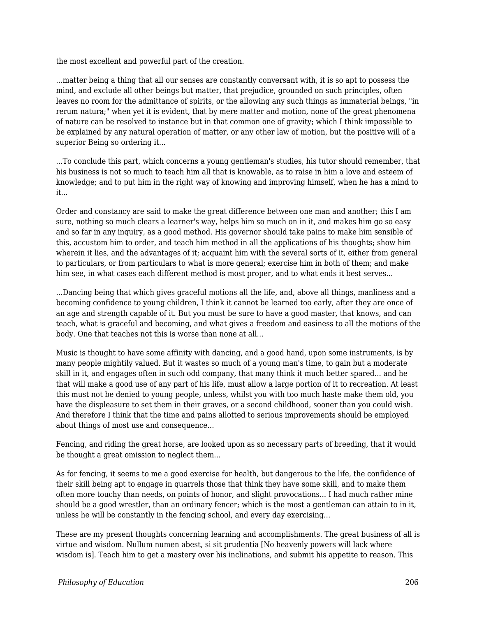the most excellent and powerful part of the creation.

...matter being a thing that all our senses are constantly conversant with, it is so apt to possess the mind, and exclude all other beings but matter, that prejudice, grounded on such principles, often leaves no room for the admittance of spirits, or the allowing any such things as immaterial beings, "in rerum natura;" when yet it is evident, that by mere matter and motion, none of the great phenomena of nature can be resolved to instance but in that common one of gravity; which I think impossible to be explained by any natural operation of matter, or any other law of motion, but the positive will of a superior Being so ordering it...

...To conclude this part, which concerns a young gentleman's studies, his tutor should remember, that his business is not so much to teach him all that is knowable, as to raise in him a love and esteem of knowledge; and to put him in the right way of knowing and improving himself, when he has a mind to it...

Order and constancy are said to make the great difference between one man and another; this I am sure, nothing so much clears a learner's way, helps him so much on in it, and makes him go so easy and so far in any inquiry, as a good method. His governor should take pains to make him sensible of this, accustom him to order, and teach him method in all the applications of his thoughts; show him wherein it lies, and the advantages of it; acquaint him with the several sorts of it, either from general to particulars, or from particulars to what is more general; exercise him in both of them; and make him see, in what cases each different method is most proper, and to what ends it best serves...

...Dancing being that which gives graceful motions all the life, and, above all things, manliness and a becoming confidence to young children, I think it cannot be learned too early, after they are once of an age and strength capable of it. But you must be sure to have a good master, that knows, and can teach, what is graceful and becoming, and what gives a freedom and easiness to all the motions of the body. One that teaches not this is worse than none at all...

Music is thought to have some affinity with dancing, and a good hand, upon some instruments, is by many people mightily valued. But it wastes so much of a young man's time, to gain but a moderate skill in it, and engages often in such odd company, that many think it much better spared... and he that will make a good use of any part of his life, must allow a large portion of it to recreation. At least this must not be denied to young people, unless, whilst you with too much haste make them old, you have the displeasure to set them in their graves, or a second childhood, sooner than you could wish. And therefore I think that the time and pains allotted to serious improvements should be employed about things of most use and consequence...

Fencing, and riding the great horse, are looked upon as so necessary parts of breeding, that it would be thought a great omission to neglect them...

As for fencing, it seems to me a good exercise for health, but dangerous to the life, the confidence of their skill being apt to engage in quarrels those that think they have some skill, and to make them often more touchy than needs, on points of honor, and slight provocations... I had much rather mine should be a good wrestler, than an ordinary fencer; which is the most a gentleman can attain to in it, unless he will be constantly in the fencing school, and every day exercising...

These are my present thoughts concerning learning and accomplishments. The great business of all is virtue and wisdom. Nullum numen abest, si sit prudentia [No heavenly powers will lack where wisdom is]. Teach him to get a mastery over his inclinations, and submit his appetite to reason. This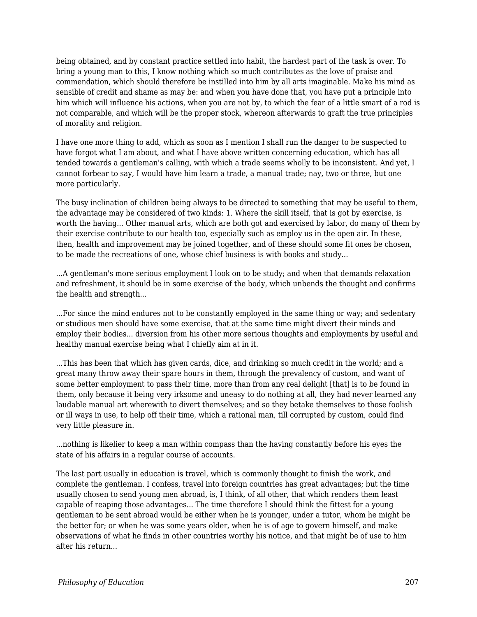being obtained, and by constant practice settled into habit, the hardest part of the task is over. To bring a young man to this, I know nothing which so much contributes as the love of praise and commendation, which should therefore be instilled into him by all arts imaginable. Make his mind as sensible of credit and shame as may be: and when you have done that, you have put a principle into him which will influence his actions, when you are not by, to which the fear of a little smart of a rod is not comparable, and which will be the proper stock, whereon afterwards to graft the true principles of morality and religion.

I have one more thing to add, which as soon as I mention I shall run the danger to be suspected to have forgot what I am about, and what I have above written concerning education, which has all tended towards a gentleman's calling, with which a trade seems wholly to be inconsistent. And yet, I cannot forbear to say, I would have him learn a trade, a manual trade; nay, two or three, but one more particularly.

The busy inclination of children being always to be directed to something that may be useful to them, the advantage may be considered of two kinds: 1. Where the skill itself, that is got by exercise, is worth the having... Other manual arts, which are both got and exercised by labor, do many of them by their exercise contribute to our health too, especially such as employ us in the open air. In these, then, health and improvement may be joined together, and of these should some fit ones be chosen, to be made the recreations of one, whose chief business is with books and study...

...A gentleman's more serious employment I look on to be study; and when that demands relaxation and refreshment, it should be in some exercise of the body, which unbends the thought and confirms the health and strength...

...For since the mind endures not to be constantly employed in the same thing or way; and sedentary or studious men should have some exercise, that at the same time might divert their minds and employ their bodies... diversion from his other more serious thoughts and employments by useful and healthy manual exercise being what I chiefly aim at in it.

...This has been that which has given cards, dice, and drinking so much credit in the world; and a great many throw away their spare hours in them, through the prevalency of custom, and want of some better employment to pass their time, more than from any real delight [that] is to be found in them, only because it being very irksome and uneasy to do nothing at all, they had never learned any laudable manual art wherewith to divert themselves; and so they betake themselves to those foolish or ill ways in use, to help off their time, which a rational man, till corrupted by custom, could find very little pleasure in.

...nothing is likelier to keep a man within compass than the having constantly before his eyes the state of his affairs in a regular course of accounts.

The last part usually in education is travel, which is commonly thought to finish the work, and complete the gentleman. I confess, travel into foreign countries has great advantages; but the time usually chosen to send young men abroad, is, I think, of all other, that which renders them least capable of reaping those advantages... The time therefore I should think the fittest for a young gentleman to be sent abroad would be either when he is younger, under a tutor, whom he might be the better for; or when he was some years older, when he is of age to govern himself, and make observations of what he finds in other countries worthy his notice, and that might be of use to him after his return...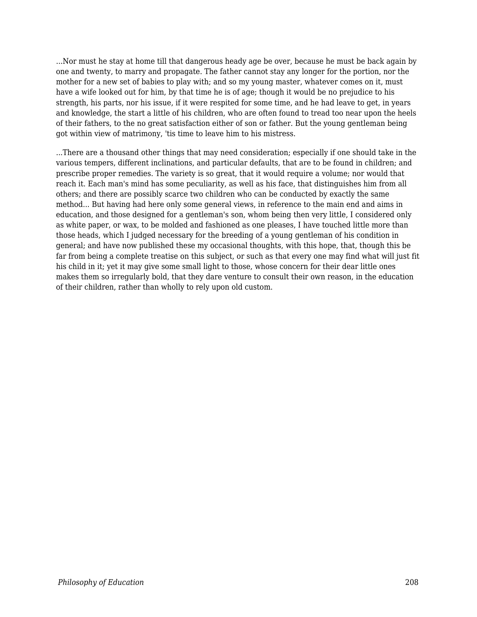...Nor must he stay at home till that dangerous heady age be over, because he must be back again by one and twenty, to marry and propagate. The father cannot stay any longer for the portion, nor the mother for a new set of babies to play with; and so my young master, whatever comes on it, must have a wife looked out for him, by that time he is of age; though it would be no prejudice to his strength, his parts, nor his issue, if it were respited for some time, and he had leave to get, in years and knowledge, the start a little of his children, who are often found to tread too near upon the heels of their fathers, to the no great satisfaction either of son or father. But the young gentleman being got within view of matrimony, 'tis time to leave him to his mistress.

...There are a thousand other things that may need consideration; especially if one should take in the various tempers, different inclinations, and particular defaults, that are to be found in children; and prescribe proper remedies. The variety is so great, that it would require a volume; nor would that reach it. Each man's mind has some peculiarity, as well as his face, that distinguishes him from all others; and there are possibly scarce two children who can be conducted by exactly the same method... But having had here only some general views, in reference to the main end and aims in education, and those designed for a gentleman's son, whom being then very little, I considered only as white paper, or wax, to be molded and fashioned as one pleases, I have touched little more than those heads, which I judged necessary for the breeding of a young gentleman of his condition in general; and have now published these my occasional thoughts, with this hope, that, though this be far from being a complete treatise on this subject, or such as that every one may find what will just fit his child in it; yet it may give some small light to those, whose concern for their dear little ones makes them so irregularly bold, that they dare venture to consult their own reason, in the education of their children, rather than wholly to rely upon old custom.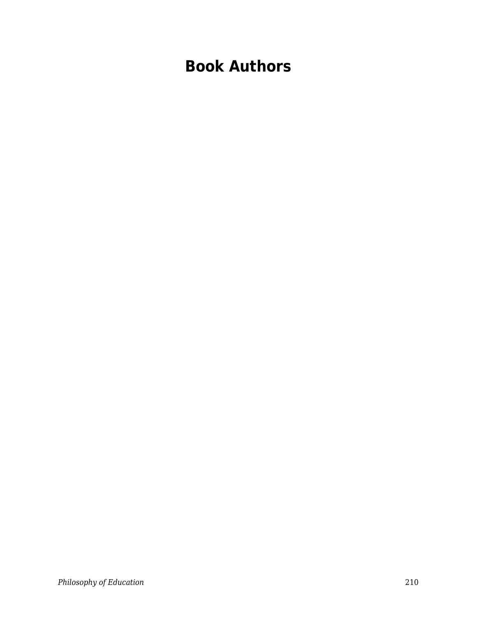## **Book Authors**